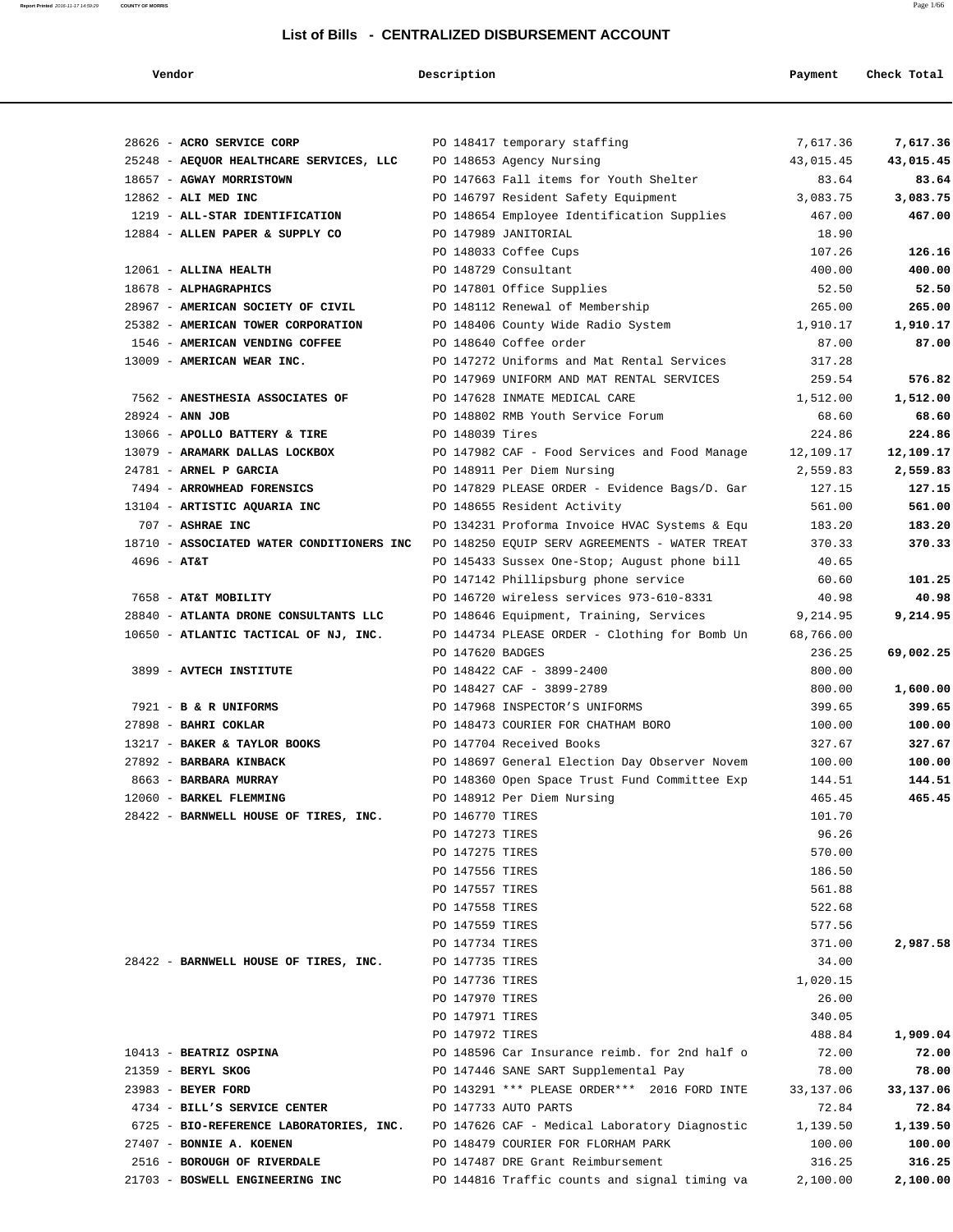| Vendor                                    | Description                        |                                               | Payment           | Check Total      |
|-------------------------------------------|------------------------------------|-----------------------------------------------|-------------------|------------------|
|                                           |                                    |                                               |                   |                  |
| 28626 - ACRO SERVICE CORP                 |                                    | PO 148417 temporary staffing                  | 7,617.36          | 7,617.36         |
| 25248 - AEQUOR HEALTHCARE SERVICES, LLC   |                                    | PO 148653 Agency Nursing                      | 43,015.45         | 43,015.45        |
| 18657 - AGWAY MORRISTOWN                  |                                    | PO 147663 Fall items for Youth Shelter        | 83.64             | 83.64            |
| $12862$ - ALI MED INC                     |                                    | PO 146797 Resident Safety Equipment           | 3,083.75          | 3,083.75         |
| 1219 - ALL-STAR IDENTIFICATION            |                                    | PO 148654 Employee Identification Supplies    | 467.00            | 467.00           |
| 12884 - ALLEN PAPER & SUPPLY CO           |                                    | PO 147989 JANITORIAL                          | 18.90             |                  |
| 12061 - ALLINA HEALTH                     |                                    | PO 148033 Coffee Cups<br>PO 148729 Consultant | 107.26<br>400.00  | 126.16<br>400.00 |
| 18678 - ALPHAGRAPHICS                     |                                    | PO 147801 Office Supplies                     | 52.50             | 52.50            |
| 28967 - AMERICAN SOCIETY OF CIVIL         |                                    | PO 148112 Renewal of Membership               | 265.00            | 265.00           |
| 25382 - AMERICAN TOWER CORPORATION        |                                    | PO 148406 County Wide Radio System            | 1,910.17          | 1,910.17         |
| 1546 - AMERICAN VENDING COFFEE            |                                    | PO 148640 Coffee order                        | 87.00             | 87.00            |
| 13009 - AMERICAN WEAR INC.                |                                    | PO 147272 Uniforms and Mat Rental Services    | 317.28            |                  |
|                                           |                                    | PO 147969 UNIFORM AND MAT RENTAL SERVICES     | 259.54            | 576.82           |
| 7562 - ANESTHESIA ASSOCIATES OF           |                                    | PO 147628 INMATE MEDICAL CARE                 | 1,512.00          | 1,512.00         |
| $28924 - ANN$ JOB                         |                                    | PO 148802 RMB Youth Service Forum             | 68.60             | 68.60            |
| 13066 - APOLLO BATTERY & TIRE             | PO 148039 Tires                    |                                               | 224.86            | 224.86           |
| 13079 - ARAMARK DALLAS LOCKBOX            |                                    | PO 147982 CAF - Food Services and Food Manage | 12,109.17         | 12,109.17        |
| 24781 - ARNEL P GARCIA                    |                                    | PO 148911 Per Diem Nursing                    | 2,559.83          | 2,559.83         |
| 7494 - ARROWHEAD FORENSICS                |                                    | PO 147829 PLEASE ORDER - Evidence Bags/D. Gar | 127.15            | 127.15           |
| 13104 - ARTISTIC AQUARIA INC              |                                    | PO 148655 Resident Activity                   | 561.00            | 561.00           |
| 707 - ASHRAE INC                          |                                    | PO 134231 Proforma Invoice HVAC Systems & Equ | 183.20            | 183.20           |
| 18710 - ASSOCIATED WATER CONDITIONERS INC |                                    | PO 148250 EQUIP SERV AGREEMENTS - WATER TREAT | 370.33            | 370.33           |
| $4696 - AT&T$                             |                                    | PO 145433 Sussex One-Stop; August phone bill  | 40.65             |                  |
|                                           |                                    | PO 147142 Phillipsburg phone service          | 60.60             | 101.25           |
| 7658 - AT&T MOBILITY                      |                                    | PO 146720 wireless services 973-610-8331      | 40.98             | 40.98            |
| 28840 - ATLANTA DRONE CONSULTANTS LLC     |                                    | PO 148646 Equipment, Training, Services       | 9,214.95          | 9,214.95         |
| 10650 - ATLANTIC TACTICAL OF NJ, INC.     |                                    | PO 144734 PLEASE ORDER - Clothing for Bomb Un | 68,766.00         |                  |
|                                           | PO 147620 BADGES                   |                                               | 236.25            | 69,002.25        |
| 3899 - AVTECH INSTITUTE                   |                                    | PO 148422 CAF - 3899-2400                     | 800.00            |                  |
|                                           |                                    | PO 148427 CAF - 3899-2789                     | 800.00            | 1,600.00         |
| 7921 - B & R UNIFORMS                     |                                    | PO 147968 INSPECTOR'S UNIFORMS                | 399.65            | 399.65           |
| 27898 - BAHRI COKLAR                      |                                    | PO 148473 COURIER FOR CHATHAM BORO            | 100.00            | 100.00           |
| 13217 - BAKER & TAYLOR BOOKS              |                                    | PO 147704 Received Books                      | 327.67            | 327.67           |
| 27892 - BARBARA KINBACK                   |                                    | PO 148697 General Election Day Observer Novem | 100.00            | 100.00           |
| 8663 - BARBARA MURRAY                     |                                    | PO 148360 Open Space Trust Fund Committee Exp | 144.51            | 144.51           |
| 12060 - BARKEL FLEMMING                   |                                    | PO 148912 Per Diem Nursing                    | 465.45            | 465.45           |
| 28422 - BARNWELL HOUSE OF TIRES, INC.     | PO 146770 TIRES                    |                                               | 101.70            |                  |
|                                           | PO 147273 TIRES                    |                                               | 96.26             |                  |
|                                           | PO 147275 TIRES                    |                                               | 570.00            |                  |
|                                           | PO 147556 TIRES                    |                                               | 186.50            |                  |
|                                           | PO 147557 TIRES                    |                                               | 561.88            |                  |
|                                           | PO 147558 TIRES                    |                                               | 522.68            |                  |
|                                           | PO 147559 TIRES                    |                                               | 577.56            |                  |
|                                           | PO 147734 TIRES                    |                                               | 371.00            | 2,987.58         |
| 28422 - BARNWELL HOUSE OF TIRES, INC.     | PO 147735 TIRES                    |                                               | 34.00             |                  |
|                                           | PO 147736 TIRES<br>PO 147970 TIRES |                                               | 1,020.15<br>26.00 |                  |
|                                           | PO 147971 TIRES                    |                                               | 340.05            |                  |
|                                           | PO 147972 TIRES                    |                                               | 488.84            | 1,909.04         |
| 10413 - BEATRIZ OSPINA                    |                                    | PO 148596 Car Insurance reimb. for 2nd half o | 72.00             | 72.00            |
| 21359 - BERYL SKOG                        |                                    | PO 147446 SANE SART Supplemental Pay          | 78.00             | 78.00            |
| 23983 - BEYER FORD                        |                                    | PO 143291 *** PLEASE ORDER*** 2016 FORD INTE  | 33,137.06         | 33,137.06        |
| 4734 - BILL'S SERVICE CENTER              |                                    | PO 147733 AUTO PARTS                          | 72.84             | 72.84            |
| 6725 - BIO-REFERENCE LABORATORIES, INC.   |                                    | PO 147626 CAF - Medical Laboratory Diagnostic | 1,139.50          | 1,139.50         |
| 27407 - BONNIE A. KOENEN                  |                                    | PO 148479 COURIER FOR FLORHAM PARK            | 100.00            | 100.00           |
| 2516 - BOROUGH OF RIVERDALE               |                                    | PO 147487 DRE Grant Reimbursement             | 316.25            | 316.25           |
| 21703 - BOSWELL ENGINEERING INC           |                                    | PO 144816 Traffic counts and signal timing va | 2,100.00          | 2,100.00         |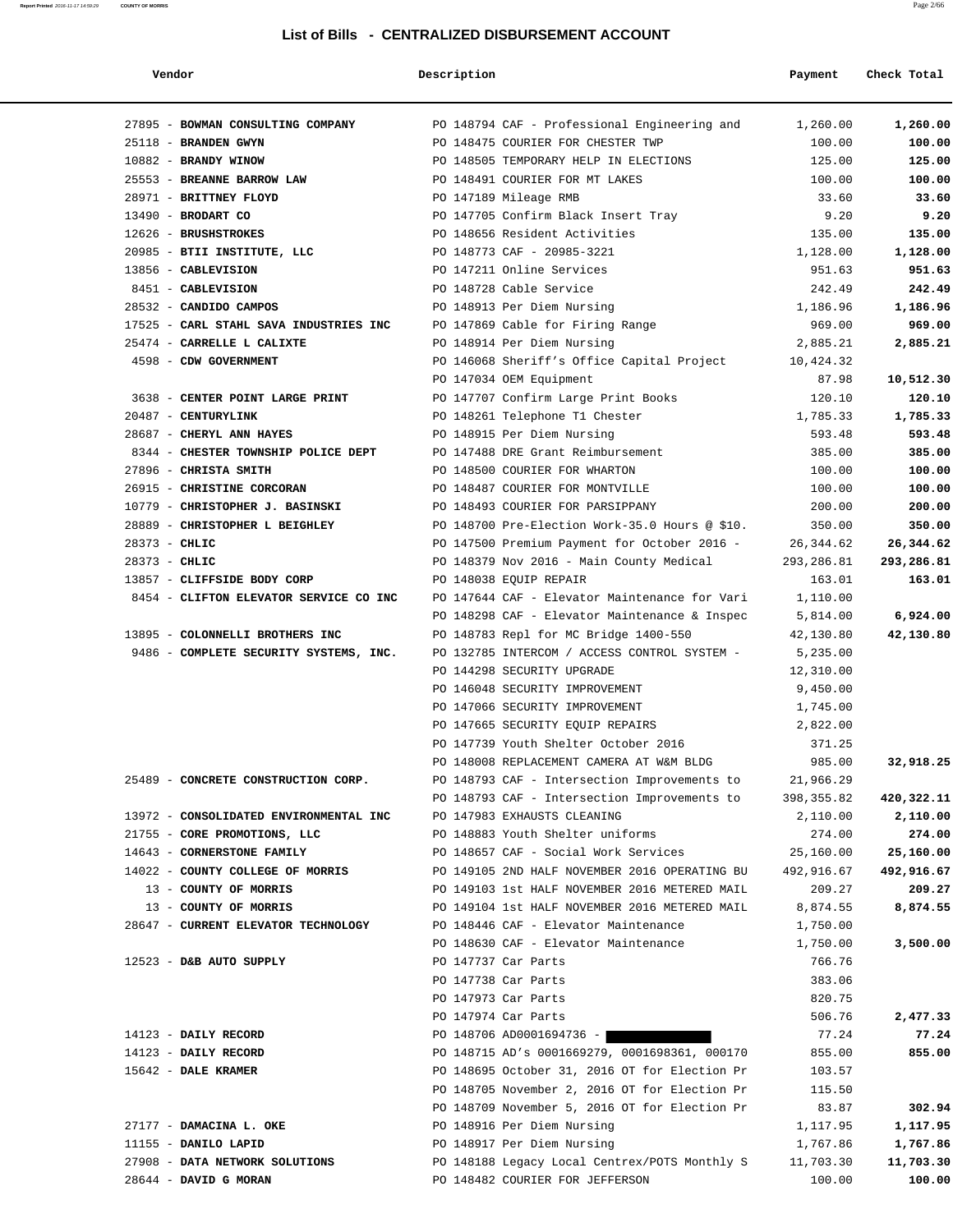| Vendor                                 | Description |                                                | Payment     | Check Total |
|----------------------------------------|-------------|------------------------------------------------|-------------|-------------|
| 27895 - BOWMAN CONSULTING COMPANY      |             | PO 148794 CAF - Professional Engineering and   | 1,260.00    | 1,260.00    |
| 25118 - BRANDEN GWYN                   |             | PO 148475 COURIER FOR CHESTER TWP              | 100.00      | 100.00      |
| 10882 - BRANDY WINOW                   |             | PO 148505 TEMPORARY HELP IN ELECTIONS          | 125.00      | 125.00      |
| 25553 - BREANNE BARROW LAW             |             | PO 148491 COURIER FOR MT LAKES                 | 100.00      | 100.00      |
| 28971 - BRITTNEY FLOYD                 |             | PO 147189 Mileage RMB                          | 33.60       | 33.60       |
| 13490 - BRODART CO                     |             | PO 147705 Confirm Black Insert Tray            | 9.20        | 9.20        |
| 12626 - BRUSHSTROKES                   |             | PO 148656 Resident Activities                  | 135.00      | 135.00      |
| 20985 - BTII INSTITUTE, LLC            |             | PO 148773 CAF - 20985-3221                     | 1,128.00    | 1,128.00    |
| 13856 - CABLEVISION                    |             | PO 147211 Online Services                      | 951.63      | 951.63      |
| 8451 - CABLEVISION                     |             | PO 148728 Cable Service                        | 242.49      | 242.49      |
| 28532 - CANDIDO CAMPOS                 |             | PO 148913 Per Diem Nursing                     | 1,186.96    | 1,186.96    |
| 17525 - CARL STAHL SAVA INDUSTRIES INC |             | PO 147869 Cable for Firing Range               | 969.00      | 969.00      |
| 25474 - CARRELLE L CALIXTE             |             | PO 148914 Per Diem Nursing                     | 2,885.21    | 2,885.21    |
| 4598 - CDW GOVERNMENT                  |             | PO 146068 Sheriff's Office Capital Project     | 10,424.32   |             |
|                                        |             | PO 147034 OEM Equipment                        | 87.98       | 10,512.30   |
| 3638 - CENTER POINT LARGE PRINT        |             | PO 147707 Confirm Large Print Books            | 120.10      | 120.10      |
| 20487 - CENTURYLINK                    |             | PO 148261 Telephone T1 Chester                 | 1,785.33    | 1,785.33    |
| 28687 - CHERYL ANN HAYES               |             | PO 148915 Per Diem Nursing                     | 593.48      | 593.48      |
| 8344 - CHESTER TOWNSHIP POLICE DEPT    |             | PO 147488 DRE Grant Reimbursement              | 385.00      | 385.00      |
| 27896 - CHRISTA SMITH                  |             | PO 148500 COURIER FOR WHARTON                  | 100.00      | 100.00      |
| 26915 - CHRISTINE CORCORAN             |             | PO 148487 COURIER FOR MONTVILLE                | 100.00      | 100.00      |
| 10779 - CHRISTOPHER J. BASINSKI        |             | PO 148493 COURIER FOR PARSIPPANY               | 200.00      | 200.00      |
| 28889 - CHRISTOPHER L BEIGHLEY         |             | PO 148700 Pre-Election Work-35.0 Hours @ \$10. | 350.00      | 350.00      |
| 28373 - CHLIC                          |             | PO 147500 Premium Payment for October 2016 -   | 26,344.62   | 26,344.62   |
| 28373 - CHLIC                          |             | PO 148379 Nov 2016 - Main County Medical       | 293,286.81  | 293,286.81  |
| 13857 - CLIFFSIDE BODY CORP            |             | PO 148038 EQUIP REPAIR                         | 163.01      | 163.01      |
| 8454 - CLIFTON ELEVATOR SERVICE CO INC |             | PO 147644 CAF - Elevator Maintenance for Vari  | 1,110.00    |             |
|                                        |             | PO 148298 CAF - Elevator Maintenance & Inspec  | 5,814.00    | 6,924.00    |
| 13895 - COLONNELLI BROTHERS INC        |             | PO 148783 Repl for MC Bridge 1400-550          | 42,130.80   | 42,130.80   |
| 9486 - COMPLETE SECURITY SYSTEMS, INC. |             | PO 132785 INTERCOM / ACCESS CONTROL SYSTEM -   | 5,235.00    |             |
|                                        |             | PO 144298 SECURITY UPGRADE                     | 12,310.00   |             |
|                                        |             | PO 146048 SECURITY IMPROVEMENT                 | 9,450.00    |             |
|                                        |             | PO 147066 SECURITY IMPROVEMENT                 | 1,745.00    |             |
|                                        |             | PO 147665 SECURITY EQUIP REPAIRS               | 2,822.00    |             |
|                                        |             | PO 147739 Youth Shelter October 2016           | 371.25      |             |
|                                        |             | PO 148008 REPLACEMENT CAMERA AT W&M BLDG       | 985.00      | 32,918.25   |
| 25489 - CONCRETE CONSTRUCTION CORP.    |             | PO 148793 CAF - Intersection Improvements to   | 21,966.29   |             |
|                                        |             | PO 148793 CAF - Intersection Improvements to   | 398, 355.82 | 420,322.11  |
| 13972 - CONSOLIDATED ENVIRONMENTAL INC |             | PO 147983 EXHAUSTS CLEANING                    | 2,110.00    | 2,110.00    |
| 21755 - CORE PROMOTIONS, LLC           |             | PO 148883 Youth Shelter uniforms               | 274.00      | 274.00      |
| 14643 - CORNERSTONE FAMILY             |             | PO 148657 CAF - Social Work Services           | 25,160.00   | 25,160.00   |
| 14022 - COUNTY COLLEGE OF MORRIS       |             | PO 149105 2ND HALF NOVEMBER 2016 OPERATING BU  | 492,916.67  | 492,916.67  |
| 13 - COUNTY OF MORRIS                  |             | PO 149103 1st HALF NOVEMBER 2016 METERED MAIL  | 209.27      | 209.27      |
| 13 - COUNTY OF MORRIS                  |             | PO 149104 1st HALF NOVEMBER 2016 METERED MAIL  | 8,874.55    | 8,874.55    |
| 28647 - CURRENT ELEVATOR TECHNOLOGY    |             | PO 148446 CAF - Elevator Maintenance           | 1,750.00    |             |
|                                        |             | PO 148630 CAF - Elevator Maintenance           | 1,750.00    | 3,500.00    |
| 12523 - D&B AUTO SUPPLY                |             | PO 147737 Car Parts                            | 766.76      |             |
|                                        |             | PO 147738 Car Parts                            | 383.06      |             |
|                                        |             | PO 147973 Car Parts                            | 820.75      |             |
|                                        |             | PO 147974 Car Parts                            | 506.76      | 2,477.33    |
| 14123 - DAILY RECORD                   |             | PO 148706 AD0001694736 -                       | 77.24       | 77.24       |
| 14123 - DAILY RECORD                   |             | PO 148715 AD's 0001669279, 0001698361, 000170  | 855.00      | 855.00      |
| $15642$ - DALE KRAMER                  |             | PO 148695 October 31, 2016 OT for Election Pr  | 103.57      |             |
|                                        |             | PO 148705 November 2, 2016 OT for Election Pr  | 115.50      |             |
|                                        |             | PO 148709 November 5, 2016 OT for Election Pr  | 83.87       | 302.94      |
| 27177 - DAMACINA L. OKE                |             | PO 148916 Per Diem Nursing                     | 1,117.95    | 1,117.95    |
| 11155 - DANILO LAPID                   |             | PO 148917 Per Diem Nursing                     | 1,767.86    | 1,767.86    |
| 27908 - DATA NETWORK SOLUTIONS         |             | PO 148188 Legacy Local Centrex/POTS Monthly S  | 11,703.30   | 11,703.30   |
| 28644 - DAVID G MORAN                  |             | PO 148482 COURIER FOR JEFFERSON                | 100.00      | 100.00      |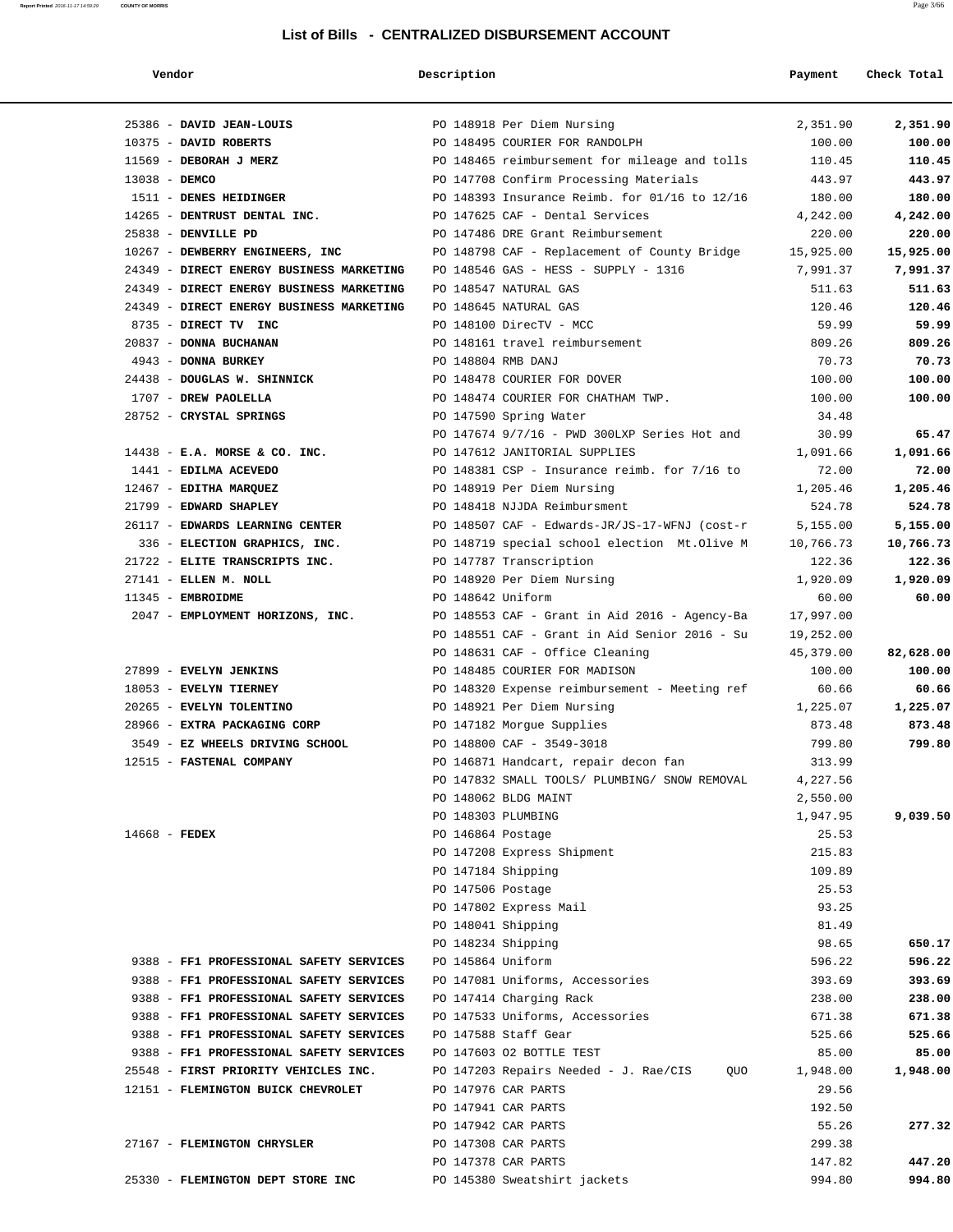| Vendor                                           | Description        |                                                                             | Payment           | Check Total       |
|--------------------------------------------------|--------------------|-----------------------------------------------------------------------------|-------------------|-------------------|
| 25386 - DAVID JEAN-LOUIS                         |                    | PO 148918 Per Diem Nursing                                                  | 2,351.90          | 2,351.90          |
| 10375 - DAVID ROBERTS                            |                    | PO 148495 COURIER FOR RANDOLPH                                              | 100.00            | 100.00            |
| 11569 - DEBORAH J MERZ                           |                    | PO 148465 reimbursement for mileage and tolls                               | 110.45            | 110.45            |
| 13038 - DEMCO                                    |                    | PO 147708 Confirm Processing Materials                                      | 443.97            | 443.97            |
| 1511 - DENES HEIDINGER                           |                    | PO 148393 Insurance Reimb. for 01/16 to 12/16                               | 180.00            | 180.00            |
| 14265 - DENTRUST DENTAL INC.                     |                    | PO 147625 CAF - Dental Services                                             | 4,242.00          | 4,242.00          |
| 25838 - DENVILLE PD                              |                    | PO 147486 DRE Grant Reimbursement                                           | 220.00            | 220.00            |
| 10267 - DEWBERRY ENGINEERS, INC                  |                    | PO 148798 CAF - Replacement of County Bridge                                | 15,925.00         | 15,925.00         |
| 24349 - DIRECT ENERGY BUSINESS MARKETING         |                    | PO 148546 GAS - HESS - SUPPLY - 1316                                        | 7,991.37          | 7,991.37          |
| 24349 - DIRECT ENERGY BUSINESS MARKETING         |                    | PO 148547 NATURAL GAS                                                       | 511.63            | 511.63            |
| 24349 - DIRECT ENERGY BUSINESS MARKETING         |                    | PO 148645 NATURAL GAS                                                       | 120.46            | 120.46            |
| 8735 - DIRECT TV INC                             |                    | PO 148100 DirecTV - MCC                                                     | 59.99             | 59.99             |
| 20837 - DONNA BUCHANAN                           |                    | PO 148161 travel reimbursement                                              | 809.26            | 809.26            |
| 4943 - DONNA BURKEY                              | PO 148804 RMB DANJ |                                                                             | 70.73             | 70.73             |
| 24438 - DOUGLAS W. SHINNICK                      |                    | PO 148478 COURIER FOR DOVER                                                 | 100.00            | 100.00            |
| 1707 - DREW PAOLELLA                             |                    | PO 148474 COURIER FOR CHATHAM TWP.                                          | 100.00            | 100.00            |
| 28752 - CRYSTAL SPRINGS                          |                    | PO 147590 Spring Water                                                      | 34.48             |                   |
|                                                  |                    | PO 147674 9/7/16 - PWD 300LXP Series Hot and                                | 30.99             | 65.47             |
| 14438 - E.A. MORSE & CO. INC.                    |                    | PO 147612 JANITORIAL SUPPLIES                                               | 1,091.66          | 1,091.66          |
| 1441 - EDILMA ACEVEDO                            |                    | PO 148381 CSP - Insurance reimb. for 7/16 to                                | 72.00             | 72.00             |
| 12467 - EDITHA MARQUEZ                           |                    | PO 148919 Per Diem Nursing                                                  | 1,205.46          | 1,205.46          |
| 21799 - EDWARD SHAPLEY                           |                    | PO 148418 NJJDA Reimbursment                                                | 524.78            | 524.78            |
| 26117 - EDWARDS LEARNING CENTER                  |                    | PO 148507 CAF - Edwards-JR/JS-17-WFNJ (cost-r                               | 5,155.00          | 5,155.00          |
| 336 - ELECTION GRAPHICS, INC.                    |                    | PO 148719 special school election Mt.Olive M                                | 10,766.73         | 10,766.73         |
| 21722 - ELITE TRANSCRIPTS INC.                   |                    | PO 147787 Transcription                                                     | 122.36            | 122.36            |
| 27141 - ELLEN M. NOLL                            |                    | PO 148920 Per Diem Nursing                                                  | 1,920.09          | 1,920.09          |
| 11345 - EMBROIDME                                | PO 148642 Uniform  |                                                                             | 60.00             | 60.00             |
| 2047 - EMPLOYMENT HORIZONS, INC.                 |                    | PO 148553 CAF - Grant in Aid 2016 - Agency-Ba                               | 17,997.00         |                   |
|                                                  |                    | PO 148551 CAF - Grant in Aid Senior 2016 - Su                               | 19,252.00         |                   |
|                                                  |                    | PO 148631 CAF - Office Cleaning                                             | 45,379.00         | 82,628.00         |
| 27899 - EVELYN JENKINS<br>18053 - EVELYN TIERNEY |                    | PO 148485 COURIER FOR MADISON                                               | 100.00            | 100.00            |
| 20265 - EVELYN TOLENTINO                         |                    | PO 148320 Expense reimbursement - Meeting ref<br>PO 148921 Per Diem Nursing | 60.66<br>1,225.07 | 60.66<br>1,225.07 |
| 28966 - EXTRA PACKAGING CORP                     |                    | PO 147182 Morgue Supplies                                                   | 873.48            | 873.48            |
| 3549 - EZ WHEELS DRIVING SCHOOL                  |                    | PO 148800 CAF - 3549-3018                                                   | 799.80            | 799.80            |
| 12515 - FASTENAL COMPANY                         |                    | PO 146871 Handcart, repair decon fan                                        | 313.99            |                   |
|                                                  |                    | PO 147832 SMALL TOOLS/ PLUMBING/ SNOW REMOVAL                               | 4,227.56          |                   |
|                                                  |                    | PO 148062 BLDG MAINT                                                        | 2,550.00          |                   |
|                                                  | PO 148303 PLUMBING |                                                                             | 1,947.95          | 9,039.50          |
| $14668$ - FEDEX                                  | PO 146864 Postage  |                                                                             | 25.53             |                   |
|                                                  |                    | PO 147208 Express Shipment                                                  | 215.83            |                   |
|                                                  |                    | PO 147184 Shipping                                                          | 109.89            |                   |
|                                                  | PO 147506 Postage  |                                                                             | 25.53             |                   |
|                                                  |                    | PO 147802 Express Mail                                                      | 93.25             |                   |
|                                                  | PO 148041 Shipping |                                                                             | 81.49             |                   |
|                                                  | PO 148234 Shipping |                                                                             | 98.65             | 650.17            |
| 9388 - FF1 PROFESSIONAL SAFETY SERVICES          | PO 145864 Uniform  |                                                                             | 596.22            | 596.22            |
| 9388 - FF1 PROFESSIONAL SAFETY SERVICES          |                    | PO 147081 Uniforms, Accessories                                             | 393.69            | 393.69            |
| 9388 - FF1 PROFESSIONAL SAFETY SERVICES          |                    | PO 147414 Charging Rack                                                     | 238.00            | 238.00            |
| 9388 - FF1 PROFESSIONAL SAFETY SERVICES          |                    | PO 147533 Uniforms, Accessories                                             | 671.38            | 671.38            |
| 9388 - FF1 PROFESSIONAL SAFETY SERVICES          |                    | PO 147588 Staff Gear                                                        | 525.66            | 525.66            |
| 9388 - FF1 PROFESSIONAL SAFETY SERVICES          |                    | PO 147603 O2 BOTTLE TEST                                                    | 85.00             | 85.00             |
| 25548 - FIRST PRIORITY VEHICLES INC.             |                    | PO 147203 Repairs Needed - J. Rae/CIS<br>QUO                                | 1,948.00          | 1,948.00          |
| 12151 - FLEMINGTON BUICK CHEVROLET               |                    | PO 147976 CAR PARTS                                                         | 29.56             |                   |
|                                                  |                    | PO 147941 CAR PARTS                                                         | 192.50            |                   |
|                                                  |                    | PO 147942 CAR PARTS                                                         | 55.26             | 277.32            |
| 27167 - FLEMINGTON CHRYSLER                      |                    | PO 147308 CAR PARTS                                                         | 299.38            |                   |
|                                                  |                    | PO 147378 CAR PARTS                                                         | 147.82            | 447.20            |
| 25330 - FLEMINGTON DEPT STORE INC                |                    | PO 145380 Sweatshirt jackets                                                | 994.80            | 994.80            |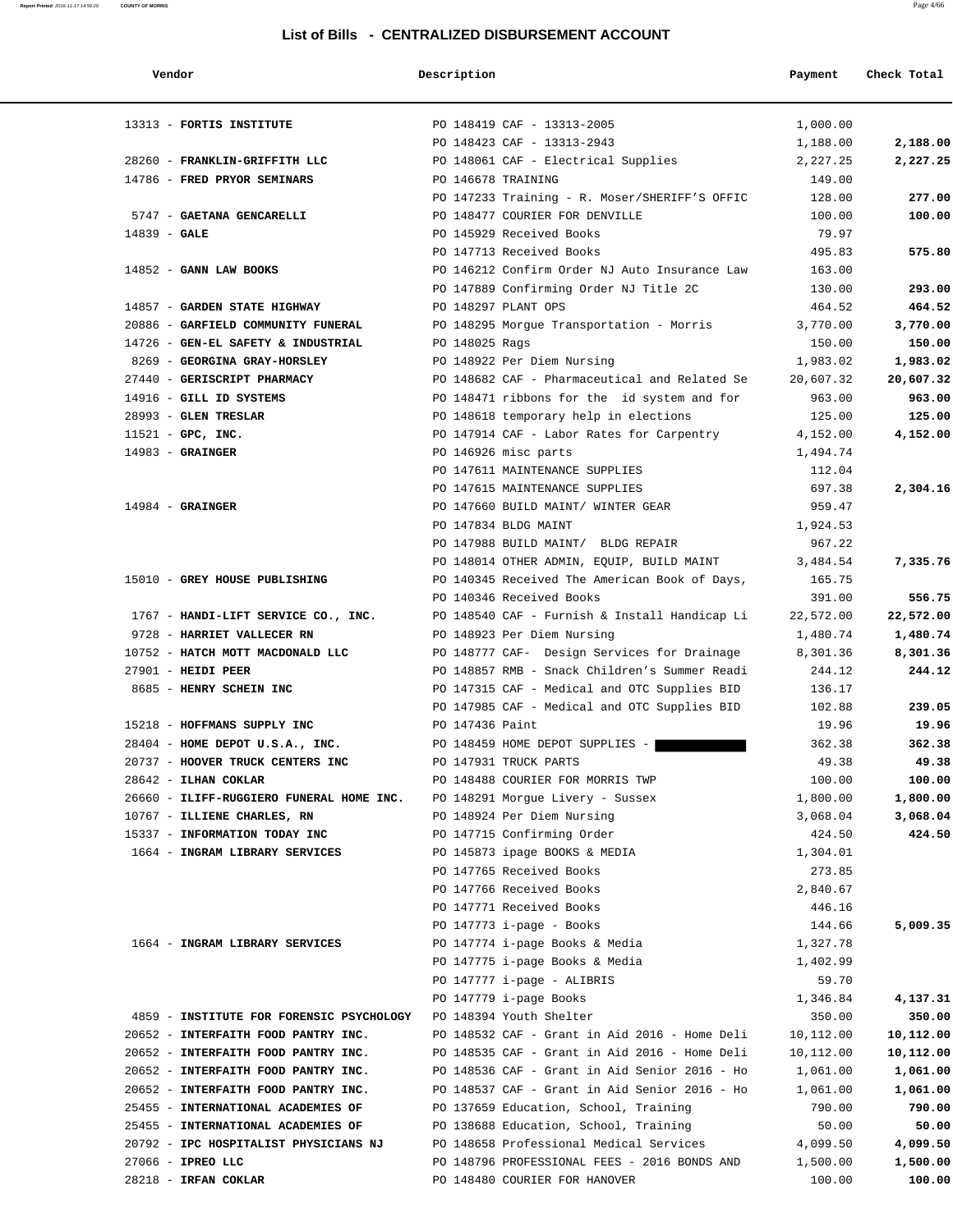#### **Report Printed** 2016-11-17 14:59:29 **COUNTY OF MORRIS** Page 4/66

### **List of Bills - CENTRALIZED DISBURSEMENT ACCOUNT**

| Vendor                                   | Description                                   | Payment   | Check Total |
|------------------------------------------|-----------------------------------------------|-----------|-------------|
| 13313 - FORTIS INSTITUTE                 | PO 148419 CAF - 13313-2005                    | 1,000.00  |             |
|                                          | PO 148423 CAF - 13313-2943                    | 1,188.00  | 2,188.00    |
| 28260 - FRANKLIN-GRIFFITH LLC            | PO 148061 CAF - Electrical Supplies           | 2,227.25  | 2,227.25    |
| 14786 - FRED PRYOR SEMINARS              | PO 146678 TRAINING                            | 149.00    |             |
|                                          | PO 147233 Training - R. Moser/SHERIFF'S OFFIC | 128.00    | 277.00      |
| 5747 - GAETANA GENCARELLI                | PO 148477 COURIER FOR DENVILLE                | 100.00    | 100.00      |
| $14839 - GALE$                           | PO 145929 Received Books                      | 79.97     |             |
|                                          | PO 147713 Received Books                      | 495.83    | 575.80      |
| $14852$ - GANN LAW BOOKS                 | PO 146212 Confirm Order NJ Auto Insurance Law | 163.00    |             |
|                                          | PO 147889 Confirming Order NJ Title 2C        | 130.00    | 293.00      |
| 14857 - GARDEN STATE HIGHWAY             | PO 148297 PLANT OPS                           | 464.52    | 464.52      |
| 20886 - GARFIELD COMMUNITY FUNERAL       | PO 148295 Morgue Transportation - Morris      | 3,770.00  | 3,770.00    |
| 14726 - GEN-EL SAFETY & INDUSTRIAL       | PO 148025 Rags                                | 150.00    | 150.00      |
| 8269 - GEORGINA GRAY-HORSLEY             | PO 148922 Per Diem Nursing                    | 1,983.02  | 1,983.02    |
| 27440 - GERISCRIPT PHARMACY              | PO 148682 CAF - Pharmaceutical and Related Se | 20,607.32 | 20,607.32   |
| 14916 - GILL ID SYSTEMS                  | PO 148471 ribbons for the id system and for   | 963.00    | 963.00      |
| $28993$ - GLEN TRESLAR                   | PO 148618 temporary help in elections         | 125.00    | 125.00      |
| $11521$ - GPC, INC.                      | PO 147914 CAF - Labor Rates for Carpentry     | 4,152.00  | 4,152.00    |
| $14983$ - GRAINGER                       | PO 146926 misc parts                          | 1,494.74  |             |
|                                          | PO 147611 MAINTENANCE SUPPLIES                | 112.04    |             |
|                                          | PO 147615 MAINTENANCE SUPPLIES                | 697.38    | 2,304.16    |
| $14984$ - GRAINGER                       | PO 147660 BUILD MAINT/ WINTER GEAR            | 959.47    |             |
|                                          | PO 147834 BLDG MAINT                          | 1,924.53  |             |
|                                          | PO 147988 BUILD MAINT/ BLDG REPAIR            | 967.22    |             |
|                                          | PO 148014 OTHER ADMIN, EQUIP, BUILD MAINT     | 3,484.54  | 7,335.76    |
| 15010 - GREY HOUSE PUBLISHING            | PO 140345 Received The American Book of Days, | 165.75    |             |
|                                          | PO 140346 Received Books                      | 391.00    | 556.75      |
| 1767 - HANDI-LIFT SERVICE CO., INC.      | PO 148540 CAF - Furnish & Install Handicap Li | 22,572.00 | 22,572.00   |
| 9728 - HARRIET VALLECER RN               | PO 148923 Per Diem Nursing                    | 1,480.74  | 1,480.74    |
| 10752 - HATCH MOTT MACDONALD LLC         | PO 148777 CAF- Design Services for Drainage   | 8,301.36  | 8,301.36    |
| $27901$ - HEIDI PEER                     | PO 148857 RMB - Snack Children's Summer Readi | 244.12    | 244.12      |
| 8685 - HENRY SCHEIN INC                  | PO 147315 CAF - Medical and OTC Supplies BID  | 136.17    |             |
|                                          | PO 147985 CAF - Medical and OTC Supplies BID  | 102.88    | 239.05      |
| 15218 - HOFFMANS SUPPLY INC              | PO 147436 Paint                               | 19.96     | 19.96       |
| $28404$ - HOME DEPOT U.S.A., INC.        | PO 148459 HOME DEPOT SUPPLIES -               | 362.38    | 362.38      |
| 20737 - HOOVER TRUCK CENTERS INC         | PO 147931 TRUCK PARTS                         | 49.38     | 49.38       |
| 28642 - ILHAN COKLAR                     | PO 148488 COURIER FOR MORRIS TWP              | 100.00    | 100.00      |
| 26660 - ILIFF-RUGGIERO FUNERAL HOME INC. | PO 148291 Morque Livery - Sussex              | 1,800.00  | 1,800.00    |
| 10767 - ILLIENE CHARLES, RN              | PO 148924 Per Diem Nursing                    | 3,068.04  | 3,068.04    |
| 15337 - INFORMATION TODAY INC            | PO 147715 Confirming Order                    | 424.50    | 424.50      |
| 1664 - INGRAM LIBRARY SERVICES           | PO 145873 ipage BOOKS & MEDIA                 | 1,304.01  |             |
|                                          | PO 147765 Received Books                      | 273.85    |             |
|                                          | PO 147766 Received Books                      | 2,840.67  |             |
|                                          | PO 147771 Received Books                      | 446.16    |             |
|                                          | PO 147773 i-page - Books                      | 144.66    | 5,009.35    |
| 1664 - INGRAM LIBRARY SERVICES           | PO 147774 i-page Books & Media                | 1,327.78  |             |
|                                          | PO 147775 i-page Books & Media                | 1,402.99  |             |
|                                          | PO 147777 i-page - ALIBRIS                    | 59.70     |             |
|                                          | PO 147779 i-page Books                        | 1,346.84  | 4,137.31    |
| 4859 - INSTITUTE FOR FORENSIC PSYCHOLOGY | PO 148394 Youth Shelter                       | 350.00    | 350.00      |
| 20652 - INTERFAITH FOOD PANTRY INC.      | PO 148532 CAF - Grant in Aid 2016 - Home Deli | 10,112.00 | 10,112.00   |
| 20652 - INTERFAITH FOOD PANTRY INC.      | PO 148535 CAF - Grant in Aid 2016 - Home Deli | 10,112.00 | 10,112.00   |
| 20652 - INTERFAITH FOOD PANTRY INC.      | PO 148536 CAF - Grant in Aid Senior 2016 - Ho | 1,061.00  | 1,061.00    |
| 20652 - INTERFAITH FOOD PANTRY INC.      | PO 148537 CAF - Grant in Aid Senior 2016 - Ho | 1,061.00  | 1,061.00    |
| 25455 - INTERNATIONAL ACADEMIES OF       | PO 137659 Education, School, Training         | 790.00    | 790.00      |
| 25455 - INTERNATIONAL ACADEMIES OF       | PO 138688 Education, School, Training         | 50.00     | 50.00       |
| 20792 - IPC HOSPITALIST PHYSICIANS NJ    | PO 148658 Professional Medical Services       | 4,099.50  | 4,099.50    |
| 27066 - IPREO LLC                        | PO 148796 PROFESSIONAL FEES - 2016 BONDS AND  | 1,500.00  | 1,500.00    |
| 28218 - IRFAN COKLAR                     | PO 148480 COURIER FOR HANOVER                 | 100.00    | 100.00      |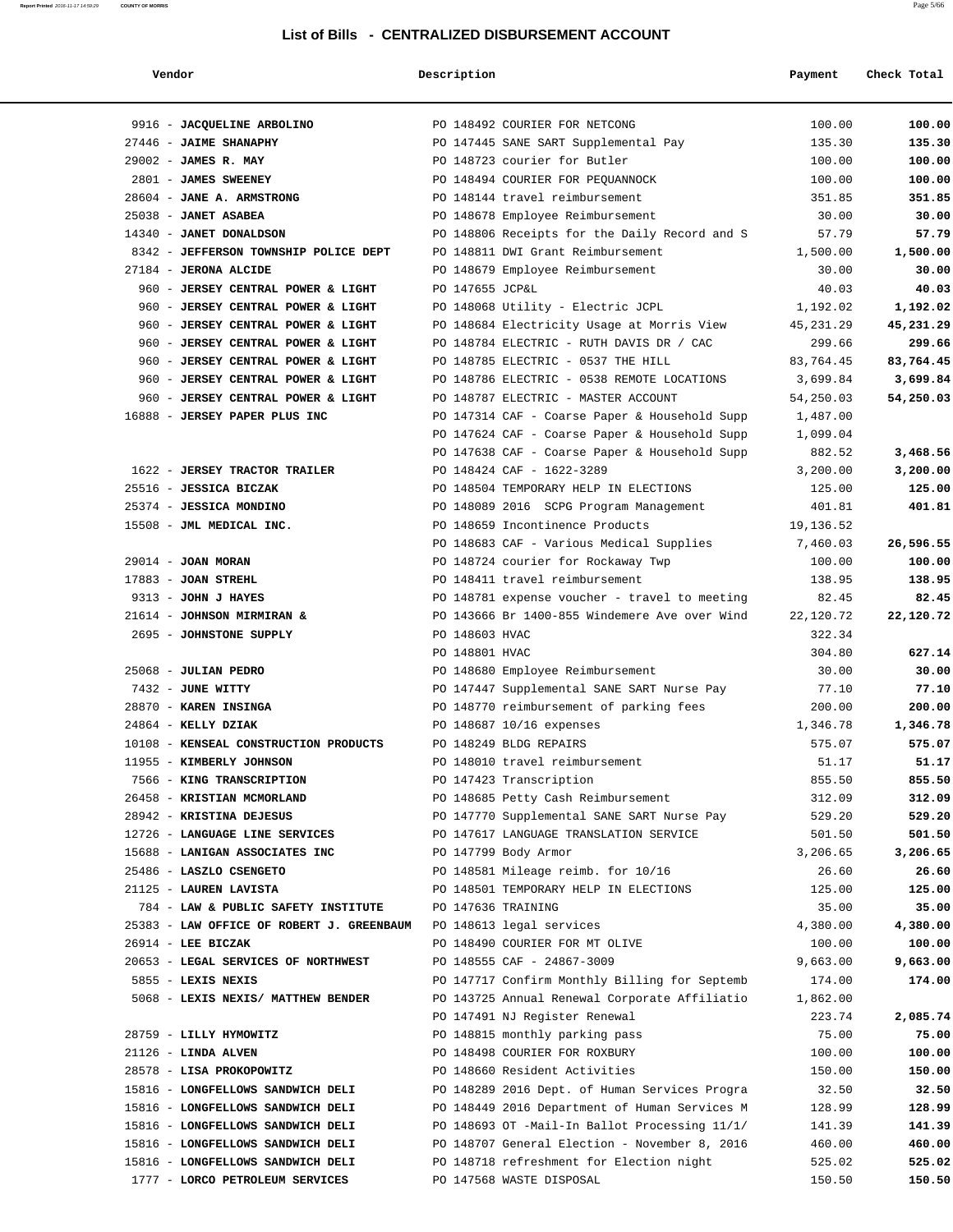| Vendor                                    | Description        |                                               | Payment   | Check Total |
|-------------------------------------------|--------------------|-----------------------------------------------|-----------|-------------|
| 9916 - JACQUELINE ARBOLINO                |                    | PO 148492 COURIER FOR NETCONG                 | 100.00    | 100.00      |
| 27446 - JAIME SHANAPHY                    |                    | PO 147445 SANE SART Supplemental Pay          | 135.30    | 135.30      |
| 29002 - JAMES R. MAY                      |                    | PO 148723 courier for Butler                  | 100.00    | 100.00      |
| 2801 - JAMES SWEENEY                      |                    | PO 148494 COURIER FOR PEQUANNOCK              | 100.00    | 100.00      |
| 28604 - JANE A. ARMSTRONG                 |                    | PO 148144 travel reimbursement                | 351.85    | 351.85      |
| $25038$ - JANET ASABEA                    |                    | PO 148678 Employee Reimbursement              | 30.00     | 30.00       |
| 14340 - JANET DONALDSON                   |                    | PO 148806 Receipts for the Daily Record and S | 57.79     | 57.79       |
| 8342 - JEFFERSON TOWNSHIP POLICE DEPT     |                    | PO 148811 DWI Grant Reimbursement             | 1,500.00  | 1,500.00    |
| 27184 - JERONA ALCIDE                     |                    | PO 148679 Employee Reimbursement              | 30.00     | 30.00       |
| 960 - JERSEY CENTRAL POWER & LIGHT        | PO 147655 JCP&L    |                                               | 40.03     | 40.03       |
| 960 - JERSEY CENTRAL POWER & LIGHT        |                    | PO 148068 Utility - Electric JCPL             | 1,192.02  | 1,192.02    |
| 960 - JERSEY CENTRAL POWER & LIGHT        |                    | PO 148684 Electricity Usage at Morris View    | 45,231.29 | 45,231.29   |
| 960 - JERSEY CENTRAL POWER & LIGHT        |                    | PO 148784 ELECTRIC - RUTH DAVIS DR / CAC      | 299.66    | 299.66      |
| 960 - JERSEY CENTRAL POWER & LIGHT        |                    | PO 148785 ELECTRIC - 0537 THE HILL            | 83,764.45 | 83,764.45   |
| 960 - JERSEY CENTRAL POWER & LIGHT        |                    | PO 148786 ELECTRIC - 0538 REMOTE LOCATIONS    | 3,699.84  | 3,699.84    |
| 960 - JERSEY CENTRAL POWER & LIGHT        |                    | PO 148787 ELECTRIC - MASTER ACCOUNT           | 54,250.03 | 54,250.03   |
| 16888 - JERSEY PAPER PLUS INC             |                    | PO 147314 CAF - Coarse Paper & Household Supp | 1,487.00  |             |
|                                           |                    | PO 147624 CAF - Coarse Paper & Household Supp | 1,099.04  |             |
|                                           |                    | PO 147638 CAF - Coarse Paper & Household Supp | 882.52    | 3,468.56    |
| 1622 - JERSEY TRACTOR TRAILER             |                    | PO 148424 CAF - 1622-3289                     | 3,200.00  | 3,200.00    |
| 25516 - JESSICA BICZAK                    |                    | PO 148504 TEMPORARY HELP IN ELECTIONS         | 125.00    | 125.00      |
| 25374 - JESSICA MONDINO                   |                    | PO 148089 2016 SCPG Program Management        | 401.81    | 401.81      |
| 15508 - JML MEDICAL INC.                  |                    | PO 148659 Incontinence Products               | 19,136.52 |             |
|                                           |                    | PO 148683 CAF - Various Medical Supplies      | 7,460.03  | 26,596.55   |
| $29014$ - JOAN MORAN                      |                    | PO 148724 courier for Rockaway Twp            | 100.00    | 100.00      |
| $17883$ - JOAN STREHL                     |                    | PO 148411 travel reimbursement                | 138.95    | 138.95      |
| 9313 - JOHN J HAYES                       |                    | PO 148781 expense voucher - travel to meeting | 82.45     | 82.45       |
| 21614 - JOHNSON MIRMIRAN &                |                    | PO 143666 Br 1400-855 Windemere Ave over Wind | 22,120.72 | 22,120.72   |
| 2695 - JOHNSTONE SUPPLY                   | PO 148603 HVAC     |                                               | 322.34    |             |
|                                           | PO 148801 HVAC     |                                               | 304.80    | 627.14      |
| 25068 - JULIAN PEDRO                      |                    | PO 148680 Employee Reimbursement              | 30.00     | 30.00       |
| 7432 - JUNE WITTY                         |                    | PO 147447 Supplemental SANE SART Nurse Pay    | 77.10     | 77.10       |
| 28870 - KAREN INSINGA                     |                    | PO 148770 reimbursement of parking fees       | 200.00    | 200.00      |
| 24864 - KELLY DZIAK                       |                    | PO 148687 10/16 expenses                      | 1,346.78  | 1,346.78    |
| 10108 - KENSEAL CONSTRUCTION PRODUCTS     |                    | PO 148249 BLDG REPAIRS                        | 575.07    | 575.07      |
| 11955 - KIMBERLY JOHNSON                  |                    | PO 148010 travel reimbursement                | 51.17     | 51.17       |
| 7566 - KING TRANSCRIPTION                 |                    | PO 147423 Transcription                       | 855.50    | 855.50      |
| 26458 - KRISTIAN MCMORLAND                |                    | PO 148685 Petty Cash Reimbursement            | 312.09    | 312.09      |
| 28942 - KRISTINA DEJESUS                  |                    | PO 147770 Supplemental SANE SART Nurse Pay    | 529.20    | 529.20      |
| 12726 - LANGUAGE LINE SERVICES            |                    | PO 147617 LANGUAGE TRANSLATION SERVICE        | 501.50    | 501.50      |
| 15688 - LANIGAN ASSOCIATES INC            |                    | PO 147799 Body Armor                          | 3,206.65  | 3,206.65    |
| 25486 - LASZLO CSENGETO                   |                    | PO 148581 Mileage reimb. for 10/16            | 26.60     | 26.60       |
| 21125 - LAUREN LAVISTA                    |                    | PO 148501 TEMPORARY HELP IN ELECTIONS         | 125.00    | 125.00      |
| 784 - LAW & PUBLIC SAFETY INSTITUTE       | PO 147636 TRAINING |                                               | 35.00     | 35.00       |
| 25383 - LAW OFFICE OF ROBERT J. GREENBAUM |                    | PO 148613 legal services                      | 4,380.00  | 4,380.00    |
| $26914$ - LEE BICZAK                      |                    | PO 148490 COURIER FOR MT OLIVE                | 100.00    | 100.00      |
| 20653 - LEGAL SERVICES OF NORTHWEST       |                    | PO 148555 CAF - 24867-3009                    | 9,663.00  | 9,663.00    |
| 5855 - LEXIS NEXIS                        |                    | PO 147717 Confirm Monthly Billing for Septemb | 174.00    | 174.00      |
| 5068 - LEXIS NEXIS/ MATTHEW BENDER        |                    | PO 143725 Annual Renewal Corporate Affiliatio | 1,862.00  |             |
|                                           |                    | PO 147491 NJ Register Renewal                 | 223.74    | 2,085.74    |
| 28759 - LILLY HYMOWITZ                    |                    | PO 148815 monthly parking pass                | 75.00     | 75.00       |
| 21126 - LINDA ALVEN                       |                    | PO 148498 COURIER FOR ROXBURY                 | 100.00    | 100.00      |
| 28578 - LISA PROKOPOWITZ                  |                    | PO 148660 Resident Activities                 | 150.00    | 150.00      |
| 15816 - LONGFELLOWS SANDWICH DELI         |                    | PO 148289 2016 Dept. of Human Services Progra | 32.50     | 32.50       |
| 15816 - LONGFELLOWS SANDWICH DELI         |                    | PO 148449 2016 Department of Human Services M | 128.99    | 128.99      |
| 15816 - LONGFELLOWS SANDWICH DELI         |                    | PO 148693 OT -Mail-In Ballot Processing 11/1/ | 141.39    | 141.39      |
| 15816 - LONGFELLOWS SANDWICH DELI         |                    | PO 148707 General Election - November 8, 2016 | 460.00    | 460.00      |
| 15816 - LONGFELLOWS SANDWICH DELI         |                    | PO 148718 refreshment for Election night      | 525.02    | 525.02      |
| 1777 - LORCO PETROLEUM SERVICES           |                    | PO 147568 WASTE DISPOSAL                      | 150.50    | 150.50      |

**Report Printed** 2016-11-17 14:59:29 **COUNTY OF MORRIS** Page 5/66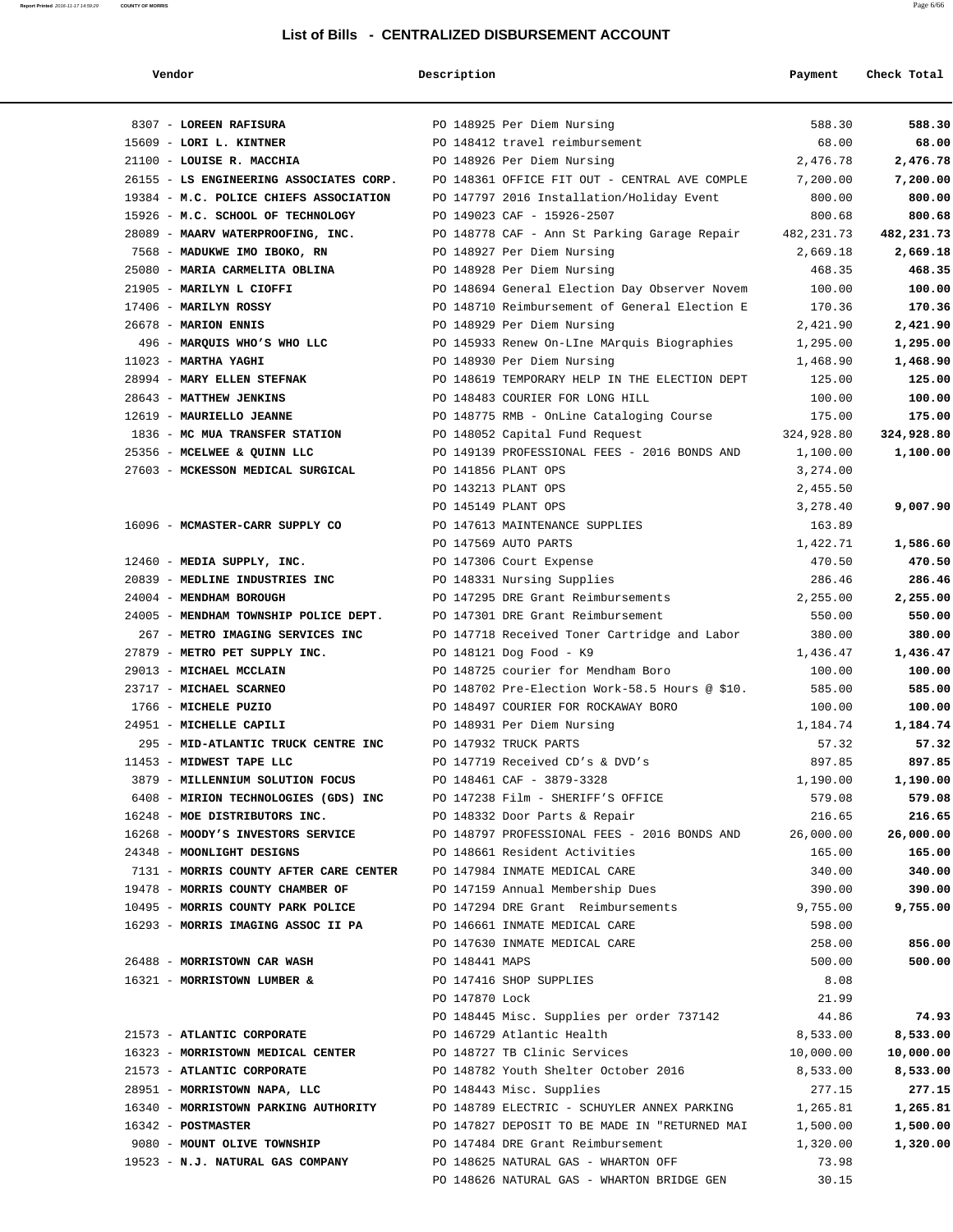#### **Report Printed** 2016-11-17 14:59:29 **COUNTY OF MORRIS** Page 6/66

### **List of Bills - CENTRALIZED DISBURSEMENT ACCOUNT**

| Vendor                                                                                   | Description    |                                                | Payment     | Check Total |
|------------------------------------------------------------------------------------------|----------------|------------------------------------------------|-------------|-------------|
| 8307 - LOREEN RAFISURA                                                                   |                | PO 148925 Per Diem Nursing                     | 588.30      | 588.30      |
| 15609 - LORI L. KINTNER                                                                  |                | PO 148412 travel reimbursement                 | 68.00       | 68.00       |
| 21100 - LOUISE R. MACCHIA                                                                |                | PO 148926 Per Diem Nursing                     | 2,476.78    | 2,476.78    |
| 26155 - LS ENGINEERING ASSOCIATES CORP. PO 148361 OFFICE FIT OUT - CENTRAL AVE COMPLE    |                |                                                | 7,200.00    | 7,200.00    |
| 19384 - M.C. POLICE CHIEFS ASSOCIATION                                                   |                | PO 147797 2016 Installation/Holiday Event      | 800.00      | 800.00      |
| 15926 - M.C. SCHOOL OF TECHNOLOGY                                                        |                | PO 149023 CAF - 15926-2507                     | 800.68      | 800.68      |
| 28089 - MAARV WATERPROOFING, INC.                                                        |                | PO 148778 CAF - Ann St Parking Garage Repair   | 482, 231.73 | 482,231.73  |
| 7568 - MADUKWE IMO IBOKO, RN                                                             |                | PO 148927 Per Diem Nursing                     | 2,669.18    | 2,669.18    |
| 25080 - MARIA CARMELITA OBLINA                                                           |                | PO 148928 Per Diem Nursing                     | 468.35      | 468.35      |
| 21905 - MARILYN L CIOFFI                                                                 |                | PO 148694 General Election Day Observer Novem  | 100.00      | 100.00      |
| 17406 - MARILYN ROSSY                                                                    |                | PO 148710 Reimbursement of General Election E  | 170.36      | 170.36      |
| 26678 - MARION ENNIS                                                                     |                | PO 148929 Per Diem Nursing                     | 2,421.90    | 2,421.90    |
| 496 - MARQUIS WHO'S WHO LLC                                                              |                | PO 145933 Renew On-LIne MArquis Biographies    | 1,295.00    | 1,295.00    |
| $11023$ - MARTHA YAGHI                                                                   |                | PO 148930 Per Diem Nursing                     | 1,468.90    | 1,468.90    |
| 28994 - MARY ELLEN STEFNAK                                                               |                | PO 148619 TEMPORARY HELP IN THE ELECTION DEPT  | 125.00      | 125.00      |
| 28643 - MATTHEW JENKINS                                                                  |                | PO 148483 COURIER FOR LONG HILL                | 100.00      | 100.00      |
| 12619 - MAURIELLO JEANNE                                                                 |                | PO 148775 RMB - OnLine Cataloging Course       | 175.00      | 175.00      |
| 1836 - MC MUA TRANSFER STATION                                                           |                | PO 148052 Capital Fund Request                 | 324,928.80  | 324,928.80  |
| 25356 - MCELWEE & QUINN LLC                                                              |                | PO 149139 PROFESSIONAL FEES - 2016 BONDS AND   | 1,100.00    | 1,100.00    |
| 27603 - MCKESSON MEDICAL SURGICAL                                                        |                | PO 141856 PLANT OPS                            | 3,274.00    |             |
|                                                                                          |                | PO 143213 PLANT OPS                            | 2,455.50    |             |
|                                                                                          |                | PO 145149 PLANT OPS                            | 3,278.40    | 9,007.90    |
| 16096 - MCMASTER-CARR SUPPLY CO                                                          |                | PO 147613 MAINTENANCE SUPPLIES                 | 163.89      |             |
|                                                                                          |                | PO 147569 AUTO PARTS                           | 1,422.71    | 1,586.60    |
| 12460 - MEDIA SUPPLY, INC.                                                               |                | PO 147306 Court Expense                        | 470.50      | 470.50      |
| 20839 - MEDLINE INDUSTRIES INC                                                           |                | PO 148331 Nursing Supplies                     | 286.46      | 286.46      |
| 24004 - MENDHAM BOROUGH                                                                  |                | PO 147295 DRE Grant Reimbursements             | 2,255.00    | 2,255.00    |
| 24005 - MENDHAM TOWNSHIP POLICE DEPT.                                                    |                | PO 147301 DRE Grant Reimbursement              | 550.00      | 550.00      |
| 267 - METRO IMAGING SERVICES INC                                                         |                | PO 147718 Received Toner Cartridge and Labor   | 380.00      | 380.00      |
| 27879 - METRO PET SUPPLY INC.                                                            |                | PO 148121 Dog Food - K9                        | 1,436.47    | 1,436.47    |
| 29013 - MICHAEL MCCLAIN                                                                  |                | PO 148725 courier for Mendham Boro             | 100.00      | 100.00      |
| 23717 - MICHAEL SCARNEO                                                                  |                | PO 148702 Pre-Election Work-58.5 Hours @ \$10. | 585.00      | 585.00      |
| 1766 - MICHELE PUZIO                                                                     |                | PO 148497 COURIER FOR ROCKAWAY BORO            | 100.00      | 100.00      |
| 24951 - MICHELLE CAPILI                                                                  |                | PO 148931 Per Diem Nursing                     | 1,184.74    | 1,184.74    |
| 295 - MID-ATLANTIC TRUCK CENTRE INC                                                      |                | PO 147932 TRUCK PARTS                          | 57.32       | 57.32       |
| 11453 - MIDWEST TAPE LLC                                                                 |                | PO 147719 Received CD's & DVD's                | 897.85      | 897.85      |
| 3879 - MILLENNIUM SOLUTION FOCUS                                                         |                | PO 148461 CAF - 3879-3328                      | 1,190.00    | 1,190.00    |
| 6408 - MIRION TECHNOLOGIES (GDS) INC PO 147238 Film - SHERIFF'S OFFICE                   |                |                                                | 579.08      | 579.08      |
| 16248 - MOE DISTRIBUTORS INC.                                                            |                | PO 148332 Door Parts & Repair                  | 216.65      | 216.65      |
| 16268 - MOODY'S INVESTORS SERVICE PO 148797 PROFESSIONAL FEES - 2016 BONDS AND 26,000.00 |                |                                                |             | 26,000.00   |
| 24348 - MOONLIGHT DESIGNS                                                                |                | PO 148661 Resident Activities                  | 165.00      | 165.00      |
| 7131 - MORRIS COUNTY AFTER CARE CENTER PO 147984 INMATE MEDICAL CARE                     |                |                                                | 340.00      | 340.00      |
| 19478 - MORRIS COUNTY CHAMBER OF PO 147159 Annual Membership Dues                        |                |                                                | 390.00      | 390.00      |
| 10495 - MORRIS COUNTY PARK POLICE PO 147294 DRE Grant Reimbursements                     |                |                                                | 9,755.00    | 9,755.00    |
| 16293 - MORRIS IMAGING ASSOC II PA PO 146661 INMATE MEDICAL CARE                         |                |                                                | 598.00      |             |
|                                                                                          |                | PO 147630 INMATE MEDICAL CARE                  | 258.00      | 856.00      |
| 26488 - MORRISTOWN CAR WASH                                                              | PO 148441 MAPS |                                                | 500.00      | 500.00      |
| 16321 - MORRISTOWN LUMBER &                                                              |                | PO 147416 SHOP SUPPLIES                        | 8.08        |             |
|                                                                                          | PO 147870 Lock |                                                | 21.99       |             |
|                                                                                          |                | PO 148445 Misc. Supplies per order 737142      | 44.86       | 74.93       |
| 21573 - ATLANTIC CORPORATE                                                               |                | PO 146729 Atlantic Health                      | 8,533.00    | 8,533.00    |
| 16323 - MORRISTOWN MEDICAL CENTER                                                        |                | PO 148727 TB Clinic Services                   | 10,000.00   | 10,000.00   |
| 21573 - ATLANTIC CORPORATE                                                               |                | PO 148782 Youth Shelter October 2016           | 8,533.00    | 8,533.00    |
| 28951 - MORRISTOWN NAPA, LLC                                                             |                | PO 148443 Misc. Supplies                       | 277.15      | 277.15      |
| 16340 - MORRISTOWN PARKING AUTHORITY                                                     |                | PO 148789 ELECTRIC - SCHUYLER ANNEX PARKING    | 1,265.81    | 1,265.81    |
| 16342 - POSTMASTER                                                                       |                | PO 147827 DEPOSIT TO BE MADE IN "RETURNED MAI  | 1,500.00    | 1,500.00    |
| 9080 - MOUNT OLIVE TOWNSHIP                                                              |                | PO 147484 DRE Grant Reimbursement              | 1,320.00    | 1,320.00    |
| 19523 - N.J. NATURAL GAS COMPANY                                                         |                | PO 148625 NATURAL GAS - WHARTON OFF            | 73.98       |             |
|                                                                                          |                | PO 148626 NATURAL GAS - WHARTON BRIDGE GEN     | 30.15       |             |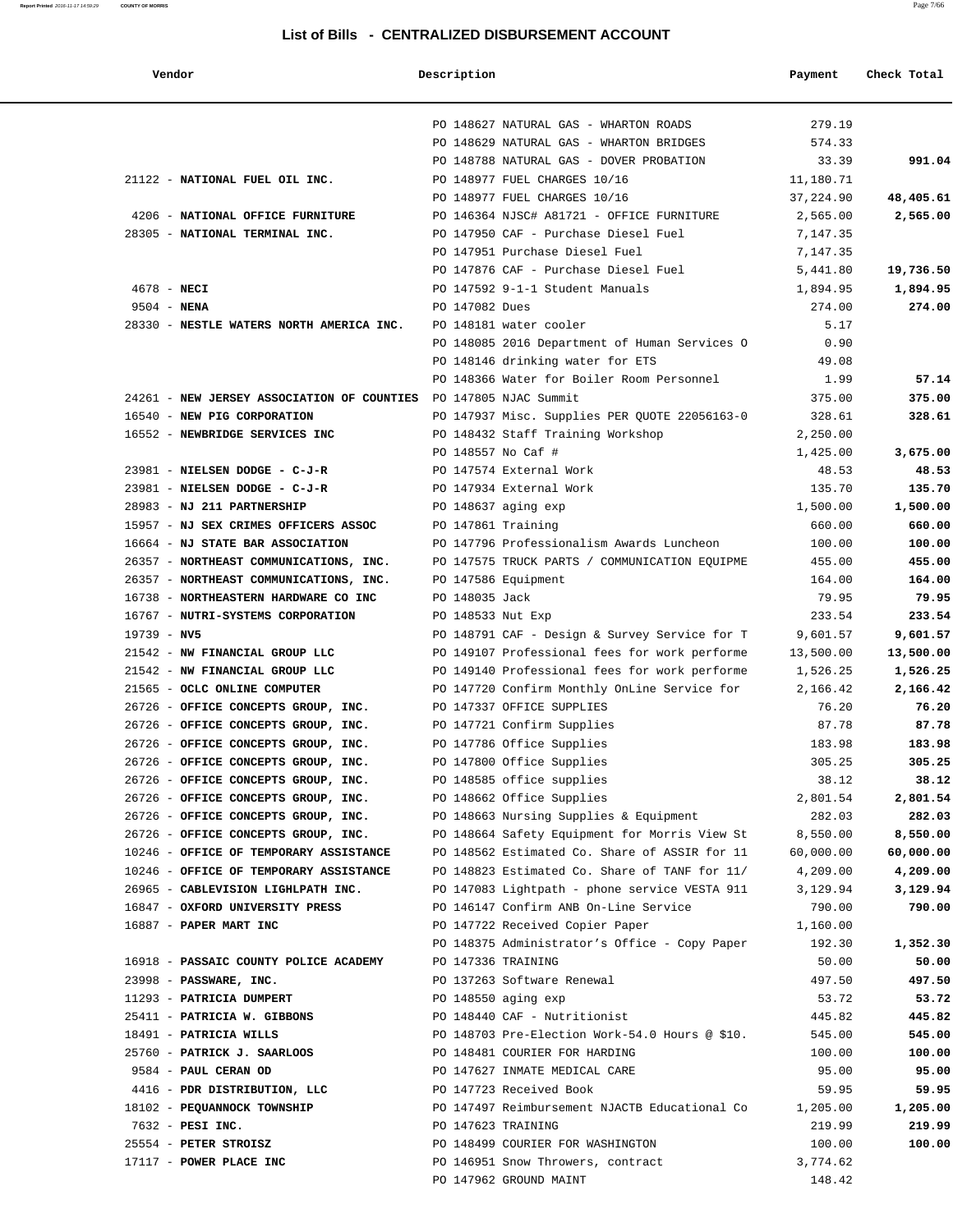#### **Report Printed** 2016-11-17 14:59:29 **COUNTY OF MORRIS** Page 7/66

| Vendor | Description | Payment | Check Total |
|--------|-------------|---------|-------------|
|        |             |         |             |

|                                                                                                 |                   | PO 148627 NATURAL GAS - WHARTON ROADS                                    | 279.19            |                   |
|-------------------------------------------------------------------------------------------------|-------------------|--------------------------------------------------------------------------|-------------------|-------------------|
|                                                                                                 |                   | PO 148629 NATURAL GAS - WHARTON BRIDGES                                  | 574.33            |                   |
|                                                                                                 |                   | PO 148788 NATURAL GAS - DOVER PROBATION                                  | 33.39             | 991.04            |
| 21122 - NATIONAL FUEL OIL INC.                                                                  |                   | PO 148977 FUEL CHARGES 10/16                                             | 11,180.71         |                   |
|                                                                                                 |                   | PO 148977 FUEL CHARGES 10/16                                             | 37,224.90         | 48,405.61         |
| 4206 - NATIONAL OFFICE FURNITURE                                                                |                   | PO 146364 NJSC# A81721 - OFFICE FURNITURE                                | 2,565.00          | 2,565.00          |
| 28305 - NATIONAL TERMINAL INC.                                                                  |                   | PO 147950 CAF - Purchase Diesel Fuel                                     | 7,147.35          |                   |
|                                                                                                 |                   | PO 147951 Purchase Diesel Fuel                                           | 7,147.35          |                   |
|                                                                                                 |                   | PO 147876 CAF - Purchase Diesel Fuel                                     | 5,441.80          | 19,736.50         |
| $4678 - \text{NECI}$                                                                            |                   | PO 147592 9-1-1 Student Manuals                                          | 1,894.95          | 1,894.95          |
| $9504 - NENA$                                                                                   | PO 147082 Dues    |                                                                          | 274.00            | 274.00            |
| 28330 - NESTLE WATERS NORTH AMERICA INC.                                                        |                   | PO 148181 water cooler                                                   | 5.17              |                   |
|                                                                                                 |                   | PO 148085 2016 Department of Human Services O                            | 0.90              |                   |
|                                                                                                 |                   | PO 148146 drinking water for ETS                                         | 49.08             |                   |
|                                                                                                 |                   | PO 148366 Water for Boiler Room Personnel                                | 1.99              | 57.14             |
| 24261 - NEW JERSEY ASSOCIATION OF COUNTIES PO 147805 NJAC Summit<br>16540 - NEW PIG CORPORATION |                   | PO 147937 Misc. Supplies PER OUOTE 22056163-0                            | 375.00<br>328.61  | 375.00<br>328.61  |
| 16552 - NEWBRIDGE SERVICES INC                                                                  |                   | PO 148432 Staff Training Workshop                                        | 2,250.00          |                   |
|                                                                                                 |                   | PO 148557 No Caf #                                                       | 1,425.00          | 3,675.00          |
| 23981 - NIELSEN DODGE - C-J-R                                                                   |                   | PO 147574 External Work                                                  | 48.53             | 48.53             |
| 23981 - NIELSEN DODGE - C-J-R                                                                   |                   | PO 147934 External Work                                                  | 135.70            | 135.70            |
| 28983 - NJ 211 PARTNERSHIP                                                                      |                   | PO 148637 aging exp                                                      | 1,500.00          | 1,500.00          |
| 15957 - NJ SEX CRIMES OFFICERS ASSOC                                                            |                   | PO 147861 Training                                                       | 660.00            | 660.00            |
| 16664 - NJ STATE BAR ASSOCIATION                                                                |                   | PO 147796 Professionalism Awards Luncheon                                | 100.00            | 100.00            |
| 26357 - NORTHEAST COMMUNICATIONS, INC.                                                          |                   | PO 147575 TRUCK PARTS / COMMUNICATION EQUIPME                            | 455.00            | 455.00            |
| 26357 - NORTHEAST COMMUNICATIONS, INC.                                                          |                   | PO 147586 Equipment                                                      | 164.00            | 164.00            |
| 16738 - NORTHEASTERN HARDWARE CO INC                                                            | PO 148035 Jack    |                                                                          | 79.95             | 79.95             |
| 16767 - NUTRI-SYSTEMS CORPORATION                                                               | PO 148533 Nut Exp |                                                                          | 233.54            | 233.54            |
| $19739 - NV5$                                                                                   |                   | PO 148791 CAF - Design & Survey Service for T                            | 9,601.57          | 9,601.57          |
| 21542 - NW FINANCIAL GROUP LLC                                                                  |                   | PO 149107 Professional fees for work performe                            | 13,500.00         | 13,500.00         |
| 21542 - NW FINANCIAL GROUP LLC                                                                  |                   | PO 149140 Professional fees for work performe                            | 1,526.25          | 1,526.25          |
| 21565 - OCLC ONLINE COMPUTER                                                                    |                   | PO 147720 Confirm Monthly OnLine Service for                             | 2,166.42          | 2,166.42          |
| 26726 - OFFICE CONCEPTS GROUP, INC.                                                             |                   | PO 147337 OFFICE SUPPLIES                                                | 76.20             | 76.20             |
| 26726 - OFFICE CONCEPTS GROUP, INC.                                                             |                   | PO 147721 Confirm Supplies                                               | 87.78             | 87.78             |
| 26726 - OFFICE CONCEPTS GROUP, INC.                                                             |                   | PO 147786 Office Supplies                                                | 183.98<br>305.25  | 183.98            |
| 26726 - OFFICE CONCEPTS GROUP, INC.<br>26726 - OFFICE CONCEPTS GROUP, INC.                      |                   | PO 147800 Office Supplies<br>PO 148585 office supplies                   | 38.12             | 305.25<br>38.12   |
| 26726 - OFFICE CONCEPTS GROUP, INC.                                                             |                   | PO 148662 Office Supplies                                                | 2,801.54          | 2,801.54          |
| 26726 - OFFICE CONCEPTS GROUP, INC.                                                             |                   | PO 148663 Nursing Supplies & Equipment                                   | 282.03            | 282.03            |
| 26726 - OFFICE CONCEPTS GROUP, INC.                                                             |                   | PO 148664 Safety Equipment for Morris View St                            | 8,550.00          | 8,550.00          |
| 10246 - OFFICE OF TEMPORARY ASSISTANCE                                                          |                   | PO 148562 Estimated Co. Share of ASSIR for 11                            | 60,000.00         | 60,000.00         |
| 10246 - OFFICE OF TEMPORARY ASSISTANCE                                                          |                   | PO 148823 Estimated Co. Share of TANF for 11/                            | 4,209.00          | 4,209.00          |
| 26965 - CABLEVISION LIGHLPATH INC.                                                              |                   | PO 147083 Lightpath - phone service VESTA 911                            | 3,129.94          | 3,129.94          |
| 16847 - OXFORD UNIVERSITY PRESS                                                                 |                   | PO 146147 Confirm ANB On-Line Service                                    | 790.00            | 790.00            |
| 16887 - PAPER MART INC                                                                          |                   | PO 147722 Received Copier Paper                                          | 1,160.00          |                   |
|                                                                                                 |                   | PO 148375 Administrator's Office - Copy Paper                            | 192.30            | 1,352.30          |
| 16918 - PASSAIC COUNTY POLICE ACADEMY                                                           |                   | PO 147336 TRAINING                                                       | 50.00             | 50.00             |
| 23998 - PASSWARE, INC.                                                                          |                   | PO 137263 Software Renewal                                               | 497.50            | 497.50            |
| 11293 - PATRICIA DUMPERT                                                                        |                   | PO 148550 aging exp                                                      | 53.72             | 53.72             |
| 25411 - PATRICIA W. GIBBONS                                                                     |                   | PO 148440 CAF - Nutritionist                                             | 445.82            | 445.82            |
| 18491 - PATRICIA WILLS                                                                          |                   | PO 148703 Pre-Election Work-54.0 Hours @ \$10.                           | 545.00            | 545.00            |
| 25760 - PATRICK J. SAARLOOS                                                                     |                   | PO 148481 COURIER FOR HARDING                                            | 100.00            | 100.00            |
| 9584 - PAUL CERAN OD                                                                            |                   | PO 147627 INMATE MEDICAL CARE                                            | 95.00             | 95.00             |
| 4416 - PDR DISTRIBUTION, LLC<br>18102 - PEQUANNOCK TOWNSHIP                                     |                   | PO 147723 Received Book<br>PO 147497 Reimbursement NJACTB Educational Co | 59.95<br>1,205.00 | 59.95<br>1,205.00 |
| 7632 - PESI INC.                                                                                |                   | PO 147623 TRAINING                                                       | 219.99            | 219.99            |
| 25554 - PETER STROISZ                                                                           |                   | PO 148499 COURIER FOR WASHINGTON                                         | 100.00            | 100.00            |
| 17117 - POWER PLACE INC                                                                         |                   | PO 146951 Snow Throwers, contract                                        | 3,774.62          |                   |
|                                                                                                 |                   | PO 147962 GROUND MAINT                                                   | 148.42            |                   |
|                                                                                                 |                   |                                                                          |                   |                   |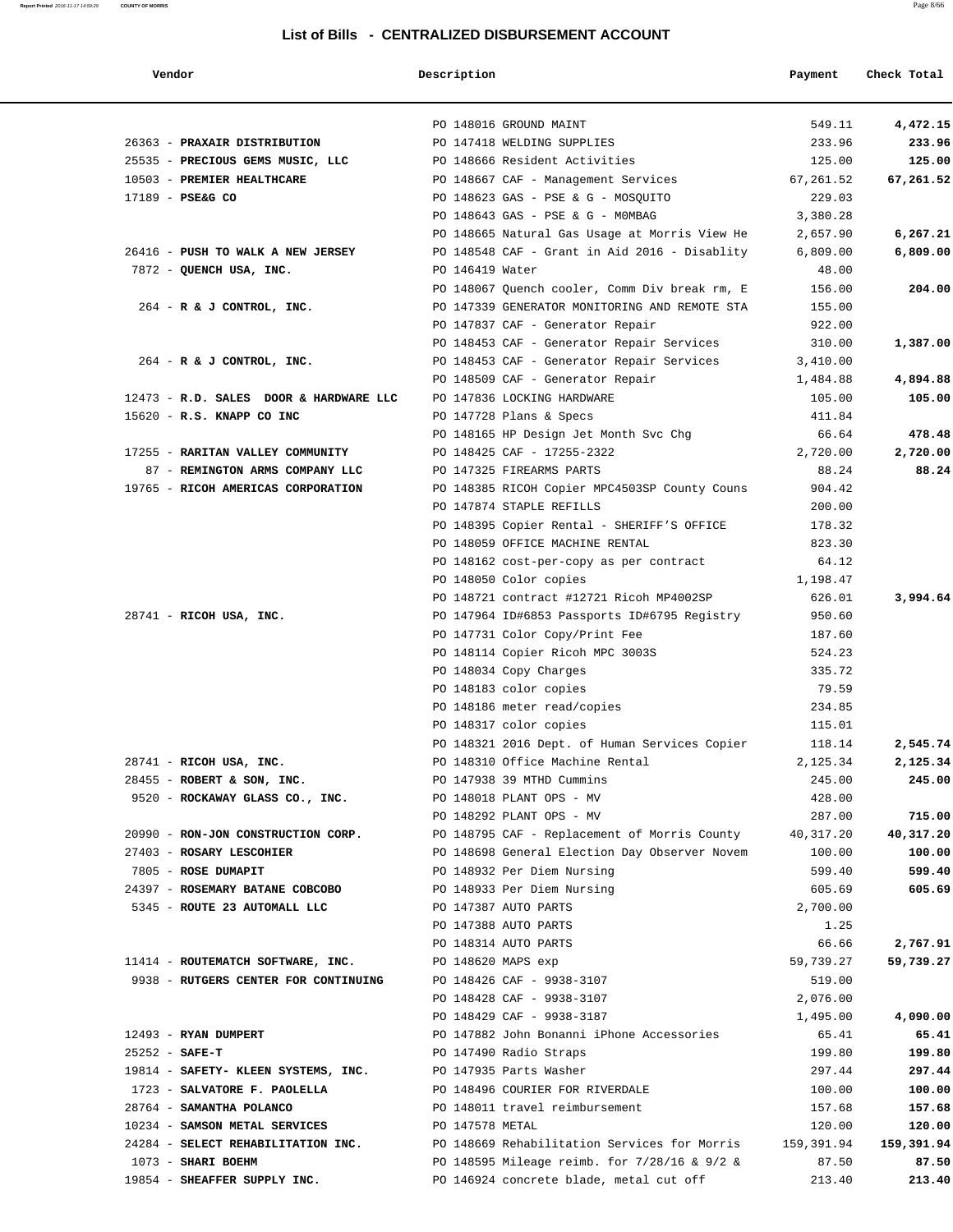| Vendor                                                                                       | Description          |                                                                               | Payment          | Check Total |
|----------------------------------------------------------------------------------------------|----------------------|-------------------------------------------------------------------------------|------------------|-------------|
|                                                                                              |                      | PO 148016 GROUND MAINT                                                        | 549.11           | 4,472.15    |
| 26363 - PRAXAIR DISTRIBUTION                                                                 |                      | PO 147418 WELDING SUPPLIES                                                    | 233.96           | 233.96      |
| 25535 - PRECIOUS GEMS MUSIC, LLC                                                             |                      | PO 148666 Resident Activities                                                 | 125.00           | 125.00      |
| 10503 - PREMIER HEALTHCARE                                                                   |                      | PO 148667 CAF - Management Services                                           | 67,261.52        | 67,261.52   |
| 17189 - PSE&G CO                                                                             |                      | PO 148623 GAS - PSE & G - MOSQUITO                                            | 229.03           |             |
|                                                                                              |                      | PO 148643 GAS - PSE & G - MOMBAG                                              | 3,380.28         |             |
|                                                                                              |                      | PO 148665 Natural Gas Usage at Morris View He                                 | 2,657.90         | 6,267.21    |
| 26416 - PUSH TO WALK A NEW JERSEY                                                            |                      | PO 148548 CAF - Grant in Aid 2016 - Disablity                                 | 6,809.00         | 6,809.00    |
| 7872 - QUENCH USA, INC.                                                                      | PO 146419 Water      |                                                                               | 48.00            |             |
|                                                                                              |                      | PO 148067 Quench cooler, Comm Div break rm, E                                 | 156.00           | 204.00      |
| 264 - R & J CONTROL, INC.                                                                    |                      | PO 147339 GENERATOR MONITORING AND REMOTE STA                                 | 155.00           |             |
|                                                                                              |                      | PO 147837 CAF - Generator Repair                                              | 922.00           |             |
|                                                                                              |                      | PO 148453 CAF - Generator Repair Services                                     | 310.00           | 1,387.00    |
| 264 - R & J CONTROL, INC.                                                                    |                      | PO 148453 CAF - Generator Repair Services                                     | 3,410.00         |             |
|                                                                                              |                      | PO 148509 CAF - Generator Repair                                              | 1,484.88         | 4,894.88    |
| 12473 - R.D. SALES DOOR & HARDWARE LLC                                                       |                      | PO 147836 LOCKING HARDWARE                                                    | 105.00           | 105.00      |
| 15620 - R.S. KNAPP CO INC                                                                    |                      | PO 147728 Plans & Specs                                                       | 411.84           |             |
|                                                                                              |                      | PO 148165 HP Design Jet Month Svc Chg                                         | 66.64            | 478.48      |
| 17255 - RARITAN VALLEY COMMUNITY                                                             |                      | PO 148425 CAF - 17255-2322                                                    | 2,720.00         | 2,720.00    |
| 87 - REMINGTON ARMS COMPANY LLC                                                              |                      | PO 147325 FIREARMS PARTS                                                      | 88.24            | 88.24       |
| 19765 - RICOH AMERICAS CORPORATION                                                           |                      | PO 148385 RICOH Copier MPC4503SP County Couns<br>PO 147874 STAPLE REFILLS     | 904.42           |             |
|                                                                                              |                      |                                                                               | 200.00<br>178.32 |             |
|                                                                                              |                      | PO 148395 Copier Rental - SHERIFF'S OFFICE<br>PO 148059 OFFICE MACHINE RENTAL | 823.30           |             |
|                                                                                              |                      | PO 148162 cost-per-copy as per contract                                       | 64.12            |             |
|                                                                                              |                      | PO 148050 Color copies                                                        | 1,198.47         |             |
|                                                                                              |                      | PO 148721 contract #12721 Ricoh MP4002SP                                      | 626.01           | 3,994.64    |
| 28741 - RICOH USA, INC.                                                                      |                      | PO 147964 ID#6853 Passports ID#6795 Registry                                  | 950.60           |             |
|                                                                                              |                      | PO 147731 Color Copy/Print Fee                                                | 187.60           |             |
|                                                                                              |                      | PO 148114 Copier Ricoh MPC 3003S                                              | 524.23           |             |
|                                                                                              |                      | PO 148034 Copy Charges                                                        | 335.72           |             |
|                                                                                              |                      | PO 148183 color copies                                                        | 79.59            |             |
|                                                                                              |                      | PO 148186 meter read/copies                                                   | 234.85           |             |
|                                                                                              |                      | PO 148317 color copies                                                        | 115.01           |             |
|                                                                                              |                      | PO 148321 2016 Dept. of Human Services Copier                                 | 118.14           | 2,545.74    |
| 28741 - RICOH USA, INC.                                                                      |                      | PO 148310 Office Machine Rental                                               | 2,125.34         | 2,125.34    |
| $28455$ - ROBERT & SON, INC.                                                                 |                      | PO 147938 39 MTHD Cummins                                                     | 245.00           | 245.00      |
| 9520 - ROCKAWAY GLASS CO., INC. PO 148018 PLANT OPS - MV                                     |                      |                                                                               | 428.00           |             |
|                                                                                              |                      | PO 148292 PLANT OPS - MV                                                      | 287.00           | 715.00      |
| 20990 - RON-JON CONSTRUCTION CORP. 20 PO 148795 CAF - Replacement of Morris County 40,317.20 |                      |                                                                               |                  | 40,317.20   |
| 27403 - ROSARY LESCOHIER                                                                     |                      | PO 148698 General Election Day Observer Novem                                 | 100.00           | 100.00      |
| 7805 - ROSE DUMAPIT                                                                          |                      | PO 148932 Per Diem Nursing                                                    | 599.40           | 599.40      |
| 24397 - ROSEMARY BATANE COBCOBO 6 PO 148933 Per Diem Nursing                                 |                      |                                                                               | 605.69           | 605.69      |
| 5345 - ROUTE 23 AUTOMALL LLC                                                                 | PO 147387 AUTO PARTS |                                                                               | 2,700.00         |             |
|                                                                                              |                      | PO 147388 AUTO PARTS                                                          | 1.25             |             |
|                                                                                              |                      | PO 148314 AUTO PARTS                                                          | 66.66            | 2,767.91    |
| 11414 - ROUTEMATCH SOFTWARE, INC.                                                            | PO 148620 MAPS exp   |                                                                               | 59,739.27        | 59,739.27   |
| 9938 - RUTGERS CENTER FOR CONTINUING                                                         |                      | PO 148426 CAF - 9938-3107                                                     | 519.00           |             |
|                                                                                              |                      | PO 148428 CAF - 9938-3107                                                     | 2,076.00         |             |
|                                                                                              |                      | PO 148429 CAF - 9938-3187                                                     | 1,495.00         | 4,090.00    |
| 12493 - RYAN DUMPERT                                                                         |                      | PO 147882 John Bonanni iPhone Accessories                                     | 65.41            | 65.41       |
| $25252 - SAFE-T$                                                                             |                      | PO 147490 Radio Straps                                                        | 199.80           | 199.80      |
| 19814 - SAFETY- KLEEN SYSTEMS, INC.                                                          |                      | PO 147935 Parts Washer                                                        | 297.44           | 297.44      |
| 1723 - SALVATORE F. PAOLELLA                                                                 |                      | PO 148496 COURIER FOR RIVERDALE                                               | 100.00           | 100.00      |
| 28764 - SAMANTHA POLANCO                                                                     |                      | PO 148011 travel reimbursement                                                | 157.68           | 157.68      |
| 10234 - SAMSON METAL SERVICES                                                                | PO 147578 METAL      |                                                                               | 120.00           | 120.00      |
| 24284 - SELECT REHABILITATION INC.                                                           |                      | PO 148669 Rehabilitation Services for Morris 159,391.94                       |                  | 159,391.94  |
| 1073 - SHARI BOEHM                                                                           |                      | PO 148595 Mileage reimb. for 7/28/16 & 9/2 &                                  | 87.50            | 87.50       |
| 19854 - SHEAFFER SUPPLY INC.                                                                 |                      | PO 146924 concrete blade, metal cut off                                       | 213.40           | 213.40      |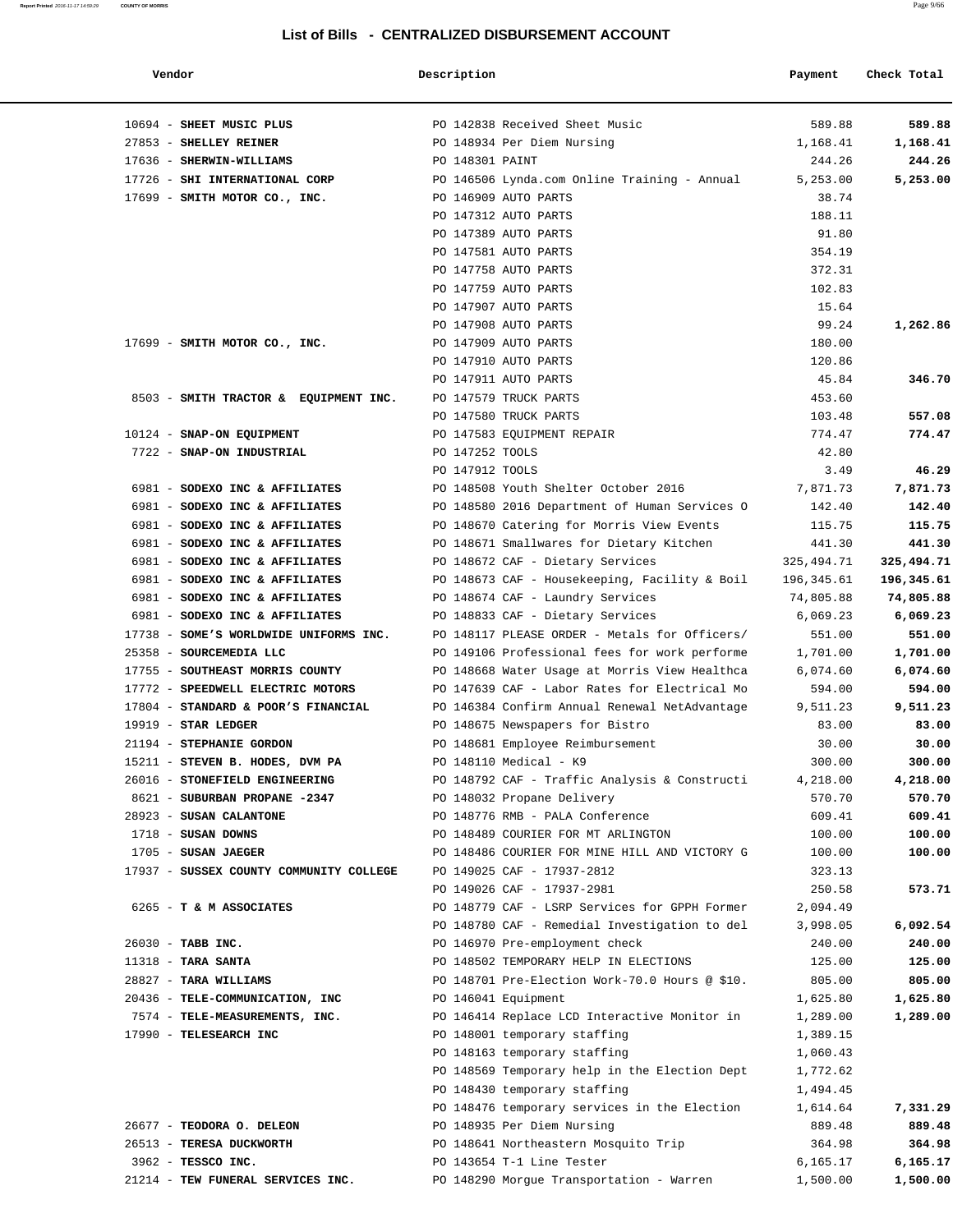| Vendor                                  | Description     |                                                | Payment     | Check Total |
|-----------------------------------------|-----------------|------------------------------------------------|-------------|-------------|
| 10694 - SHEET MUSIC PLUS                |                 | PO 142838 Received Sheet Music                 | 589.88      | 589.88      |
| 27853 - SHELLEY REINER                  |                 | PO 148934 Per Diem Nursing                     | 1,168.41    | 1,168.41    |
| 17636 - SHERWIN-WILLIAMS                | PO 148301 PAINT |                                                | 244.26      | 244.26      |
| 17726 - SHI INTERNATIONAL CORP          |                 | PO 146506 Lynda.com Online Training - Annual   | 5,253.00    | 5,253.00    |
| 17699 - SMITH MOTOR CO., INC.           |                 | PO 146909 AUTO PARTS                           | 38.74       |             |
|                                         |                 | PO 147312 AUTO PARTS                           | 188.11      |             |
|                                         |                 | PO 147389 AUTO PARTS                           | 91.80       |             |
|                                         |                 | PO 147581 AUTO PARTS                           | 354.19      |             |
|                                         |                 | PO 147758 AUTO PARTS                           | 372.31      |             |
|                                         |                 | PO 147759 AUTO PARTS                           | 102.83      |             |
|                                         |                 | PO 147907 AUTO PARTS                           | 15.64       |             |
|                                         |                 | PO 147908 AUTO PARTS                           | 99.24       | 1,262.86    |
| 17699 - SMITH MOTOR CO., INC.           |                 | PO 147909 AUTO PARTS                           | 180.00      |             |
|                                         |                 | PO 147910 AUTO PARTS                           | 120.86      |             |
|                                         |                 | PO 147911 AUTO PARTS                           | 45.84       | 346.70      |
| 8503 - SMITH TRACTOR & EQUIPMENT INC.   |                 | PO 147579 TRUCK PARTS                          | 453.60      |             |
|                                         |                 | PO 147580 TRUCK PARTS                          | 103.48      | 557.08      |
| 10124 - SNAP-ON EQUIPMENT               |                 | PO 147583 EQUIPMENT REPAIR                     | 774.47      | 774.47      |
| 7722 - SNAP-ON INDUSTRIAL               | PO 147252 TOOLS |                                                | 42.80       |             |
|                                         | PO 147912 TOOLS |                                                | 3.49        | 46.29       |
| 6981 - SODEXO INC & AFFILIATES          |                 | PO 148508 Youth Shelter October 2016           | 7,871.73    | 7,871.73    |
| 6981 - SODEXO INC & AFFILIATES          |                 | PO 148580 2016 Department of Human Services O  | 142.40      | 142.40      |
| 6981 - SODEXO INC & AFFILIATES          |                 | PO 148670 Catering for Morris View Events      | 115.75      | 115.75      |
| 6981 - SODEXO INC & AFFILIATES          |                 | PO 148671 Smallwares for Dietary Kitchen       | 441.30      | 441.30      |
| 6981 - SODEXO INC & AFFILIATES          |                 | PO 148672 CAF - Dietary Services               | 325, 494.71 | 325,494.71  |
| 6981 - SODEXO INC & AFFILIATES          |                 | PO 148673 CAF - Housekeeping, Facility & Boil  | 196,345.61  | 196,345.61  |
| 6981 - SODEXO INC & AFFILIATES          |                 | PO 148674 CAF - Laundry Services               | 74,805.88   | 74,805.88   |
| 6981 - SODEXO INC & AFFILIATES          |                 | PO 148833 CAF - Dietary Services               | 6,069.23    | 6,069.23    |
| 17738 - SOME'S WORLDWIDE UNIFORMS INC.  |                 | PO 148117 PLEASE ORDER - Metals for Officers/  | 551.00      | 551.00      |
| 25358 - SOURCEMEDIA LLC                 |                 | PO 149106 Professional fees for work performe  | 1,701.00    | 1,701.00    |
| 17755 - SOUTHEAST MORRIS COUNTY         |                 | PO 148668 Water Usage at Morris View Healthca  | 6,074.60    | 6,074.60    |
| 17772 - SPEEDWELL ELECTRIC MOTORS       |                 | PO 147639 CAF - Labor Rates for Electrical Mo  | 594.00      | 594.00      |
| 17804 - STANDARD & POOR'S FINANCIAL     |                 | PO 146384 Confirm Annual Renewal NetAdvantage  | 9,511.23    | 9,511.23    |
| $19919$ - STAR LEDGER                   |                 | PO 148675 Newspapers for Bistro                | 83.00       | 83.00       |
| 21194 - STEPHANIE GORDON                |                 | PO 148681 Employee Reimbursement               | 30.00       | 30.00       |
| 15211 - STEVEN B. HODES, DVM PA         |                 | PO 148110 Medical - K9                         | 300.00      | 300.00      |
| 26016 - STONEFIELD ENGINEERING          |                 | PO 148792 CAF - Traffic Analysis & Constructi  | 4,218.00    | 4,218.00    |
| 8621 - SUBURBAN PROPANE -2347           |                 | PO 148032 Propane Delivery                     | 570.70      | 570.70      |
| 28923 - SUSAN CALANTONE                 |                 | PO 148776 RMB - PALA Conference                | 609.41      | 609.41      |
| $1718$ - SUSAN DOWNS                    |                 | PO 148489 COURIER FOR MT ARLINGTON             | 100.00      | 100.00      |
| 1705 - SUSAN JAEGER                     |                 | PO 148486 COURIER FOR MINE HILL AND VICTORY G  | 100.00      | 100.00      |
| 17937 - SUSSEX COUNTY COMMUNITY COLLEGE |                 | PO 149025 CAF - 17937-2812                     | 323.13      |             |
|                                         |                 | PO 149026 CAF - 17937-2981                     | 250.58      | 573.71      |
| 6265 - T & M ASSOCIATES                 |                 | PO 148779 CAF - LSRP Services for GPPH Former  | 2,094.49    |             |
|                                         |                 | PO 148780 CAF - Remedial Investigation to del  | 3,998.05    | 6,092.54    |
| 26030 - TABB INC.                       |                 | PO 146970 Pre-employment check                 | 240.00      | 240.00      |
| $11318$ - TARA SANTA                    |                 | PO 148502 TEMPORARY HELP IN ELECTIONS          | 125.00      | 125.00      |
| 28827 - TARA WILLIAMS                   |                 | PO 148701 Pre-Election Work-70.0 Hours @ \$10. | 805.00      | 805.00      |
| 20436 - TELE-COMMUNICATION, INC         |                 | PO 146041 Equipment                            | 1,625.80    | 1,625.80    |
| 7574 - TELE-MEASUREMENTS, INC.          |                 | PO 146414 Replace LCD Interactive Monitor in   | 1,289.00    | 1,289.00    |
| 17990 - TELESEARCH INC                  |                 | PO 148001 temporary staffing                   | 1,389.15    |             |
|                                         |                 | PO 148163 temporary staffing                   | 1,060.43    |             |
|                                         |                 | PO 148569 Temporary help in the Election Dept  | 1,772.62    |             |
|                                         |                 | PO 148430 temporary staffing                   | 1,494.45    |             |
|                                         |                 | PO 148476 temporary services in the Election   | 1,614.64    | 7,331.29    |
| 26677 - TEODORA O. DELEON               |                 | PO 148935 Per Diem Nursing                     | 889.48      | 889.48      |
| 26513 - TERESA DUCKWORTH                |                 | PO 148641 Northeastern Mosquito Trip           | 364.98      | 364.98      |
| 3962 - TESSCO INC.                      |                 | PO 143654 T-1 Line Tester                      | 6,165.17    | 6,165.17    |
| 21214 - TEW FUNERAL SERVICES INC.       |                 | PO 148290 Morgue Transportation - Warren       | 1,500.00    | 1,500.00    |
|                                         |                 |                                                |             |             |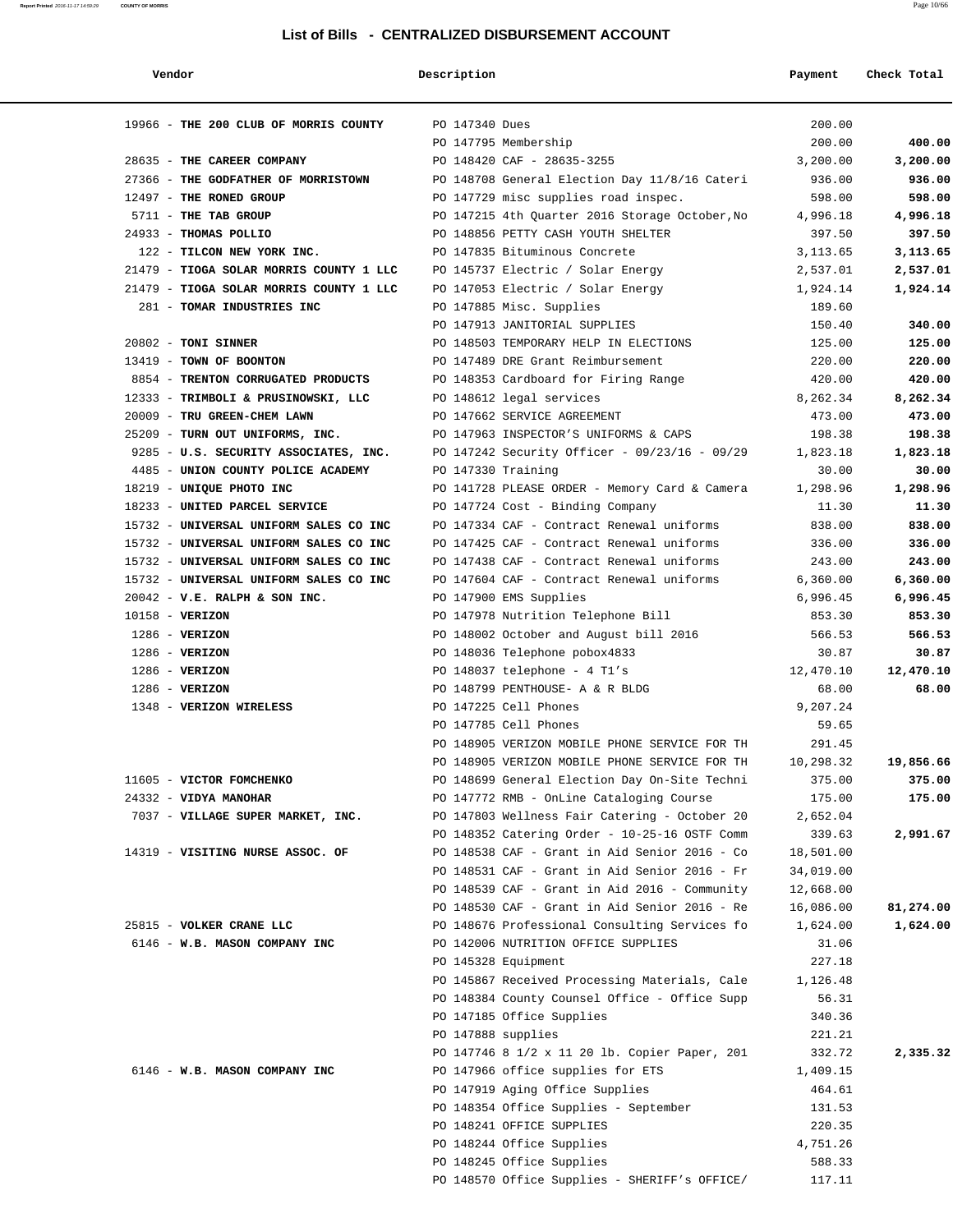| Vendor                                  | Description    |                                                | Payment   | Check Total |
|-----------------------------------------|----------------|------------------------------------------------|-----------|-------------|
| 19966 - THE 200 CLUB OF MORRIS COUNTY   | PO 147340 Dues |                                                | 200.00    |             |
|                                         |                | PO 147795 Membership                           | 200.00    | 400.00      |
| 28635 - THE CAREER COMPANY              |                | PO 148420 CAF - 28635-3255                     | 3,200.00  | 3,200.00    |
| 27366 - THE GODFATHER OF MORRISTOWN     |                | PO 148708 General Election Day 11/8/16 Cateri  | 936.00    | 936.00      |
| 12497 - THE RONED GROUP                 |                | PO 147729 misc supplies road inspec.           | 598.00    | 598.00      |
| 5711 - THE TAB GROUP                    |                | PO 147215 4th Quarter 2016 Storage October, No | 4,996.18  | 4,996.18    |
| 24933 - THOMAS POLLIO                   |                | PO 148856 PETTY CASH YOUTH SHELTER             | 397.50    | 397.50      |
| 122 - TILCON NEW YORK INC.              |                | PO 147835 Bituminous Concrete                  | 3, 113.65 | 3,113.65    |
| 21479 - TIOGA SOLAR MORRIS COUNTY 1 LLC |                | PO 145737 Electric / Solar Energy              | 2,537.01  | 2,537.01    |
| 21479 - TIOGA SOLAR MORRIS COUNTY 1 LLC |                | PO 147053 Electric / Solar Energy              | 1,924.14  | 1,924.14    |
| 281 - TOMAR INDUSTRIES INC              |                | PO 147885 Misc. Supplies                       | 189.60    |             |
|                                         |                | PO 147913 JANITORIAL SUPPLIES                  | 150.40    | 340.00      |
| $20802$ - TONI SINNER                   |                | PO 148503 TEMPORARY HELP IN ELECTIONS          | 125.00    | 125.00      |
| 13419 - TOWN OF BOONTON                 |                | PO 147489 DRE Grant Reimbursement              | 220.00    | 220.00      |
| 8854 - TRENTON CORRUGATED PRODUCTS      |                | PO 148353 Cardboard for Firing Range           | 420.00    | 420.00      |
| 12333 - TRIMBOLI & PRUSINOWSKI, LLC     |                | PO 148612 legal services                       | 8,262.34  | 8,262.34    |
| 20009 - TRU GREEN-CHEM LAWN             |                | PO 147662 SERVICE AGREEMENT                    | 473.00    | 473.00      |
| 25209 - TURN OUT UNIFORMS, INC.         |                | PO 147963 INSPECTOR'S UNIFORMS & CAPS          | 198.38    | 198.38      |
| 9285 - U.S. SECURITY ASSOCIATES, INC.   |                | PO 147242 Security Officer - 09/23/16 - 09/29  | 1,823.18  | 1,823.18    |
| 4485 - UNION COUNTY POLICE ACADEMY      |                | PO 147330 Training                             | 30.00     | 30.00       |
| 18219 - UNIQUE PHOTO INC                |                | PO 141728 PLEASE ORDER - Memory Card & Camera  | 1,298.96  | 1,298.96    |
| 18233 - UNITED PARCEL SERVICE           |                | PO 147724 Cost - Binding Company               | 11.30     | 11.30       |
| 15732 - UNIVERSAL UNIFORM SALES CO INC  |                | PO 147334 CAF - Contract Renewal uniforms      | 838.00    | 838.00      |
| 15732 - UNIVERSAL UNIFORM SALES CO INC  |                | PO 147425 CAF - Contract Renewal uniforms      | 336.00    | 336.00      |
| 15732 - UNIVERSAL UNIFORM SALES CO INC  |                | PO 147438 CAF - Contract Renewal uniforms      | 243.00    | 243.00      |
| 15732 - UNIVERSAL UNIFORM SALES CO INC  |                | PO 147604 CAF - Contract Renewal uniforms      | 6,360.00  | 6,360.00    |
| $20042$ - V.E. RALPH & SON INC.         |                | PO 147900 EMS Supplies                         | 6,996.45  | 6,996.45    |
| $10158 - VERIZON$                       |                | PO 147978 Nutrition Telephone Bill             | 853.30    | 853.30      |
| $1286$ - VERIZON                        |                | PO 148002 October and August bill 2016         | 566.53    | 566.53      |
| $1286$ - VERIZON                        |                | PO 148036 Telephone pobox4833                  | 30.87     | 30.87       |
| $1286$ - VERIZON                        |                | PO 148037 telephone - $4$ Tl's                 | 12,470.10 | 12,470.10   |
| $1286$ - VERIZON                        |                | PO 148799 PENTHOUSE- A & R BLDG                | 68.00     | 68.00       |
| 1348 - VERIZON WIRELESS                 |                | PO 147225 Cell Phones                          | 9,207.24  |             |
|                                         |                | PO 147785 Cell Phones                          | 59.65     |             |
|                                         |                | PO 148905 VERIZON MOBILE PHONE SERVICE FOR TH  | 291.45    |             |
|                                         |                | PO 148905 VERIZON MOBILE PHONE SERVICE FOR TH  | 10,298.32 | 19,856.66   |
| 11605 - VICTOR FOMCHENKO                |                | PO 148699 General Election Day On-Site Techni  | 375.00    | 375.00      |
| 24332 - VIDYA MANOHAR                   |                | PO 147772 RMB - OnLine Cataloging Course       | 175.00    | 175.00      |
| 7037 - VILLAGE SUPER MARKET, INC.       |                | PO 147803 Wellness Fair Catering - October 20  | 2,652.04  |             |
|                                         |                | PO 148352 Catering Order - 10-25-16 OSTF Comm  | 339.63    | 2,991.67    |
| 14319 - VISITING NURSE ASSOC. OF        |                | PO 148538 CAF - Grant in Aid Senior 2016 - Co  | 18,501.00 |             |
|                                         |                | PO 148531 CAF - Grant in Aid Senior 2016 - Fr  | 34,019.00 |             |
|                                         |                | PO 148539 CAF - Grant in Aid 2016 - Community  | 12,668.00 |             |
|                                         |                | PO 148530 CAF - Grant in Aid Senior 2016 - Re  | 16,086.00 | 81,274.00   |
| 25815 - VOLKER CRANE LLC                |                | PO 148676 Professional Consulting Services fo  | 1,624.00  | 1,624.00    |
| 6146 - W.B. MASON COMPANY INC           |                | PO 142006 NUTRITION OFFICE SUPPLIES            | 31.06     |             |
|                                         |                | PO 145328 Equipment                            | 227.18    |             |
|                                         |                | PO 145867 Received Processing Materials, Cale  | 1,126.48  |             |
|                                         |                | PO 148384 County Counsel Office - Office Supp  | 56.31     |             |
|                                         |                | PO 147185 Office Supplies                      | 340.36    |             |
|                                         |                | PO 147888 supplies                             | 221.21    |             |
|                                         |                | PO 147746 8 1/2 x 11 20 lb. Copier Paper, 201  | 332.72    | 2,335.32    |
| 6146 - W.B. MASON COMPANY INC           |                | PO 147966 office supplies for ETS              | 1,409.15  |             |
|                                         |                | PO 147919 Aging Office Supplies                | 464.61    |             |
|                                         |                | PO 148354 Office Supplies - September          | 131.53    |             |
|                                         |                | PO 148241 OFFICE SUPPLIES                      | 220.35    |             |
|                                         |                | PO 148244 Office Supplies                      | 4,751.26  |             |
|                                         |                | PO 148245 Office Supplies                      | 588.33    |             |
|                                         |                |                                                |           |             |

PO 148570 Office Supplies - SHERIFF's OFFICE/ 117.11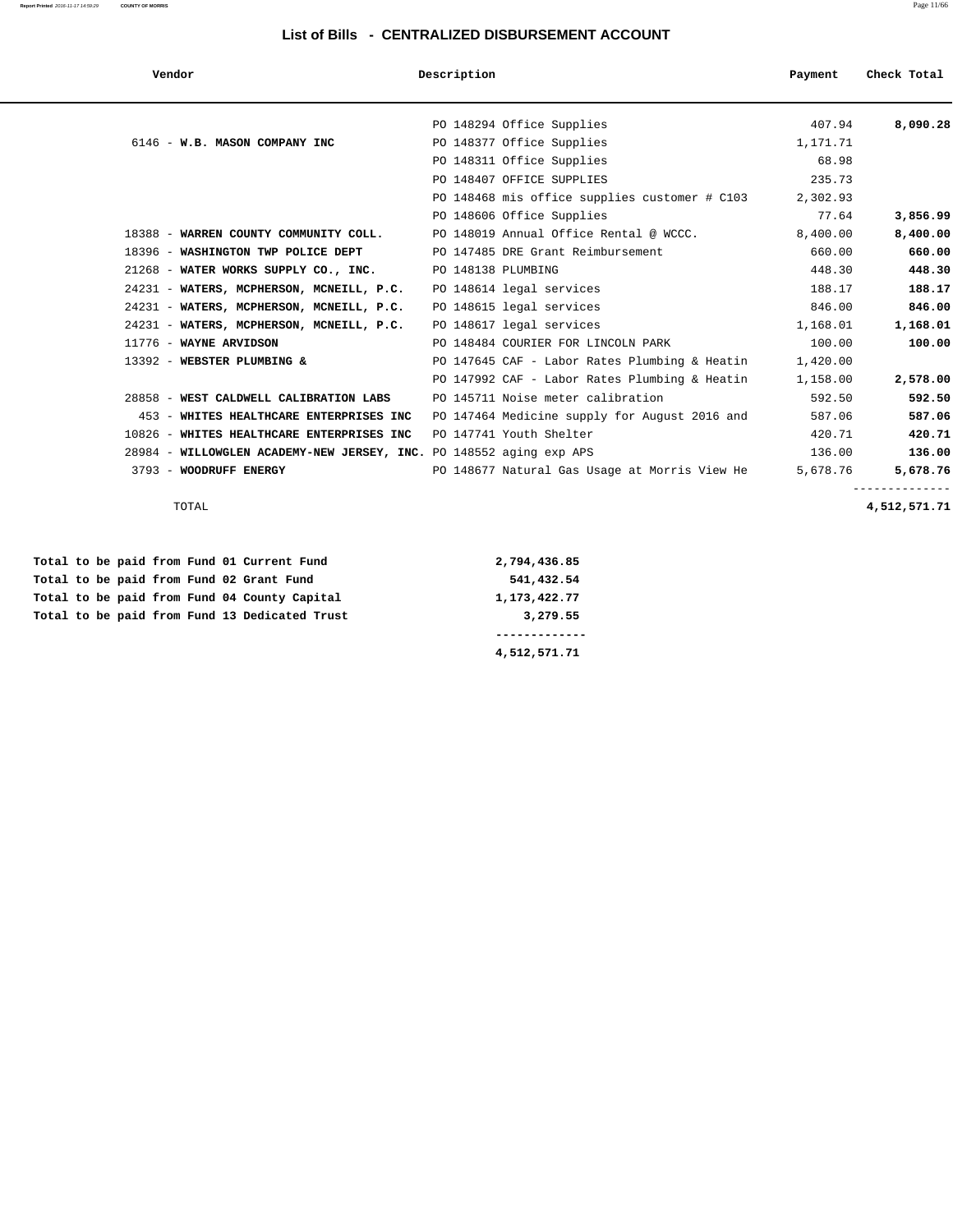| Vendor                                                              | Description                                   | Payment  | Check Total  |
|---------------------------------------------------------------------|-----------------------------------------------|----------|--------------|
|                                                                     | PO 148294 Office Supplies                     | 407.94   | 8,090.28     |
| 6146 - W.B. MASON COMPANY INC                                       | PO 148377 Office Supplies                     | 1,171.71 |              |
|                                                                     | PO 148311 Office Supplies                     | 68.98    |              |
|                                                                     | PO 148407 OFFICE SUPPLIES                     | 235.73   |              |
|                                                                     | PO 148468 mis office supplies customer # C103 | 2,302.93 |              |
|                                                                     | PO 148606 Office Supplies                     | 77.64    | 3,856.99     |
| 18388 - WARREN COUNTY COMMUNITY COLL.                               | PO 148019 Annual Office Rental @ WCCC.        | 8,400.00 | 8,400.00     |
| 18396 - WASHINGTON TWP POLICE DEPT                                  | PO 147485 DRE Grant Reimbursement             | 660.00   | 660.00       |
| 21268 - WATER WORKS SUPPLY CO., INC.                                | PO 148138 PLUMBING                            | 448.30   | 448.30       |
| 24231 - WATERS, MCPHERSON, MCNEILL, P.C.                            | PO 148614 legal services                      | 188.17   | 188.17       |
| 24231 - WATERS, MCPHERSON, MCNEILL, P.C.                            | PO 148615 legal services                      | 846.00   | 846.00       |
| 24231 - WATERS, MCPHERSON, MCNEILL, P.C. PO 148617 legal services   |                                               | 1,168.01 | 1,168.01     |
| 11776 - WAYNE ARVIDSON                                              | PO 148484 COURIER FOR LINCOLN PARK            | 100.00   | 100.00       |
| 13392 - WEBSTER PLUMBING &                                          | PO 147645 CAF - Labor Rates Plumbing & Heatin | 1,420.00 |              |
|                                                                     | PO 147992 CAF - Labor Rates Plumbing & Heatin | 1,158.00 | 2,578.00     |
| 28858 - WEST CALDWELL CALIBRATION LABS                              | PO 145711 Noise meter calibration             | 592.50   | 592.50       |
| 453 - WHITES HEALTHCARE ENTERPRISES INC                             | PO 147464 Medicine supply for August 2016 and | 587.06   | 587.06       |
| 10826 - WHITES HEALTHCARE ENTERPRISES INC                           | PO 147741 Youth Shelter                       | 420.71   | 420.71       |
| 28984 - WILLOWGLEN ACADEMY-NEW JERSEY, INC. PO 148552 aging exp APS |                                               | 136.00   | 136.00       |
| 3793 - WOODRUFF ENERGY                                              | PO 148677 Natural Gas Usaqe at Morris View He | 5,678.76 | 5,678.76     |
| TOTAL                                                               |                                               |          | 4,512,571.71 |

|  |  |  |  |                                               | 4,512,571.71 |
|--|--|--|--|-----------------------------------------------|--------------|
|  |  |  |  | Total to be paid from Fund 13 Dedicated Trust | 3,279.55     |
|  |  |  |  | Total to be paid from Fund 04 County Capital  | 1,173,422.77 |
|  |  |  |  | Total to be paid from Fund 02 Grant Fund      | 541,432.54   |
|  |  |  |  | Total to be paid from Fund 01 Current Fund    | 2,794,436.85 |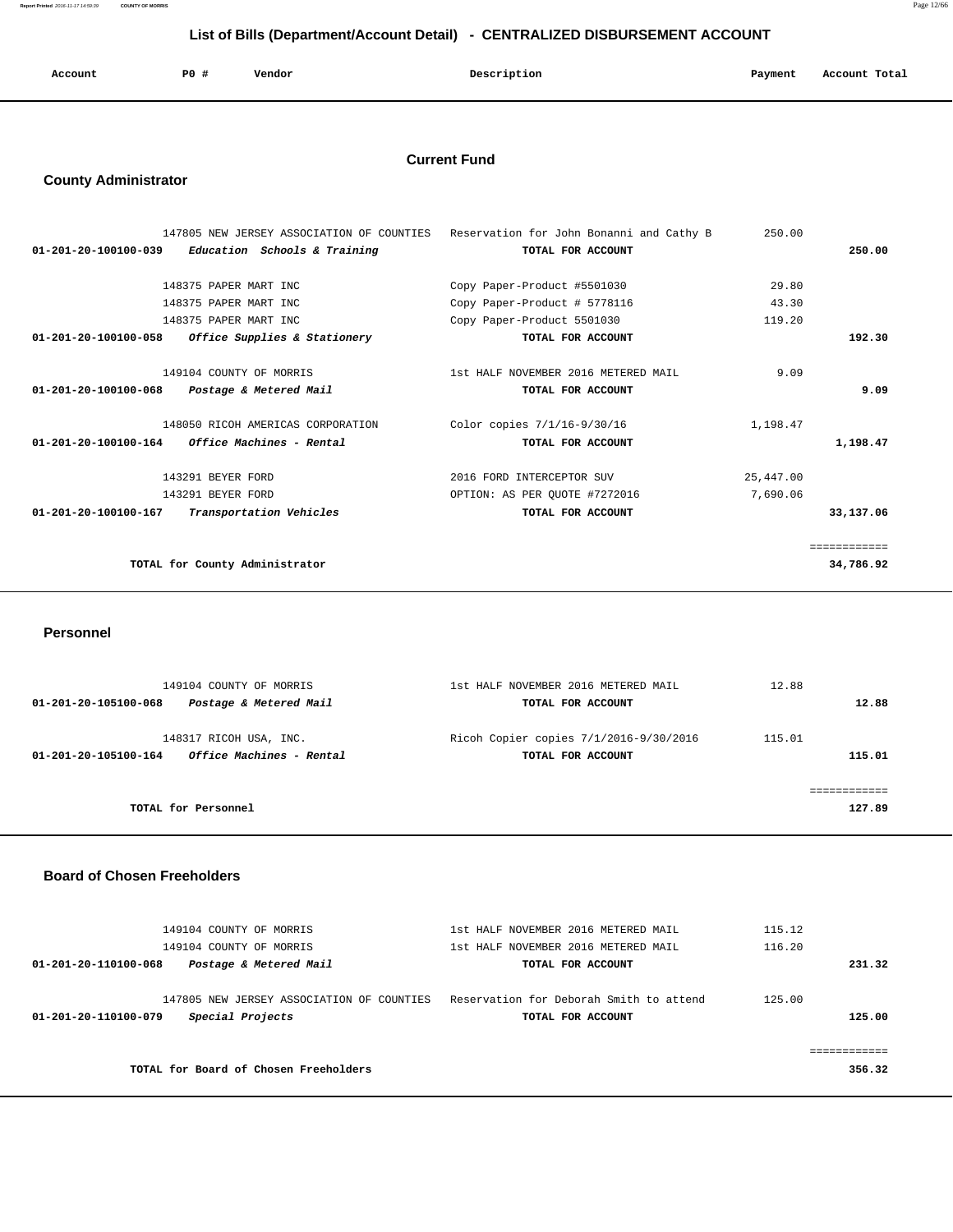**Report Printed** 2016-11-17 14:59:39 **COUNTY OF MORRIS** Page 12/66

# **List of Bills (Department/Account Detail) - CENTRALIZED DISBURSEMENT ACCOUNT**

| Account | P0 # | Vendor | Description | Payment | Account Total |
|---------|------|--------|-------------|---------|---------------|
|         |      |        |             |         |               |

### **Current Fund**

# **County Administrator**

| 147805 NEW JERSEY ASSOCIATION OF COUNTIES Reservation for John Bonanni and Cathy B |                                     | 250.00     |              |
|------------------------------------------------------------------------------------|-------------------------------------|------------|--------------|
| 01-201-20-100100-039<br>Education Schools & Training                               | TOTAL FOR ACCOUNT                   |            | 250.00       |
|                                                                                    |                                     |            |              |
| 148375 PAPER MART INC                                                              | Copy Paper-Product #5501030         | 29.80      |              |
| 148375 PAPER MART INC                                                              | Copy Paper-Product # 5778116        | 43.30      |              |
| 148375 PAPER MART INC                                                              | Copy Paper-Product 5501030          | 119.20     |              |
| Office Supplies & Stationery<br>01-201-20-100100-058                               | TOTAL FOR ACCOUNT                   |            | 192.30       |
|                                                                                    |                                     |            |              |
| 149104 COUNTY OF MORRIS                                                            | 1st HALF NOVEMBER 2016 METERED MAIL | 9.09       |              |
| $01 - 201 - 20 - 100100 - 068$<br>Postage & Metered Mail                           | TOTAL FOR ACCOUNT                   |            | 9.09         |
|                                                                                    |                                     |            |              |
| 148050 RICOH AMERICAS CORPORATION                                                  | Color copies 7/1/16-9/30/16         | 1,198.47   |              |
| 01-201-20-100100-164<br><i>Office Machines - Rental</i>                            | TOTAL FOR ACCOUNT                   |            | 1,198.47     |
| 143291 BEYER FORD                                                                  | 2016 FORD INTERCEPTOR SUV           | 25, 447.00 |              |
| 143291 BEYER FORD                                                                  | OPTION: AS PER QUOTE #7272016       | 7,690.06   |              |
| 01-201-20-100100-167<br>Transportation Vehicles                                    | TOTAL FOR ACCOUNT                   |            | 33,137.06    |
|                                                                                    |                                     |            |              |
|                                                                                    |                                     |            | ============ |
| TOTAL for County Administrator                                                     |                                     |            | 34,786.92    |
|                                                                                    |                                     |            |              |

 **Personnel** 

| 149104 COUNTY OF MORRIS                                 | 1st HALF NOVEMBER 2016 METERED MAIL    | 12.88  |
|---------------------------------------------------------|----------------------------------------|--------|
| Postage & Metered Mail<br>01-201-20-105100-068          | TOTAL FOR ACCOUNT                      | 12.88  |
| 148317 RICOH USA, INC.                                  | Ricoh Copier copies 7/1/2016-9/30/2016 | 115.01 |
| <i>Office Machines - Rental</i><br>01-201-20-105100-164 | TOTAL FOR ACCOUNT                      | 115.01 |
|                                                         |                                        |        |
| TOTAL for Personnel                                     |                                        | 127.89 |

### **Board of Chosen Freeholders**

| 149104 COUNTY OF MORRIS<br>149104 COUNTY OF MORRIS                                    | 1st HALF NOVEMBER 2016 METERED MAIL<br>1st HALF NOVEMBER 2016 METERED MAIL | 115.12<br>116.20 |
|---------------------------------------------------------------------------------------|----------------------------------------------------------------------------|------------------|
| Postage & Metered Mail<br>01-201-20-110100-068                                        | TOTAL FOR ACCOUNT                                                          | 231.32           |
| 147805 NEW JERSEY ASSOCIATION OF COUNTIES<br>Special Projects<br>01-201-20-110100-079 | Reservation for Deborah Smith to attend<br>TOTAL FOR ACCOUNT               | 125.00<br>125.00 |
| TOTAL for Board of Chosen Freeholders                                                 |                                                                            | 356.32           |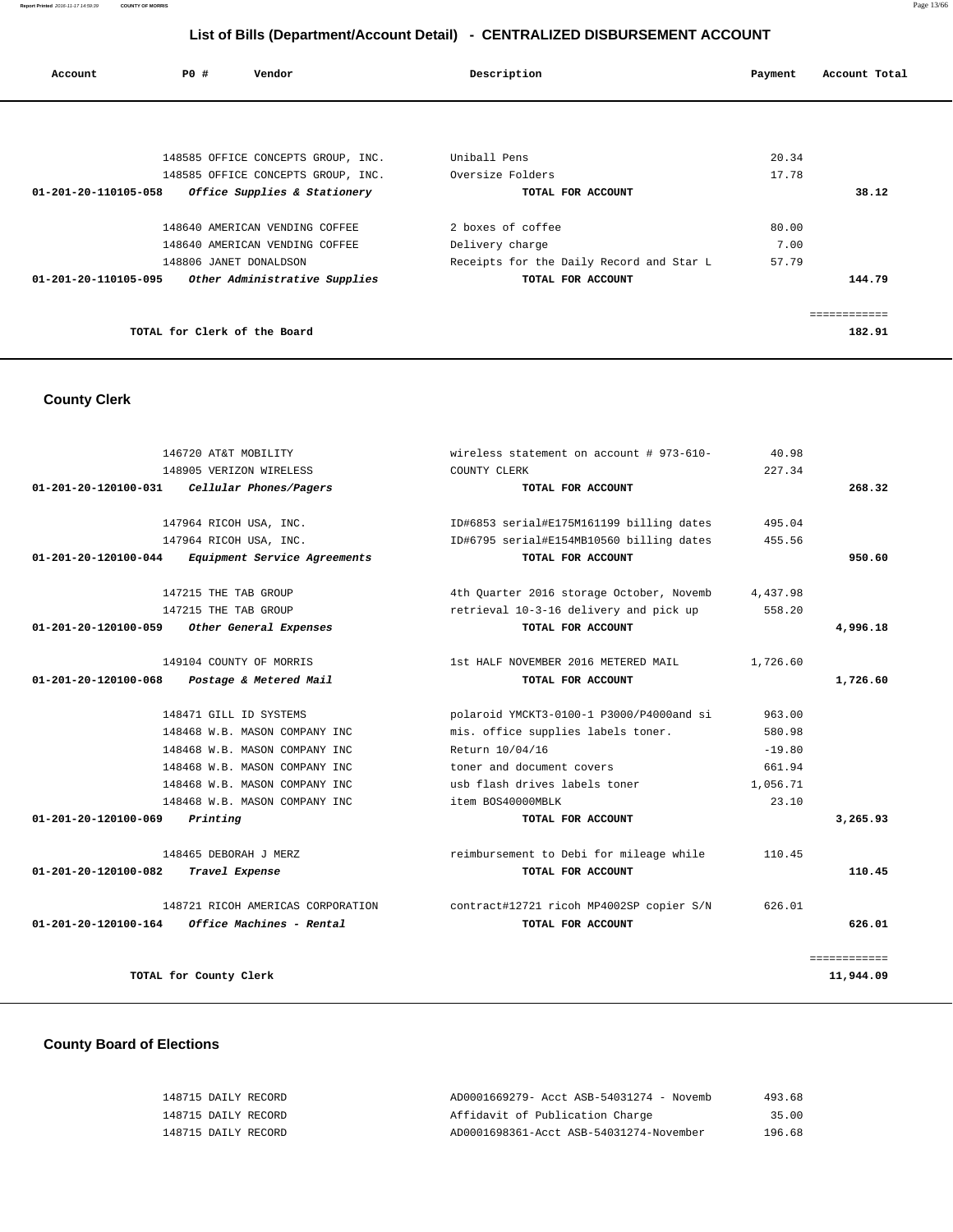| Account              | PO# | Vendor                             | Description       | Account Total<br>Payment |
|----------------------|-----|------------------------------------|-------------------|--------------------------|
|                      |     |                                    |                   |                          |
|                      |     | 148585 OFFICE CONCEPTS GROUP, INC. | Uniball Pens      | 20.34                    |
|                      |     | 148585 OFFICE CONCEPTS GROUP, INC. | Oversize Folders  | 17.78                    |
| 01-201-20-110105-058 |     | Office Supplies & Stationery       | TOTAL FOR ACCOUNT | 38.12                    |
|                      |     | 140640 BHDTCHH HUDTHG COUPER       |                   | 0000                     |

| 01-201-20-110105-095 | Other Administrative Supplies  | TOTAL FOR ACCOUNT                        |       | 144.79 |
|----------------------|--------------------------------|------------------------------------------|-------|--------|
|                      | 148806 JANET DONALDSON         | Receipts for the Daily Record and Star L | 57.79 |        |
|                      | 148640 AMERICAN VENDING COFFEE | Delivery charge                          | 7.00  |        |
|                      | 148640 AMERICAN VENDING COFFEE | 2 boxes of coffee                        | 80.00 |        |
|                      |                                |                                          |       |        |

**TOTAL for Clerk of the Board 182.91**

# **County Clerk**

| 146720 AT&T MOBILITY                                       | wireless statement on account # 973-610- | 40.98    |              |
|------------------------------------------------------------|------------------------------------------|----------|--------------|
| 148905 VERIZON WIRELESS                                    | COUNTY CLERK                             | 227.34   |              |
| 01-201-20-120100-031<br>Cellular Phones/Pagers             | TOTAL FOR ACCOUNT                        |          | 268.32       |
| 147964 RICOH USA, INC.                                     | ID#6853 serial#E175M161199 billing dates | 495.04   |              |
| 147964 RICOH USA, INC.                                     | ID#6795 serial#E154MB10560 billing dates | 455.56   |              |
| Equipment Service Agreements<br>01-201-20-120100-044       | TOTAL FOR ACCOUNT                        |          | 950.60       |
| 147215 THE TAB GROUP                                       | 4th Quarter 2016 storage October, Novemb | 4,437.98 |              |
| 147215 THE TAB GROUP                                       | retrieval 10-3-16 delivery and pick up   | 558.20   |              |
| 01-201-20-120100-059<br>Other General Expenses             | TOTAL FOR ACCOUNT                        |          | 4,996.18     |
| 149104 COUNTY OF MORRIS                                    | 1st HALF NOVEMBER 2016 METERED MAIL      | 1,726.60 |              |
| 01-201-20-120100-068<br>Postage & Metered Mail             | TOTAL FOR ACCOUNT                        |          | 1,726.60     |
| 148471 GILL ID SYSTEMS                                     | polaroid YMCKT3-0100-1 P3000/P4000and si | 963.00   |              |
| 148468 W.B. MASON COMPANY INC                              | mis. office supplies labels toner.       | 580.98   |              |
| 148468 W.B. MASON COMPANY INC                              | Return 10/04/16                          | $-19.80$ |              |
| 148468 W.B. MASON COMPANY INC                              | toner and document covers                | 661.94   |              |
| 148468 W.B. MASON COMPANY INC                              | usb flash drives labels toner            | 1,056.71 |              |
| 148468 W.B. MASON COMPANY INC                              | item BOS40000MBLK                        | 23.10    |              |
| 01-201-20-120100-069<br>Printing                           | TOTAL FOR ACCOUNT                        |          | 3,265.93     |
| 148465 DEBORAH J MERZ                                      | reimbursement to Debi for mileage while  | 110.45   |              |
| 01-201-20-120100-082<br>Travel Expense                     | TOTAL FOR ACCOUNT                        |          | 110.45       |
| 148721 RICOH AMERICAS CORPORATION                          | contract#12721 ricoh MP4002SP copier S/N | 626.01   |              |
| $01 - 201 - 20 - 120100 - 164$<br>Office Machines - Rental | TOTAL FOR ACCOUNT                        |          | 626.01       |
|                                                            |                                          |          | ============ |
| TOTAL for County Clerk                                     |                                          |          | 11,944.09    |

### **County Board of Elections**

| 148715 DAILY RECORD | AD0001669279- Acct ASB-54031274 - Novemb | 493.68 |
|---------------------|------------------------------------------|--------|
| 148715 DAILY RECORD | Affidavit of Publication Charge          | 35.00  |
| 148715 DAILY RECORD | AD0001698361-Acct ASB-54031274-November  | 196.68 |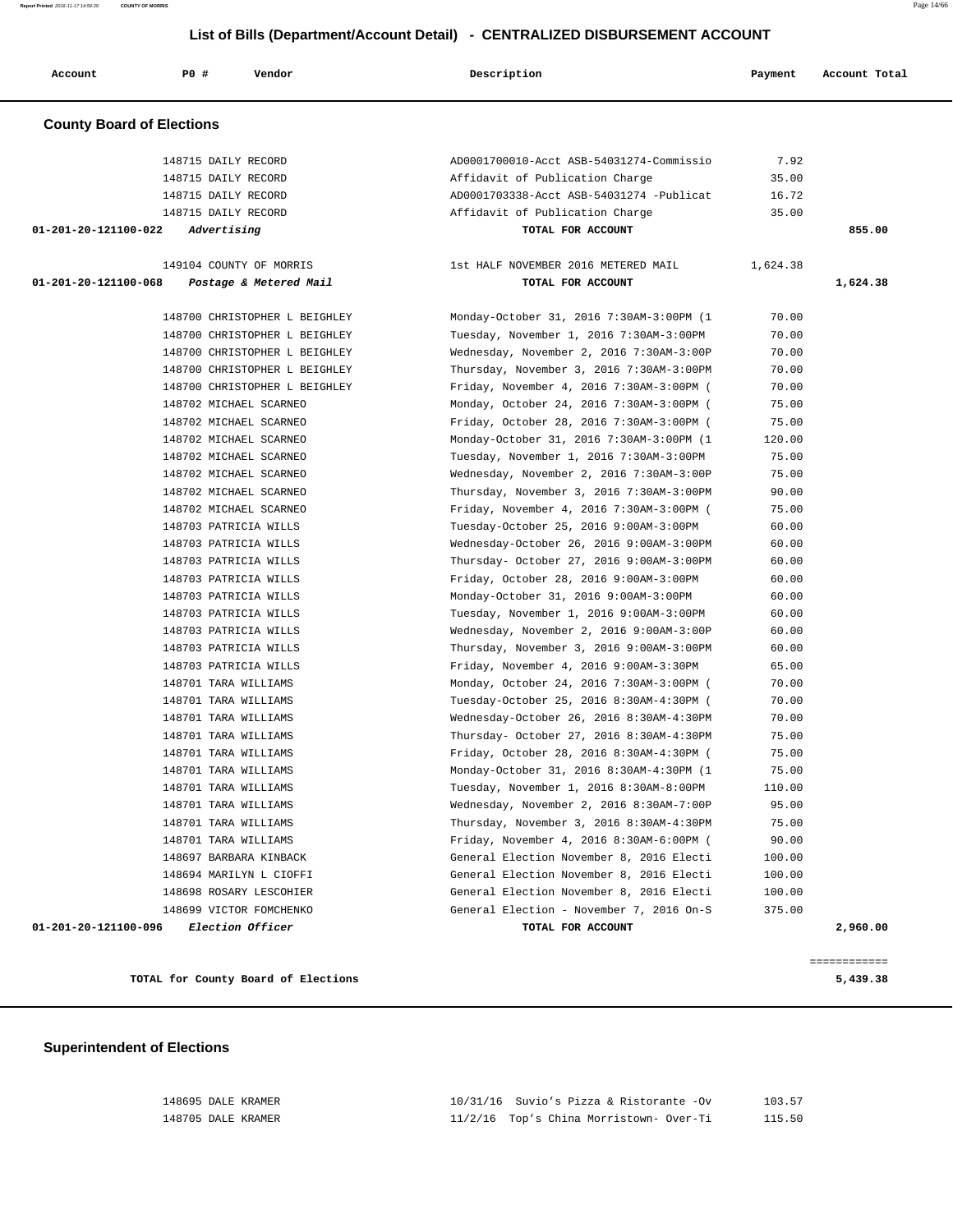**Report Printed** 2016-11-17 14:59:39 **COUNTY OF MORRIS** Page 14/66

# **List of Bills (Department/Account Detail) - CENTRALIZED DISBURSEMENT ACCOUNT**

| Account                          | PO#<br>Vendor                 | Description                              | Payment  | Account Total |  |  |  |  |
|----------------------------------|-------------------------------|------------------------------------------|----------|---------------|--|--|--|--|
| <b>County Board of Elections</b> |                               |                                          |          |               |  |  |  |  |
|                                  | 148715 DAILY RECORD           | AD0001700010-Acct ASB-54031274-Commissio | 7.92     |               |  |  |  |  |
|                                  | 148715 DAILY RECORD           | Affidavit of Publication Charge          | 35.00    |               |  |  |  |  |
|                                  | 148715 DAILY RECORD           | AD0001703338-Acct ASB-54031274 -Publicat | 16.72    |               |  |  |  |  |
|                                  | 148715 DAILY RECORD           | Affidavit of Publication Charge          | 35.00    |               |  |  |  |  |
| 01-201-20-121100-022             | Advertising                   | TOTAL FOR ACCOUNT                        |          | 855.00        |  |  |  |  |
|                                  | 149104 COUNTY OF MORRIS       | 1st HALF NOVEMBER 2016 METERED MAIL      | 1,624.38 |               |  |  |  |  |
| 01-201-20-121100-068             | Postage & Metered Mail        | TOTAL FOR ACCOUNT                        |          | 1,624.38      |  |  |  |  |
|                                  | 148700 CHRISTOPHER L BEIGHLEY | Monday-October 31, 2016 7:30AM-3:00PM (1 | 70.00    |               |  |  |  |  |
|                                  | 148700 CHRISTOPHER L BEIGHLEY | Tuesday, November 1, 2016 7:30AM-3:00PM  | 70.00    |               |  |  |  |  |
|                                  | 148700 CHRISTOPHER L BEIGHLEY | Wednesday, November 2, 2016 7:30AM-3:00P | 70.00    |               |  |  |  |  |
|                                  | 148700 CHRISTOPHER L BEIGHLEY | Thursday, November 3, 2016 7:30AM-3:00PM | 70.00    |               |  |  |  |  |
|                                  | 148700 CHRISTOPHER L BEIGHLEY | Friday, November 4, 2016 7:30AM-3:00PM ( | 70.00    |               |  |  |  |  |
|                                  | 148702 MICHAEL SCARNEO        | Monday, October 24, 2016 7:30AM-3:00PM ( | 75.00    |               |  |  |  |  |
|                                  | 148702 MICHAEL SCARNEO        | Friday, October 28, 2016 7:30AM-3:00PM ( | 75.00    |               |  |  |  |  |
|                                  | 148702 MICHAEL SCARNEO        | Monday-October 31, 2016 7:30AM-3:00PM (1 | 120.00   |               |  |  |  |  |
|                                  | 148702 MICHAEL SCARNEO        | Tuesday, November 1, 2016 7:30AM-3:00PM  | 75.00    |               |  |  |  |  |
|                                  | 148702 MICHAEL SCARNEO        | Wednesday, November 2, 2016 7:30AM-3:00P | 75.00    |               |  |  |  |  |
|                                  | 148702 MICHAEL SCARNEO        | Thursday, November 3, 2016 7:30AM-3:00PM | 90.00    |               |  |  |  |  |
|                                  | 148702 MICHAEL SCARNEO        | Friday, November 4, 2016 7:30AM-3:00PM ( | 75.00    |               |  |  |  |  |
|                                  | 148703 PATRICIA WILLS         | Tuesday-October 25, 2016 9:00AM-3:00PM   | 60.00    |               |  |  |  |  |
|                                  | 148703 PATRICIA WILLS         | Wednesday-October 26, 2016 9:00AM-3:00PM | 60.00    |               |  |  |  |  |
|                                  | 148703 PATRICIA WILLS         | Thursday- October 27, 2016 9:00AM-3:00PM | 60.00    |               |  |  |  |  |
|                                  | 148703 PATRICIA WILLS         | Friday, October 28, 2016 9:00AM-3:00PM   | 60.00    |               |  |  |  |  |
|                                  | 148703 PATRICIA WILLS         | Monday-October 31, 2016 9:00AM-3:00PM    | 60.00    |               |  |  |  |  |
|                                  | 148703 PATRICIA WILLS         | Tuesday, November 1, 2016 9:00AM-3:00PM  | 60.00    |               |  |  |  |  |
|                                  | 148703 PATRICIA WILLS         | Wednesday, November 2, 2016 9:00AM-3:00P | 60.00    |               |  |  |  |  |
|                                  | 148703 PATRICIA WILLS         | Thursday, November 3, 2016 9:00AM-3:00PM | 60.00    |               |  |  |  |  |
|                                  | 148703 PATRICIA WILLS         | Friday, November 4, 2016 9:00AM-3:30PM   | 65.00    |               |  |  |  |  |
|                                  | 148701 TARA WILLIAMS          | Monday, October 24, 2016 7:30AM-3:00PM ( | 70.00    |               |  |  |  |  |
|                                  | 148701 TARA WILLIAMS          | Tuesday-October 25, 2016 8:30AM-4:30PM ( | 70.00    |               |  |  |  |  |
|                                  | 148701 TARA WILLIAMS          | Wednesday-October 26, 2016 8:30AM-4:30PM | 70.00    |               |  |  |  |  |
|                                  | 148701 TARA WILLIAMS          | Thursday- October 27, 2016 8:30AM-4:30PM | 75.00    |               |  |  |  |  |
|                                  | 148701 TARA WILLIAMS          | Friday, October 28, 2016 8:30AM-4:30PM ( | 75.00    |               |  |  |  |  |
|                                  | 148701 TARA WILLIAMS          | Monday-October 31, 2016 8:30AM-4:30PM (1 | 75.00    |               |  |  |  |  |
|                                  | 148701 TARA WILLIAMS          | Tuesday, November 1, 2016 8:30AM-8:00PM  | 110.00   |               |  |  |  |  |
|                                  | 148701 TARA WILLIAMS          | Wednesday, November 2, 2016 8:30AM-7:00P | 95.00    |               |  |  |  |  |
|                                  | 148701 TARA WILLIAMS          | Thursday, November 3, 2016 8:30AM-4:30PM | 75.00    |               |  |  |  |  |
|                                  | 148701 TARA WILLIAMS          | Friday, November 4, 2016 8:30AM-6:00PM ( | 90.00    |               |  |  |  |  |
|                                  | 148697 BARBARA KINBACK        | General Election November 8, 2016 Electi | 100.00   |               |  |  |  |  |
|                                  | 148694 MARILYN L CIOFFI       | General Election November 8, 2016 Electi | 100.00   |               |  |  |  |  |
|                                  | 148698 ROSARY LESCOHIER       | General Election November 8, 2016 Electi | 100.00   |               |  |  |  |  |
|                                  | 148699 VICTOR FOMCHENKO       | General Election - November 7, 2016 On-S | 375.00   |               |  |  |  |  |
| 01-201-20-121100-096             | Election Officer              | TOTAL FOR ACCOUNT                        |          | 2,960.00      |  |  |  |  |

**TOTAL for County Board of Elections 5,439.38**

 **Superintendent of Elections**

| 10/31/16 Suvio's Pizza & Ristorante -Ov | 103.57 |
|-----------------------------------------|--------|
| 11/2/16 Top's China Morristown- Over-Ti | 115.50 |

148695 DALE KRAMER 148705 DALE KRAMER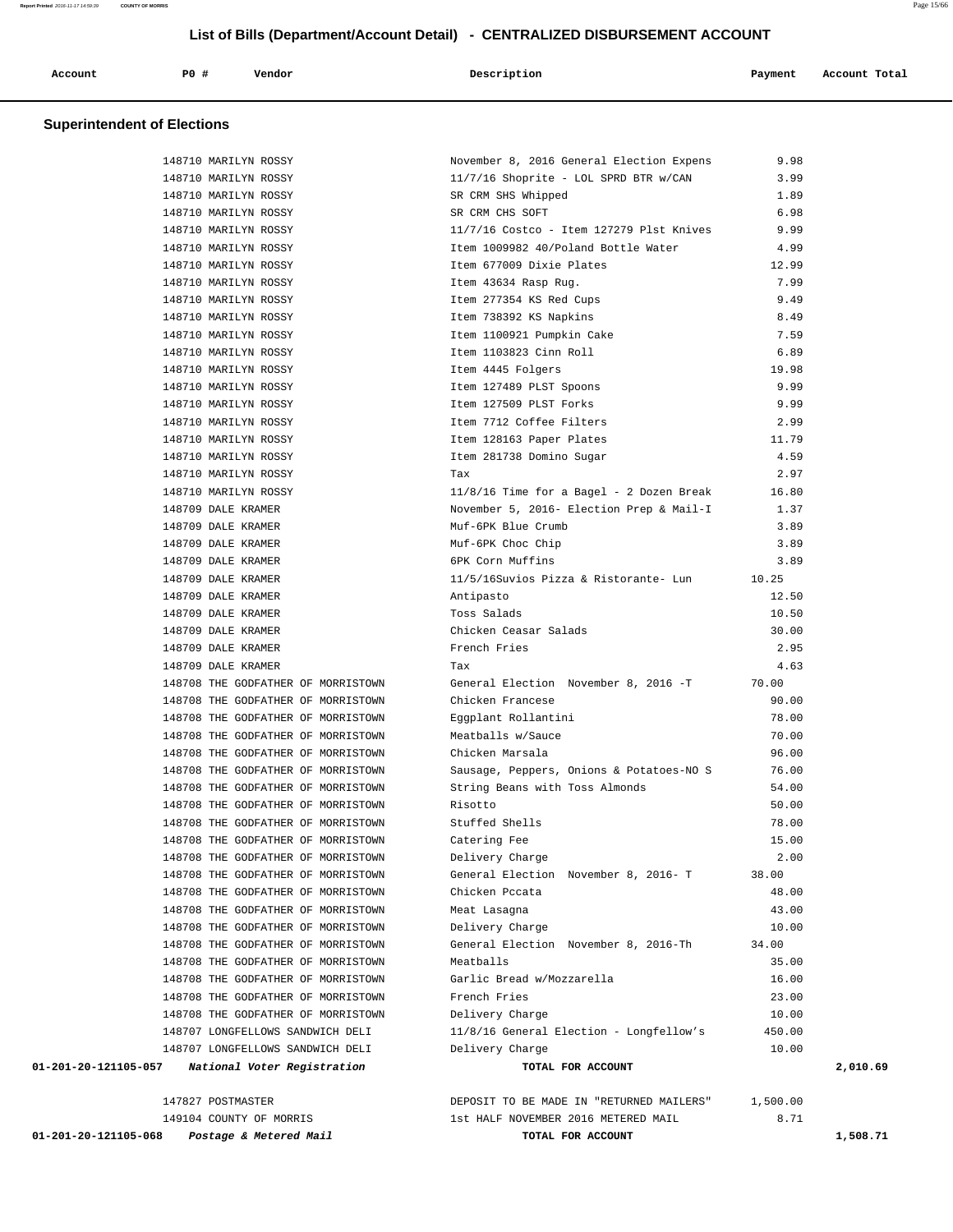| Account | PO# | Vendor | Description | Payment | Account Total |
|---------|-----|--------|-------------|---------|---------------|
|         |     |        |             |         |               |

### **Superintendent of Elections**

| 01-201-20-121105-068<br>Postage & Metered Mail      | TOTAL FOR ACCOUNT                          |               | 1,508.71 |
|-----------------------------------------------------|--------------------------------------------|---------------|----------|
| 149104 COUNTY OF MORRIS                             | 1st HALF NOVEMBER 2016 METERED MAIL        | 8.71          |          |
| 147827 POSTMASTER                                   | DEPOSIT TO BE MADE IN "RETURNED MAILERS"   | 1,500.00      |          |
| 01-201-20-121105-057<br>National Voter Registration | TOTAL FOR ACCOUNT                          |               | 2,010.69 |
| 148707 LONGFELLOWS SANDWICH DELI                    | Delivery Charge                            | 10.00         |          |
| 148707 LONGFELLOWS SANDWICH DELI                    | 11/8/16 General Election - Longfellow's    | 450.00        |          |
| 148708 THE GODFATHER OF MORRISTOWN                  | Delivery Charge                            | 10.00         |          |
| 148708 THE GODFATHER OF MORRISTOWN                  | French Fries                               | 23.00         |          |
| 148708 THE GODFATHER OF MORRISTOWN                  | Garlic Bread w/Mozzarella                  | 16.00         |          |
| 148708 THE GODFATHER OF MORRISTOWN                  | Meatballs                                  | 35.00         |          |
| 148708 THE GODFATHER OF MORRISTOWN                  | General Election â November 8, 2016-Th     | 34.00         |          |
| 148708 THE GODFATHER OF MORRISTOWN                  | Delivery Charge                            | 10.00         |          |
| 148708 THE GODFATHER OF MORRISTOWN                  | Meat Lasagna                               | 43.00         |          |
| 148708 THE GODFATHER OF MORRISTOWN                  | Chicken Pccata                             | 48.00         |          |
| 148708 THE GODFATHER OF MORRISTOWN                  | General Election â November 8, 2016- T     | 38.00         |          |
| 148708 THE GODFATHER OF MORRISTOWN                  | Delivery Charge                            | 2.00          |          |
| 148708 THE GODFATHER OF MORRISTOWN                  | Catering Fee                               | 15.00         |          |
| 148708 THE GODFATHER OF MORRISTOWN                  | Stuffed Shells                             | 78.00         |          |
| 148708 THE GODFATHER OF MORRISTOWN                  | Risotto                                    | 50.00         |          |
| 148708 THE GODFATHER OF MORRISTOWN                  | String Beans with Toss Almonds             | 54.00         |          |
| 148708 THE GODFATHER OF MORRISTOWN                  | Sausage, Peppers, Onions & Potatoes-NO S   | 76.00         |          |
| 148708 THE GODFATHER OF MORRISTOWN                  | Chicken Marsala                            | 96.00         |          |
| 148708 THE GODFATHER OF MORRISTOWN                  | Meatballs w/Sauce                          | 70.00         |          |
| 148708 THE GODFATHER OF MORRISTOWN                  | Eggplant Rollantini                        | 78.00         |          |
| 148708 THE GODFATHER OF MORRISTOWN                  | Chicken Francese                           | 90.00         |          |
| 148708 THE GODFATHER OF MORRISTOWN                  | General Election â November 8, 2016 -T     | 70.00         |          |
| 148709 DALE KRAMER                                  | Tax                                        | 4.63          |          |
| 148709 DALE KRAMER                                  | French Fries                               | 2.95          |          |
| 148709 DALE KRAMER                                  | Chicken Ceasar Salads                      | 30.00         |          |
| 148709 DALE KRAMER                                  | Toss Salads                                | 10.50         |          |
| 148709 DALE KRAMER                                  | Antipasto                                  | 12.50         |          |
| 148709 DALE KRAMER                                  | 11/5/16Suvioâ s Pizza & Ristorante- Lun    | 10.25         |          |
| 148709 DALE KRAMER                                  | 6PK Corn Muffins                           | 3.89          |          |
| 148709 DALE KRAMER                                  | Muf-6PK Choc Chip                          | 3.89          |          |
| 148709 DALE KRAMER                                  | Muf-6PK Blue Crumb                         | 3.89          |          |
| 148709 DALE KRAMER                                  | November 5, 2016- Election Prep & Mail-I   | 1.37          |          |
| 148710 MARILYN ROSSY                                | $11/8/16$ Time for a Bagel - 2 Dozen Break | 16.80         |          |
| 148710 MARILYN ROSSY                                | Item 281738 Domino Sugar<br>Tax            | 2.97          |          |
| 148710 MARILYN ROSSY<br>148710 MARILYN ROSSY        | Item 128163 Paper Plates                   | 11.79<br>4.59 |          |
| 148710 MARILYN ROSSY                                | Item 7712 Coffee Filters                   | 2.99          |          |
| 148710 MARILYN ROSSY                                | Item 127509 PLST Forks                     | 9.99          |          |
| 148710 MARILYN ROSSY                                | Item 127489 PLST Spoons                    | 9.99          |          |
| 148710 MARILYN ROSSY                                | Item 4445 Folgers                          | 19.98         |          |
| 148710 MARILYN ROSSY                                | Item 1103823 Cinn Roll                     | 6.89          |          |
| 148710 MARILYN ROSSY                                | Item 1100921 Pumpkin Cake                  | 7.59          |          |
| 148710 MARILYN ROSSY                                | Item 738392 KS Napkins                     | 8.49          |          |
| 148710 MARILYN ROSSY                                | Item 277354 KS Red Cups                    | 9.49          |          |
| 148710 MARILYN ROSSY                                | Item 43634 Rasp Rug.                       | 7.99          |          |
| 148710 MARILYN ROSSY                                | Item 677009 Dixie Plates                   | 12.99         |          |
| 148710 MARILYN ROSSY                                | Item 1009982 40/Poland Bottle Water        | 4.99          |          |
| 148710 MARILYN ROSSY                                | 11/7/16 Costco - Item 127279 Plst Knives   | 9.99          |          |
| 148710 MARILYN ROSSY                                | SR CRM CHS SOFT                            | 6.98          |          |
| 148710 MARILYN ROSSY                                | SR CRM SHS Whipped                         | 1.89          |          |
| 148710 MARILYN ROSSY                                | 11/7/16 Shoprite - LOL SPRD BTR w/CAN      | 3.99          |          |
| 148710 MARILYN ROSSY                                | November 8, 2016 General Election Expens   | 9.98          |          |
|                                                     |                                            |               |          |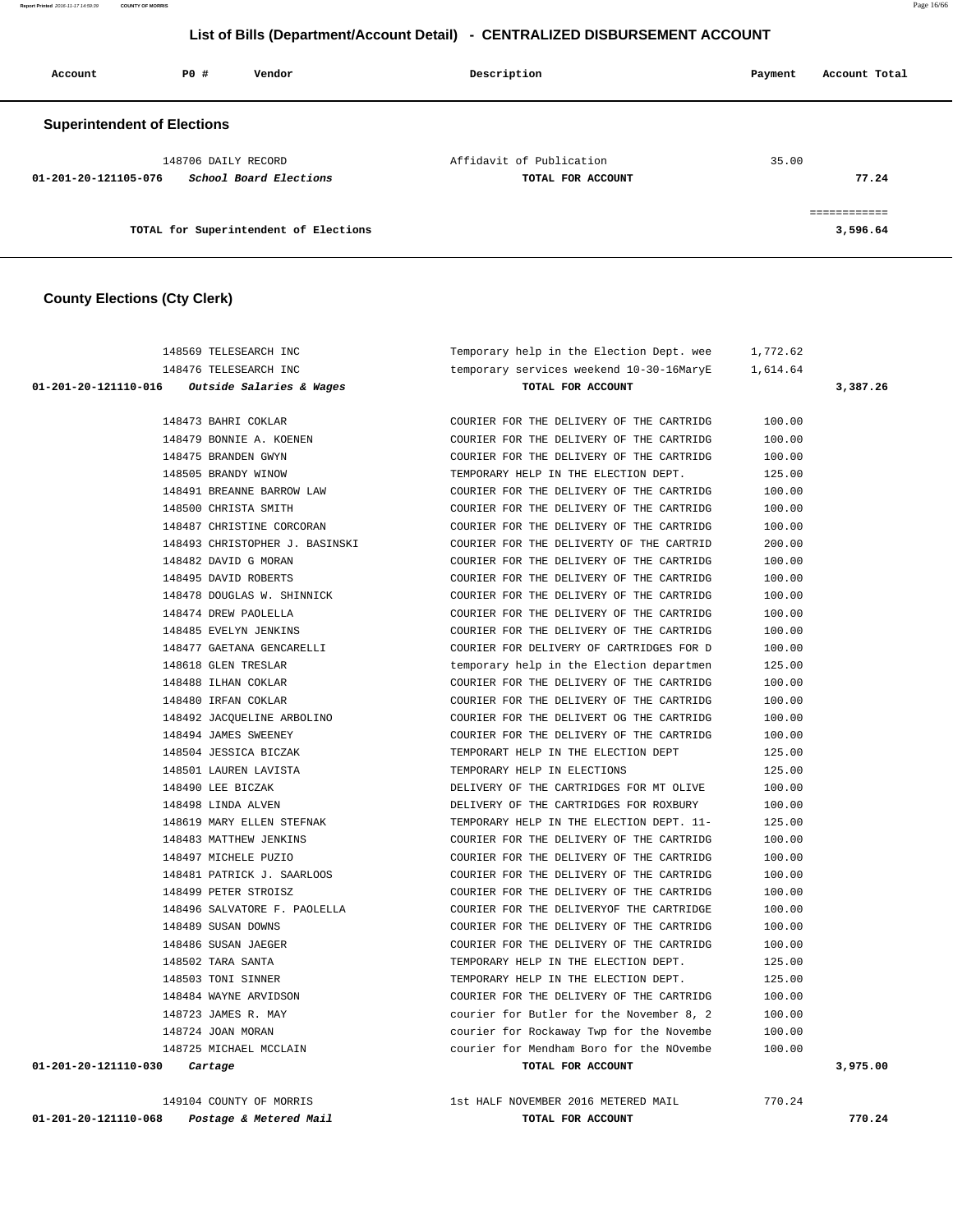**Report Printed** 2016-11-17 14:59:39 **COUNTY OF MORRIS** Page 16/66

# **List of Bills (Department/Account Detail) - CENTRALIZED DISBURSEMENT ACCOUNT**

| Account                            | PO#                 | Vendor                                | Description                                   | Account Total<br>Payment |
|------------------------------------|---------------------|---------------------------------------|-----------------------------------------------|--------------------------|
| <b>Superintendent of Elections</b> |                     |                                       |                                               |                          |
| 01-201-20-121105-076               | 148706 DAILY RECORD | School Board Elections                | Affidavit of Publication<br>TOTAL FOR ACCOUNT | 35.00<br>77.24           |
|                                    |                     | TOTAL for Superintendent of Elections |                                               | ============<br>3,596.64 |

### **County Elections (Cty Clerk)**

|                                               | 148569 TELESEARCH INC          | Temporary help in the Election Dept. wee | 1,772.62 |          |
|-----------------------------------------------|--------------------------------|------------------------------------------|----------|----------|
|                                               | 148476 TELESEARCH INC          | temporary services weekend 10-30-16MaryE | 1,614.64 |          |
| 01-201-20-121110-016 Outside Salaries & Wages |                                | TOTAL FOR ACCOUNT                        |          | 3,387.26 |
|                                               | 148473 BAHRI COKLAR            | COURIER FOR THE DELIVERY OF THE CARTRIDG | 100.00   |          |
|                                               | 148479 BONNIE A. KOENEN        | COURIER FOR THE DELIVERY OF THE CARTRIDG | 100.00   |          |
|                                               | 148475 BRANDEN GWYN            | COURIER FOR THE DELIVERY OF THE CARTRIDG | 100.00   |          |
|                                               | 148505 BRANDY WINOW            | TEMPORARY HELP IN THE ELECTION DEPT.     | 125.00   |          |
|                                               | 148491 BREANNE BARROW LAW      | COURIER FOR THE DELIVERY OF THE CARTRIDG | 100.00   |          |
|                                               | 148500 CHRISTA SMITH           | COURIER FOR THE DELIVERY OF THE CARTRIDG | 100.00   |          |
|                                               | 148487 CHRISTINE CORCORAN      | COURIER FOR THE DELIVERY OF THE CARTRIDG | 100.00   |          |
|                                               | 148493 CHRISTOPHER J. BASINSKI | COURIER FOR THE DELIVERTY OF THE CARTRID | 200.00   |          |
|                                               | 148482 DAVID G MORAN           | COURIER FOR THE DELIVERY OF THE CARTRIDG | 100.00   |          |
|                                               | 148495 DAVID ROBERTS           | COURIER FOR THE DELIVERY OF THE CARTRIDG | 100.00   |          |
|                                               | 148478 DOUGLAS W. SHINNICK     | COURIER FOR THE DELIVERY OF THE CARTRIDG | 100.00   |          |
|                                               | 148474 DREW PAOLELLA           | COURIER FOR THE DELIVERY OF THE CARTRIDG | 100.00   |          |
|                                               | 148485 EVELYN JENKINS          | COURIER FOR THE DELIVERY OF THE CARTRIDG | 100.00   |          |
|                                               | 148477 GAETANA GENCARELLI      | COURIER FOR DELIVERY OF CARTRIDGES FOR D | 100.00   |          |
|                                               | 148618 GLEN TRESLAR            | temporary help in the Election departmen | 125.00   |          |
|                                               | 148488 ILHAN COKLAR            | COURIER FOR THE DELIVERY OF THE CARTRIDG | 100.00   |          |
|                                               | 148480 IRFAN COKLAR            | COURIER FOR THE DELIVERY OF THE CARTRIDG | 100.00   |          |
|                                               | 148492 JACQUELINE ARBOLINO     | COURIER FOR THE DELIVERT OG THE CARTRIDG | 100.00   |          |
|                                               | 148494 JAMES SWEENEY           | COURIER FOR THE DELIVERY OF THE CARTRIDG | 100.00   |          |
|                                               | 148504 JESSICA BICZAK          | TEMPORART HELP IN THE ELECTION DEPT      | 125.00   |          |
|                                               | 148501 LAUREN LAVISTA          | TEMPORARY HELP IN ELECTIONS              | 125.00   |          |
|                                               | 148490 LEE BICZAK              | DELIVERY OF THE CARTRIDGES FOR MT OLIVE  | 100.00   |          |
|                                               | 148498 LINDA ALVEN             | DELIVERY OF THE CARTRIDGES FOR ROXBURY   | 100.00   |          |
|                                               | 148619 MARY ELLEN STEFNAK      | TEMPORARY HELP IN THE ELECTION DEPT. 11- | 125.00   |          |
|                                               | 148483 MATTHEW JENKINS         | COURIER FOR THE DELIVERY OF THE CARTRIDG | 100.00   |          |
|                                               | 148497 MICHELE PUZIO           | COURIER FOR THE DELIVERY OF THE CARTRIDG | 100.00   |          |
|                                               | 148481 PATRICK J. SAARLOOS     | COURIER FOR THE DELIVERY OF THE CARTRIDG | 100.00   |          |
|                                               | 148499 PETER STROISZ           | COURIER FOR THE DELIVERY OF THE CARTRIDG | 100.00   |          |
|                                               | 148496 SALVATORE F. PAOLELLA   | COURIER FOR THE DELIVERYOF THE CARTRIDGE | 100.00   |          |
|                                               | 148489 SUSAN DOWNS             | COURIER FOR THE DELIVERY OF THE CARTRIDG | 100.00   |          |
|                                               | 148486 SUSAN JAEGER            | COURIER FOR THE DELIVERY OF THE CARTRIDG | 100.00   |          |
|                                               | 148502 TARA SANTA              | TEMPORARY HELP IN THE ELECTION DEPT.     | 125.00   |          |
|                                               | 148503 TONI SINNER             | TEMPORARY HELP IN THE ELECTION DEPT.     | 125.00   |          |
|                                               | 148484 WAYNE ARVIDSON          | COURIER FOR THE DELIVERY OF THE CARTRIDG | 100.00   |          |
|                                               | 148723 JAMES R. MAY            | courier for Butler for the November 8, 2 | 100.00   |          |
|                                               | 148724 JOAN MORAN              | courier for Rockaway Twp for the Novembe | 100.00   |          |
|                                               | 148725 MICHAEL MCCLAIN         | courier for Mendham Boro for the NOvembe | 100.00   |          |
| 01-201-20-121110-030 Cartage                  |                                | TOTAL FOR ACCOUNT                        |          | 3,975.00 |
|                                               | 149104 COUNTY OF MORRIS        | 1st HALF NOVEMBER 2016 METERED MAIL      | 770.24   |          |

 **01-201-20-121110-068 Postage & Metered Mail TOTAL FOR ACCOUNT 770.24**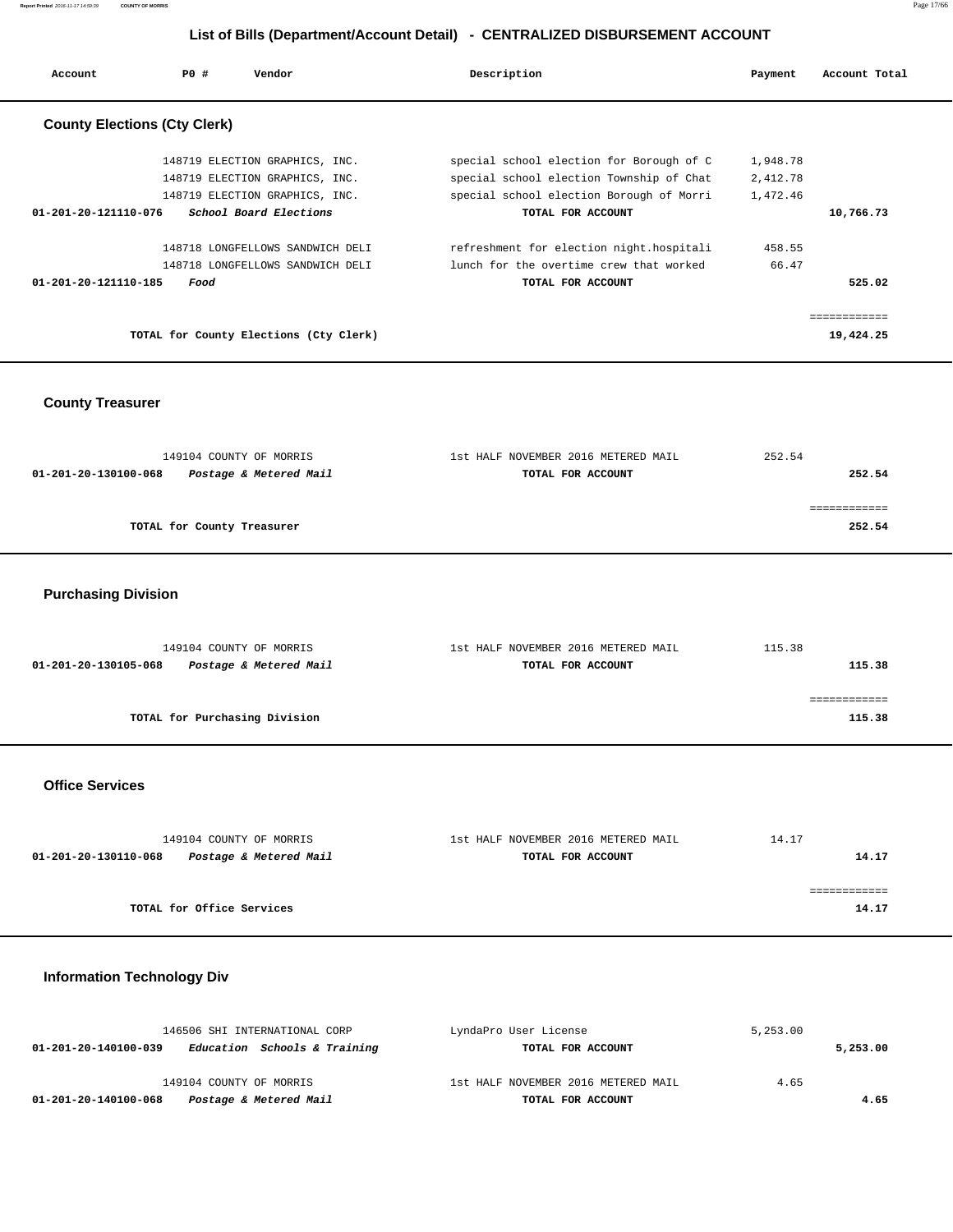**Report Printed** 2016-11-17 14:59:39 **COUNTY OF MORRIS** Page 17/66

# **List of Bills (Department/Account Detail) - CENTRALIZED DISBURSEMENT ACCOUNT**

| Account                             | PO#  | Vendor                                 | Description                              | Payment  | Account Total |
|-------------------------------------|------|----------------------------------------|------------------------------------------|----------|---------------|
| <b>County Elections (Cty Clerk)</b> |      |                                        |                                          |          |               |
|                                     |      | 148719 ELECTION GRAPHICS, INC.         | special school election for Borough of C | 1,948.78 |               |
|                                     |      | 148719 ELECTION GRAPHICS, INC.         | special school election Township of Chat | 2,412.78 |               |
|                                     |      | 148719 ELECTION GRAPHICS, INC.         | special school election Borough of Morri | 1,472.46 |               |
| 01-201-20-121110-076                |      | School Board Elections                 | TOTAL FOR ACCOUNT                        |          | 10,766.73     |
|                                     |      | 148718 LONGFELLOWS SANDWICH DELI       | refreshment for election night.hospitali | 458.55   |               |
|                                     |      | 148718 LONGFELLOWS SANDWICH DELI       | lunch for the overtime crew that worked  | 66.47    |               |
| 01-201-20-121110-185                | Food |                                        | TOTAL FOR ACCOUNT                        |          | 525.02        |
|                                     |      |                                        |                                          |          | ============  |
|                                     |      | TOTAL for County Elections (Cty Clerk) |                                          |          | 19,424.25     |

### **County Treasurer**

| 149104 COUNTY OF MORRIS                        | 1st HALF NOVEMBER 2016 METERED MAIL |                   | 252.54 |        |
|------------------------------------------------|-------------------------------------|-------------------|--------|--------|
| Postage & Metered Mail<br>01-201-20-130100-068 |                                     | TOTAL FOR ACCOUNT |        | 252.54 |
|                                                |                                     |                   |        |        |
|                                                |                                     |                   |        |        |
| TOTAL for County Treasurer                     |                                     |                   |        | 252.54 |
|                                                |                                     |                   |        |        |

# **Purchasing Division**

|                      | 149104 COUNTY OF MORRIS       | 1st HALF NOVEMBER 2016 METERED MAIL | 115.38 |
|----------------------|-------------------------------|-------------------------------------|--------|
| 01-201-20-130105-068 | Postage & Metered Mail        | TOTAL FOR ACCOUNT                   | 115.38 |
|                      | TOTAL for Purchasing Division |                                     | 115.38 |

### **Office Services**

| 149104 COUNTY OF MORRIS                        | 1st HALF NOVEMBER 2016 METERED MAIL | 14.17 |
|------------------------------------------------|-------------------------------------|-------|
| Postage & Metered Mail<br>01-201-20-130110-068 | TOTAL FOR ACCOUNT                   | 14.17 |
|                                                |                                     |       |
|                                                |                                     |       |
| TOTAL for Office Services                      |                                     | 14.17 |

### **Information Technology Div**

| 146506 SHI INTERNATIONAL CORP                        | LyndaPro User License               | 5.253.00 |
|------------------------------------------------------|-------------------------------------|----------|
| Education Schools & Training<br>01-201-20-140100-039 | TOTAL FOR ACCOUNT                   | 5,253.00 |
| 149104 COUNTY OF MORRIS                              | 1st HALF NOVEMBER 2016 METERED MAIL | 4.65     |
| Postage & Metered Mail<br>01-201-20-140100-068       | TOTAL FOR ACCOUNT                   | 4.65     |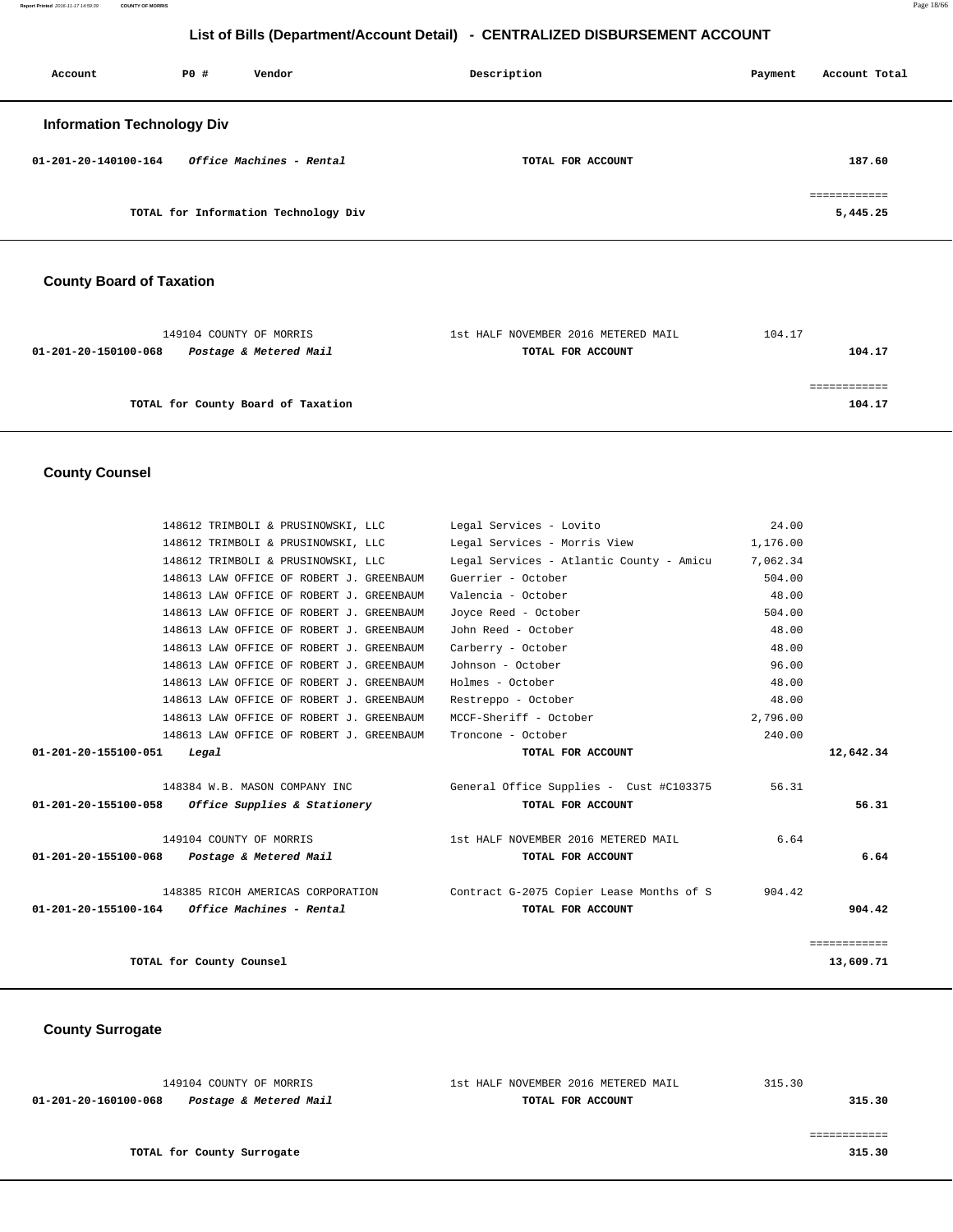**Report Printed** 2016-11-17 14:59:39 **COUNTY OF MORRIS** Page 18/66

# **List of Bills (Department/Account Detail) - CENTRALIZED DISBURSEMENT ACCOUNT**

| Account                           | PO# | Vendor                               | Description       | Payment | Account Total            |
|-----------------------------------|-----|--------------------------------------|-------------------|---------|--------------------------|
| <b>Information Technology Div</b> |     |                                      |                   |         |                          |
| 01-201-20-140100-164              |     | Office Machines - Rental             | TOTAL FOR ACCOUNT |         | 187.60                   |
|                                   |     | TOTAL for Information Technology Div |                   |         | :===========<br>5,445.25 |

# **County Board of Taxation**

| 149104 COUNTY OF MORRIS                        | 1st HALF NOVEMBER 2016 METERED MAIL | 104.17 |
|------------------------------------------------|-------------------------------------|--------|
| Postage & Metered Mail<br>01-201-20-150100-068 | TOTAL FOR ACCOUNT                   | 104.17 |
|                                                |                                     |        |
|                                                |                                     |        |
| TOTAL for County Board of Taxation             |                                     | 104.17 |
|                                                |                                     |        |

# **County Counsel**

| 148612 TRIMBOLI & PRUSINOWSKI, LLC                  | Legal Services - Lovito                                                    | 24.00    |              |
|-----------------------------------------------------|----------------------------------------------------------------------------|----------|--------------|
| 148612 TRIMBOLI & PRUSINOWSKI, LLC                  | Legal Services - Morris View 1,176.00                                      |          |              |
| 148612 TRIMBOLI & PRUSINOWSKI, LLC                  | Legal Services - Atlantic County - Amicu                                   | 7,062.34 |              |
| 148613 LAW OFFICE OF ROBERT J. GREENBAUM            | Guerrier - October                                                         | 504.00   |              |
| 148613 LAW OFFICE OF ROBERT J. GREENBAUM            | Valencia - October                                                         | 48.00    |              |
| 148613 LAW OFFICE OF ROBERT J. GREENBAUM            | Joyce Reed - October                                                       | 504.00   |              |
| 148613 LAW OFFICE OF ROBERT J. GREENBAUM            | John Reed - October                                                        | 48.00    |              |
| 148613 LAW OFFICE OF ROBERT J. GREENBAUM            | Carberry - October                                                         | 48.00    |              |
| 148613 LAW OFFICE OF ROBERT J. GREENBAUM            | Johnson - October                                                          | 96.00    |              |
| 148613 LAW OFFICE OF ROBERT J. GREENBAUM            | Holmes - October                                                           | 48.00    |              |
| 148613 LAW OFFICE OF ROBERT J. GREENBAUM            | Restreppo - October                                                        | 48.00    |              |
| 148613 LAW OFFICE OF ROBERT J. GREENBAUM            | MCCF-Sheriff - October                                                     | 2,796.00 |              |
| 148613 LAW OFFICE OF ROBERT J. GREENBAUM            | Troncone - October                                                         | 240.00   |              |
|                                                     |                                                                            |          |              |
| $01 - 201 - 20 - 155100 - 051$ Legal                | TOTAL FOR ACCOUNT                                                          |          | 12,642.34    |
|                                                     |                                                                            |          |              |
|                                                     | 148384 W.B. MASON COMPANY INC General Office Supplies - Cust #C103375      | 56.31    |              |
| $01-201-20-155100-058$ Office Supplies & Stationery | TOTAL FOR ACCOUNT                                                          |          | 56.31        |
| 149104 COUNTY OF MORRIS                             | 1st HALF NOVEMBER 2016 METERED MAIL                                        | 6.64     |              |
| 01-201-20-155100-068 Postage & Metered Mail         | TOTAL FOR ACCOUNT                                                          |          | 6.64         |
|                                                     | 148385 RICOH AMERICAS CORPORATION Contract G-2075 Copier Lease Months of S | 904.42   |              |
| $01-201-20-155100-164$ Office Machines - Rental     | TOTAL FOR ACCOUNT                                                          |          | 904.42       |
|                                                     |                                                                            |          |              |
|                                                     |                                                                            |          | ============ |

# **County Surrogate**

|                      | 149104 COUNTY OF MORRIS    | 1st HALF NOVEMBER 2016 METERED MAIL | 315.30 |
|----------------------|----------------------------|-------------------------------------|--------|
| 01-201-20-160100-068 | Postage & Metered Mail     | TOTAL FOR ACCOUNT                   | 315.30 |
|                      |                            |                                     |        |
|                      |                            |                                     |        |
|                      | TOTAL for County Surrogate |                                     | 315.30 |
|                      |                            |                                     |        |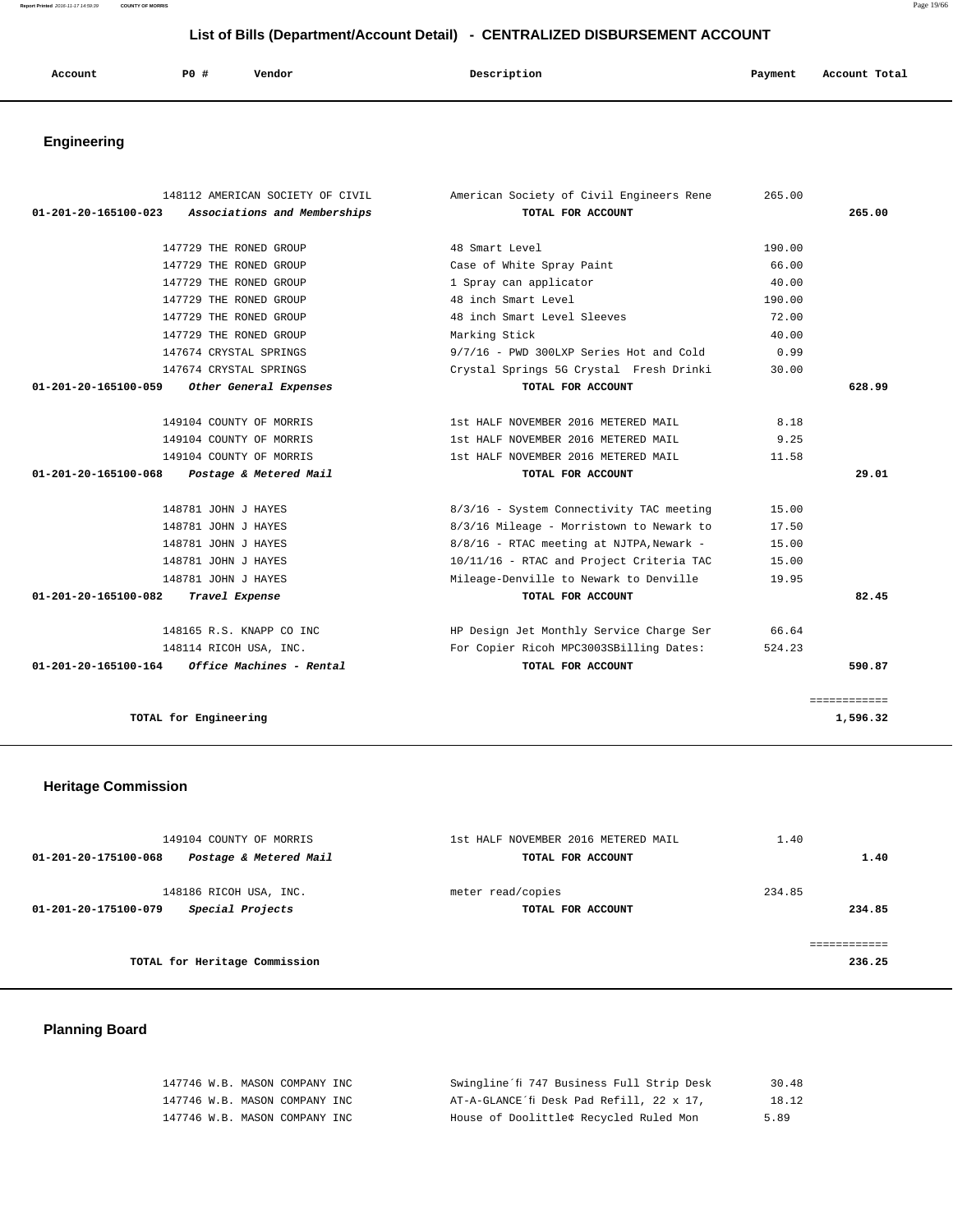| Account | PO# | Vendor | Description | Payment | Account Total |
|---------|-----|--------|-------------|---------|---------------|
|         |     |        |             |         |               |

# **Engineering**

| 148112 AMERICAN SOCIETY OF CIVIL                     | American Society of Civil Engineers Rene | 265.00 |              |
|------------------------------------------------------|------------------------------------------|--------|--------------|
| 01-201-20-165100-023<br>Associations and Memberships | TOTAL FOR ACCOUNT                        |        | 265.00       |
| 147729 THE RONED GROUP                               | 48 Smart Level                           | 190.00 |              |
| 147729 THE RONED GROUP                               | Case of White Spray Paint                | 66.00  |              |
| 147729 THE RONED GROUP                               | 1 Spray can applicator                   | 40.00  |              |
| 147729 THE RONED GROUP                               | 48 inch Smart Level                      | 190.00 |              |
| 147729 THE RONED GROUP                               | 48 inch Smart Level Sleeves              | 72.00  |              |
| 147729 THE RONED GROUP                               | Marking Stick                            | 40.00  |              |
| 147674 CRYSTAL SPRINGS                               | 9/7/16 - PWD 300LXP Series Hot and Cold  | 0.99   |              |
| 147674 CRYSTAL SPRINGS                               | Crystal Springs 5G Crystal Fresh Drinki  | 30.00  |              |
| Other General Expenses<br>01-201-20-165100-059       | TOTAL FOR ACCOUNT                        |        | 628.99       |
| 149104 COUNTY OF MORRIS                              | 1st HALF NOVEMBER 2016 METERED MAIL      | 8.18   |              |
| 149104 COUNTY OF MORRIS                              | 1st HALF NOVEMBER 2016 METERED MAIL      | 9.25   |              |
| 149104 COUNTY OF MORRIS                              | 1st HALF NOVEMBER 2016 METERED MAIL      | 11.58  |              |
| 01-201-20-165100-068<br>Postage & Metered Mail       | TOTAL FOR ACCOUNT                        |        | 29.01        |
| 148781 JOHN J HAYES                                  | 8/3/16 - System Connectivity TAC meeting | 15.00  |              |
| 148781 JOHN J HAYES                                  | 8/3/16 Mileage - Morristown to Newark to | 17.50  |              |
| 148781 JOHN J HAYES                                  | 8/8/16 - RTAC meeting at NJTPA, Newark - | 15.00  |              |
| 148781 JOHN J HAYES                                  | 10/11/16 - RTAC and Project Criteria TAC | 15.00  |              |
| 148781 JOHN J HAYES                                  | Mileage-Denville to Newark to Denville   | 19.95  |              |
| 01-201-20-165100-082<br>Travel Expense               | TOTAL FOR ACCOUNT                        |        | 82.45        |
| 148165 R.S. KNAPP CO INC                             | HP Design Jet Monthly Service Charge Ser | 66.64  |              |
| 148114 RICOH USA, INC.                               | For Copier Ricoh MPC3003SBilling Dates:  | 524.23 |              |
| 01-201-20-165100-164<br>Office Machines - Rental     | TOTAL FOR ACCOUNT                        |        | 590.87       |
|                                                      |                                          |        | ============ |
| TOTAL for Engineering                                |                                          |        | 1,596.32     |

# **Heritage Commission**

| 149104 COUNTY OF MORRIS<br>Postage & Metered Mail<br>01-201-20-175100-068 | 1st HALF NOVEMBER 2016 METERED MAIL<br>TOTAL FOR ACCOUNT | 1.40<br>1.40     |
|---------------------------------------------------------------------------|----------------------------------------------------------|------------------|
| 148186 RICOH USA, INC.<br>Special Projects<br>01-201-20-175100-079        | meter read/copies<br>TOTAL FOR ACCOUNT                   | 234.85<br>234.85 |
| TOTAL for Heritage Commission                                             |                                                          | 236.25           |

# **Planning Board**

| 147746 W.B. MASON COMPANY INC | Swingline'fi 747 Business Full Strip Desk | 30.48 |
|-------------------------------|-------------------------------------------|-------|
| 147746 W.B. MASON COMPANY INC | AT-A-GLANCE'fi Desk Pad Refill, 22 x 17,  | 18.12 |
| 147746 W.B. MASON COMPANY INC | House of Doolittleâ ¢ Recycled Ruled Mon  | 5.89  |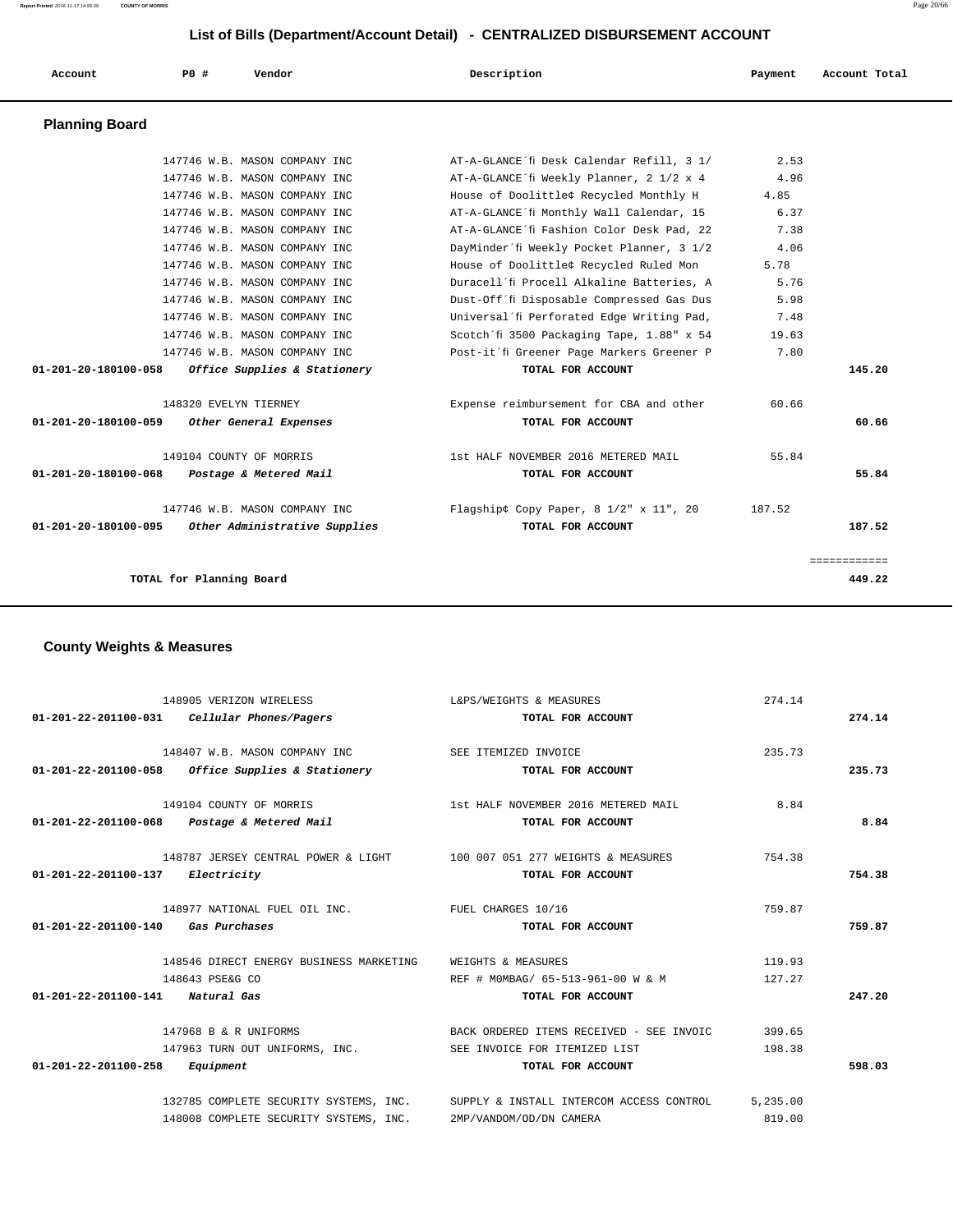| Account               | <b>PO #</b><br>Vendor         | Description                                    | Payment | Account Total |
|-----------------------|-------------------------------|------------------------------------------------|---------|---------------|
| <b>Planning Board</b> |                               |                                                |         |               |
|                       | 147746 W.B. MASON COMPANY INC | AT-A-GLANCE'fi Desk Calendar Refill, 3 1/      | 2.53    |               |
|                       | 147746 W.B. MASON COMPANY INC | AT-A-GLANCE'fi Weekly Planner, 2 1/2 x 4       | 4.96    |               |
|                       | 147746 W.B. MASON COMPANY INC | House of Doolittlea ¢ Recycled Monthly H       | 4.85    |               |
|                       | 147746 W.B. MASON COMPANY INC | AT-A-GLANCE'fi Monthly Wall Calendar, 15       | 6.37    |               |
|                       | 147746 W.B. MASON COMPANY INC | AT-A-GLANCE'fi Fashion Color Desk Pad, 22      | 7.38    |               |
|                       | 147746 W.B. MASON COMPANY INC | DayMinder'fi Weekly Pocket Planner, 3 1/2      | 4.06    |               |
|                       | 147746 W.B. MASON COMPANY INC | House of Doolittlea ¢ Recycled Ruled Mon       | 5.78    |               |
|                       | 147746 W.B. MASON COMPANY INC | Duracell'fi Procell Alkaline Batteries, A      | 5.76    |               |
|                       | 147746 W.B. MASON COMPANY INC | Dust-Off'fi Disposable Compressed Gas Dus      | 5.98    |               |
|                       | 147746 W.B. MASON COMPANY INC | Universal'fi Perforated Edge Writing Pad,      | 7.48    |               |
|                       | 147746 W.B. MASON COMPANY INC | Scotch'fi 3500 Packaging Tape, 1.88" x 54      | 19.63   |               |
|                       | 147746 W.B. MASON COMPANY INC | Post-it'fi Greener Page Markers Greener P      | 7.80    |               |
| 01-201-20-180100-058  | Office Supplies & Stationery  | TOTAL FOR ACCOUNT                              |         | 145.20        |
|                       | 148320 EVELYN TIERNEY         | Expense reimbursement for CBA and other        | 60.66   |               |
| 01-201-20-180100-059  | Other General Expenses        | TOTAL FOR ACCOUNT                              |         | 60.66         |
|                       | 149104 COUNTY OF MORRIS       | 1st HALF NOVEMBER 2016 METERED MAIL            | 55.84   |               |
| 01-201-20-180100-068  | Postage & Metered Mail        | TOTAL FOR ACCOUNT                              |         | 55.84         |
|                       | 147746 W.B. MASON COMPANY INC | Flagshipâ ¢ Copy Paper, 8 $1/2$ " x $11$ ", 20 | 187.52  |               |
| 01-201-20-180100-095  | Other Administrative Supplies | TOTAL FOR ACCOUNT                              |         | 187.52        |
|                       |                               |                                                |         | ============  |
|                       | TOTAL for Planning Board      |                                                |         | 449.22        |

### **County Weights & Measures**

|                                          | 148905 VERIZON WIRELESS<br>$01-201-22-201100-031$ Cellular Phones/Pagers                                  | L&PS/WEIGHTS & MEASURES<br>TOTAL FOR ACCOUNT                                    | 274.14             | 274.14 |
|------------------------------------------|-----------------------------------------------------------------------------------------------------------|---------------------------------------------------------------------------------|--------------------|--------|
|                                          | 148407 W.B. MASON COMPANY INC SEE ITEMIZED INVOICE<br>$01-201-22-201100-058$ Office Supplies & Stationery | TOTAL FOR ACCOUNT                                                               | 235.73             | 235.73 |
|                                          | 149104 COUNTY OF MORRIS<br>01-201-22-201100-068 Postage & Metered Mail                                    | 1st HALF NOVEMBER 2016 METERED MAIL<br>TOTAL FOR ACCOUNT                        | 8.84               | 8.84   |
| 01-201-22-201100-137 Electricity         | 148787 JERSEY CENTRAL POWER & LIGHT 100 007 051 277 WEIGHTS & MEASURES                                    | TOTAL FOR ACCOUNT                                                               | 754.38             | 754.38 |
| 01-201-22-201100-140 Gas Purchases       | 148977 NATIONAL FUEL OIL INC. TUEL CHARGES 10/16                                                          | TOTAL FOR ACCOUNT                                                               | 759.87             | 759.87 |
|                                          | 148546 DIRECT ENERGY BUSINESS MARKETING WEIGHTS & MEASURES<br>148643 PSE&G CO                             | REF # MOMBAG/ 65-513-961-00 W & M                                               | 119.93<br>127.27   |        |
| 01-201-22-201100-141 Natural Gas         |                                                                                                           | TOTAL FOR ACCOUNT                                                               |                    | 247.20 |
|                                          | 147968 B & R UNIFORMS<br>147963 TURN OUT UNIFORMS, INC. SEE INVOICE FOR ITEMIZED LIST                     | BACK ORDERED ITEMS RECEIVED - SEE INVOIC                                        | 399.65<br>198.38   |        |
| $01 - 201 - 22 - 201100 - 258$ Equipment |                                                                                                           | TOTAL FOR ACCOUNT                                                               |                    | 598.03 |
|                                          | 148008 COMPLETE SECURITY SYSTEMS, INC. 2MP/VANDOM/OD/DN CAMERA                                            | 132785 COMPLETE SECURITY SYSTEMS, INC. SUPPLY & INSTALL INTERCOM ACCESS CONTROL | 5,235.00<br>819.00 |        |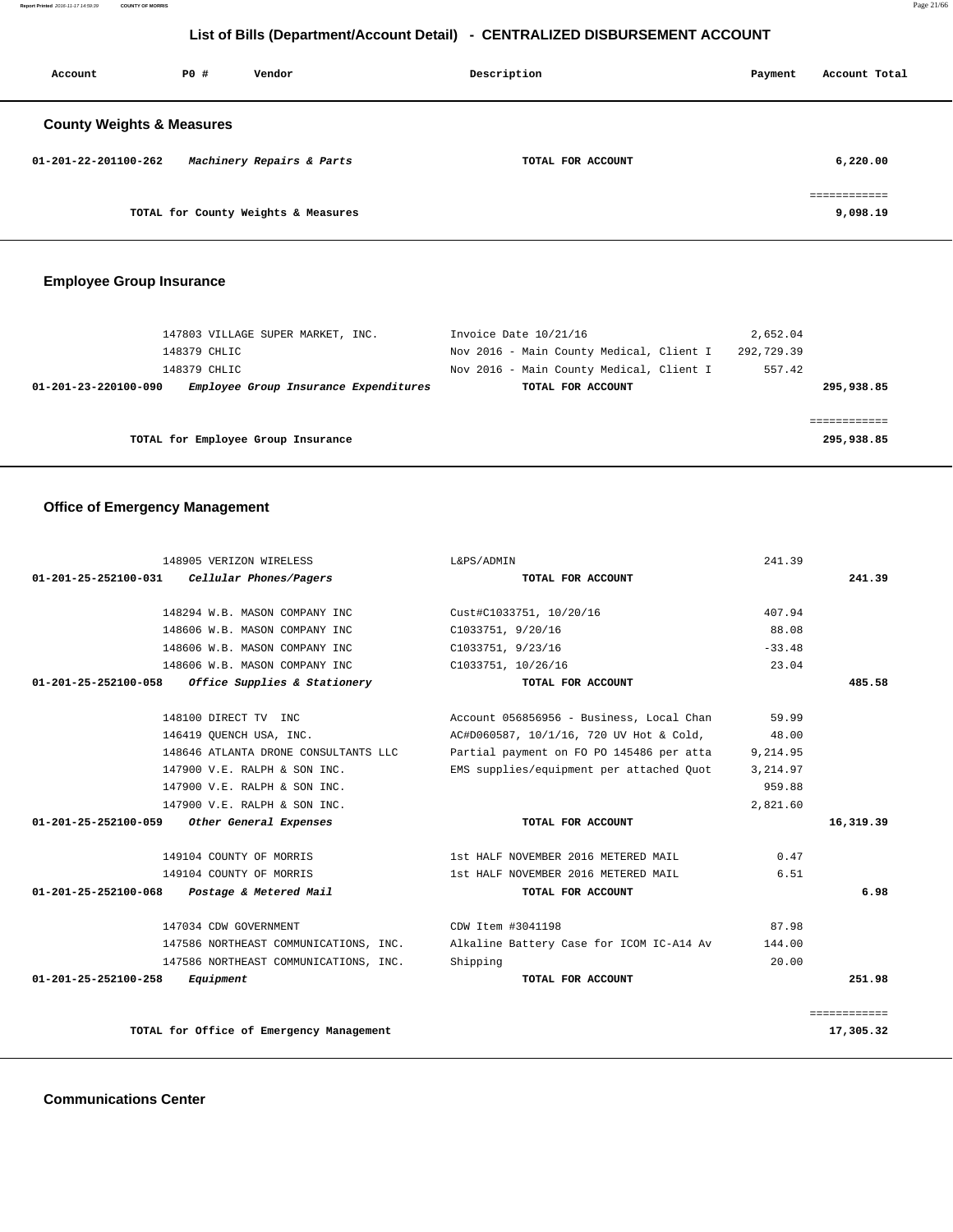**Report Printed** 2016-11-17 14:59:39 **COUNTY OF MORRIS** Page 21/66

# **List of Bills (Department/Account Detail) - CENTRALIZED DISBURSEMENT ACCOUNT**

| Account                              | PO# | Vendor                              | Description       | Payment | Account Total            |
|--------------------------------------|-----|-------------------------------------|-------------------|---------|--------------------------|
| <b>County Weights &amp; Measures</b> |     |                                     |                   |         |                          |
| 01-201-22-201100-262                 |     | Machinery Repairs & Parts           | TOTAL FOR ACCOUNT |         | 6,220.00                 |
|                                      |     | TOTAL for County Weights & Measures |                   |         | ------------<br>9,098.19 |

# **Employee Group Insurance**

| 147803 VILLAGE SUPER MARKET, INC.                             | Invoice Date 10/21/16                    | 2,652.04   |
|---------------------------------------------------------------|------------------------------------------|------------|
| 148379 CHLIC                                                  | Nov 2016 - Main County Medical, Client I | 292,729.39 |
| 148379 CHLIC                                                  | Nov 2016 - Main County Medical, Client I | 557.42     |
| Employee Group Insurance Expenditures<br>01-201-23-220100-090 | TOTAL FOR ACCOUNT                        | 295,938.85 |
|                                                               |                                          |            |
|                                                               |                                          |            |
| TOTAL for Employee Group Insurance                            |                                          | 295,938.85 |

# **Office of Emergency Management**

| 148905 VERIZON WIRELESS                             | L&PS/ADMIN                               | 241.39    |              |
|-----------------------------------------------------|------------------------------------------|-----------|--------------|
| $01-201-25-252100-031$ Cellular Phones/Pagers       | TOTAL FOR ACCOUNT                        |           | 241.39       |
| 148294 W.B. MASON COMPANY INC                       | Cust#C1033751, 10/20/16                  | 407.94    |              |
| 148606 W.B. MASON COMPANY INC                       | C1033751, 9/20/16                        | 88.08     |              |
| 148606 W.B. MASON COMPANY INC                       | C1033751, 9/23/16                        | $-33.48$  |              |
| 148606 W.B. MASON COMPANY INC                       | C1033751, 10/26/16                       | 23.04     |              |
| $01-201-25-252100-058$ Office Supplies & Stationery | TOTAL FOR ACCOUNT                        |           | 485.58       |
|                                                     |                                          |           |              |
| 148100 DIRECT TV INC                                | Account 056856956 - Business, Local Chan | 59.99     |              |
| 146419 QUENCH USA, INC.                             | AC#D060587, 10/1/16, 720 UV Hot & Cold,  | 48.00     |              |
| 148646 ATLANTA DRONE CONSULTANTS LLC                | Partial payment on FO PO 145486 per atta | 9,214.95  |              |
| 147900 V.E. RALPH & SON INC.                        | EMS supplies/equipment per attached Ouot | 3, 214.97 |              |
| 147900 V.E. RALPH & SON INC.                        |                                          | 959.88    |              |
| 147900 V.E. RALPH & SON INC.                        |                                          | 2,821.60  |              |
| 01-201-25-252100-059<br>Other General Expenses      | TOTAL FOR ACCOUNT                        |           | 16,319.39    |
| 149104 COUNTY OF MORRIS                             | 1st HALF NOVEMBER 2016 METERED MAIL      | 0.47      |              |
| 149104 COUNTY OF MORRIS                             | 1st HALF NOVEMBER 2016 METERED MAIL      | 6.51      |              |
| 01-201-25-252100-068 Postage & Metered Mail         | TOTAL FOR ACCOUNT                        |           | 6.98         |
| 147034 CDW GOVERNMENT                               | CDW Item #3041198                        | 87.98     |              |
| 147586 NORTHEAST COMMUNICATIONS, INC.               | Alkaline Battery Case for ICOM IC-A14 Av | 144.00    |              |
| 147586 NORTHEAST COMMUNICATIONS, INC.               | Shipping                                 | 20.00     |              |
| 01-201-25-252100-258<br>Equipment                   | TOTAL FOR ACCOUNT                        |           | 251.98       |
|                                                     |                                          |           |              |
|                                                     |                                          |           | ============ |
| TOTAL for Office of Emergency Management            |                                          |           | 17,305.32    |

 **Communications Center**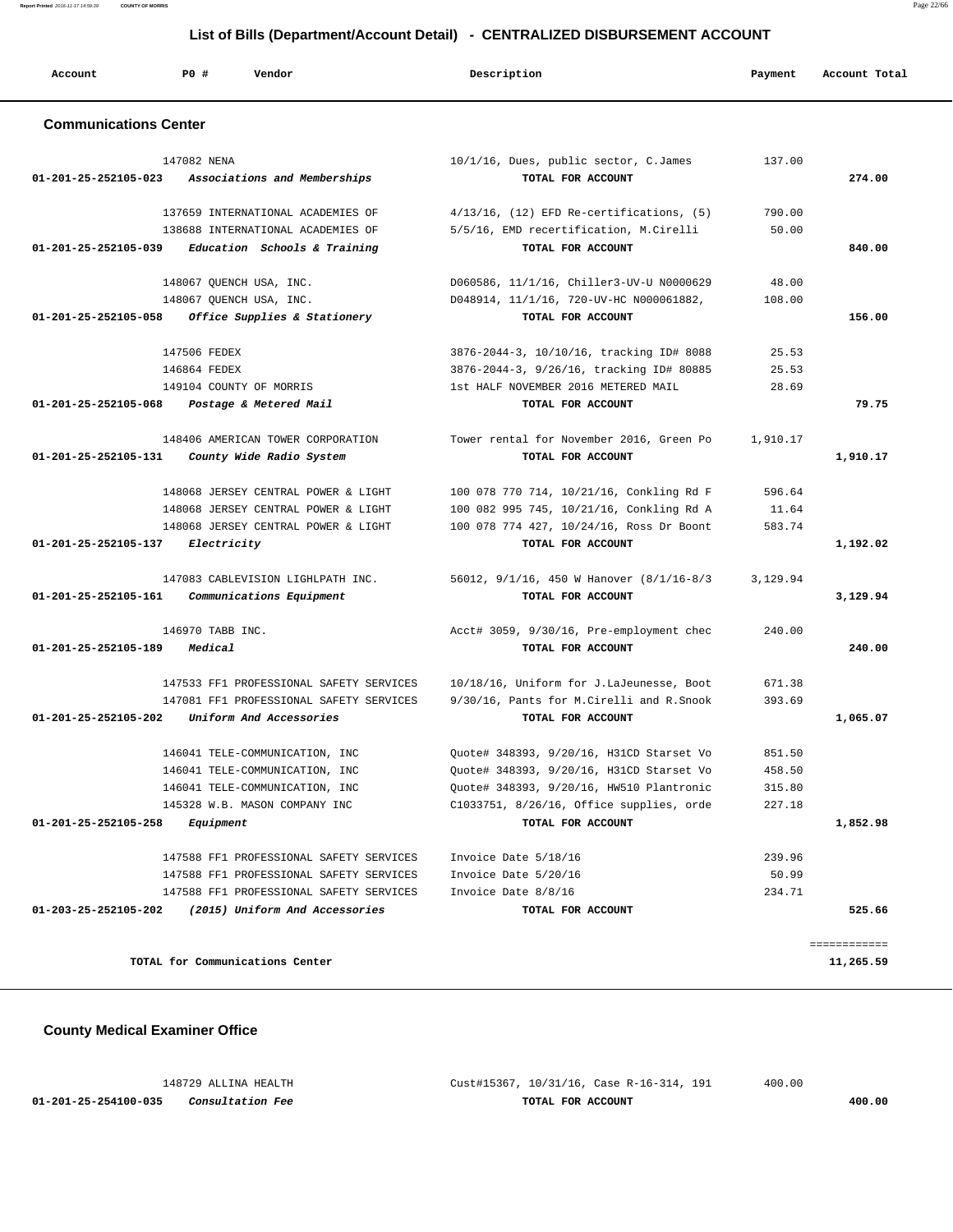**Report Printed** 2016-11-17 14:59:39 **COUNTY OF MORRIS** Page 22/66

# **List of Bills (Department/Account Detail) - CENTRALIZED DISBURSEMENT ACCOUNT**

| Account                      | <b>PO #</b><br>Vendor                               | Description                                 | Payment  | Account Total |
|------------------------------|-----------------------------------------------------|---------------------------------------------|----------|---------------|
| <b>Communications Center</b> |                                                     |                                             |          |               |
|                              | 147082 NENA                                         | 10/1/16, Dues, public sector, C.James       | 137.00   |               |
|                              | 01-201-25-252105-023 Associations and Memberships   | TOTAL FOR ACCOUNT                           |          | 274.00        |
|                              | 137659 INTERNATIONAL ACADEMIES OF                   | $4/13/16$ , (12) EFD Re-certifications, (5) | 790.00   |               |
|                              | 138688 INTERNATIONAL ACADEMIES OF                   | 5/5/16, EMD recertification, M.Cirelli      | 50.00    |               |
| 01-201-25-252105-039         | Education Schools & Training                        | TOTAL FOR ACCOUNT                           |          | 840.00        |
|                              | 148067 QUENCH USA, INC.                             | D060586, 11/1/16, Chiller3-UV-U N0000629    | 48.00    |               |
|                              | 148067 QUENCH USA, INC.                             | D048914, 11/1/16, 720-UV-HC N000061882,     | 108.00   |               |
| 01-201-25-252105-058         | Office Supplies & Stationery                        | TOTAL FOR ACCOUNT                           |          | 156.00        |
|                              | 147506 FEDEX                                        | 3876-2044-3, 10/10/16, tracking ID# 8088    | 25.53    |               |
|                              | 146864 FEDEX                                        | 3876-2044-3, 9/26/16, tracking ID# 80885    | 25.53    |               |
|                              | 149104 COUNTY OF MORRIS                             | 1st HALF NOVEMBER 2016 METERED MAIL         | 28.69    |               |
| 01-201-25-252105-068         | Postage & Metered Mail                              | TOTAL FOR ACCOUNT                           |          | 79.75         |
|                              | 148406 AMERICAN TOWER CORPORATION                   | Tower rental for November 2016, Green Po    | 1,910.17 |               |
| 01-201-25-252105-131         | County Wide Radio System                            | TOTAL FOR ACCOUNT                           |          | 1,910.17      |
|                              | 148068 JERSEY CENTRAL POWER & LIGHT                 | 100 078 770 714, 10/21/16, Conkling Rd F    | 596.64   |               |
|                              | 148068 JERSEY CENTRAL POWER & LIGHT                 | 100 082 995 745, 10/21/16, Conkling Rd A    | 11.64    |               |
|                              | 148068 JERSEY CENTRAL POWER & LIGHT                 | 100 078 774 427, 10/24/16, Ross Dr Boont    | 583.74   |               |
| 01-201-25-252105-137         | Electricity                                         | TOTAL FOR ACCOUNT                           |          | 1,192.02      |
|                              | 147083 CABLEVISION LIGHLPATH INC.                   | 56012, 9/1/16, 450 W Hanover (8/1/16-8/3    | 3,129.94 |               |
| 01-201-25-252105-161         | Communications Equipment                            | TOTAL FOR ACCOUNT                           |          | 3,129.94      |
|                              | 146970 TABB INC.                                    | Acct# 3059, 9/30/16, Pre-employment chec    | 240.00   |               |
| 01-201-25-252105-189         | Medical                                             | TOTAL FOR ACCOUNT                           |          | 240.00        |
|                              | 147533 FF1 PROFESSIONAL SAFETY SERVICES             | 10/18/16, Uniform for J.LaJeunesse, Boot    | 671.38   |               |
|                              | 147081 FF1 PROFESSIONAL SAFETY SERVICES             | 9/30/16, Pants for M.Cirelli and R.Snook    | 393.69   |               |
| 01-201-25-252105-202         | Uniform And Accessories                             | TOTAL FOR ACCOUNT                           |          | 1,065.07      |
|                              | 146041 TELE-COMMUNICATION, INC                      | Quote# 348393, 9/20/16, H31CD Starset Vo    | 851.50   |               |
|                              | 146041 TELE-COMMUNICATION, INC                      | Quote# 348393, 9/20/16, H31CD Starset Vo    | 458.50   |               |
|                              | 146041 TELE-COMMUNICATION, INC                      | Ouote# 348393, 9/20/16, HW510 Plantronic    | 315.80   |               |
|                              | 145328 W.B. MASON COMPANY INC                       | C1033751, 8/26/16, Office supplies, orde    | 227.18   |               |
| 01-201-25-252105-258         | Equipment                                           | TOTAL FOR ACCOUNT                           |          | 1,852.98      |
|                              | 147588 FF1 PROFESSIONAL SAFETY SERVICES             | Invoice Date 5/18/16                        | 239.96   |               |
|                              | 147588 FF1 PROFESSIONAL SAFETY SERVICES             | Invoice Date 5/20/16                        | 50.99    |               |
|                              | 147588 FF1 PROFESSIONAL SAFETY SERVICES             | Invoice Date 8/8/16                         | 234.71   |               |
|                              | 01-203-25-252105-202 (2015) Uniform And Accessories | TOTAL FOR ACCOUNT                           |          | 525.66        |
|                              |                                                     |                                             |          | ============  |
|                              | TOTAL for Communications Center                     |                                             |          | 11,265.59     |

 **County Medical Examiner Office**

| 148729 ALLINA HEALTH                            | Cust#15367, 10/31/16, Case R-16-314, 191 | 400.00 |
|-------------------------------------------------|------------------------------------------|--------|
| 01-201-25-254100-035<br><i>Consultation Fee</i> | TOTAL FOR ACCOUNT                        | 400.00 |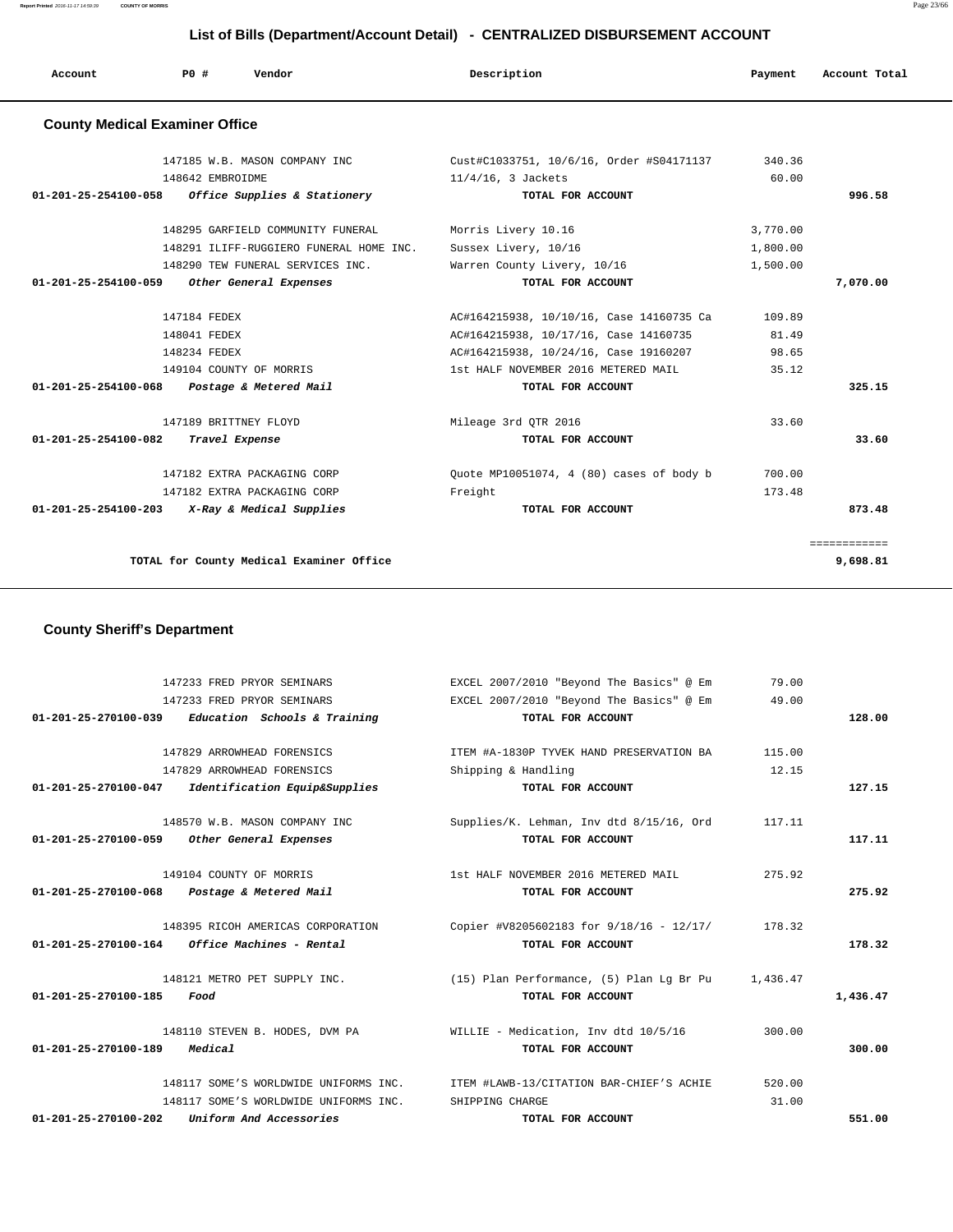**Report Printed** 2016-11-17 14:59:39 **COUNTY OF MORRIS** Page 23/66

# **List of Bills (Department/Account Detail) - CENTRALIZED DISBURSEMENT ACCOUNT**

| Account                               | PO# | Vendor | Description | Payment | Account Total |
|---------------------------------------|-----|--------|-------------|---------|---------------|
| <b>County Medical Examiner Office</b> |     |        |             |         |               |

| 340.36       |                                          | 147185 W.B. MASON COMPANY INC                       |                      |
|--------------|------------------------------------------|-----------------------------------------------------|----------------------|
| 60.00        | $11/4/16$ , 3 Jackets                    | 148642 EMBROIDME                                    |                      |
|              | TOTAL FOR ACCOUNT                        | $01-201-25-254100-058$ Office Supplies & Stationery |                      |
| 3,770.00     | Morris Livery 10.16                      | 148295 GARFIELD COMMUNITY FUNERAL                   |                      |
| 1,800.00     | Sussex Livery, 10/16                     | 148291 ILIFF-RUGGIERO FUNERAL HOME INC.             |                      |
| 1,500.00     | Warren County Livery, 10/16              | 148290 TEW FUNERAL SERVICES INC.                    |                      |
|              | TOTAL FOR ACCOUNT                        | Other General Expenses                              | 01-201-25-254100-059 |
| 109.89       | AC#164215938, 10/10/16, Case 14160735 Ca | 147184 FEDEX                                        |                      |
| 81.49        | AC#164215938, 10/17/16, Case 14160735    | 148041 FEDEX                                        |                      |
| 98.65        | AC#164215938, 10/24/16, Case 19160207    | 148234 FEDEX                                        |                      |
| 35.12        | 1st HALF NOVEMBER 2016 METERED MAIL      | 149104 COUNTY OF MORRIS                             |                      |
|              | TOTAL FOR ACCOUNT                        | 01-201-25-254100-068 Postage & Metered Mail         |                      |
| 33.60        | Mileage 3rd OTR 2016                     | 147189 BRITTNEY FLOYD                               |                      |
|              | TOTAL FOR ACCOUNT                        | Travel Expense                                      | 01-201-25-254100-082 |
| 700.00       | Ouote MP10051074, 4 (80) cases of body b | 147182 EXTRA PACKAGING CORP                         |                      |
| 173.48       | Freight                                  | 147182 EXTRA PACKAGING CORP                         |                      |
|              | TOTAL FOR ACCOUNT                        | $01-201-25-254100-203$ X-Ray & Medical Supplies     |                      |
|              |                                          |                                                     |                      |
|              |                                          | TOTAL for County Medical Examiner Office            |                      |
| ============ |                                          | Cust#C1033751, 10/6/16, Order #S04171137            |                      |

# **County Sheriff's Department**

| 147233 FRED PRYOR SEMINARS                                                                |                                       | EXCEL 2007/2010 "Beyond The Basics" @ Em                            | 79.00  |          |
|-------------------------------------------------------------------------------------------|---------------------------------------|---------------------------------------------------------------------|--------|----------|
| 147233 FRED PRYOR SEMINARS                                                                |                                       | EXCEL 2007/2010 "Beyond The Basics" @ Em                            | 49.00  |          |
| $01-201-25-270100-039$ Education Schools & Training                                       |                                       | TOTAL FOR ACCOUNT                                                   |        | 128.00   |
| 147829 ARROWHEAD FORENSICS                                                                |                                       | ITEM #A-1830P TYVEK HAND PRESERVATION BA                            | 115.00 |          |
| 147829 ARROWHEAD FORENSICS                                                                |                                       | Shipping & Handling                                                 | 12.15  |          |
| 01-201-25-270100-047                                                                      | Identification Equip&Supplies         | TOTAL FOR ACCOUNT                                                   |        | 127.15   |
| 148570 W.B. MASON COMPANY INC<br>$01 - 201 - 25 - 270100 - 059$<br>Other General Expenses |                                       | Supplies/K. Lehman, Inv dtd 8/15/16, Ord<br>TOTAL FOR ACCOUNT       | 117.11 | 117.11   |
|                                                                                           |                                       |                                                                     |        |          |
| 149104 COUNTY OF MORRIS<br>01-201-25-270100-068 Postage & Metered Mail                    |                                       | 1st HALF NOVEMBER 2016 METERED MAIL<br>TOTAL FOR ACCOUNT            | 275.92 | 275.92   |
| 148395 RICOH AMERICAS CORPORATION                                                         |                                       | Copier #V8205602183 for 9/18/16 - 12/17/                            | 178.32 |          |
| $01 - 201 - 25 - 270100 - 164$ Office Machines - Rental                                   |                                       | TOTAL FOR ACCOUNT                                                   |        | 178.32   |
| 148121 METRO PET SUPPLY INC.                                                              |                                       | $(15)$ Plan Performance, $(5)$ Plan Lq Br Pu 1,436.47               |        |          |
| $01 - 201 - 25 - 270100 - 185$<br>Food                                                    |                                       | TOTAL FOR ACCOUNT                                                   |        | 1,436.47 |
|                                                                                           |                                       | 148110 STEVEN B. HODES, DVM PA WILLIE - Medication, Inv dtd 10/5/16 | 300.00 |          |
| 01-201-25-270100-189<br>Medical                                                           |                                       | TOTAL FOR ACCOUNT                                                   |        | 300.00   |
|                                                                                           | 148117 SOME'S WORLDWIDE UNIFORMS INC. | ITEM #LAWB-13/CITATION BAR-CHIEF'S ACHIE                            | 520.00 |          |
|                                                                                           | 148117 SOME'S WORLDWIDE UNIFORMS INC. | SHIPPING CHARGE                                                     | 31.00  |          |
| Uniform And Accessories<br>$01 - 201 - 25 - 270100 - 202$                                 |                                       | TOTAL FOR ACCOUNT                                                   |        | 551.00   |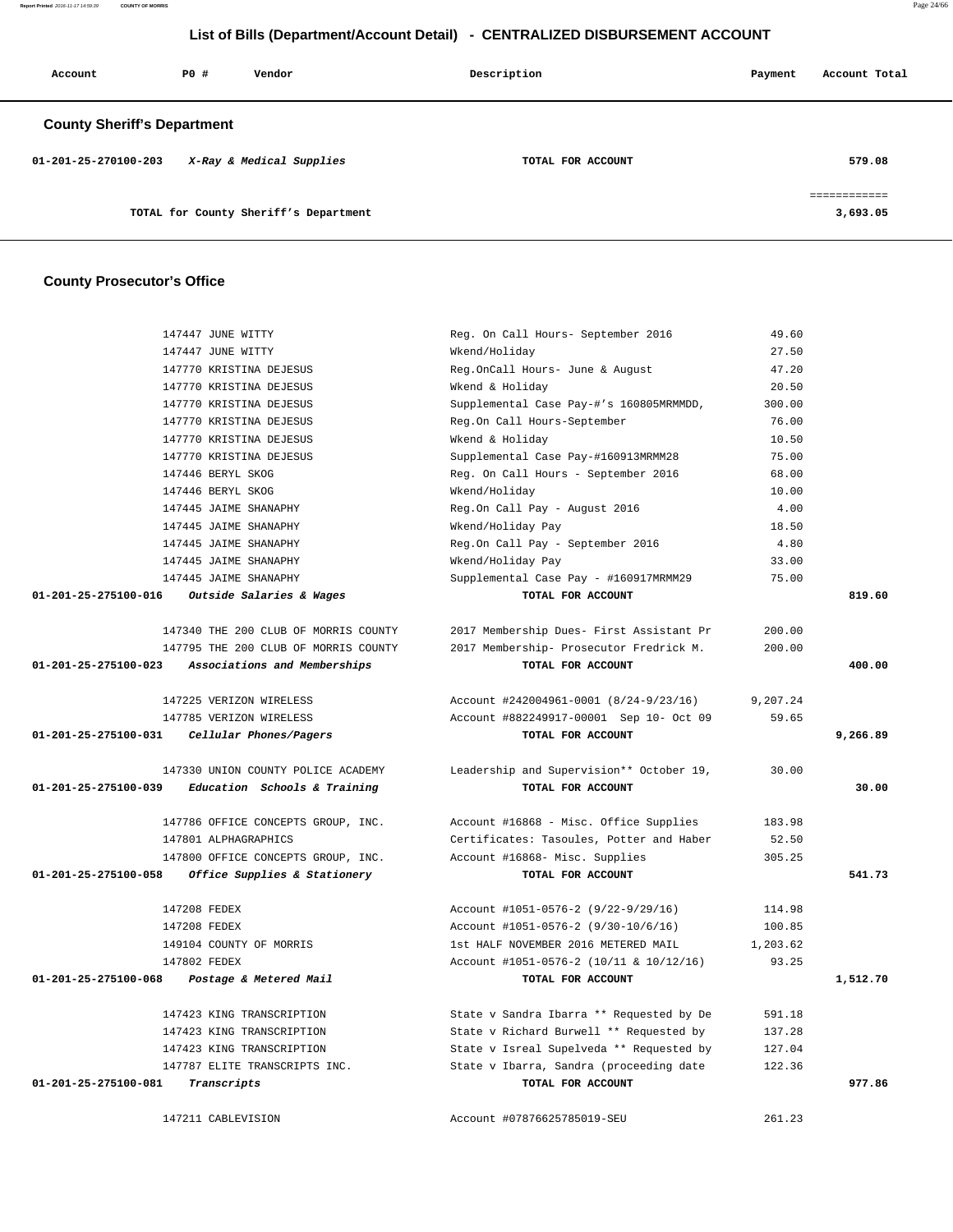**Report Printed** 2016-11-17 14:59:39 **COUNTY OF MORRIS** Page 24/66

# **List of Bills (Department/Account Detail) - CENTRALIZED DISBURSEMENT ACCOUNT**

| Account                            | PO# | Vendor                                | Description       | Payment | Account Total            |
|------------------------------------|-----|---------------------------------------|-------------------|---------|--------------------------|
| <b>County Sheriff's Department</b> |     |                                       |                   |         |                          |
| 01-201-25-270100-203               |     | X-Ray & Medical Supplies              | TOTAL FOR ACCOUNT |         | 579.08                   |
|                                    |     | TOTAL for County Sheriff's Department |                   |         | ============<br>3,693.05 |

### **County Prosecutor's Office**

|                                | 147447 JUNE WITTY                    | Reg. On Call Hours- September 2016       | 49.60    |          |
|--------------------------------|--------------------------------------|------------------------------------------|----------|----------|
|                                | 147447 JUNE WITTY                    | Wkend/Holiday                            | 27.50    |          |
|                                | 147770 KRISTINA DEJESUS              | Reg.OnCall Hours- June & August          | 47.20    |          |
|                                | 147770 KRISTINA DEJESUS              | Wkend & Holiday                          | 20.50    |          |
|                                | 147770 KRISTINA DEJESUS              | Supplemental Case Pay-#'s 160805MRMMDD,  | 300.00   |          |
|                                | 147770 KRISTINA DEJESUS              | Reg.On Call Hours-September              | 76.00    |          |
|                                | 147770 KRISTINA DEJESUS              | Wkend & Holiday                          | 10.50    |          |
|                                | 147770 KRISTINA DEJESUS              | Supplemental Case Pay-#160913MRMM28      | 75.00    |          |
|                                | 147446 BERYL SKOG                    | Reg. On Call Hours - September 2016      | 68.00    |          |
|                                | 147446 BERYL SKOG                    | Wkend/Holiday                            | 10.00    |          |
|                                | 147445 JAIME SHANAPHY                | Reg.On Call Pay - August 2016            | 4.00     |          |
|                                | 147445 JAIME SHANAPHY                | Wkend/Holiday Pay                        | 18.50    |          |
|                                | 147445 JAIME SHANAPHY                | Reg.On Call Pay - September 2016         | 4.80     |          |
|                                | 147445 JAIME SHANAPHY                | Wkend/Holiday Pay                        | 33.00    |          |
|                                | 147445 JAIME SHANAPHY                | Supplemental Case Pay - #160917MRMM29    | 75.00    |          |
| 01-201-25-275100-016           | Outside Salaries & Wages             | TOTAL FOR ACCOUNT                        |          | 819.60   |
|                                | 147340 THE 200 CLUB OF MORRIS COUNTY | 2017 Membership Dues- First Assistant Pr | 200.00   |          |
|                                | 147795 THE 200 CLUB OF MORRIS COUNTY | 2017 Membership- Prosecutor Fredrick M.  | 200.00   |          |
| 01-201-25-275100-023           | Associations and Memberships         | TOTAL FOR ACCOUNT                        |          | 400.00   |
|                                | 147225 VERIZON WIRELESS              | Account #242004961-0001 (8/24-9/23/16)   | 9,207.24 |          |
|                                | 147785 VERIZON WIRELESS              | Account #882249917-00001 Sep 10- Oct 09  | 59.65    |          |
| 01-201-25-275100-031           | Cellular Phones/Pagers               | TOTAL FOR ACCOUNT                        |          | 9,266.89 |
|                                | 147330 UNION COUNTY POLICE ACADEMY   | Leadership and Supervision** October 19, | 30.00    |          |
| 01-201-25-275100-039           | Education Schools & Training         | TOTAL FOR ACCOUNT                        |          | 30.00    |
|                                | 147786 OFFICE CONCEPTS GROUP, INC.   | Account #16868 - Misc. Office Supplies   | 183.98   |          |
|                                | 147801 ALPHAGRAPHICS                 | Certificates: Tasoules, Potter and Haber | 52.50    |          |
|                                | 147800 OFFICE CONCEPTS GROUP, INC.   | Account #16868- Misc. Supplies           | 305.25   |          |
| $01 - 201 - 25 - 275100 - 058$ | Office Supplies & Stationery         | TOTAL FOR ACCOUNT                        |          | 541.73   |
|                                | 147208 FEDEX                         | Account #1051-0576-2 (9/22-9/29/16)      | 114.98   |          |
|                                | 147208 FEDEX                         | Account #1051-0576-2 (9/30-10/6/16)      | 100.85   |          |
|                                | 149104 COUNTY OF MORRIS              | 1st HALF NOVEMBER 2016 METERED MAIL      | 1,203.62 |          |
|                                | 147802 FEDEX                         | Account #1051-0576-2 (10/11 & 10/12/16)  | 93.25    |          |
| 01-201-25-275100-068           | Postage & Metered Mail               | TOTAL FOR ACCOUNT                        |          | 1,512.70 |
|                                | 147423 KING TRANSCRIPTION            | State v Sandra Ibarra ** Requested by De | 591.18   |          |
|                                | 147423 KING TRANSCRIPTION            | State v Richard Burwell ** Requested by  | 137.28   |          |
|                                | 147423 KING TRANSCRIPTION            | State v Isreal Supelveda ** Requested by | 127.04   |          |
|                                | 147787 ELITE TRANSCRIPTS INC.        | State v Ibarra, Sandra (proceeding date  | 122.36   |          |
| 01-201-25-275100-081           | Transcripts                          | TOTAL FOR ACCOUNT                        |          | 977.86   |
|                                | 147211 CABLEVISION                   | Account #07876625785019-SEU              | 261.23   |          |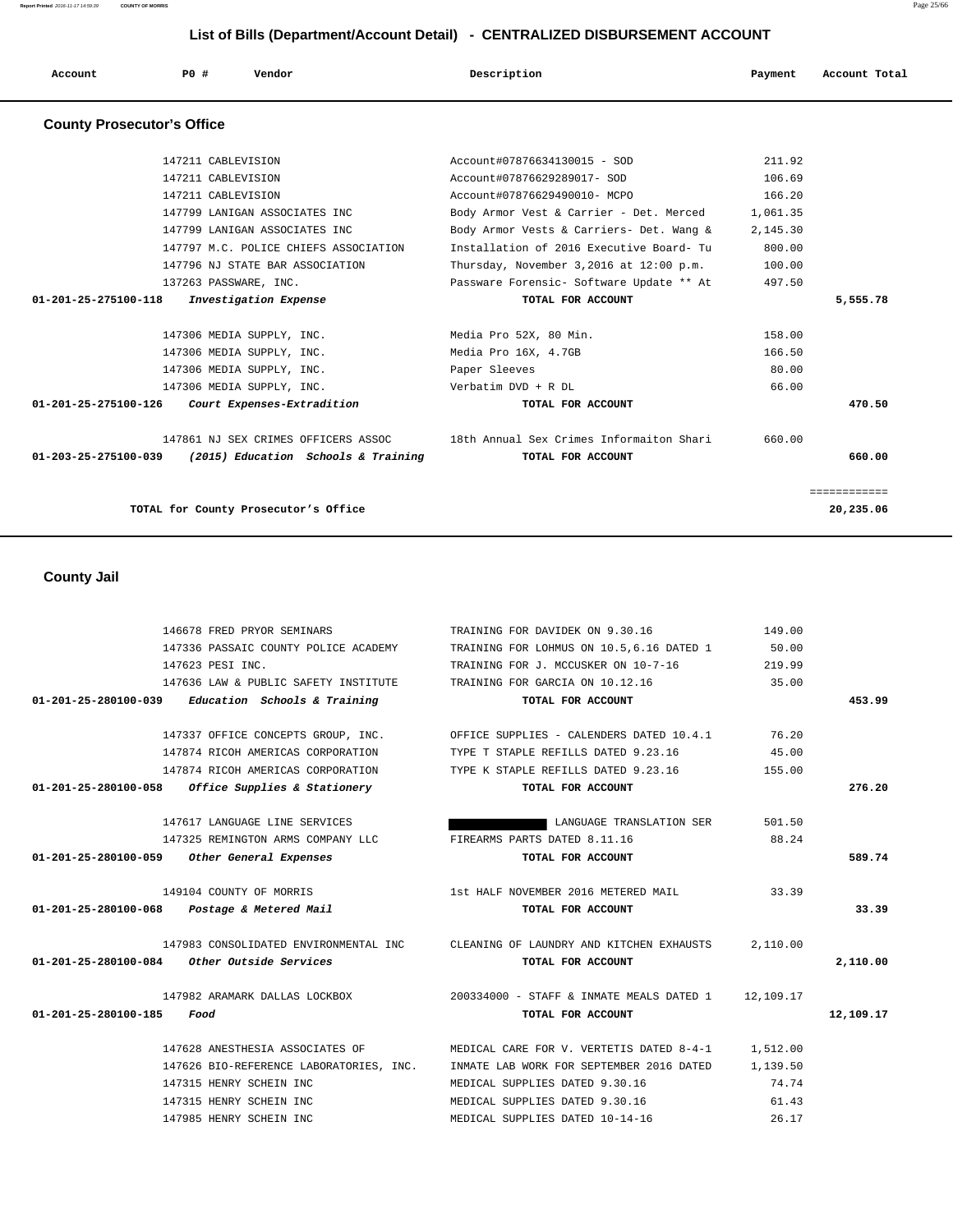**Report Printed** 2016-11-17 14:59:39 **COUNTY OF MORRIS** Page 25/66

# **List of Bills (Department/Account Detail) - CENTRALIZED DISBURSEMENT ACCOUNT**

| Account | PO# | Vendor | Description | Payment | Account Total |
|---------|-----|--------|-------------|---------|---------------|
|         |     |        |             |         |               |

# **County Prosecutor's Office**

|                      | 147211 CABLEVISION                                         | Account#07876634130015 - SOD                                                 | 211.92   |              |
|----------------------|------------------------------------------------------------|------------------------------------------------------------------------------|----------|--------------|
|                      | 147211 CABLEVISION                                         | Account#07876629289017- SOD                                                  | 106.69   |              |
|                      | 147211 CABLEVISION                                         | Account#07876629490010- MCPO                                                 | 166.20   |              |
|                      | 147799 LANIGAN ASSOCIATES INC                              | Body Armor Vest & Carrier - Det. Merced                                      | 1,061.35 |              |
|                      | 147799 LANIGAN ASSOCIATES INC                              | Body Armor Vests & Carriers- Det. Wang &                                     | 2,145.30 |              |
|                      | 147797 M.C. POLICE CHIEFS ASSOCIATION                      | Installation of 2016 Executive Board- Tu                                     | 800.00   |              |
|                      | 147796 NJ STATE BAR ASSOCIATION                            | Thursday, November 3,2016 at $12:00$ p.m.                                    | 100.00   |              |
|                      | 137263 PASSWARE, INC.                                      | Passware Forensic- Software Update ** At                                     | 497.50   |              |
| 01-201-25-275100-118 | Investigation Expense                                      | TOTAL FOR ACCOUNT                                                            |          | 5,555.78     |
|                      |                                                            |                                                                              |          |              |
|                      | 147306 MEDIA SUPPLY, INC.                                  | Media Pro 52X, 80 Min.                                                       | 158.00   |              |
|                      | 147306 MEDIA SUPPLY, INC.                                  | Media Pro 16X, 4.7GB                                                         | 166.50   |              |
|                      | 147306 MEDIA SUPPLY, INC.                                  | Paper Sleeves                                                                | 80.00    |              |
|                      | 147306 MEDIA SUPPLY, INC.                                  | Verbatim DVD + R DL                                                          | 66.00    |              |
|                      | 01-201-25-275100-126 Court Expenses-Extradition            | TOTAL FOR ACCOUNT                                                            |          | 470.50       |
|                      |                                                            |                                                                              |          |              |
|                      |                                                            | 147861 NJ SEX CRIMES OFFICERS ASSOC 18th Annual Sex Crimes Informaiton Shari | 660.00   |              |
|                      | $01-203-25-275100-039$ (2015) Education Schools & Training | TOTAL FOR ACCOUNT                                                            |          | 660.00       |
|                      |                                                            |                                                                              |          |              |
|                      |                                                            |                                                                              |          | ============ |
|                      | TOTAL for County Prosecutor's Office                       |                                                                              |          | 20,235.06    |
|                      |                                                            |                                                                              |          |              |

# **County Jail**

|                      | 146678 FRED PRYOR SEMINARS                                           | TRAINING FOR DAVIDEK ON 9.30.16                                                | 149.00    |           |
|----------------------|----------------------------------------------------------------------|--------------------------------------------------------------------------------|-----------|-----------|
|                      | 147336 PASSAIC COUNTY POLICE ACADEMY                                 | TRAINING FOR LOHMUS ON 10.5,6.16 DATED 1                                       | 50.00     |           |
|                      | 147623 PESI INC.                                                     | TRAINING FOR J. MCCUSKER ON 10-7-16                                            | 219.99    |           |
|                      | 147636 LAW & PUBLIC SAFETY INSTITUTE TRAINING FOR GARCIA ON 10.12.16 |                                                                                | 35.00     |           |
|                      | $01-201-25-280100-039$ Education Schools & Training                  | TOTAL FOR ACCOUNT                                                              |           | 453.99    |
|                      |                                                                      |                                                                                |           |           |
|                      |                                                                      | 147337 OFFICE CONCEPTS GROUP, INC. OFFICE SUPPLIES - CALENDERS DATED 10.4.1    | 76.20     |           |
|                      | 147874 RICOH AMERICAS CORPORATION                                    | TYPE T STAPLE REFILLS DATED 9.23.16                                            | 45.00     |           |
|                      | 147874 RICOH AMERICAS CORPORATION                                    | TYPE K STAPLE REFILLS DATED 9.23.16                                            | 155.00    |           |
|                      | $01-201-25-280100-058$ Office Supplies & Stationery                  | TOTAL FOR ACCOUNT                                                              |           | 276.20    |
|                      |                                                                      |                                                                                |           |           |
|                      | 147617 LANGUAGE LINE SERVICES                                        | LANGUAGE TRANSLATION SER                                                       | 501.50    |           |
|                      | 147325 REMINGTON ARMS COMPANY LLC                                    | FIREARMS PARTS DATED 8.11.16                                                   | 88.24     |           |
|                      | 01-201-25-280100-059 Other General Expenses                          | TOTAL FOR ACCOUNT                                                              |           | 589.74    |
|                      |                                                                      |                                                                                |           |           |
|                      | 149104 COUNTY OF MORRIS 1st HALF NOVEMBER 2016 METERED MAIL          |                                                                                | 33.39     |           |
|                      | $01 - 201 - 25 - 280100 - 068$ Postage & Metered Mail                | TOTAL FOR ACCOUNT                                                              |           | 33.39     |
|                      |                                                                      |                                                                                |           |           |
|                      |                                                                      | 147983 CONSOLIDATED ENVIRONMENTAL INC CLEANING OF LAUNDRY AND KITCHEN EXHAUSTS | 2,110.00  |           |
|                      | 01-201-25-280100-084 Other Outside Services                          | TOTAL FOR ACCOUNT                                                              |           | 2,110.00  |
|                      |                                                                      |                                                                                |           |           |
|                      |                                                                      | 147982 ARAMARK DALLAS LOCKBOX (200334000 - STAFF & INMATE MEALS DATED 1        | 12,109.17 |           |
| 01-201-25-280100-185 | Food                                                                 | TOTAL FOR ACCOUNT                                                              |           | 12,109.17 |
|                      |                                                                      |                                                                                |           |           |
|                      | 147628 ANESTHESIA ASSOCIATES OF                                      | MEDICAL CARE FOR V. VERTETIS DATED 8-4-1 1,512.00                              |           |           |
|                      | 147626 BIO-REFERENCE LABORATORIES, INC.                              | INMATE LAB WORK FOR SEPTEMBER 2016 DATED                                       | 1,139.50  |           |
|                      | 147315 HENRY SCHEIN INC                                              | MEDICAL SUPPLIES DATED 9.30.16                                                 | 74.74     |           |
|                      | 147315 HENRY SCHEIN INC                                              | MEDICAL SUPPLIES DATED 9.30.16                                                 | 61.43     |           |
|                      | 147985 HENRY SCHEIN INC                                              | MEDICAL SUPPLIES DATED 10-14-16                                                | 26.17     |           |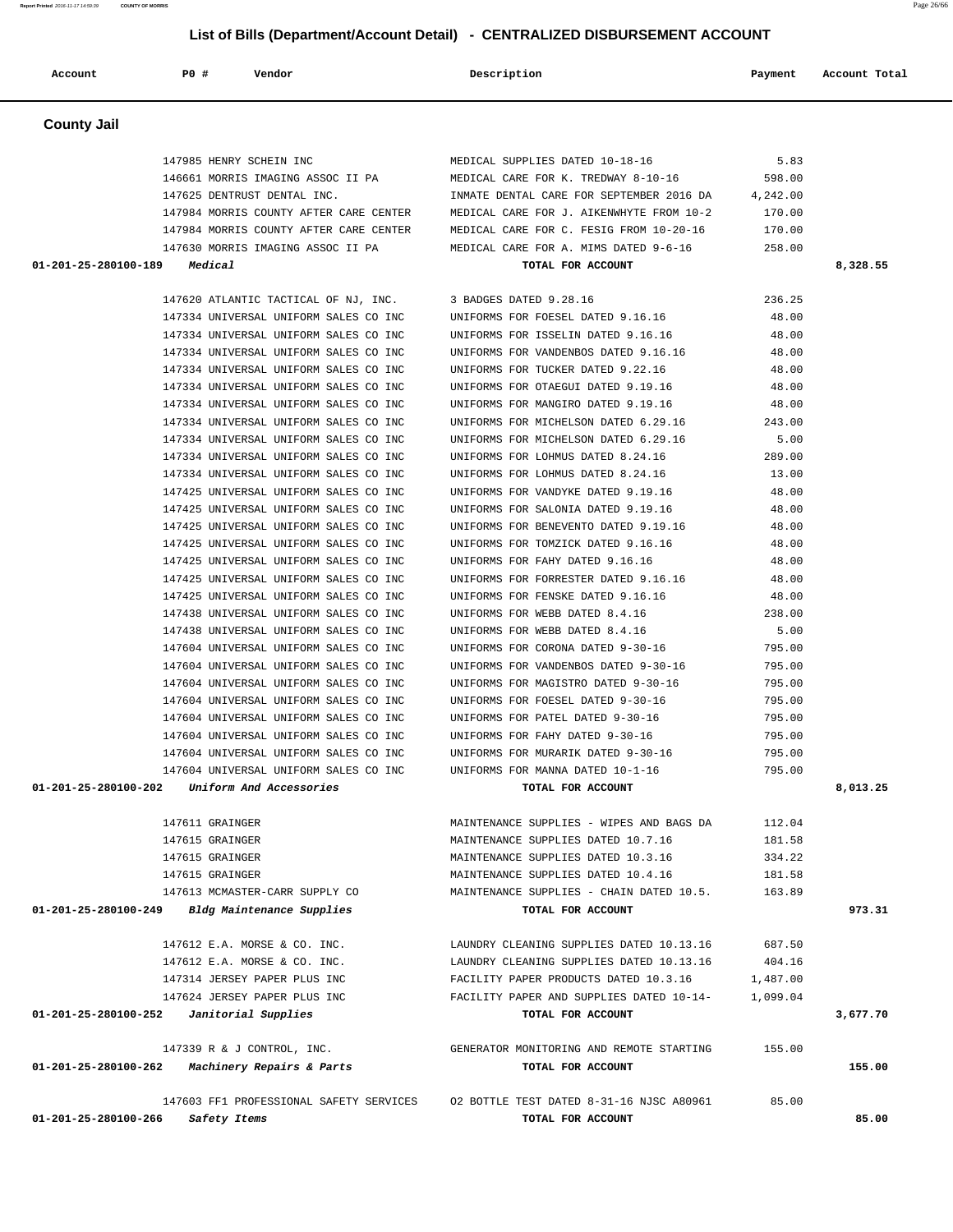| <b>County Jail</b>                                                                       |                                                       |          |          |
|------------------------------------------------------------------------------------------|-------------------------------------------------------|----------|----------|
|                                                                                          |                                                       |          |          |
| 147985 HENRY SCHEIN INC                                                                  | MEDICAL SUPPLIES DATED 10-18-16                       | 5.83     |          |
| 146661 MORRIS IMAGING ASSOC II PA                                                        | MEDICAL CARE FOR K. TREDWAY 8-10-16                   | 598.00   |          |
| 147625 DENTRUST DENTAL INC.                                                              | INMATE DENTAL CARE FOR SEPTEMBER 2016 DA              | 4,242.00 |          |
| 147984 MORRIS COUNTY AFTER CARE CENTER                                                   | MEDICAL CARE FOR J. AIKENWHYTE FROM 10-2              | 170.00   |          |
| 147984 MORRIS COUNTY AFTER CARE CENTER                                                   | MEDICAL CARE FOR C. FESIG FROM 10-20-16               | 170.00   |          |
| 147630 MORRIS IMAGING ASSOC II PA                                                        | MEDICAL CARE FOR A. MIMS DATED 9-6-16                 | 258.00   |          |
| 01-201-25-280100-189<br>Medical                                                          | TOTAL FOR ACCOUNT                                     |          | 8,328.55 |
|                                                                                          |                                                       |          |          |
| 147620 ATLANTIC TACTICAL OF NJ, INC.                                                     | 3 BADGES DATED 9.28.16                                | 236.25   |          |
| 147334 UNIVERSAL UNIFORM SALES CO INC                                                    | UNIFORMS FOR FOESEL DATED 9.16.16                     | 48.00    |          |
| 147334 UNIVERSAL UNIFORM SALES CO INC                                                    | UNIFORMS FOR ISSELIN DATED 9.16.16                    | 48.00    |          |
| 147334 UNIVERSAL UNIFORM SALES CO INC                                                    | UNIFORMS FOR VANDENBOS DATED 9.16.16                  | 48.00    |          |
| 147334 UNIVERSAL UNIFORM SALES CO INC                                                    | UNIFORMS FOR TUCKER DATED 9.22.16                     | 48.00    |          |
| 147334 UNIVERSAL UNIFORM SALES CO INC                                                    | UNIFORMS FOR OTAEGUI DATED 9.19.16                    | 48.00    |          |
| 147334 UNIVERSAL UNIFORM SALES CO INC                                                    | UNIFORMS FOR MANGIRO DATED 9.19.16                    | 48.00    |          |
| 147334 UNIVERSAL UNIFORM SALES CO INC                                                    | UNIFORMS FOR MICHELSON DATED 6.29.16                  | 243.00   |          |
| 147334 UNIVERSAL UNIFORM SALES CO INC                                                    | UNIFORMS FOR MICHELSON DATED 6.29.16                  | 5.00     |          |
| 147334 UNIVERSAL UNIFORM SALES CO INC                                                    | UNIFORMS FOR LOHMUS DATED 8.24.16                     | 289.00   |          |
| 147334 UNIVERSAL UNIFORM SALES CO INC                                                    | UNIFORMS FOR LOHMUS DATED 8.24.16                     | 13.00    |          |
| 147425 UNIVERSAL UNIFORM SALES CO INC                                                    | UNIFORMS FOR VANDYKE DATED 9.19.16                    | 48.00    |          |
| 147425 UNIVERSAL UNIFORM SALES CO INC                                                    | UNIFORMS FOR SALONIA DATED 9.19.16                    | 48.00    |          |
| 147425 UNIVERSAL UNIFORM SALES CO INC                                                    | UNIFORMS FOR BENEVENTO DATED 9.19.16                  | 48.00    |          |
| 147425 UNIVERSAL UNIFORM SALES CO INC                                                    | UNIFORMS FOR TOMZICK DATED 9.16.16                    | 48.00    |          |
| 147425 UNIVERSAL UNIFORM SALES CO INC                                                    | UNIFORMS FOR FAHY DATED 9.16.16                       | 48.00    |          |
| 147425 UNIVERSAL UNIFORM SALES CO INC                                                    | UNIFORMS FOR FORRESTER DATED 9.16.16                  | 48.00    |          |
| 147425 UNIVERSAL UNIFORM SALES CO INC                                                    | UNIFORMS FOR FENSKE DATED 9.16.16                     | 48.00    |          |
| 147438 UNIVERSAL UNIFORM SALES CO INC                                                    | UNIFORMS FOR WEBB DATED 8.4.16                        | 238.00   |          |
| 147438 UNIVERSAL UNIFORM SALES CO INC                                                    | UNIFORMS FOR WEBB DATED 8.4.16                        | 5.00     |          |
| 147604 UNIVERSAL UNIFORM SALES CO INC                                                    | UNIFORMS FOR CORONA DATED 9-30-16                     | 795.00   |          |
| 147604 UNIVERSAL UNIFORM SALES CO INC                                                    | UNIFORMS FOR VANDENBOS DATED 9-30-16                  | 795.00   |          |
| 147604 UNIVERSAL UNIFORM SALES CO INC                                                    | UNIFORMS FOR MAGISTRO DATED 9-30-16                   | 795.00   |          |
| 147604 UNIVERSAL UNIFORM SALES CO INC                                                    | UNIFORMS FOR FOESEL DATED 9-30-16                     | 795.00   |          |
| 147604 UNIVERSAL UNIFORM SALES CO INC                                                    | UNIFORMS FOR PATEL DATED 9-30-16                      | 795.00   |          |
| 147604 UNIVERSAL UNIFORM SALES CO INC                                                    | UNIFORMS FOR FAHY DATED 9-30-16                       | 795.00   |          |
| 147604 UNIVERSAL UNIFORM SALES CO INC                                                    | UNIFORMS FOR MURARIK DATED 9-30-16                    | 795.00   |          |
| 147604 UNIVERSAL UNIFORM SALES CO INC<br>01-201-25-280100-202<br>Uniform And Accessories | UNIFORMS FOR MANNA DATED 10-1-16<br>TOTAL FOR ACCOUNT | 795.00   | 8,013.25 |
|                                                                                          |                                                       |          |          |
| 147611 GRAINGER                                                                          | MAINTENANCE SUPPLIES - WIPES AND BAGS DA              | 112.04   |          |
| 147615 GRAINGER                                                                          | MAINTENANCE SUPPLIES DATED 10.7.16                    | 181.58   |          |
| 147615 GRAINGER                                                                          | MAINTENANCE SUPPLIES DATED 10.3.16                    | 334.22   |          |
| 147615 GRAINGER                                                                          | MAINTENANCE SUPPLIES DATED 10.4.16                    | 181.58   |          |
| 147613 MCMASTER-CARR SUPPLY CO                                                           | MAINTENANCE SUPPLIES - CHAIN DATED 10.5.              | 163.89   |          |
| 01-201-25-280100-249 Bldg Maintenance Supplies                                           | TOTAL FOR ACCOUNT                                     |          | 973.31   |
|                                                                                          |                                                       |          |          |
| 147612 E.A. MORSE & CO. INC.                                                             | LAUNDRY CLEANING SUPPLIES DATED 10.13.16              | 687.50   |          |
| 147612 E.A. MORSE & CO. INC.                                                             | LAUNDRY CLEANING SUPPLIES DATED 10.13.16              | 404.16   |          |
| 147314 JERSEY PAPER PLUS INC                                                             | FACILITY PAPER PRODUCTS DATED 10.3.16                 | 1,487.00 |          |
| 147624 JERSEY PAPER PLUS INC                                                             | FACILITY PAPER AND SUPPLIES DATED 10-14-              | 1,099.04 |          |
| Janitorial Supplies<br>01-201-25-280100-252                                              | TOTAL FOR ACCOUNT                                     |          | 3,677.70 |
|                                                                                          |                                                       |          |          |
| 147339 R & J CONTROL, INC.                                                               | GENERATOR MONITORING AND REMOTE STARTING              | 155.00   |          |
| 01-201-25-280100-262<br><i>Machinery Repairs &amp; Parts</i>                             | TOTAL FOR ACCOUNT                                     |          | 155.00   |
| 147603 FF1 PROFESSIONAL SAFETY SERVICES                                                  | 02 BOTTLE TEST DATED 8-31-16 NJSC A80961              | 85.00    |          |
| 01-201-25-280100-266<br>Safety Items                                                     | TOTAL FOR ACCOUNT                                     |          | 85.00    |
|                                                                                          |                                                       |          |          |

 **Account P0 # Vendor Description Payment Account Total**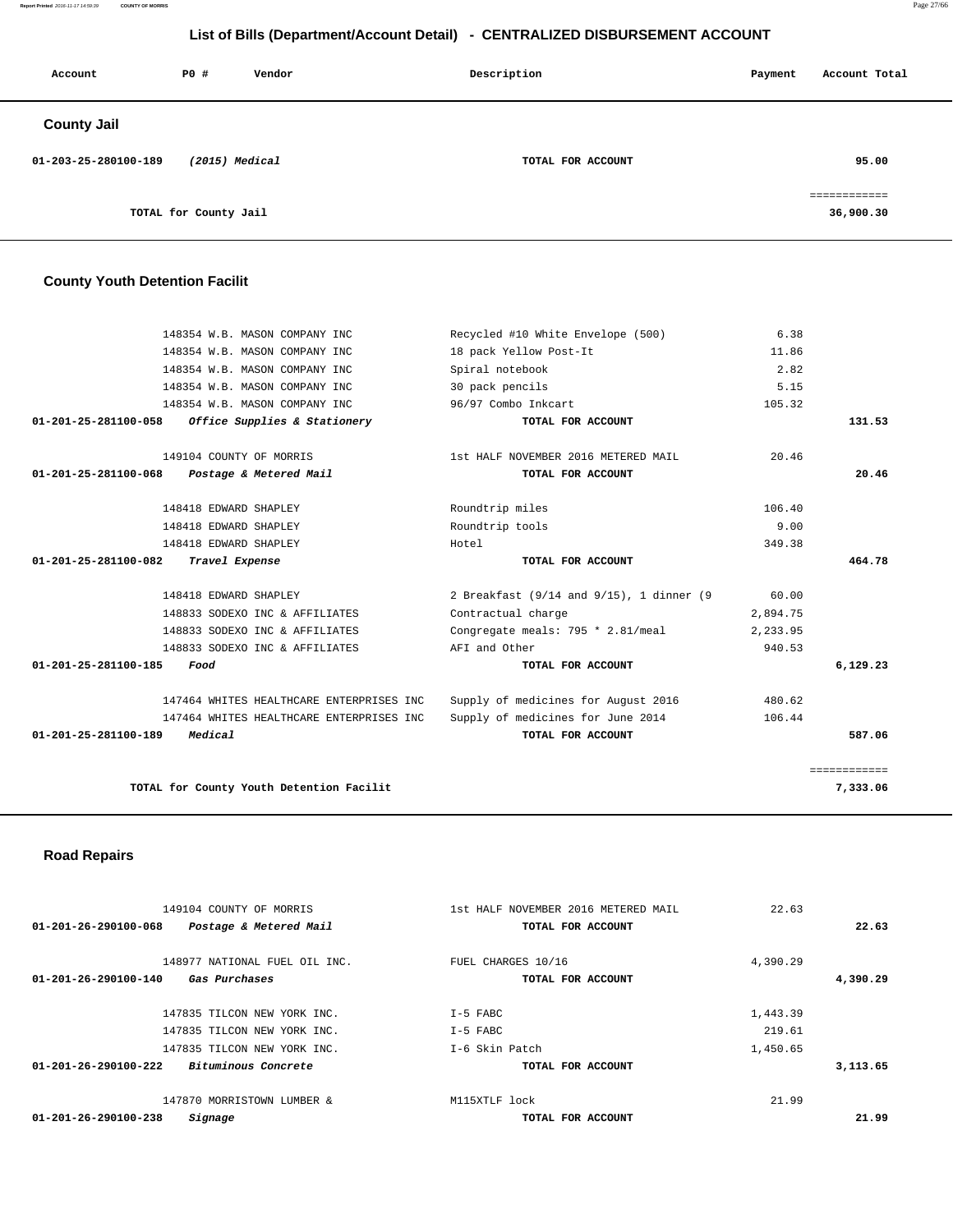**Report Printed** 2016-11-17 14:59:39 **COUNTY OF MORRIS** Page 27/66

# **List of Bills (Department/Account Detail) - CENTRALIZED DISBURSEMENT ACCOUNT**

| Account              | P0 #                  | Vendor | Description |                   | Payment | Account Total             |
|----------------------|-----------------------|--------|-------------|-------------------|---------|---------------------------|
| <b>County Jail</b>   |                       |        |             |                   |         |                           |
| 01-203-25-280100-189 | $(2015)$ Medical      |        |             | TOTAL FOR ACCOUNT |         | 95.00                     |
|                      | TOTAL for County Jail |        |             |                   |         | ============<br>36,900.30 |

# **County Youth Detention Facilit**

| 148354 W.B. MASON COMPANY INC                        | Recycled #10 White Envelope (500)        | 6.38     |              |
|------------------------------------------------------|------------------------------------------|----------|--------------|
| 148354 W.B. MASON COMPANY INC                        | 18 pack Yellow Post-It                   | 11.86    |              |
| 148354 W.B. MASON COMPANY INC                        | Spiral notebook                          | 2.82     |              |
| 148354 W.B. MASON COMPANY INC                        | 30 pack pencils                          | 5.15     |              |
| 148354 W.B. MASON COMPANY INC                        | 96/97 Combo Inkcart                      | 105.32   |              |
| 01-201-25-281100-058<br>Office Supplies & Stationery | TOTAL FOR ACCOUNT                        |          | 131.53       |
| 149104 COUNTY OF MORRIS                              | 1st HALF NOVEMBER 2016 METERED MAIL      | 20.46    |              |
| 01-201-25-281100-068 Postage & Metered Mail          | TOTAL FOR ACCOUNT                        |          | 20.46        |
| 148418 EDWARD SHAPLEY                                | Roundtrip miles                          | 106.40   |              |
| 148418 EDWARD SHAPLEY                                | Roundtrip tools                          | 9.00     |              |
| 148418 EDWARD SHAPLEY                                | Hotel                                    | 349.38   |              |
| 01-201-25-281100-082<br>Travel Expense               | TOTAL FOR ACCOUNT                        |          | 464.78       |
| 148418 EDWARD SHAPLEY                                | 2 Breakfast (9/14 and 9/15), 1 dinner (9 | 60.00    |              |
| 148833 SODEXO INC & AFFILIATES                       | Contractual charge                       | 2,894.75 |              |
| 148833 SODEXO INC & AFFILIATES                       | Congregate meals: 795 * 2.81/meal        | 2,233.95 |              |
| 148833 SODEXO INC & AFFILIATES                       | AFI and Other                            | 940.53   |              |
| 01-201-25-281100-185<br>Food                         | TOTAL FOR ACCOUNT                        |          | 6,129.23     |
| 147464 WHITES HEALTHCARE ENTERPRISES INC             | Supply of medicines for August 2016      | 480.62   |              |
| 147464 WHITES HEALTHCARE ENTERPRISES INC             | Supply of medicines for June 2014        | 106.44   |              |
| 01-201-25-281100-189<br>Medical                      | TOTAL FOR ACCOUNT                        |          | 587.06       |
|                                                      |                                          |          | ============ |
| TOTAL for County Youth Detention Facilit             |                                          |          | 7,333.06     |

 **Road Repairs** 

| 149104 COUNTY OF MORRIS                                      | 1st HALF NOVEMBER 2016 METERED MAIL | 22.63    |          |
|--------------------------------------------------------------|-------------------------------------|----------|----------|
| $01 - 201 - 26 - 290100 - 068$<br>Postage & Metered Mail     | TOTAL FOR ACCOUNT                   |          | 22.63    |
| 148977 NATIONAL FUEL OIL INC.                                | FUEL CHARGES 10/16                  | 4,390.29 |          |
| 01-201-26-290100-140<br>Gas Purchases                        | TOTAL FOR ACCOUNT                   |          | 4,390.29 |
| 147835 TILCON NEW YORK INC.                                  | $I-5$ FABC                          | 1,443.39 |          |
| 147835 TILCON NEW YORK INC.                                  | $I-5$ FABC                          | 219.61   |          |
| 147835 TILCON NEW YORK INC.                                  | I-6 Skin Patch                      | 1,450.65 |          |
| <i>Bituminous Concrete</i><br>$01 - 201 - 26 - 290100 - 222$ | TOTAL FOR ACCOUNT                   |          | 3,113.65 |
| 147870 MORRISTOWN LUMBER &                                   | M115XTLF lock                       | 21.99    |          |
| $01 - 201 - 26 - 290100 - 238$<br>Signage                    | TOTAL FOR ACCOUNT                   |          | 21.99    |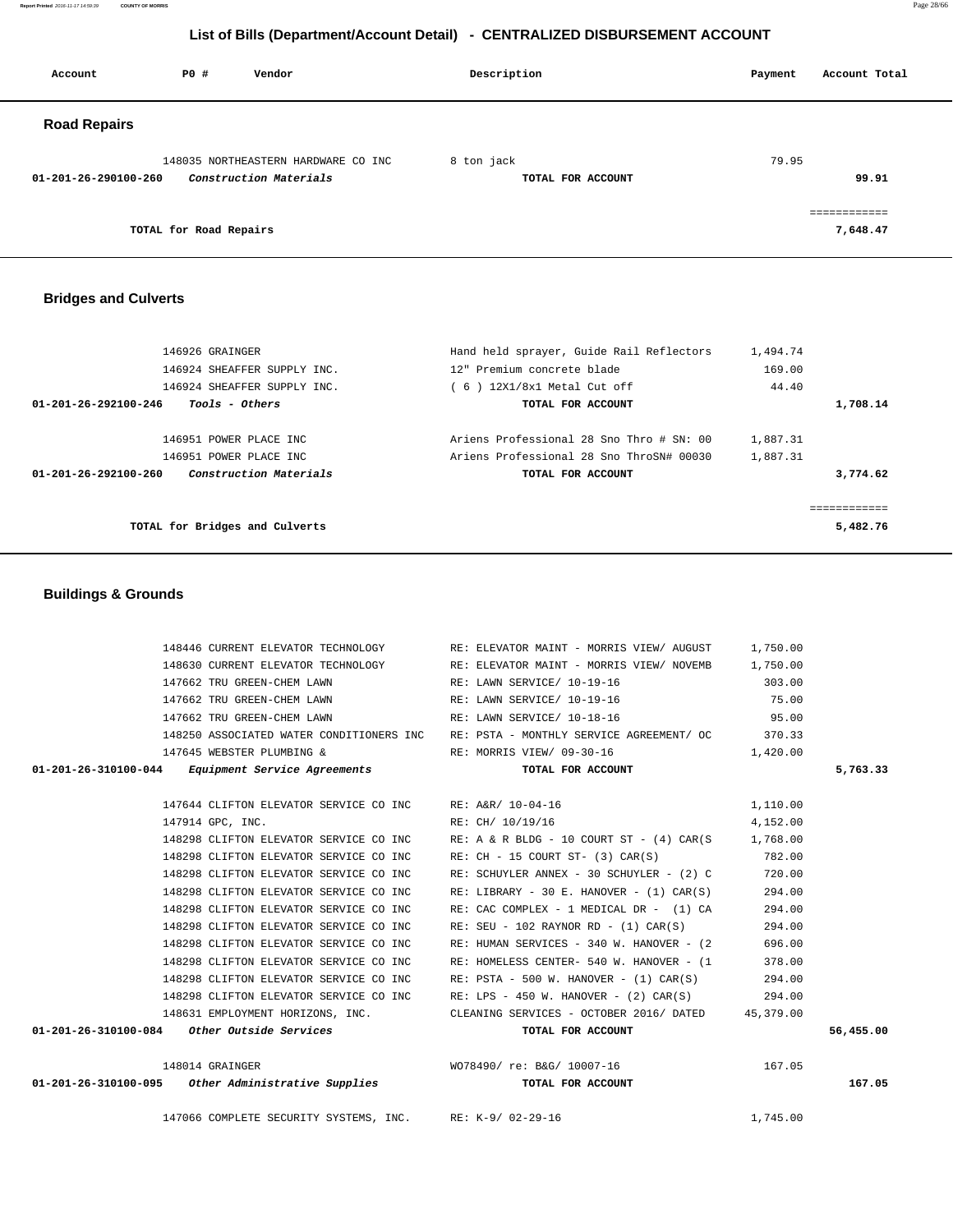| 147662 TRU GREEN-CHEM LAWN                               | RE: LAWN SERVICE/ 10-19-16                                                               | 303.00    |           |
|----------------------------------------------------------|------------------------------------------------------------------------------------------|-----------|-----------|
|                                                          | 147662 TRU GREEN-CHEM LAWN <b>RE: LAWN SERVICE</b> / 10-19-16                            | 75.00     |           |
|                                                          | 147662 TRU GREEN-CHEM LAWN <b>EXAMPLE RE: LAWN SERVICE</b> / 10-18-16                    | 95.00     |           |
|                                                          | 148250 ASSOCIATED WATER CONDITIONERS INC RE: PSTA - MONTHLY SERVICE AGREEMENT/ OC 370.33 |           |           |
|                                                          | 147645 WEBSTER PLUMBING & RE: MORRIS VIEW/ 09-30-16                                      | 1,420.00  |           |
| $01-201-26-310100-044$ Equipment Service Agreements      | TOTAL FOR ACCOUNT                                                                        |           | 5,763.33  |
|                                                          |                                                                                          |           |           |
|                                                          | 147644 CLIFTON ELEVATOR SERVICE CO INC RE: A&R/ 10-04-16                                 | 1,110.00  |           |
| 147914 GPC, INC.                                         | RE: CH/ 10/19/16                                                                         | 4,152.00  |           |
|                                                          | 148298 CLIFTON ELEVATOR SERVICE CO INC RE: A & R BLDG - 10 COURT ST - (4) CAR(S 1,768.00 |           |           |
|                                                          | 148298 CLIFTON ELEVATOR SERVICE CO INC RE: CH - 15 COURT ST- (3) CAR(S) 782.00           |           |           |
| 148298 CLIFTON ELEVATOR SERVICE CO INC                   | RE: SCHUYLER ANNEX - 30 SCHUYLER - (2) C                                                 | 720.00    |           |
| 148298 CLIFTON ELEVATOR SERVICE CO INC                   | $RE: LIBRARY - 30 E. HANOVER - (1) CAR(S)$                                               | 294.00    |           |
| 148298 CLIFTON ELEVATOR SERVICE CO INC                   | RE: CAC COMPLEX - 1 MEDICAL DR - (1) CA                                                  | 294.00    |           |
| 148298 CLIFTON ELEVATOR SERVICE CO INC                   | $RE: SEU - 102 RAYNOR RD - (1) CAR(S)$                                                   | 294.00    |           |
| 148298 CLIFTON ELEVATOR SERVICE CO INC                   | RE: HUMAN SERVICES - 340 W. HANOVER - (2                                                 | 696.00    |           |
| 148298 CLIFTON ELEVATOR SERVICE CO INC                   | RE: HOMELESS CENTER- 540 W. HANOVER - (1                                                 | 378.00    |           |
| 148298 CLIFTON ELEVATOR SERVICE CO INC                   | $RE: PSTA - 500 W. HAN OVER - (1) CAR(S)$ 294.00                                         |           |           |
|                                                          | 148298 CLIFTON ELEVATOR SERVICE CO INC RE: LPS - 450 W. HANOVER - (2) CAR(S) 294.00      |           |           |
|                                                          | 148631 EMPLOYMENT HORIZONS, INC. CLEANING SERVICES - OCTOBER 2016/DATED                  | 45,379.00 |           |
| 01-201-26-310100-084 Other Outside Services              | TOTAL FOR ACCOUNT                                                                        |           | 56,455.00 |
| 148014 GRAINGER                                          | WO78490/ re: B&G/ 10007-16 167.05                                                        |           |           |
| 01-201-26-310100-095 Other Administrative Supplies       | TOTAL FOR ACCOUNT                                                                        |           | 167.05    |
|                                                          |                                                                                          |           |           |
| 147066 COMPLETE SECURITY SYSTEMS, INC. RE: K-9/ 02-29-16 |                                                                                          | 1,745.00  |           |

### **Buildings & Grounds**

| 146926 GRAINGER<br>146924 SHEAFFER SUPPLY INC.           | Hand held sprayer, Guide Rail Reflectors<br>12" Premium concrete blade | 1,494.74<br>169.00 |          |
|----------------------------------------------------------|------------------------------------------------------------------------|--------------------|----------|
| 146924 SHEAFFER SUPPLY INC.                              | $(6)$ 12X1/8x1 Metal Cut off                                           | 44.40              |          |
| $01 - 201 - 26 - 292100 - 246$<br><i>Tools - Others</i>  | TOTAL FOR ACCOUNT                                                      |                    | 1,708.14 |
| 146951 POWER PLACE INC                                   | Ariens Professional 28 Sno Thro # SN: 00                               | 1,887.31           |          |
| 146951 POWER PLACE INC                                   | Ariens Professional 28 Sno ThroSN# 00030                               | 1,887.31           |          |
| Construction Materials<br>$01 - 201 - 26 - 292100 - 260$ | TOTAL FOR ACCOUNT                                                      |                    | 3,774.62 |
|                                                          |                                                                        |                    |          |
|                                                          |                                                                        |                    |          |
| TOTAL for Bridges and Culverts                           |                                                                        |                    | 5,482.76 |

 148446 CURRENT ELEVATOR TECHNOLOGY RE: ELEVATOR MAINT - MORRIS VIEW/ AUGUST 1,750.00 148630 CURRENT ELEVATOR TECHNOLOGY RE: ELEVATOR MAINT - MORRIS VIEW/ NOVEMB 1,750.00

### **Bridges and Culverts**

| <b>Road Repairs</b>                                                                   |                                 |                |
|---------------------------------------------------------------------------------------|---------------------------------|----------------|
| 148035 NORTHEASTERN HARDWARE CO INC<br>Construction Materials<br>01-201-26-290100-260 | 8 ton jack<br>TOTAL FOR ACCOUNT | 79.95<br>99.91 |
| TOTAL for Road Repairs                                                                |                                 | 7,648.47       |

 **Account P0 # Vendor Description Payment Account Total**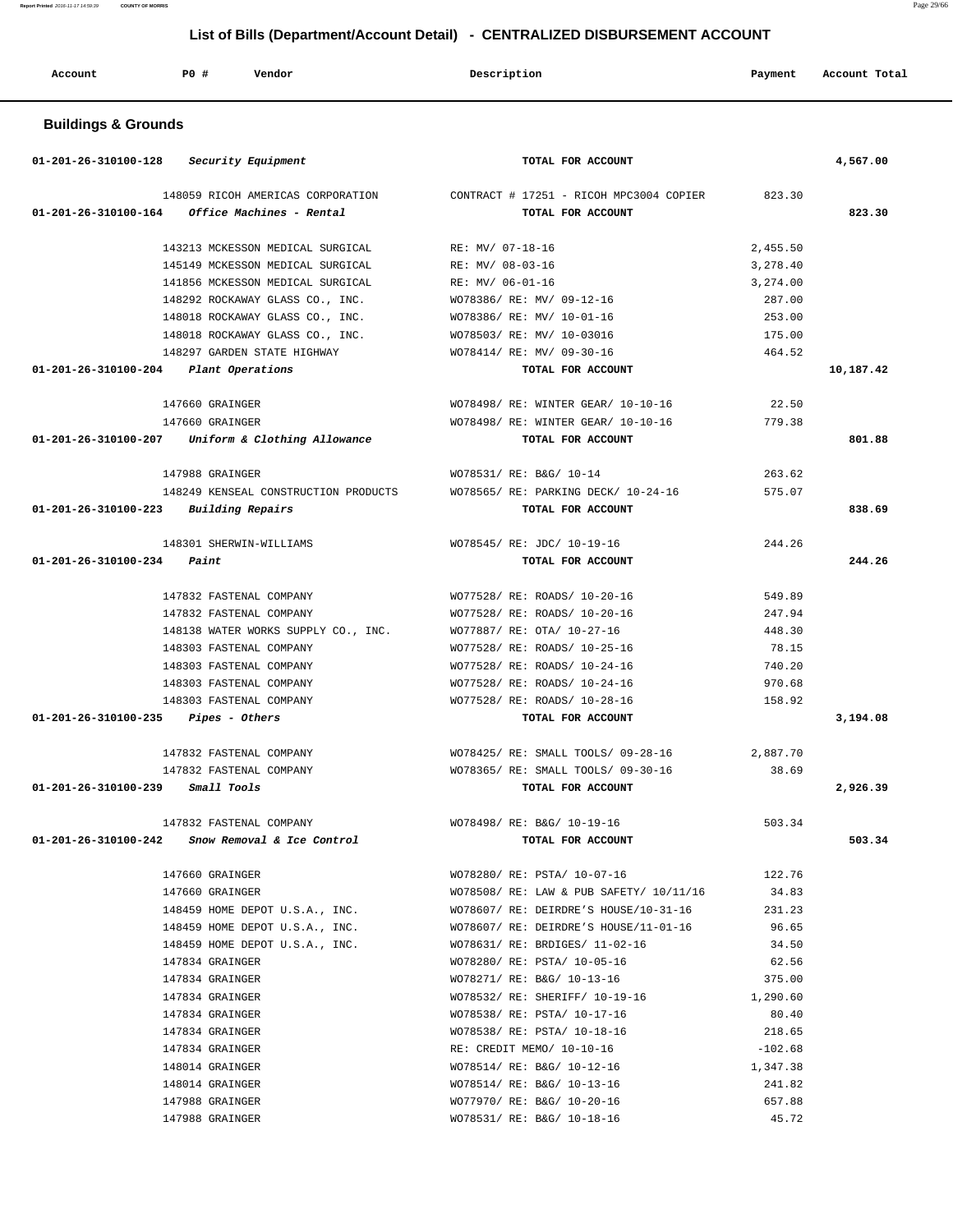| Report Printed 2016-11-17 14:59:39 COUNTY OF MORRIS | Page 29/66 |
|-----------------------------------------------------|------------|
|                                                     |            |
|                                                     |            |

| Account                                    | <b>PO #</b><br>Vendor                                                        | Description                                            | Payment          | Account Total |
|--------------------------------------------|------------------------------------------------------------------------------|--------------------------------------------------------|------------------|---------------|
|                                            |                                                                              |                                                        |                  |               |
| <b>Buildings &amp; Grounds</b>             |                                                                              |                                                        |                  |               |
| 01-201-26-310100-128                       | Security Equipment                                                           | TOTAL FOR ACCOUNT                                      |                  | 4,567.00      |
|                                            | 148059 RICOH AMERICAS CORPORATION                                            | CONTRACT # 17251 - RICOH MPC3004 COPIER                | 823.30           |               |
| 01-201-26-310100-164                       | Office Machines - Rental                                                     | TOTAL FOR ACCOUNT                                      |                  | 823.30        |
|                                            |                                                                              |                                                        |                  |               |
|                                            | 143213 MCKESSON MEDICAL SURGICAL                                             | RE: MV/ 07-18-16                                       | 2,455.50         |               |
|                                            | 145149 MCKESSON MEDICAL SURGICAL                                             | RE: MV/ 08-03-16                                       | 3,278.40         |               |
|                                            | 141856 MCKESSON MEDICAL SURGICAL                                             | RE: MV/ 06-01-16                                       | 3,274.00         |               |
|                                            | 148292 ROCKAWAY GLASS CO., INC.                                              | WO78386/ RE: MV/ 09-12-16<br>WO78386/ RE: MV/ 10-01-16 | 287.00<br>253.00 |               |
|                                            | 148018 ROCKAWAY GLASS CO., INC.<br>148018 ROCKAWAY GLASS CO., INC.           | WO78503/ RE: MV/ 10-03016                              | 175.00           |               |
|                                            | 148297 GARDEN STATE HIGHWAY                                                  | WO78414/ RE: MV/ 09-30-16                              | 464.52           |               |
| 01-201-26-310100-204                       | <i>Plant Operations</i>                                                      | TOTAL FOR ACCOUNT                                      |                  | 10,187.42     |
|                                            |                                                                              |                                                        |                  |               |
|                                            | 147660 GRAINGER                                                              | WO78498/ RE: WINTER GEAR/ 10-10-16                     | 22.50            |               |
|                                            | 147660 GRAINGER                                                              | WO78498/ RE: WINTER GEAR/ 10-10-16                     | 779.38           |               |
| 01-201-26-310100-207                       | Uniform & Clothing Allowance                                                 | TOTAL FOR ACCOUNT                                      |                  | 801.88        |
|                                            |                                                                              |                                                        |                  |               |
|                                            | 147988 GRAINGER                                                              | WO78531/ RE: B&G/ 10-14                                | 263.62           |               |
| $01 - 201 - 26 - 310100 - 223$             | 148249 KENSEAL CONSTRUCTION PRODUCTS                                         | WO78565/ RE: PARKING DECK/ 10-24-16                    | 575.07           | 838.69        |
|                                            | Building Repairs                                                             | TOTAL FOR ACCOUNT                                      |                  |               |
|                                            | 148301 SHERWIN-WILLIAMS                                                      | WO78545/ RE: JDC/ 10-19-16                             | 244.26           |               |
| 01-201-26-310100-234                       | Paint                                                                        | TOTAL FOR ACCOUNT                                      |                  | 244.26        |
|                                            |                                                                              |                                                        |                  |               |
|                                            | 147832 FASTENAL COMPANY                                                      | WO77528/ RE: ROADS/ 10-20-16                           | 549.89           |               |
|                                            | 147832 FASTENAL COMPANY                                                      | WO77528/ RE: ROADS/ 10-20-16                           | 247.94           |               |
|                                            | 148138 WATER WORKS SUPPLY CO., INC.                                          | WO77887/ RE: OTA/ 10-27-16                             | 448.30           |               |
|                                            | 148303 FASTENAL COMPANY                                                      | WO77528/ RE: ROADS/ 10-25-16                           | 78.15            |               |
|                                            | 148303 FASTENAL COMPANY                                                      | WO77528/ RE: ROADS/ 10-24-16                           | 740.20           |               |
|                                            | 148303 FASTENAL COMPANY                                                      | WO77528/ RE: ROADS/ 10-24-16                           | 970.68           |               |
| 01-201-26-310100-235                       | 148303 FASTENAL COMPANY                                                      | WO77528/ RE: ROADS/ 10-28-16                           | 158.92           |               |
|                                            | Pipes - Others                                                               | TOTAL FOR ACCOUNT                                      |                  | 3,194.08      |
|                                            | 147832 FASTENAL COMPANY                                                      | WO78425/ RE: SMALL TOOLS/ 09-28-16                     | 2,887.70         |               |
|                                            | 147832 FASTENAL COMPANY                                                      | WO78365/ RE: SMALL TOOLS/ 09-30-16                     | 38.69            |               |
| $01 - 201 - 26 - 310100 - 239$ Small Tools |                                                                              | TOTAL FOR ACCOUNT                                      |                  | 2,926.39      |
|                                            |                                                                              |                                                        |                  |               |
|                                            | 147832 FASTENAL COMPANY<br>$01-201-26-310100-242$ Snow Removal & Ice Control | WO78498/ RE: B&G/ 10-19-16<br>TOTAL FOR ACCOUNT        | 503.34           | 503.34        |
|                                            |                                                                              |                                                        |                  |               |
|                                            | 147660 GRAINGER                                                              | WO78280/ RE: PSTA/ 10-07-16                            | 122.76           |               |
|                                            | 147660 GRAINGER                                                              | WO78508/ RE: LAW & PUB SAFETY/ 10/11/16                | 34.83            |               |
|                                            | 148459 HOME DEPOT U.S.A., INC.                                               | WO78607/ RE: DEIRDRE'S HOUSE/10-31-16                  | 231.23           |               |
|                                            | 148459 HOME DEPOT U.S.A., INC.                                               | WO78607/ RE: DEIRDRE'S HOUSE/11-01-16                  | 96.65            |               |
|                                            | 148459 HOME DEPOT U.S.A., INC.                                               | WO78631/ RE: BRDIGES/ 11-02-16                         | 34.50            |               |
|                                            | 147834 GRAINGER                                                              | WO78280/ RE: PSTA/ 10-05-16                            | 62.56            |               |
|                                            | 147834 GRAINGER                                                              | WO78271/ RE: B&G/ 10-13-16                             | 375.00           |               |
|                                            | 147834 GRAINGER                                                              | WO78532/ RE: SHERIFF/ 10-19-16                         | 1,290.60         |               |
|                                            | 147834 GRAINGER                                                              | WO78538/ RE: PSTA/ 10-17-16                            | 80.40            |               |
|                                            | 147834 GRAINGER                                                              | WO78538/ RE: PSTA/ 10-18-16                            | 218.65           |               |
|                                            | 147834 GRAINGER                                                              | RE: CREDIT MEMO/ 10-10-16                              | $-102.68$        |               |
|                                            | 148014 GRAINGER                                                              | WO78514/ RE: B&G/ 10-12-16                             | 1,347.38         |               |
|                                            | 148014 GRAINGER                                                              | WO78514/ RE: B&G/ 10-13-16                             | 241.82           |               |
|                                            | 147988 GRAINGER                                                              | WO77970/ RE: B&G/ 10-20-16                             | 657.88           |               |
|                                            | 147988 GRAINGER                                                              | WO78531/ RE: B&G/ 10-18-16                             | 45.72            |               |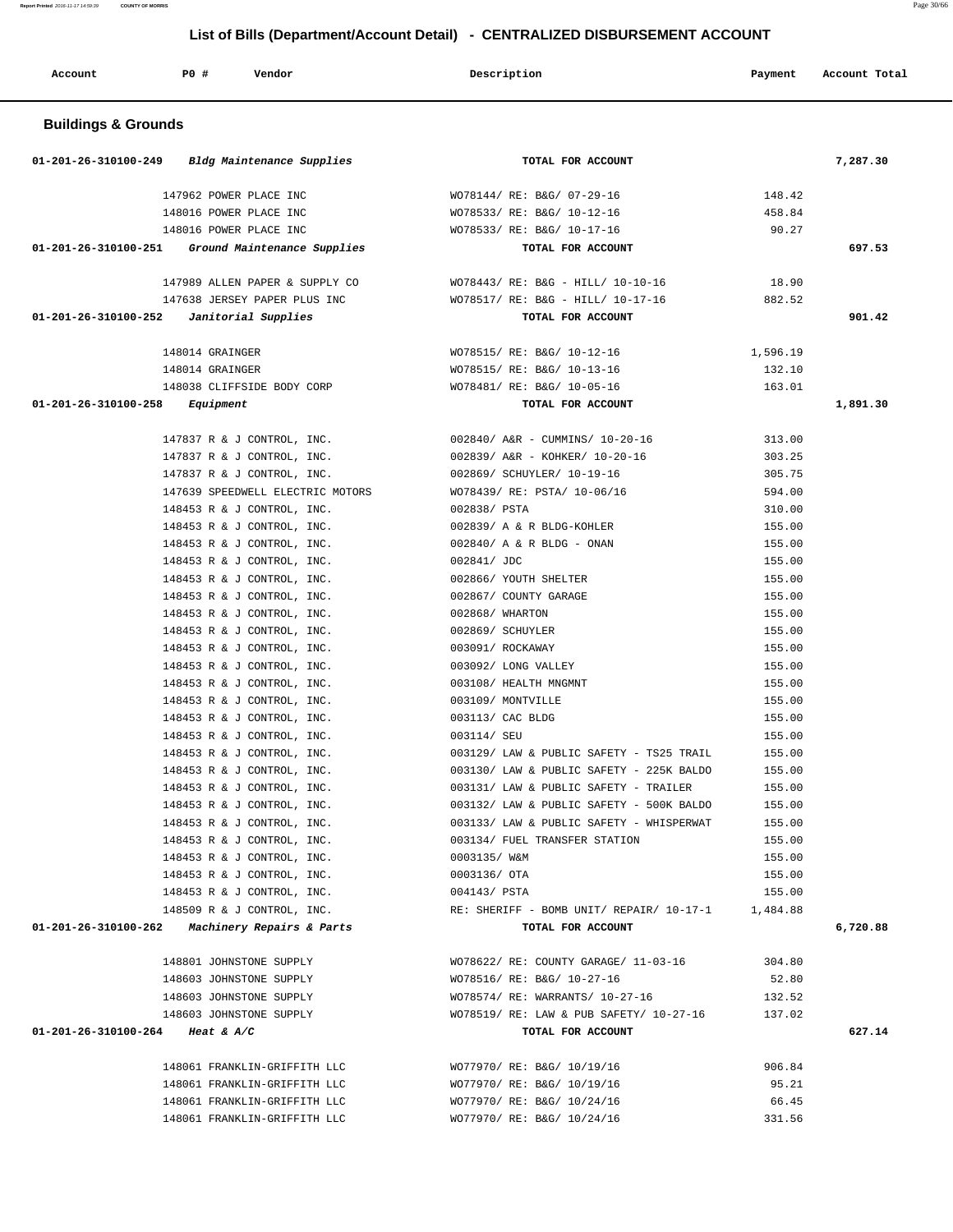| Account                         | P0 #<br>Vendor                                           | Description                                              | Payment            | Account Total |
|---------------------------------|----------------------------------------------------------|----------------------------------------------------------|--------------------|---------------|
| <b>Buildings &amp; Grounds</b>  |                                                          |                                                          |                    |               |
|                                 | 01-201-26-310100-249 Bldg Maintenance Supplies           | TOTAL FOR ACCOUNT                                        |                    | 7,287.30      |
|                                 | 147962 POWER PLACE INC                                   | WO78144/ RE: B&G/ 07-29-16                               | 148.42             |               |
|                                 | 148016 POWER PLACE INC                                   | WO78533/ RE: B&G/ 10-12-16                               | 458.84             |               |
|                                 | 148016 POWER PLACE INC                                   | WO78533/ RE: B&G/ 10-17-16                               | 90.27              |               |
| 01-201-26-310100-251            | Ground Maintenance Supplies                              | TOTAL FOR ACCOUNT                                        |                    | 697.53        |
|                                 | 147989 ALLEN PAPER & SUPPLY CO                           | WO78443/ RE: B&G - HILL/ 10-10-16                        | 18.90              |               |
|                                 | 147638 JERSEY PAPER PLUS INC                             | WO78517/ RE: B&G - HILL/ 10-17-16                        | 882.52             |               |
| 01-201-26-310100-252            | Janitorial Supplies                                      | TOTAL FOR ACCOUNT                                        |                    | 901.42        |
|                                 | 148014 GRAINGER                                          |                                                          |                    |               |
|                                 | 148014 GRAINGER                                          | WO78515/ RE: B&G/ 10-12-16<br>WO78515/ RE: B&G/ 10-13-16 | 1,596.19<br>132.10 |               |
|                                 | 148038 CLIFFSIDE BODY CORP                               | WO78481/ RE: B&G/ 10-05-16                               | 163.01             |               |
| 01-201-26-310100-258            | Equipment                                                | TOTAL FOR ACCOUNT                                        |                    | 1,891.30      |
|                                 |                                                          |                                                          |                    |               |
|                                 | 147837 R & J CONTROL, INC.                               | 002840/ A&R - CUMMINS/ 10-20-16                          | 313.00             |               |
|                                 | 147837 R & J CONTROL, INC.                               | 002839/ A&R - KOHKER/ 10-20-16                           | 303.25             |               |
|                                 | 147837 R & J CONTROL, INC.                               | 002869/ SCHUYLER/ 10-19-16                               | 305.75             |               |
|                                 | 147639 SPEEDWELL ELECTRIC MOTORS                         | WO78439/ RE: PSTA/ 10-06/16                              | 594.00             |               |
|                                 | 148453 R & J CONTROL, INC.                               | 002838/ PSTA                                             | 310.00             |               |
|                                 | 148453 R & J CONTROL, INC.                               | 002839/ A & R BLDG-KOHLER                                | 155.00             |               |
|                                 | 148453 R & J CONTROL, INC.                               | 002840/ A & R BLDG - ONAN                                | 155.00             |               |
|                                 | 148453 R & J CONTROL, INC.                               | 002841/ JDC                                              | 155.00             |               |
|                                 | 148453 R & J CONTROL, INC.                               | 002866/ YOUTH SHELTER                                    | 155.00             |               |
|                                 | 148453 R & J CONTROL, INC.                               | 002867/ COUNTY GARAGE                                    | 155.00             |               |
|                                 | 148453 R & J CONTROL, INC.                               | 002868/ WHARTON                                          | 155.00             |               |
|                                 | 148453 R & J CONTROL, INC.                               | 002869/ SCHUYLER                                         | 155.00             |               |
|                                 | 148453 R & J CONTROL, INC.                               | 003091/ ROCKAWAY                                         | 155.00             |               |
|                                 | 148453 R & J CONTROL, INC.                               | 003092/ LONG VALLEY                                      | 155.00             |               |
|                                 | 148453 R & J CONTROL, INC.                               | 003108/ HEALTH MNGMNT                                    | 155.00             |               |
|                                 | 148453 R & J CONTROL, INC.                               | 003109/ MONTVILLE                                        | 155.00             |               |
|                                 | 148453 R & J CONTROL, INC.                               | 003113/ CAC BLDG                                         | 155.00             |               |
|                                 | 148453 R & J CONTROL, INC.                               | 003114/ SEU                                              | 155.00             |               |
|                                 | 148453 R & J CONTROL, INC.                               | 003129/ LAW & PUBLIC SAFETY - TS25 TRAIL                 | 155.00             |               |
|                                 | 148453 R & J CONTROL, INC.                               | 003130/ LAW & PUBLIC SAFETY - 225K BALDO                 | 155.00             |               |
|                                 | 148453 R & J CONTROL, INC.                               | 003131/ LAW & PUBLIC SAFETY - TRAILER                    | 155.00             |               |
|                                 | 148453 R & J CONTROL, INC.                               | 003132/ LAW & PUBLIC SAFETY - 500K BALDO                 | 155.00             |               |
|                                 | 148453 R & J CONTROL, INC.                               | 003133/ LAW & PUBLIC SAFETY - WHISPERWAT                 | 155.00             |               |
|                                 | 148453 R & J CONTROL, INC.                               | 003134/ FUEL TRANSFER STATION                            | 155.00             |               |
|                                 | 148453 R & J CONTROL, INC.                               | 0003135/ W&M                                             | 155.00             |               |
|                                 | 148453 R & J CONTROL, INC.                               | 0003136/ OTA                                             | 155.00             |               |
|                                 | 148453 R & J CONTROL, INC.<br>148509 R & J CONTROL, INC. | 004143/ PSTA                                             | 155.00             |               |
|                                 | $01-201-26-310100-262$ Machinery Repairs & Parts         | RE: SHERIFF - BOMB UNIT/ REPAIR/ $10-17-1$ 1,484.88      |                    |               |
|                                 |                                                          | TOTAL FOR ACCOUNT                                        |                    | 6,720.88      |
|                                 | 148801 JOHNSTONE SUPPLY                                  | WO78622/ RE: COUNTY GARAGE/ 11-03-16                     | 304.80             |               |
|                                 | 148603 JOHNSTONE SUPPLY                                  | WO78516/ RE: B&G/ 10-27-16                               | 52.80              |               |
|                                 | 148603 JOHNSTONE SUPPLY                                  | WO78574/ RE: WARRANTS/ 10-27-16                          | 132.52             |               |
|                                 | 148603 JOHNSTONE SUPPLY                                  | WO78519/ RE: LAW & PUB SAFETY/ 10-27-16                  | 137.02             |               |
| 01-201-26-310100-264 Heat & A/C |                                                          | TOTAL FOR ACCOUNT                                        |                    | 627.14        |
|                                 | 148061 FRANKLIN-GRIFFITH LLC                             | WO77970/ RE: B&G/ 10/19/16                               | 906.84             |               |
|                                 | 148061 FRANKLIN-GRIFFITH LLC                             | WO77970/ RE: B&G/ 10/19/16                               | 95.21              |               |
|                                 | 148061 FRANKLIN-GRIFFITH LLC                             | WO77970/ RE: B&G/ 10/24/16                               | 66.45              |               |
|                                 | 148061 FRANKLIN-GRIFFITH LLC                             | WO77970/ RE: B&G/ 10/24/16                               | 331.56             |               |

**Report Printed** 2016-11-17 14:59:39 **COUNTY OF MORRIS** Page 30/66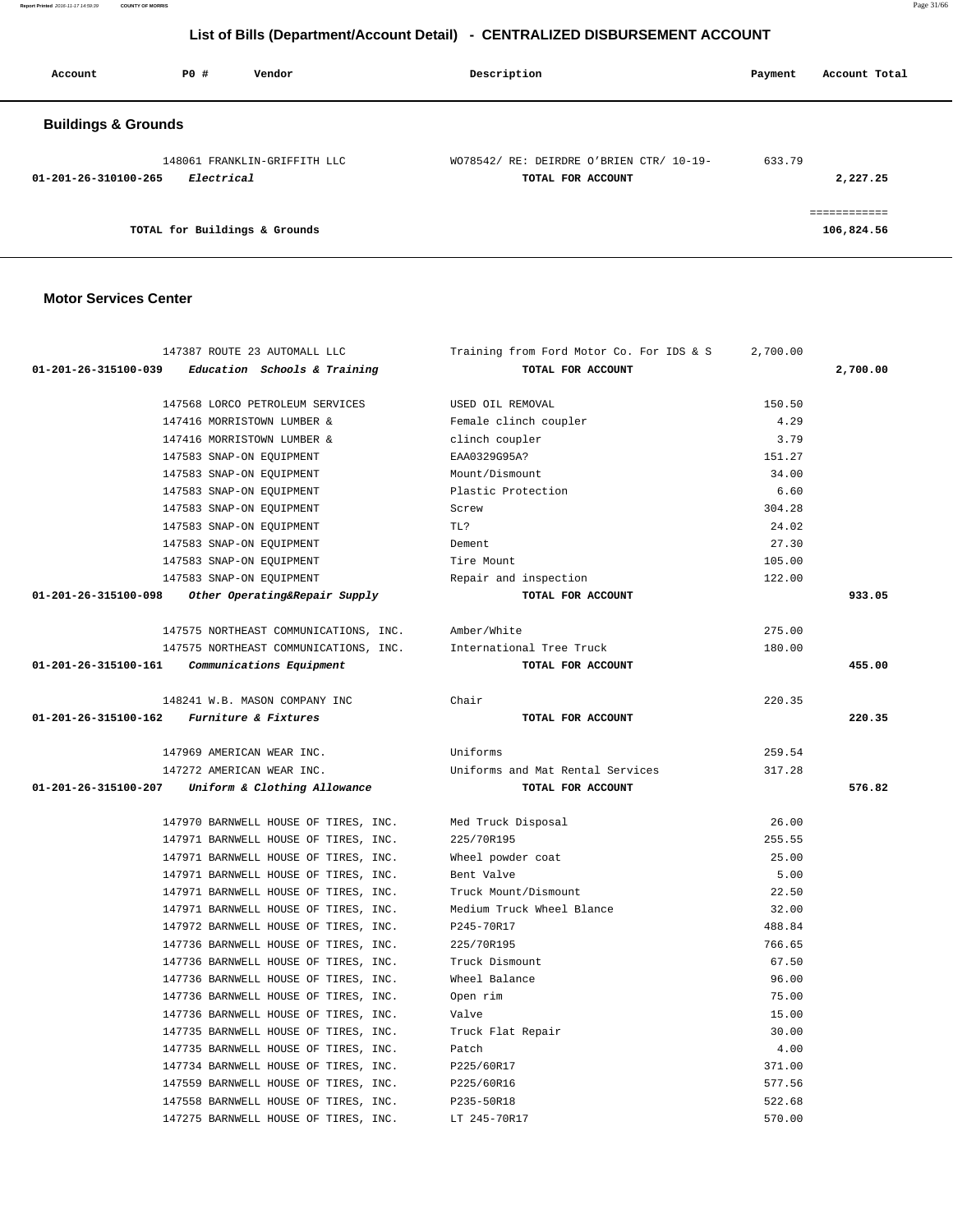**Report Printed** 2016-11-17 14:59:39 **COUNTY OF MORRIS** Page 31/66

# **List of Bills (Department/Account Detail) - CENTRALIZED DISBURSEMENT ACCOUNT**

| Account                        | PO#                           | Vendor                       | Description                                                   | Account Total<br>Payment   |  |
|--------------------------------|-------------------------------|------------------------------|---------------------------------------------------------------|----------------------------|--|
| <b>Buildings &amp; Grounds</b> |                               |                              |                                                               |                            |  |
| 01-201-26-310100-265           | Electrical                    | 148061 FRANKLIN-GRIFFITH LLC | WO78542/ RE: DEIRDRE O'BRIEN CTR/ 10-19-<br>TOTAL FOR ACCOUNT | 633.79<br>2,227.25         |  |
|                                | TOTAL for Buildings & Grounds |                              |                                                               | ============<br>106,824.56 |  |

### **Motor Services Center**

| 147387 ROUTE 23 AUTOMALL LLC                          | Training from Ford Motor Co. For IDS & S | 2,700.00 |          |
|-------------------------------------------------------|------------------------------------------|----------|----------|
| 01-201-26-315100-039<br>Education Schools & Training  | TOTAL FOR ACCOUNT                        |          | 2,700.00 |
| 147568 LORCO PETROLEUM SERVICES                       | USED OIL REMOVAL                         | 150.50   |          |
| 147416 MORRISTOWN LUMBER &                            | Female clinch coupler                    | 4.29     |          |
| 147416 MORRISTOWN LUMBER &                            | clinch coupler                           | 3.79     |          |
| 147583 SNAP-ON EQUIPMENT                              | EAA0329G95A?                             | 151.27   |          |
| 147583 SNAP-ON EQUIPMENT                              | Mount/Dismount                           | 34.00    |          |
| 147583 SNAP-ON EQUIPMENT                              | Plastic Protection                       | 6.60     |          |
| 147583 SNAP-ON EQUIPMENT                              | Screw                                    | 304.28   |          |
| 147583 SNAP-ON EQUIPMENT                              | TL?                                      | 24.02    |          |
| 147583 SNAP-ON EQUIPMENT                              | Dement.                                  | 27.30    |          |
| 147583 SNAP-ON EQUIPMENT                              | Tire Mount                               | 105.00   |          |
| 147583 SNAP-ON EQUIPMENT                              | Repair and inspection                    | 122.00   |          |
| 01-201-26-315100-098<br>Other Operating&Repair Supply | TOTAL FOR ACCOUNT                        |          | 933.05   |
|                                                       |                                          |          |          |
| 147575 NORTHEAST COMMUNICATIONS, INC.                 | Amber/White                              | 275.00   |          |
| 147575 NORTHEAST COMMUNICATIONS, INC.                 | International Tree Truck                 | 180.00   |          |
| 01-201-26-315100-161<br>Communications Equipment      | TOTAL FOR ACCOUNT                        |          | 455.00   |
|                                                       |                                          |          |          |
| 148241 W.B. MASON COMPANY INC                         | Chair                                    | 220.35   |          |
| 01-201-26-315100-162<br>Furniture & Fixtures          | TOTAL FOR ACCOUNT                        |          | 220.35   |
|                                                       |                                          |          |          |
| 147969 AMERICAN WEAR INC.                             | Uniforms                                 | 259.54   |          |
| 147272 AMERICAN WEAR INC.                             | Uniforms and Mat Rental Services         | 317.28   |          |
| 01-201-26-315100-207<br>Uniform & Clothing Allowance  | TOTAL FOR ACCOUNT                        |          | 576.82   |
|                                                       |                                          |          |          |
| 147970 BARNWELL HOUSE OF TIRES, INC.                  | Med Truck Disposal                       | 26.00    |          |
| 147971 BARNWELL HOUSE OF TIRES, INC.                  | 225/70R195                               | 255.55   |          |
| 147971 BARNWELL HOUSE OF TIRES, INC.                  | Wheel powder coat                        | 25.00    |          |
| 147971 BARNWELL HOUSE OF TIRES, INC.                  | Bent Valve                               | 5.00     |          |
| 147971 BARNWELL HOUSE OF TIRES, INC.                  | Truck Mount/Dismount                     | 22.50    |          |
| 147971 BARNWELL HOUSE OF TIRES, INC.                  | Medium Truck Wheel Blance                | 32.00    |          |
| 147972 BARNWELL HOUSE OF TIRES, INC.                  | P245-70R17                               | 488.84   |          |
| 147736 BARNWELL HOUSE OF TIRES, INC.                  | 225/70R195                               | 766.65   |          |
| 147736 BARNWELL HOUSE OF TIRES, INC.                  | Truck Dismount                           | 67.50    |          |
| 147736 BARNWELL HOUSE OF TIRES, INC.                  | Wheel Balance                            | 96.00    |          |
| 147736 BARNWELL HOUSE OF TIRES, INC.                  | Open rim                                 | 75.00    |          |
| 147736 BARNWELL HOUSE OF TIRES, INC.                  | Valve                                    | 15.00    |          |
| 147735 BARNWELL HOUSE OF TIRES, INC.                  | Truck Flat Repair                        | 30.00    |          |
| 147735 BARNWELL HOUSE OF TIRES, INC.                  | Patch                                    | 4.00     |          |
| 147734 BARNWELL HOUSE OF TIRES, INC.                  | P225/60R17                               | 371.00   |          |
| 147559 BARNWELL HOUSE OF TIRES, INC.                  | P225/60R16                               | 577.56   |          |
| 147558 BARNWELL HOUSE OF TIRES, INC.                  | P235-50R18                               | 522.68   |          |
| 147275 BARNWELL HOUSE OF TIRES, INC.                  | LT 245-70R17                             | 570.00   |          |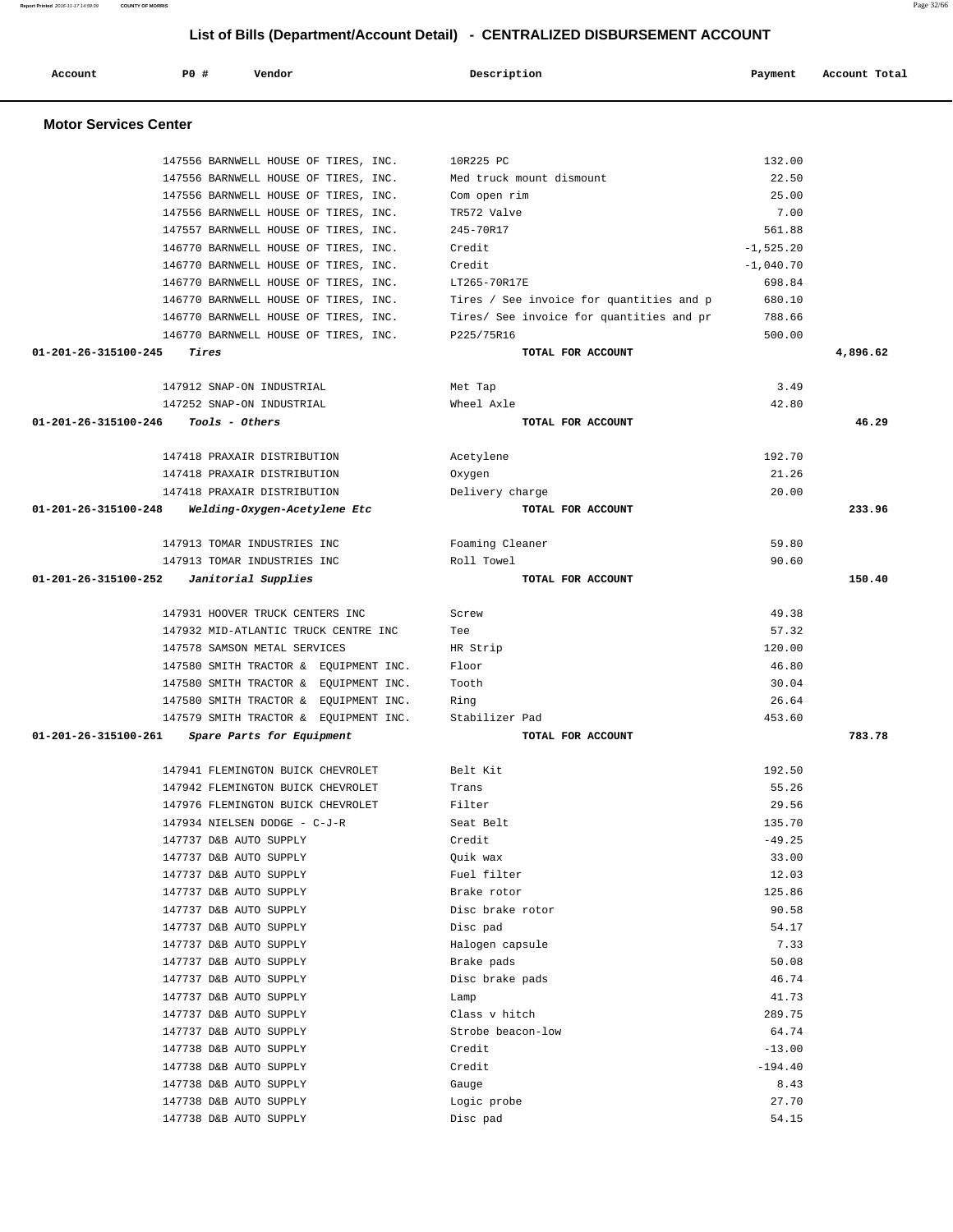| <b>Motor Services Center</b>  |                                       |                                          |             |          |
|-------------------------------|---------------------------------------|------------------------------------------|-------------|----------|
|                               |                                       |                                          |             |          |
|                               | 147556 BARNWELL HOUSE OF TIRES, INC.  | 10R225 PC                                | 132.00      |          |
|                               | 147556 BARNWELL HOUSE OF TIRES, INC.  | Med truck mount dismount                 | 22.50       |          |
|                               | 147556 BARNWELL HOUSE OF TIRES, INC.  | Com open rim                             | 25.00       |          |
|                               | 147556 BARNWELL HOUSE OF TIRES, INC.  | TR572 Valve                              | 7.00        |          |
|                               | 147557 BARNWELL HOUSE OF TIRES, INC.  | 245-70R17                                | 561.88      |          |
|                               | 146770 BARNWELL HOUSE OF TIRES, INC.  | Credit                                   | $-1,525.20$ |          |
|                               | 146770 BARNWELL HOUSE OF TIRES, INC.  | Credit                                   | $-1,040.70$ |          |
|                               | 146770 BARNWELL HOUSE OF TIRES, INC.  | LT265-70R17E                             | 698.84      |          |
|                               | 146770 BARNWELL HOUSE OF TIRES, INC.  | Tires / See invoice for quantities and p | 680.10      |          |
|                               | 146770 BARNWELL HOUSE OF TIRES, INC.  | Tires/ See invoice for quantities and pr | 788.66      |          |
|                               | 146770 BARNWELL HOUSE OF TIRES, INC.  | P225/75R16                               | 500.00      |          |
| 01-201-26-315100-245<br>Tires |                                       | TOTAL FOR ACCOUNT                        |             | 4,896.62 |
|                               | 147912 SNAP-ON INDUSTRIAL             | Met Tap                                  | 3.49        |          |
|                               | 147252 SNAP-ON INDUSTRIAL             | Wheel Axle                               | 42.80       |          |
| 01-201-26-315100-246          | Tools - Others                        | TOTAL FOR ACCOUNT                        |             | 46.29    |
|                               |                                       |                                          |             |          |
|                               | 147418 PRAXAIR DISTRIBUTION           | Acetylene                                | 192.70      |          |
|                               | 147418 PRAXAIR DISTRIBUTION           | Oxygen                                   | 21.26       |          |
|                               | 147418 PRAXAIR DISTRIBUTION           | Delivery charge                          | 20.00       |          |
| 01-201-26-315100-248          | Welding-Oxygen-Acetylene Etc          | TOTAL FOR ACCOUNT                        |             | 233.96   |
|                               | 147913 TOMAR INDUSTRIES INC           | Foaming Cleaner                          | 59.80       |          |
|                               | 147913 TOMAR INDUSTRIES INC           | Roll Towel                               | 90.60       |          |
| 01-201-26-315100-252          | Janitorial Supplies                   | TOTAL FOR ACCOUNT                        |             | 150.40   |
|                               |                                       |                                          |             |          |
|                               | 147931 HOOVER TRUCK CENTERS INC       | Screw                                    | 49.38       |          |
|                               | 147932 MID-ATLANTIC TRUCK CENTRE INC  | Tee                                      | 57.32       |          |
|                               | 147578 SAMSON METAL SERVICES          | HR Strip                                 | 120.00      |          |
|                               | 147580 SMITH TRACTOR & EQUIPMENT INC. | Floor                                    | 46.80       |          |
|                               | 147580 SMITH TRACTOR & EQUIPMENT INC. | Tooth                                    | 30.04       |          |
|                               | 147580 SMITH TRACTOR & EQUIPMENT INC. | Ring                                     | 26.64       |          |
|                               | 147579 SMITH TRACTOR & EQUIPMENT INC. | Stabilizer Pad                           | 453.60      |          |
| 01-201-26-315100-261          | Spare Parts for Equipment             | TOTAL FOR ACCOUNT                        |             | 783.78   |
|                               | 147941 FLEMINGTON BUICK CHEVROLET     | Belt Kit                                 | 192.50      |          |
|                               | 147942 FLEMINGTON BUICK CHEVROLET     | Trans                                    | 55.26       |          |
|                               | 147976 FLEMINGTON BUICK CHEVROLET     | Filter                                   | 29.56       |          |
|                               | 147934 NIELSEN DODGE - C-J-R          | Seat Belt                                | 135.70      |          |
|                               | 147737 D&B AUTO SUPPLY                | Credit                                   | $-49.25$    |          |
|                               | 147737 D&B AUTO SUPPLY                | Quik wax                                 | 33.00       |          |
|                               | 147737 D&B AUTO SUPPLY                | Fuel filter                              | 12.03       |          |
|                               | 147737 D&B AUTO SUPPLY                | Brake rotor                              | 125.86      |          |
|                               | 147737 D&B AUTO SUPPLY                | Disc brake rotor                         | 90.58       |          |
|                               | 147737 D&B AUTO SUPPLY                | Disc pad                                 | 54.17       |          |
|                               | 147737 D&B AUTO SUPPLY                | Halogen capsule                          | 7.33        |          |
|                               | 147737 D&B AUTO SUPPLY                | Brake pads                               | 50.08       |          |
|                               | 147737 D&B AUTO SUPPLY                | Disc brake pads                          | 46.74       |          |
|                               | 147737 D&B AUTO SUPPLY                | Lamp                                     | 41.73       |          |
|                               | 147737 D&B AUTO SUPPLY                | Class v hitch                            | 289.75      |          |
|                               | 147737 D&B AUTO SUPPLY                | Strobe beacon-low                        | 64.74       |          |
|                               | 147738 D&B AUTO SUPPLY                | Credit                                   | $-13.00$    |          |
|                               | 147738 D&B AUTO SUPPLY                | Credit                                   | $-194.40$   |          |
|                               | 147738 D&B AUTO SUPPLY                | Gauge                                    | 8.43        |          |
|                               | 147738 D&B AUTO SUPPLY                | Logic probe                              | 27.70       |          |
|                               | 147738 D&B AUTO SUPPLY                | Disc pad                                 | 54.15       |          |

Account **PO #** Vendor **Description Description Payment** Account Total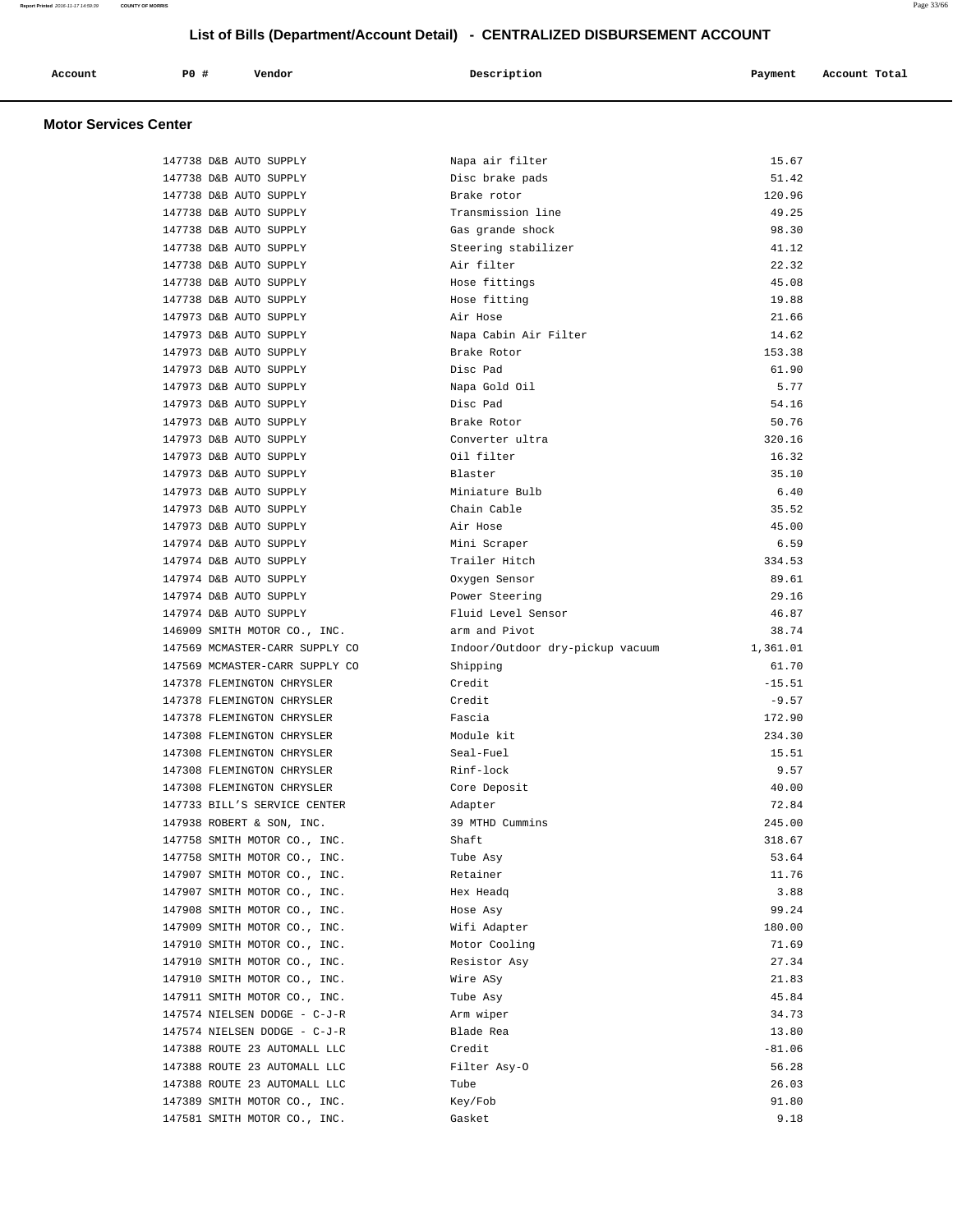| Account | <b>PO#</b> | Vendor<br>. | Description | Payment | Account Total |
|---------|------------|-------------|-------------|---------|---------------|
|         |            |             |             |         |               |

### **Motor Services Center**

| 147738 D&B AUTO SUPPLY         | Napa air filter                  | 15.67    |
|--------------------------------|----------------------------------|----------|
| 147738 D&B AUTO SUPPLY         | Disc brake pads                  | 51.42    |
| 147738 D&B AUTO SUPPLY         | Brake rotor                      | 120.96   |
| 147738 D&B AUTO SUPPLY         | Transmission line                | 49.25    |
| 147738 D&B AUTO SUPPLY         | Gas grande shock                 | 98.30    |
| 147738 D&B AUTO SUPPLY         | Steering stabilizer              | 41.12    |
| 147738 D&B AUTO SUPPLY         | Air filter                       | 22.32    |
| 147738 D&B AUTO SUPPLY         | Hose fittings                    | 45.08    |
| 147738 D&B AUTO SUPPLY         | Hose fitting                     | 19.88    |
| 147973 D&B AUTO SUPPLY         | Air Hose                         | 21.66    |
| 147973 D&B AUTO SUPPLY         | Napa Cabin Air Filter            | 14.62    |
| 147973 D&B AUTO SUPPLY         | Brake Rotor                      | 153.38   |
| 147973 D&B AUTO SUPPLY         | Disc Pad                         | 61.90    |
| 147973 D&B AUTO SUPPLY         | Napa Gold Oil                    | 5.77     |
| 147973 D&B AUTO SUPPLY         | Disc Pad                         | 54.16    |
| 147973 D&B AUTO SUPPLY         | Brake Rotor                      | 50.76    |
| 147973 D&B AUTO SUPPLY         | Converter ultra                  | 320.16   |
| 147973 D&B AUTO SUPPLY         | Oil filter                       | 16.32    |
| 147973 D&B AUTO SUPPLY         | Blaster                          | 35.10    |
| 147973 D&B AUTO SUPPLY         | Miniature Bulb                   | 6.40     |
| 147973 D&B AUTO SUPPLY         | Chain Cable                      | 35.52    |
| 147973 D&B AUTO SUPPLY         | Air Hose                         | 45.00    |
| 147974 D&B AUTO SUPPLY         | Mini Scraper                     | 6.59     |
| 147974 D&B AUTO SUPPLY         | Trailer Hitch                    | 334.53   |
| 147974 D&B AUTO SUPPLY         | Oxygen Sensor                    | 89.61    |
| 147974 D&B AUTO SUPPLY         | Power Steering                   | 29.16    |
| 147974 D&B AUTO SUPPLY         | Fluid Level Sensor               | 46.87    |
| 146909 SMITH MOTOR CO., INC.   | arm and Pivot                    | 38.74    |
| 147569 MCMASTER-CARR SUPPLY CO | Indoor/Outdoor dry-pickup vacuum | 1,361.01 |
| 147569 MCMASTER-CARR SUPPLY CO | Shipping                         | 61.70    |
| 147378 FLEMINGTON CHRYSLER     | Credit                           | $-15.51$ |
| 147378 FLEMINGTON CHRYSLER     | Credit                           | $-9.57$  |
|                                |                                  | 172.90   |
| 147378 FLEMINGTON CHRYSLER     | Fascia                           |          |
| 147308 FLEMINGTON CHRYSLER     | Module kit                       | 234.30   |
| 147308 FLEMINGTON CHRYSLER     | Seal-Fuel                        | 15.51    |
| 147308 FLEMINGTON CHRYSLER     | Rinf-lock                        | 9.57     |
| 147308 FLEMINGTON CHRYSLER     | Core Deposit                     | 40.00    |
| 147733 BILL'S SERVICE CENTER   | Adapter                          | 72.84    |
| 147938 ROBERT & SON, INC.      | 39 MTHD Cummins                  | 245.00   |
| 147758 SMITH MOTOR CO., INC.   | Shaft                            | 318.67   |
| 147758 SMITH MOTOR CO., INC.   | Tube Asy                         | 53.64    |
| 147907 SMITH MOTOR CO., INC.   | Retainer                         | 11.76    |
| 147907 SMITH MOTOR CO., INC.   | Hex Headq                        | 3.88     |
| 147908 SMITH MOTOR CO., INC.   | Hose Asy                         | 99.24    |
| 147909 SMITH MOTOR CO., INC.   | Wifi Adapter                     | 180.00   |
| 147910 SMITH MOTOR CO., INC.   | Motor Cooling                    | 71.69    |
| 147910 SMITH MOTOR CO., INC.   | Resistor Asy                     | 27.34    |
| 147910 SMITH MOTOR CO., INC.   | Wire ASy                         | 21.83    |
| 147911 SMITH MOTOR CO., INC.   | Tube Asy                         | 45.84    |
| 147574 NIELSEN DODGE - C-J-R   | Arm wiper                        | 34.73    |
| 147574 NIELSEN DODGE - C-J-R   | Blade Rea                        | 13.80    |
| 147388 ROUTE 23 AUTOMALL LLC   | Credit                           | $-81.06$ |
| 147388 ROUTE 23 AUTOMALL LLC   | Filter Asy-O                     | 56.28    |
| 147388 ROUTE 23 AUTOMALL LLC   | Tube                             | 26.03    |
| 147389 SMITH MOTOR CO., INC.   | Key/Fob                          | 91.80    |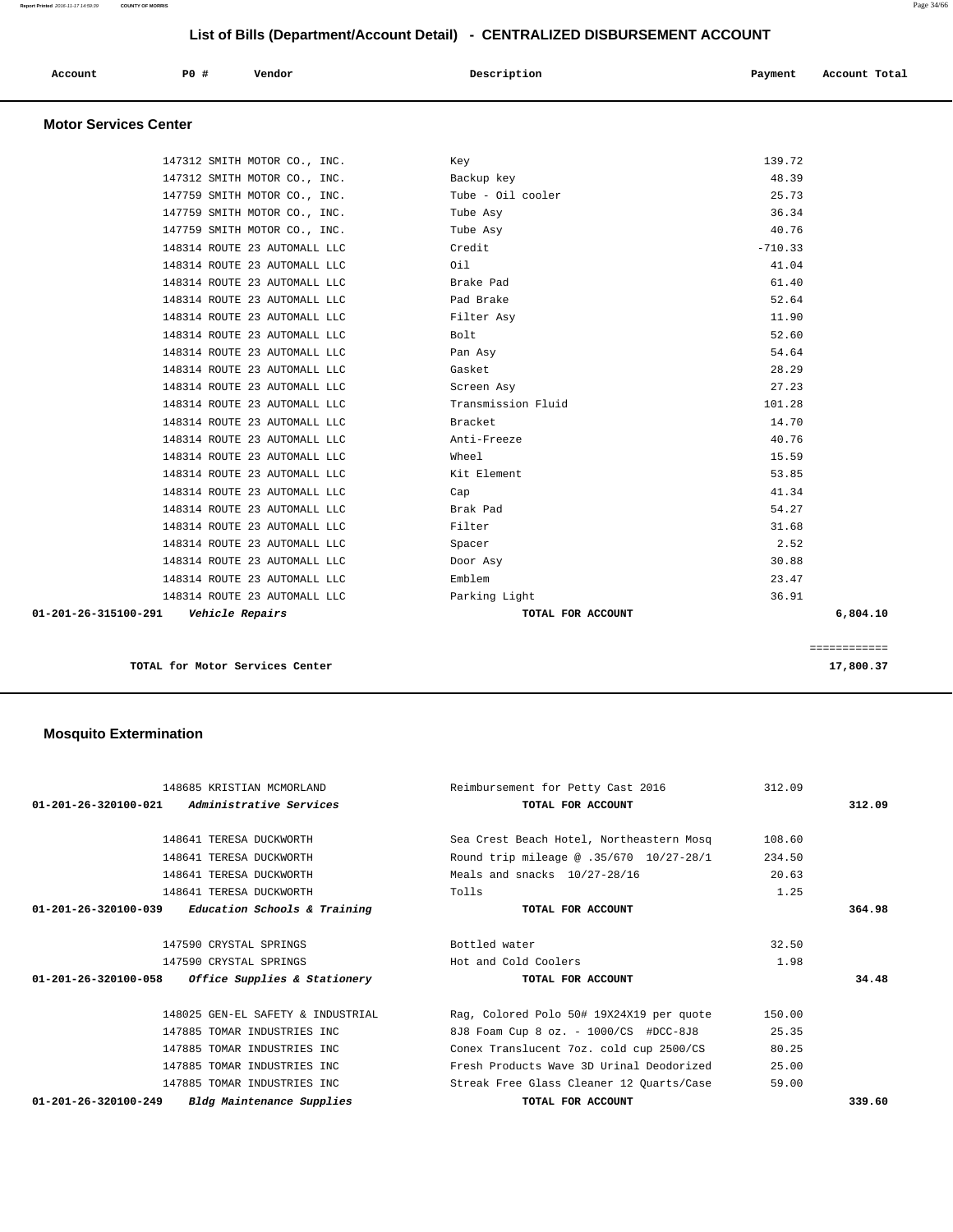| Account                      | PO#<br>Vendor                | Description | Account Total<br>Payment |
|------------------------------|------------------------------|-------------|--------------------------|
| <b>Motor Services Center</b> |                              |             |                          |
|                              | 147312 SMITH MOTOR CO., INC. | Key         | 139.72                   |
|                              | 147312 SMITH MOTOR CO., INC. | Backup kev  | 48.39                    |

| TOTAL for Motor Services Center         |                    | 17,800.37    |
|-----------------------------------------|--------------------|--------------|
|                                         |                    | ============ |
| 01-201-26-315100-291<br>Vehicle Repairs | TOTAL FOR ACCOUNT  | 6,804.10     |
| 148314 ROUTE 23 AUTOMALL LLC            | Parking Light      | 36.91        |
| 148314 ROUTE 23 AUTOMALL LLC            | Emblem             | 23.47        |
| 148314 ROUTE 23 AUTOMALL LLC            | Door Asy           | 30.88        |
| 148314 ROUTE 23 AUTOMALL LLC            | Spacer             | 2.52         |
| 148314 ROUTE 23 AUTOMALL LLC            | Filter             | 31.68        |
| 148314 ROUTE 23 AUTOMALL LLC            | Brak Pad           | 54.27        |
| 148314 ROUTE 23 AUTOMALL LLC            | Cap                | 41.34        |
| 148314 ROUTE 23 AUTOMALL LLC            | Kit Element        | 53.85        |
| 148314 ROUTE 23 AUTOMALL LLC            | Wheel              | 15.59        |
| 148314 ROUTE 23 AUTOMALL LLC            | Anti-Freeze        | 40.76        |
| 148314 ROUTE 23 AUTOMALL LLC            | Bracket            | 14.70        |
| 148314 ROUTE 23 AUTOMALL LLC            | Transmission Fluid | 101.28       |
| 148314 ROUTE 23 AUTOMALL LLC            | Screen Asy         | 27.23        |
| 148314 ROUTE 23 AUTOMALL LLC            | Gasket             | 28.29        |
| 148314 ROUTE 23 AUTOMALL LLC            | Pan Asy            | 54.64        |
| 148314 ROUTE 23 AUTOMALL LLC            | Bolt               | 52.60        |
| 148314 ROUTE 23 AUTOMALL LLC            | Filter Asy         | 11.90        |
| 148314 ROUTE 23 AUTOMALL LLC            | Pad Brake          | 52.64        |
| 148314 ROUTE 23 AUTOMALL LLC            | Brake Pad          | 61.40        |
| 148314 ROUTE 23 AUTOMALL LLC            | Oil                | 41.04        |
| 148314 ROUTE 23 AUTOMALL LLC            | Credit             | $-710.33$    |
| 147759 SMITH MOTOR CO., INC.            | Tube Asy           | 40.76        |
| 147759 SMITH MOTOR CO., INC.            | Tube Asy           | 36.34        |
| 147759 SMITH MOTOR CO., INC.            | Tube - Oil cooler  | 25.73        |
| 147312 SMITH MOTOR CO., INC.            | Backup key         | 48.39        |

# **Mosquito Extermination**

|                                                     | 148685 KRISTIAN MCMORLAND         | Reimbursement for Petty Cast 2016        | 312.09 |        |
|-----------------------------------------------------|-----------------------------------|------------------------------------------|--------|--------|
| 01-201-26-320100-021                                | <i>Administrative Services</i>    | TOTAL FOR ACCOUNT                        |        | 312.09 |
|                                                     |                                   |                                          |        |        |
|                                                     | 148641 TERESA DUCKWORTH           | Sea Crest Beach Hotel, Northeastern Mosq | 108.60 |        |
|                                                     | 148641 TERESA DUCKWORTH           | Round trip mileage @ .35/670 10/27-28/1  | 234.50 |        |
|                                                     | 148641 TERESA DUCKWORTH           | Meals and snacks 10/27-28/16             | 20.63  |        |
|                                                     | 148641 TERESA DUCKWORTH           | Tolls                                    | 1.25   |        |
| $01-201-26-320100-039$ Education Schools & Training |                                   | TOTAL FOR ACCOUNT                        |        | 364.98 |
|                                                     |                                   |                                          |        |        |
|                                                     | 147590 CRYSTAL SPRINGS            | Bottled water                            | 32.50  |        |
|                                                     | 147590 CRYSTAL SPRINGS            | Hot and Cold Coolers                     | 1.98   |        |
| 01-201-26-320100-058 Office Supplies & Stationery   |                                   | TOTAL FOR ACCOUNT                        |        | 34.48  |
|                                                     |                                   |                                          |        |        |
|                                                     | 148025 GEN-EL SAFETY & INDUSTRIAL | Rag, Colored Polo 50# 19X24X19 per quote | 150.00 |        |
|                                                     | 147885 TOMAR INDUSTRIES INC       | 8J8 Foam Cup 8 oz. - 1000/CS #DCC-8J8    | 25.35  |        |
|                                                     | 147885 TOMAR INDUSTRIES INC       | Conex Translucent 7oz. cold cup 2500/CS  | 80.25  |        |
|                                                     | 147885 TOMAR INDUSTRIES INC       | Fresh Products Wave 3D Urinal Deodorized | 25.00  |        |
|                                                     | 147885 TOMAR INDUSTRIES INC       | Streak Free Glass Cleaner 12 Ouarts/Case | 59.00  |        |
| 01-201-26-320100-249                                | Bldg Maintenance Supplies         | TOTAL FOR ACCOUNT                        |        | 339.60 |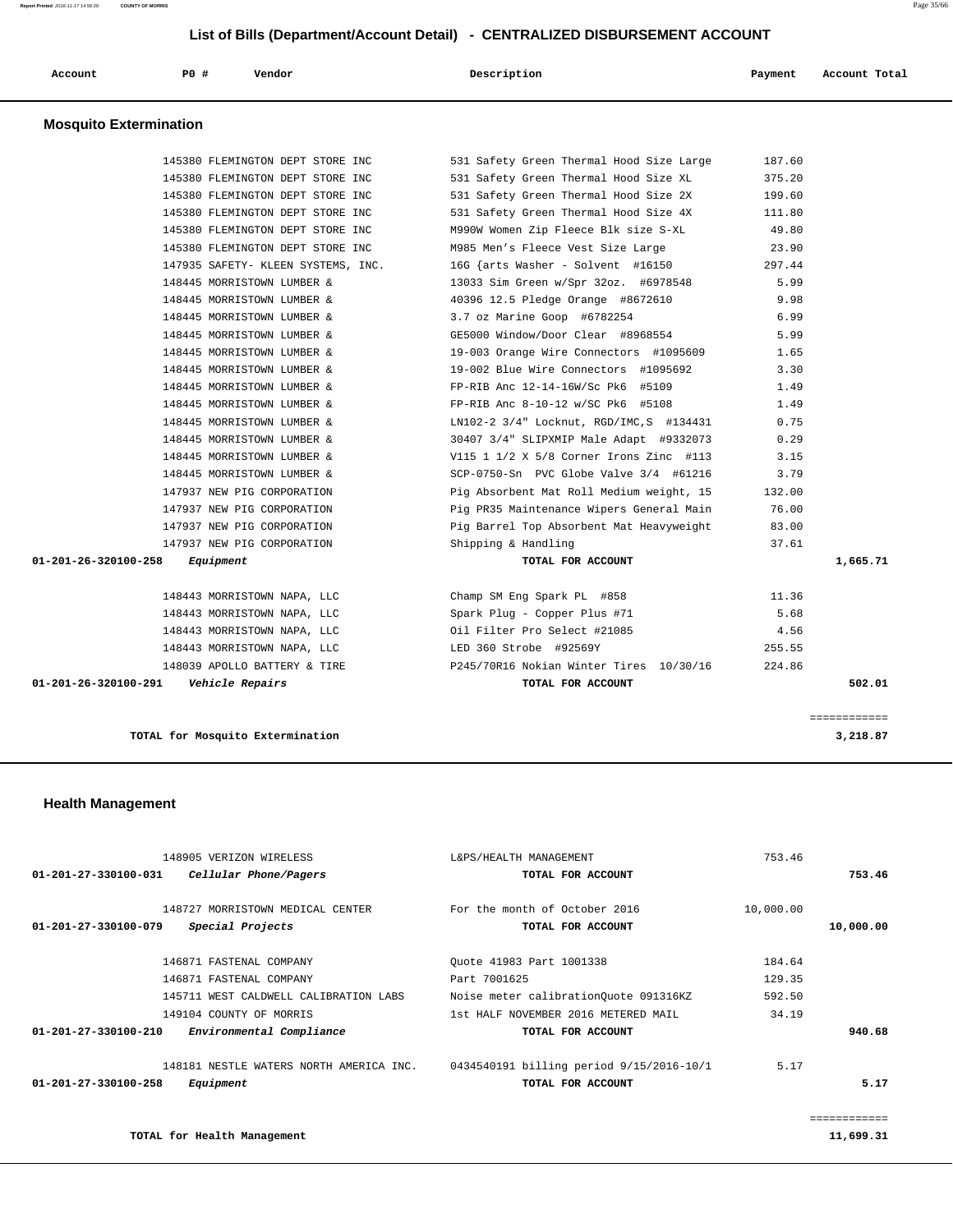**Report Printed** 2016-11-17 14:59:39 **COUNTY OF MORRIS** Page 35/66

# **List of Bills (Department/Account Detail) - CENTRALIZED DISBURSEMENT ACCOUNT**

| Account | <b>PO #</b> | Vendor | Description | Payment | Account Total |
|---------|-------------|--------|-------------|---------|---------------|
|         |             |        |             |         |               |

### **Mosquito Extermination**

|                      | 01-201-26-320100-291    Vehicle Repairs | TOTAL FOR ACCOUNT                        |        | 502.01   |
|----------------------|-----------------------------------------|------------------------------------------|--------|----------|
|                      | 148039 APOLLO BATTERY & TIRE            | P245/70R16 Nokian Winter Tires 10/30/16  | 224.86 |          |
|                      | 148443 MORRISTOWN NAPA, LLC             | LED 360 Strobe #92569Y                   | 255.55 |          |
|                      | 148443 MORRISTOWN NAPA, LLC             | Oil Filter Pro Select #21085             | 4.56   |          |
|                      | 148443 MORRISTOWN NAPA, LLC             | Spark Plug - Copper Plus #71             | 5.68   |          |
|                      | 148443 MORRISTOWN NAPA, LLC             | Champ SM Eng Spark PL #858               | 11.36  |          |
| 01-201-26-320100-258 | Equipment                               | TOTAL FOR ACCOUNT                        |        | 1,665.71 |
|                      | 147937 NEW PIG CORPORATION              | Shipping & Handling                      | 37.61  |          |
|                      | 147937 NEW PIG CORPORATION              | Pig Barrel Top Absorbent Mat Heavyweight | 83.00  |          |
|                      | 147937 NEW PIG CORPORATION              | Pig PR35 Maintenance Wipers General Main | 76.00  |          |
|                      | 147937 NEW PIG CORPORATION              | Pig Absorbent Mat Roll Medium weight, 15 | 132.00 |          |
|                      | 148445 MORRISTOWN LUMBER &              | SCP-0750-Sn PVC Globe Valve 3/4 #61216   | 3.79   |          |
|                      | 148445 MORRISTOWN LUMBER &              | V115 1 1/2 X 5/8 Corner Irons Zinc #113  | 3.15   |          |
|                      | 148445 MORRISTOWN LUMBER &              | 30407 3/4" SLIPXMIP Male Adapt #9332073  | 0.29   |          |
|                      | 148445 MORRISTOWN LUMBER &              | LN102-2 3/4" Locknut, RGD/IMC, S #134431 | 0.75   |          |
|                      | 148445 MORRISTOWN LUMBER &              | FP-RIB Anc 8-10-12 w/SC Pk6 #5108        | 1.49   |          |
|                      | 148445 MORRISTOWN LUMBER &              | FP-RIB Anc 12-14-16W/Sc Pk6 #5109        | 1.49   |          |
|                      | 148445 MORRISTOWN LUMBER &              | 19-002 Blue Wire Connectors #1095692     | 3.30   |          |
|                      | 148445 MORRISTOWN LUMBER &              | 19-003 Orange Wire Connectors #1095609   | 1.65   |          |
|                      | 148445 MORRISTOWN LUMBER &              | GE5000 Window/Door Clear #8968554        | 5.99   |          |
|                      | 148445 MORRISTOWN LUMBER &              | 3.7 oz Marine Goop #6782254              | 6.99   |          |
|                      | 148445 MORRISTOWN LUMBER &              | 40396 12.5 Pledge Orange #8672610        | 9.98   |          |
|                      | 148445 MORRISTOWN LUMBER &              | 13033 Sim Green w/Spr 32oz. #6978548     | 5.99   |          |
|                      | 147935 SAFETY- KLEEN SYSTEMS, INC.      | 16G {arts Washer - Solvent #16150        | 297.44 |          |
|                      | 145380 FLEMINGTON DEPT STORE INC        | M985 Men's Fleece Vest Size Large        | 23.90  |          |
|                      | 145380 FLEMINGTON DEPT STORE INC        | M990W Women Zip Fleece Blk size S-XL     | 49.80  |          |
|                      | 145380 FLEMINGTON DEPT STORE INC        | 531 Safety Green Thermal Hood Size 4X    | 111.80 |          |
|                      | 145380 FLEMINGTON DEPT STORE INC        | 531 Safety Green Thermal Hood Size 2X    | 199.60 |          |
|                      | 145380 FLEMINGTON DEPT STORE INC        | 531 Safety Green Thermal Hood Size XL    | 375.20 |          |

**TOTAL for Mosquito Extermination 3,218.87**

### **Health Management**

| 148905 VERIZON WIRELESS                                    | L&PS/HEALTH MANAGEMENT                   | 753.46    |              |
|------------------------------------------------------------|------------------------------------------|-----------|--------------|
| Cellular Phone/Pagers<br>01-201-27-330100-031              | TOTAL FOR ACCOUNT                        |           | 753.46       |
|                                                            |                                          |           |              |
| 148727 MORRISTOWN MEDICAL CENTER                           | For the month of October 2016            | 10,000.00 |              |
| 01-201-27-330100-079<br>Special Projects                   | TOTAL FOR ACCOUNT                        |           | 10,000.00    |
| 146871 FASTENAL COMPANY                                    | Ouote 41983 Part 1001338                 | 184.64    |              |
| 146871 FASTENAL COMPANY                                    | Part 7001625                             | 129.35    |              |
| 145711 WEST CALDWELL CALIBRATION LABS                      | Noise meter calibrationQuote 091316KZ    | 592.50    |              |
| 149104 COUNTY OF MORRIS                                    | 1st HALF NOVEMBER 2016 METERED MAIL      | 34.19     |              |
| $01 - 201 - 27 - 330100 - 210$<br>Environmental Compliance | TOTAL FOR ACCOUNT                        |           | 940.68       |
| 148181 NESTLE WATERS NORTH AMERICA INC.                    | 0434540191 billing period 9/15/2016-10/1 | 5.17      |              |
| 01-201-27-330100-258<br>Equipment                          | TOTAL FOR ACCOUNT                        |           | 5.17         |
|                                                            |                                          |           | ============ |
| TOTAL for Health Management                                |                                          |           | 11,699.31    |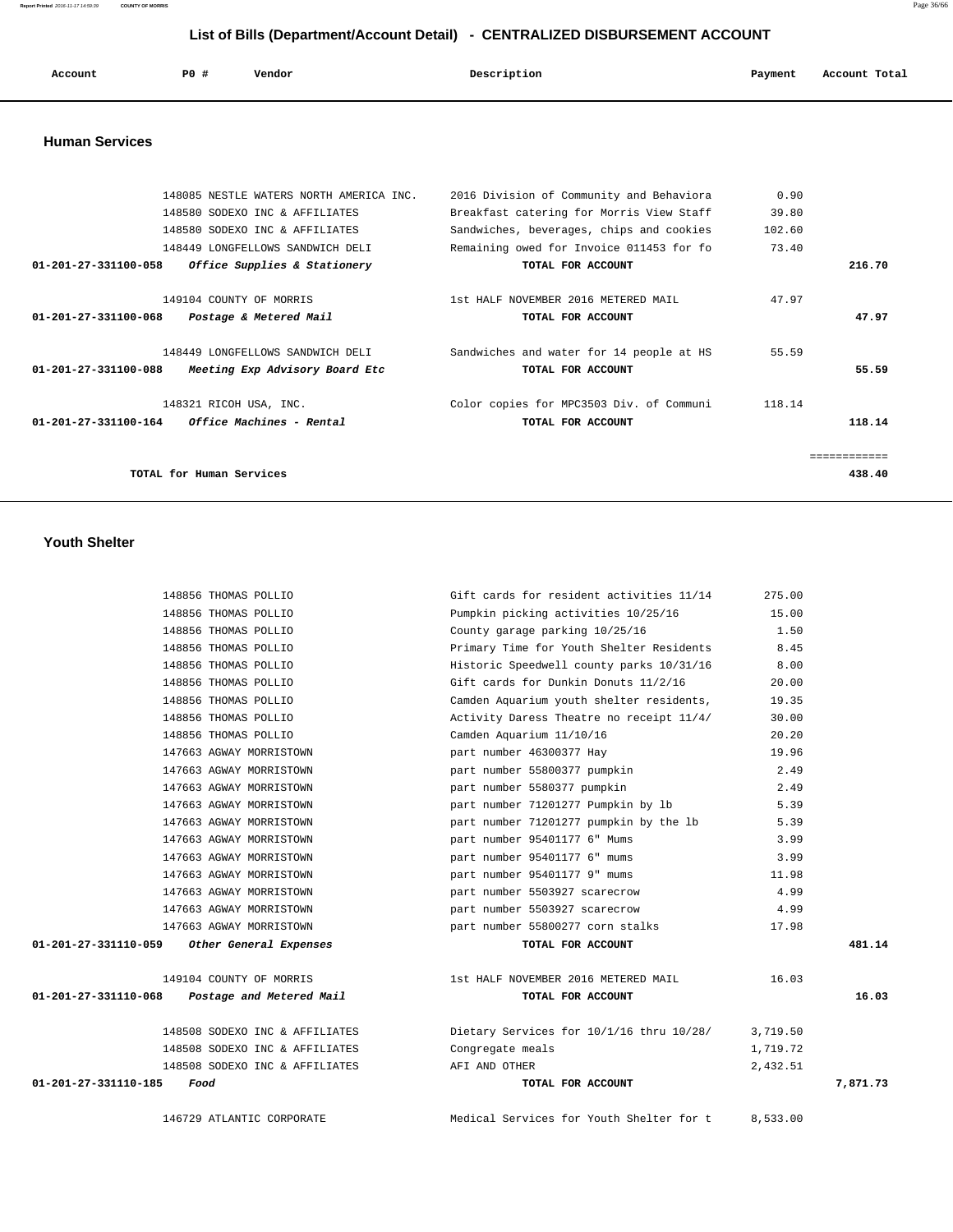**Report Printed** 2016-11-17 14:59:39 **COUNTY OF MORRIS** Page 36/66

# **List of Bills (Department/Account Detail) - CENTRALIZED DISBURSEMENT ACCOUNT**

|  | Account | P0 # | Vendor | Description | Payment | Account Total |
|--|---------|------|--------|-------------|---------|---------------|
|--|---------|------|--------|-------------|---------|---------------|

### **Human Services**

|                                | 148085 NESTLE WATERS NORTH AMERICA INC.         | 2016 Division of Community and Behaviora | 0.90   |              |
|--------------------------------|-------------------------------------------------|------------------------------------------|--------|--------------|
|                                | 148580 SODEXO INC & AFFILIATES                  | Breakfast catering for Morris View Staff | 39.80  |              |
|                                | 148580 SODEXO INC & AFFILIATES                  | Sandwiches, beverages, chips and cookies | 102.60 |              |
|                                | 148449 LONGFELLOWS SANDWICH DELI                | Remaining owed for Invoice 011453 for fo | 73.40  |              |
| 01-201-27-331100-058           | Office Supplies & Stationery                    | TOTAL FOR ACCOUNT                        |        | 216.70       |
|                                | 149104 COUNTY OF MORRIS                         | 1st HALF NOVEMBER 2016 METERED MAIL      | 47.97  |              |
| $01 - 201 - 27 - 331100 - 068$ | Postage & Metered Mail                          | TOTAL FOR ACCOUNT                        |        | 47.97        |
|                                | 148449 LONGFELLOWS SANDWICH DELI                | Sandwiches and water for 14 people at HS | 55.59  |              |
| 01-201-27-331100-088           | Meeting Exp Advisory Board Etc                  | TOTAL FOR ACCOUNT                        |        | 55.59        |
|                                | 148321 RICOH USA, INC.                          | Color copies for MPC3503 Div. of Communi | 118.14 |              |
|                                | $01-201-27-331100-164$ Office Machines - Rental | TOTAL FOR ACCOUNT                        |        | 118.14       |
|                                |                                                 |                                          |        | ------------ |
|                                | TOTAL for Human Services                        |                                          |        | 438.40       |

### **Youth Shelter**

|                      | 148856 THOMAS POLLIO                            | Gift cards for resident activities 11/14 | 275.00   |          |
|----------------------|-------------------------------------------------|------------------------------------------|----------|----------|
|                      | 148856 THOMAS POLLIO                            | Pumpkin picking activities 10/25/16      | 15.00    |          |
|                      | 148856 THOMAS POLLIO                            | County garage parking 10/25/16           | 1.50     |          |
|                      | 148856 THOMAS POLLIO                            | Primary Time for Youth Shelter Residents | 8.45     |          |
|                      | 148856 THOMAS POLLIO                            | Historic Speedwell county parks 10/31/16 | 8.00     |          |
|                      | 148856 THOMAS POLLIO                            | Gift cards for Dunkin Donuts 11/2/16     | 20.00    |          |
|                      | 148856 THOMAS POLLIO                            | Camden Aquarium youth shelter residents, | 19.35    |          |
|                      | 148856 THOMAS POLLIO                            | Activity Daress Theatre no receipt 11/4/ | 30.00    |          |
|                      | 148856 THOMAS POLLIO                            | Camden Aquarium 11/10/16                 | 20.20    |          |
|                      | 147663 AGWAY MORRISTOWN                         | part number 46300377 Hay                 | 19.96    |          |
|                      | 147663 AGWAY MORRISTOWN                         | part number 55800377 pumpkin             | 2.49     |          |
|                      | 147663 AGWAY MORRISTOWN                         | part number 5580377 pumpkin              | 2.49     |          |
|                      | 147663 AGWAY MORRISTOWN                         | part number 71201277 Pumpkin by 1b       | 5.39     |          |
|                      | 147663 AGWAY MORRISTOWN                         | part number 71201277 pumpkin by the 1b   | 5.39     |          |
|                      | 147663 AGWAY MORRISTOWN                         | part number 95401177 6" Mums             | 3.99     |          |
|                      | 147663 AGWAY MORRISTOWN                         | part number 95401177 6" mums             | 3.99     |          |
|                      | 147663 AGWAY MORRISTOWN                         | part number 95401177 9" mums             | 11.98    |          |
|                      | 147663 AGWAY MORRISTOWN                         | part number 5503927 scarecrow            | 4.99     |          |
|                      | 147663 AGWAY MORRISTOWN                         | part number 5503927 scarecrow            | 4.99     |          |
|                      | 147663 AGWAY MORRISTOWN                         | part number 55800277 corn stalks         | 17.98    |          |
|                      | $01-201-27-331110-059$ Other General Expenses   | TOTAL FOR ACCOUNT                        |          | 481.14   |
|                      | 149104 COUNTY OF MORRIS                         | 1st HALF NOVEMBER 2016 METERED MAIL      | 16.03    |          |
|                      | $01-201-27-331110-068$ Postage and Metered Mail | TOTAL FOR ACCOUNT                        |          | 16.03    |
|                      | 148508 SODEXO INC & AFFILIATES                  | Dietary Services for 10/1/16 thru 10/28/ | 3,719.50 |          |
|                      | 148508 SODEXO INC & AFFILIATES                  | Congregate meals                         | 1,719.72 |          |
|                      | 148508 SODEXO INC & AFFILIATES                  | AFI AND OTHER                            | 2,432.51 |          |
| 01-201-27-331110-185 | Food                                            | TOTAL FOR ACCOUNT                        |          | 7,871.73 |
|                      | 146729 ATLANTIC CORPORATE                       | Medical Services for Youth Shelter for t | 8,533.00 |          |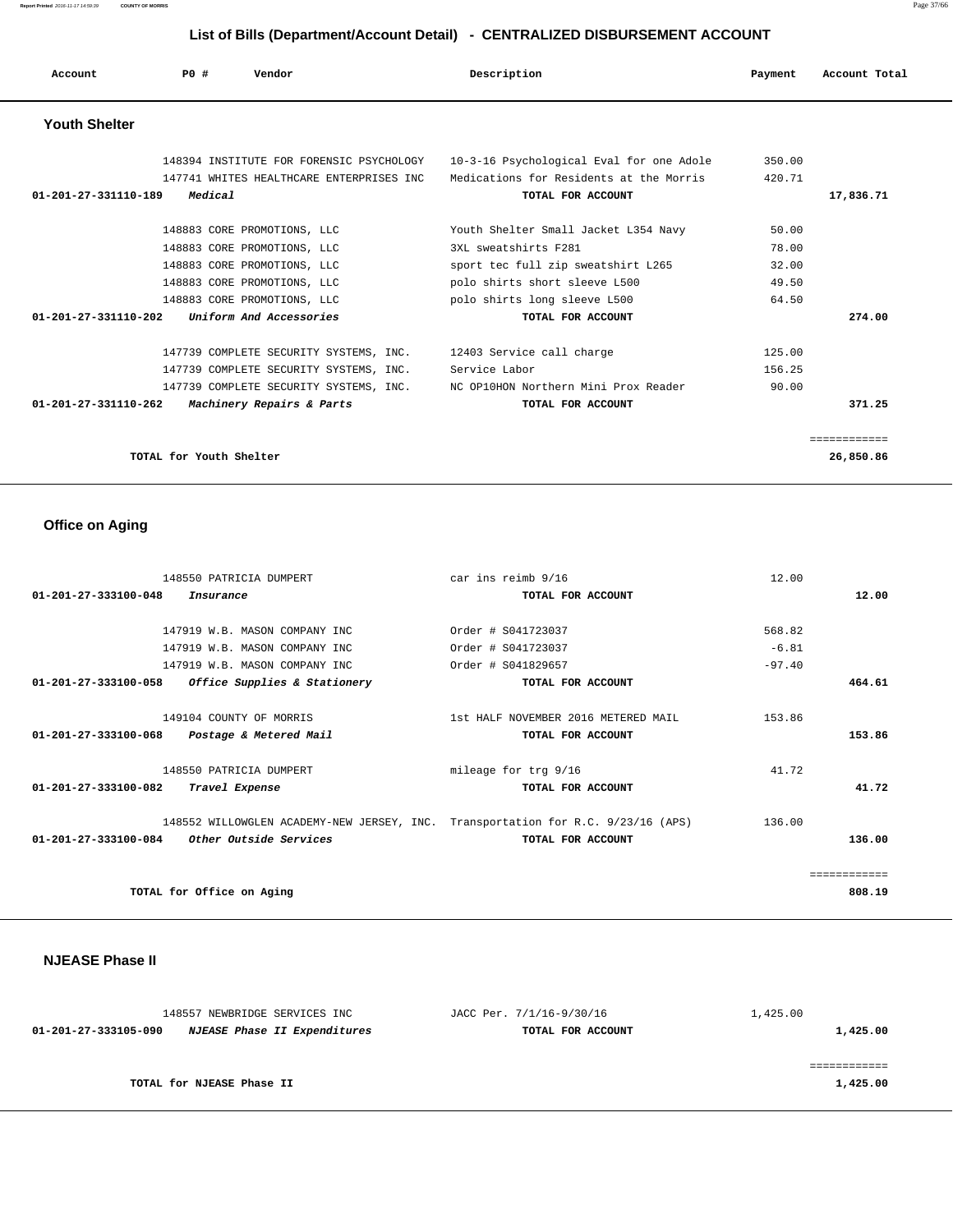**Report Printed** 2016-11-17 14:59:39 **COUNTY OF MORRIS** Page 37/66

# **List of Bills (Department/Account Detail) - CENTRALIZED DISBURSEMENT ACCOUNT**

| Account              | PO#     | Vendor                                                                                                                                                                             | Description                                                                                                                                                                              | Payment                                   | Account Total |
|----------------------|---------|------------------------------------------------------------------------------------------------------------------------------------------------------------------------------------|------------------------------------------------------------------------------------------------------------------------------------------------------------------------------------------|-------------------------------------------|---------------|
| <b>Youth Shelter</b> |         |                                                                                                                                                                                    |                                                                                                                                                                                          |                                           |               |
|                      |         | 148394 INSTITUTE FOR FORENSIC PSYCHOLOGY                                                                                                                                           | 10-3-16 Psychological Eval for one Adole                                                                                                                                                 | 350.00                                    |               |
|                      |         | 147741 WHITES HEALTHCARE ENTERPRISES INC                                                                                                                                           | Medications for Residents at the Morris                                                                                                                                                  | 420.71                                    |               |
| 01-201-27-331110-189 | Medical |                                                                                                                                                                                    | TOTAL FOR ACCOUNT                                                                                                                                                                        |                                           | 17,836.71     |
| 01-201-27-331110-202 |         | 148883 CORE PROMOTIONS, LLC<br>148883 CORE PROMOTIONS, LLC<br>148883 CORE PROMOTIONS, LLC<br>148883 CORE PROMOTIONS, LLC<br>148883 CORE PROMOTIONS, LLC<br>Uniform And Accessories | Youth Shelter Small Jacket L354 Navy<br>3XL sweatshirts F281<br>sport tec full zip sweatshirt L265<br>polo shirts short sleeve L500<br>polo shirts long sleeve L500<br>TOTAL FOR ACCOUNT | 50.00<br>78.00<br>32.00<br>49.50<br>64.50 | 274.00        |
| 01-201-27-331110-262 |         | 147739 COMPLETE SECURITY SYSTEMS, INC.<br>147739 COMPLETE SECURITY SYSTEMS, INC.<br>147739 COMPLETE SECURITY SYSTEMS, INC.<br>Machinery Repairs & Parts                            | 12403 Service call charge<br>Service Labor<br>NC OP10HON Northern Mini Prox Reader<br>TOTAL FOR ACCOUNT                                                                                  | 125.00<br>156.25<br>90.00                 | 371.25        |
|                      |         |                                                                                                                                                                                    |                                                                                                                                                                                          |                                           | ============  |

**TOTAL for Youth Shelter 26,850.86**

# **Office on Aging**

|                                | 148550 PATRICIA DUMPERT                                                          | car ins reimb 9/16                  | 12.00    |              |
|--------------------------------|----------------------------------------------------------------------------------|-------------------------------------|----------|--------------|
| $01 - 201 - 27 - 333100 - 048$ | Insurance                                                                        | TOTAL FOR ACCOUNT                   |          | 12.00        |
|                                |                                                                                  |                                     |          |              |
|                                | 147919 W.B. MASON COMPANY INC                                                    | Order # S041723037                  | 568.82   |              |
|                                | 147919 W.B. MASON COMPANY INC                                                    | Order # S041723037                  | $-6.81$  |              |
|                                | 147919 W.B. MASON COMPANY INC                                                    | Order # S041829657                  | $-97.40$ |              |
| $01 - 201 - 27 - 333100 - 058$ | Office Supplies & Stationery                                                     | TOTAL FOR ACCOUNT                   |          | 464.61       |
|                                |                                                                                  |                                     |          |              |
|                                | 149104 COUNTY OF MORRIS                                                          | 1st HALF NOVEMBER 2016 METERED MAIL | 153.86   |              |
| 01-201-27-333100-068           | Postage & Metered Mail                                                           | TOTAL FOR ACCOUNT                   |          | 153.86       |
|                                |                                                                                  |                                     |          |              |
|                                | 148550 PATRICIA DUMPERT                                                          | mileage for trg 9/16                | 41.72    |              |
| $01 - 201 - 27 - 333100 - 082$ | Travel Expense                                                                   | TOTAL FOR ACCOUNT                   |          | 41.72        |
|                                |                                                                                  |                                     |          |              |
|                                | 148552 WILLOWGLEN ACADEMY-NEW JERSEY, INC. Transportation for R.C. 9/23/16 (APS) |                                     | 136.00   |              |
| 01-201-27-333100-084           | <i>Other Outside Services</i>                                                    | TOTAL FOR ACCOUNT                   |          | 136.00       |
|                                |                                                                                  |                                     |          |              |
|                                |                                                                                  |                                     |          | ============ |
|                                | TOTAL for Office on Aging                                                        |                                     |          | 808.19       |

### **NJEASE Phase II**

| 148557 NEWBRIDGE SERVICES INC                               | JACC Per. 7/1/16-9/30/16 | 1,425.00 |
|-------------------------------------------------------------|--------------------------|----------|
| <i>NJEASE Phase II Expenditures</i><br>01-201-27-333105-090 | TOTAL FOR ACCOUNT        | 1,425.00 |
|                                                             |                          |          |
|                                                             |                          |          |
| TOTAL for NJEASE Phase II                                   |                          | 1,425.00 |
|                                                             |                          |          |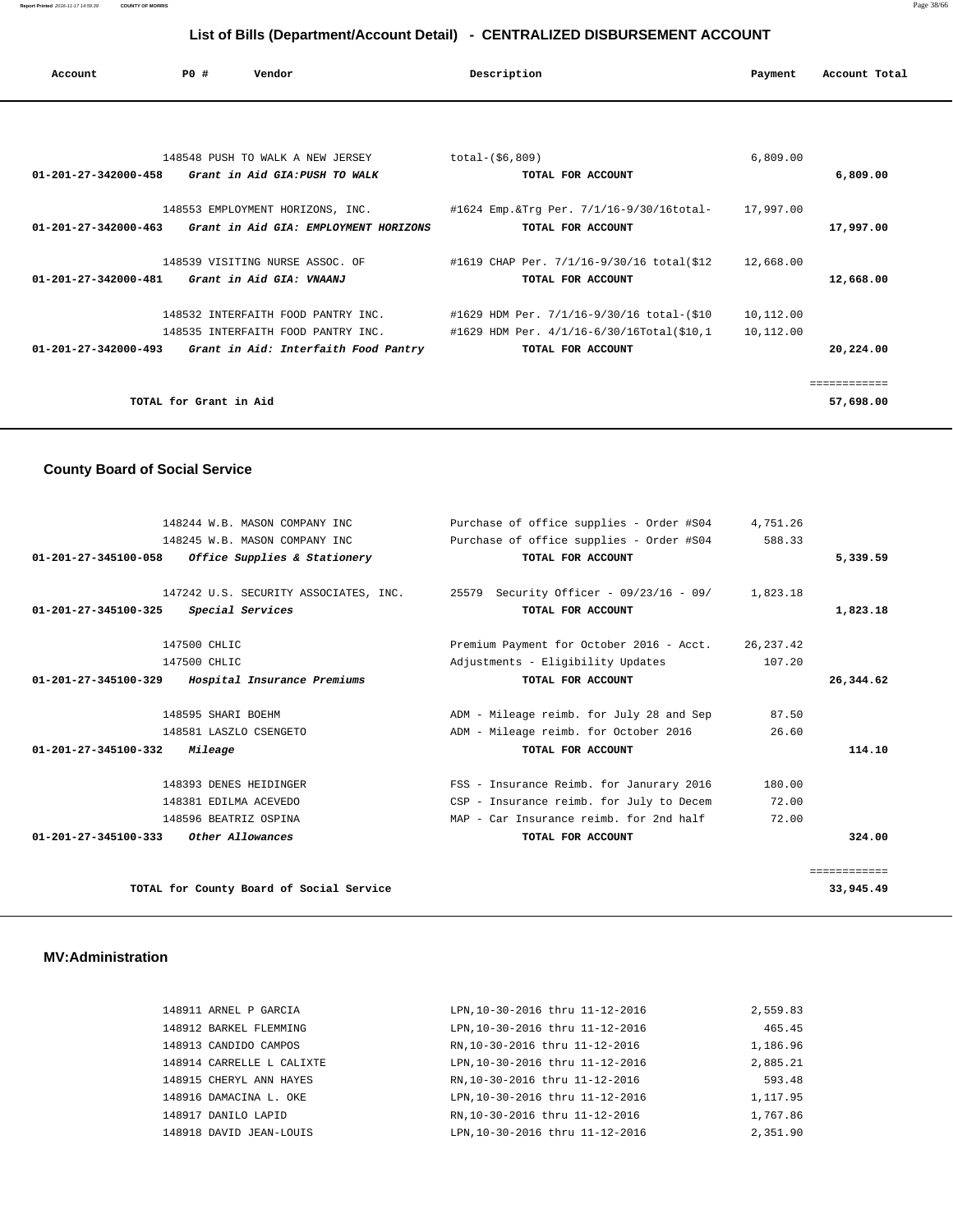| Account              | PO#                    | Vendor                                | Description      |                                           | Payment   | Account Total |
|----------------------|------------------------|---------------------------------------|------------------|-------------------------------------------|-----------|---------------|
|                      |                        |                                       |                  |                                           |           |               |
|                      |                        | 148548 PUSH TO WALK A NEW JERSEY      | $total-($6,809)$ |                                           | 6,809.00  |               |
| 01-201-27-342000-458 |                        | Grant in Aid GIA: PUSH TO WALK        |                  | TOTAL FOR ACCOUNT                         |           | 6,809.00      |
|                      |                        | 148553 EMPLOYMENT HORIZONS, INC.      |                  | #1624 Emp.&Trg Per. 7/1/16-9/30/16total-  | 17,997.00 |               |
| 01-201-27-342000-463 |                        | Grant in Aid GIA: EMPLOYMENT HORIZONS |                  | TOTAL FOR ACCOUNT                         |           | 17,997.00     |
|                      |                        | 148539 VISITING NURSE ASSOC. OF       |                  | #1619 CHAP Per. 7/1/16-9/30/16 total(\$12 | 12,668.00 |               |
| 01-201-27-342000-481 |                        | Grant in Aid GIA: VNAANJ              |                  | TOTAL FOR ACCOUNT                         |           | 12,668.00     |
|                      |                        | 148532 INTERFAITH FOOD PANTRY INC.    |                  | #1629 HDM Per. 7/1/16-9/30/16 total-(\$10 | 10,112.00 |               |
|                      |                        | 148535 INTERFAITH FOOD PANTRY INC.    |                  | #1629 HDM Per. 4/1/16-6/30/16Total(\$10,1 | 10,112.00 |               |
| 01-201-27-342000-493 |                        | Grant in Aid: Interfaith Food Pantry  |                  | TOTAL FOR ACCOUNT                         |           | 20,224.00     |
|                      |                        |                                       |                  |                                           |           |               |
|                      |                        |                                       |                  |                                           |           | ==========    |
|                      | TOTAL for Grant in Aid |                                       |                  |                                           |           | 57,698.00     |

# **County Board of Social Service**

|              |           | Purchase of office supplies - Order #S04 4,751.26                                      | 148244 W.B. MASON COMPANY INC                      |
|--------------|-----------|----------------------------------------------------------------------------------------|----------------------------------------------------|
|              | 588.33    | Purchase of office supplies - Order #S04                                               | 148245 W.B. MASON COMPANY INC                      |
| 5,339.59     |           | TOTAL FOR ACCOUNT                                                                      | 01-201-27-345100-058 Office Supplies & Stationery  |
|              |           | 147242 U.S. SECURITY ASSOCIATES, INC. 25579 Security Officer - 09/23/16 - 09/ 1,823.18 |                                                    |
| 1,823.18     |           | TOTAL FOR ACCOUNT                                                                      | Special Services<br>01-201-27-345100-325           |
|              | 26,237.42 | Premium Payment for October 2016 - Acct.                                               | 147500 CHLIC                                       |
|              | 107.20    | Adjustments - Eligibility Updates                                                      | 147500 CHLIC                                       |
| 26,344.62    |           | TOTAL FOR ACCOUNT                                                                      | 01-201-27-345100-329 Hospital Insurance Premiums   |
|              | 87.50     | ADM - Mileage reimb. for July 28 and Sep                                               | 148595 SHARI BOEHM                                 |
|              | 26.60     | ADM - Mileage reimb. for October 2016                                                  | 148581 LASZLO CSENGETO                             |
| 114.10       |           | TOTAL FOR ACCOUNT                                                                      | 01-201-27-345100-332<br><i>Mileage</i>             |
|              | 180.00    | FSS - Insurance Reimb. for Janurary 2016                                               | 148393 DENES HEIDINGER                             |
|              | 72.00     | CSP - Insurance reimb. for July to Decem                                               | 148381 EDILMA ACEVEDO                              |
|              | 72.00     | MAP - Car Insurance reimb. for 2nd half                                                | 148596 BEATRIZ OSPINA                              |
| 324.00       |           | TOTAL FOR ACCOUNT                                                                      | Other Allowances<br>$01 - 201 - 27 - 345100 - 333$ |
| ============ |           |                                                                                        |                                                    |
| 33,945.49    |           |                                                                                        | TOTAL for County Board of Social Service           |

### **MV:Administration**

| 148911 ARNEL P GARCIA     | LPN, 10-30-2016 thru 11-12-2016 | 2,559.83 |
|---------------------------|---------------------------------|----------|
| 148912 BARKEL FLEMMING    | LPN.10-30-2016 thru 11-12-2016  | 465.45   |
| 148913 CANDIDO CAMPOS     | RN, 10-30-2016 thru 11-12-2016  | 1,186.96 |
| 148914 CARRELLE L CALIXTE | LPN, 10-30-2016 thru 11-12-2016 | 2,885.21 |
| 148915 CHERYL ANN HAYES   | RN, 10-30-2016 thru 11-12-2016  | 593.48   |
| 148916 DAMACINA L. OKE    | LPN, 10-30-2016 thru 11-12-2016 | 1,117.95 |
| 148917 DANILO LAPID       | RN, 10-30-2016 thru 11-12-2016  | 1,767.86 |
| 148918 DAVID JEAN-LOUIS   | LPN, 10-30-2016 thru 11-12-2016 | 2,351.90 |
|                           |                                 |          |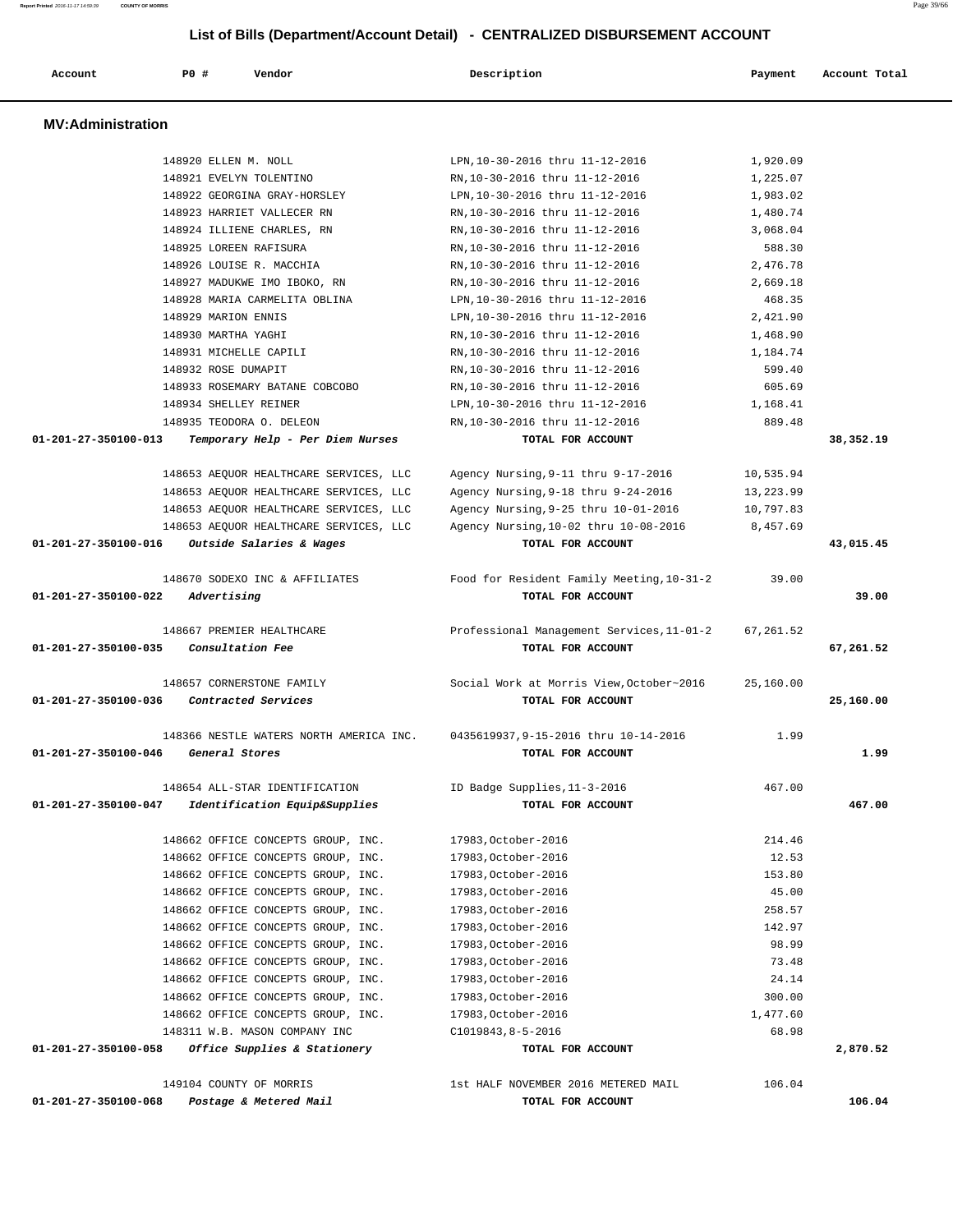**Report Printed** 2016-11-17 14:59:39 **COUNTY OF MORRIS** Page 39/66

### **List of Bills (Department/Account Detail) - CENTRALIZED DISBURSEMENT ACCOUNT**

| Account                        | P0 #<br>Vendor                                                           | Description                                     | Payment           | Account Total |
|--------------------------------|--------------------------------------------------------------------------|-------------------------------------------------|-------------------|---------------|
|                                |                                                                          |                                                 |                   |               |
| <b>MV:Administration</b>       |                                                                          |                                                 |                   |               |
|                                | 148920 ELLEN M. NOLL                                                     | LPN, 10-30-2016 thru 11-12-2016                 | 1,920.09          |               |
|                                | 148921 EVELYN TOLENTINO                                                  | RN, 10-30-2016 thru 11-12-2016                  | 1,225.07          |               |
|                                | 148922 GEORGINA GRAY-HORSLEY                                             | LPN, 10-30-2016 thru 11-12-2016                 | 1,983.02          |               |
|                                | 148923 HARRIET VALLECER RN                                               | RN, 10-30-2016 thru 11-12-2016                  | 1,480.74          |               |
|                                | 148924 ILLIENE CHARLES, RN                                               | RN, 10-30-2016 thru 11-12-2016                  | 3,068.04          |               |
|                                | 148925 LOREEN RAFISURA                                                   | RN, 10-30-2016 thru 11-12-2016                  | 588.30            |               |
|                                | 148926 LOUISE R. MACCHIA                                                 | RN, 10-30-2016 thru 11-12-2016                  | 2,476.78          |               |
|                                | 148927 MADUKWE IMO IBOKO, RN                                             | RN, 10-30-2016 thru 11-12-2016                  | 2,669.18          |               |
|                                | 148928 MARIA CARMELITA OBLINA                                            | LPN, 10-30-2016 thru 11-12-2016                 | 468.35            |               |
|                                | 148929 MARION ENNIS                                                      | LPN, 10-30-2016 thru 11-12-2016                 | 2,421.90          |               |
|                                | 148930 MARTHA YAGHI                                                      | RN, 10-30-2016 thru 11-12-2016                  | 1,468.90          |               |
|                                | 148931 MICHELLE CAPILI                                                   | RN, 10-30-2016 thru 11-12-2016                  | 1,184.74          |               |
|                                | 148932 ROSE DUMAPIT                                                      | RN, 10-30-2016 thru 11-12-2016                  | 599.40            |               |
|                                | 148933 ROSEMARY BATANE COBCOBO                                           | RN, 10-30-2016 thru 11-12-2016                  | 605.69            |               |
|                                | 148934 SHELLEY REINER                                                    | LPN, 10-30-2016 thru 11-12-2016                 | 1,168.41          |               |
|                                | 148935 TEODORA O. DELEON                                                 | RN, 10-30-2016 thru 11-12-2016                  | 889.48            |               |
| $01 - 201 - 27 - 350100 - 013$ | Temporary Help - Per Diem Nurses                                         | TOTAL FOR ACCOUNT                               |                   | 38,352.19     |
|                                | 148653 AEQUOR HEALTHCARE SERVICES, LLC                                   | Agency Nursing, 9-11 thru 9-17-2016             | 10,535.94         |               |
|                                | 148653 AEQUOR HEALTHCARE SERVICES, LLC                                   | Agency Nursing, 9-18 thru 9-24-2016             | 13,223.99         |               |
|                                | 148653 AEQUOR HEALTHCARE SERVICES, LLC                                   | Agency Nursing, 9-25 thru 10-01-2016            | 10,797.83         |               |
|                                | 148653 AEQUOR HEALTHCARE SERVICES, LLC                                   | Agency Nursing, 10-02 thru 10-08-2016           | 8,457.69          |               |
| 01-201-27-350100-016           | Outside Salaries & Wages                                                 | TOTAL FOR ACCOUNT                               |                   | 43,015.45     |
|                                | 148670 SODEXO INC & AFFILIATES                                           | Food for Resident Family Meeting, 10-31-2       | 39.00             |               |
| 01-201-27-350100-022           | Advertising                                                              | TOTAL FOR ACCOUNT                               |                   | 39.00         |
|                                | 148667 PREMIER HEALTHCARE                                                | Professional Management Services, 11-01-2       | 67, 261.52        |               |
| 01-201-27-350100-035           | Consultation Fee                                                         | TOTAL FOR ACCOUNT                               |                   | 67,261.52     |
|                                | 148657 CORNERSTONE FAMILY                                                | Social Work at Morris View, October~2016        | 25,160.00         |               |
| 01-201-27-350100-036           | Contracted Services                                                      | TOTAL FOR ACCOUNT                               |                   | 25,160.00     |
|                                | 148366 NESTLE WATERS NORTH AMERICA INC.                                  | 0435619937, 9-15-2016 thru 10-14-2016           | 1.99              |               |
| 01-201-27-350100-046           | General Stores                                                           | TOTAL FOR ACCOUNT                               |                   | 1.99          |
|                                | 148654 ALL-STAR IDENTIFICATION                                           | ID Badge Supplies, 11-3-2016                    | 467.00            |               |
| 01-201-27-350100-047           | Identification Equip&Supplies                                            | TOTAL FOR ACCOUNT                               |                   | 467.00        |
|                                | 148662 OFFICE CONCEPTS GROUP, INC.                                       | 17983, October-2016                             | 214.46            |               |
|                                | 148662 OFFICE CONCEPTS GROUP, INC.                                       | 17983, October-2016                             | 12.53             |               |
|                                | 148662 OFFICE CONCEPTS GROUP, INC.                                       | 17983, October-2016                             | 153.80            |               |
|                                | 148662 OFFICE CONCEPTS GROUP, INC.                                       | 17983, October-2016                             | 45.00             |               |
|                                | 148662 OFFICE CONCEPTS GROUP, INC.                                       | 17983, October-2016                             | 258.57            |               |
|                                | 148662 OFFICE CONCEPTS GROUP, INC.                                       | 17983, October-2016                             | 142.97            |               |
|                                | 148662 OFFICE CONCEPTS GROUP, INC.                                       | 17983, October-2016                             | 98.99             |               |
|                                | 148662 OFFICE CONCEPTS GROUP, INC.                                       | 17983, October-2016                             | 73.48             |               |
|                                | 148662 OFFICE CONCEPTS GROUP, INC.                                       | 17983, October-2016                             | 24.14             |               |
|                                | 148662 OFFICE CONCEPTS GROUP, INC.<br>148662 OFFICE CONCEPTS GROUP, INC. | 17983, October-2016                             | 300.00            |               |
|                                | 148311 W.B. MASON COMPANY INC                                            | 17983, October-2016<br>$C1019843, 8 - 5 - 2016$ | 1,477.60<br>68.98 |               |
|                                |                                                                          |                                                 |                   |               |

 149104 COUNTY OF MORRIS 1st HALF NOVEMBER 2016 METERED MAIL 106.04  **01-201-27-350100-068 Postage & Metered Mail TOTAL FOR ACCOUNT 106.04**

 **01-201-27-350100-058 Office Supplies & Stationery TOTAL FOR ACCOUNT 2,870.52**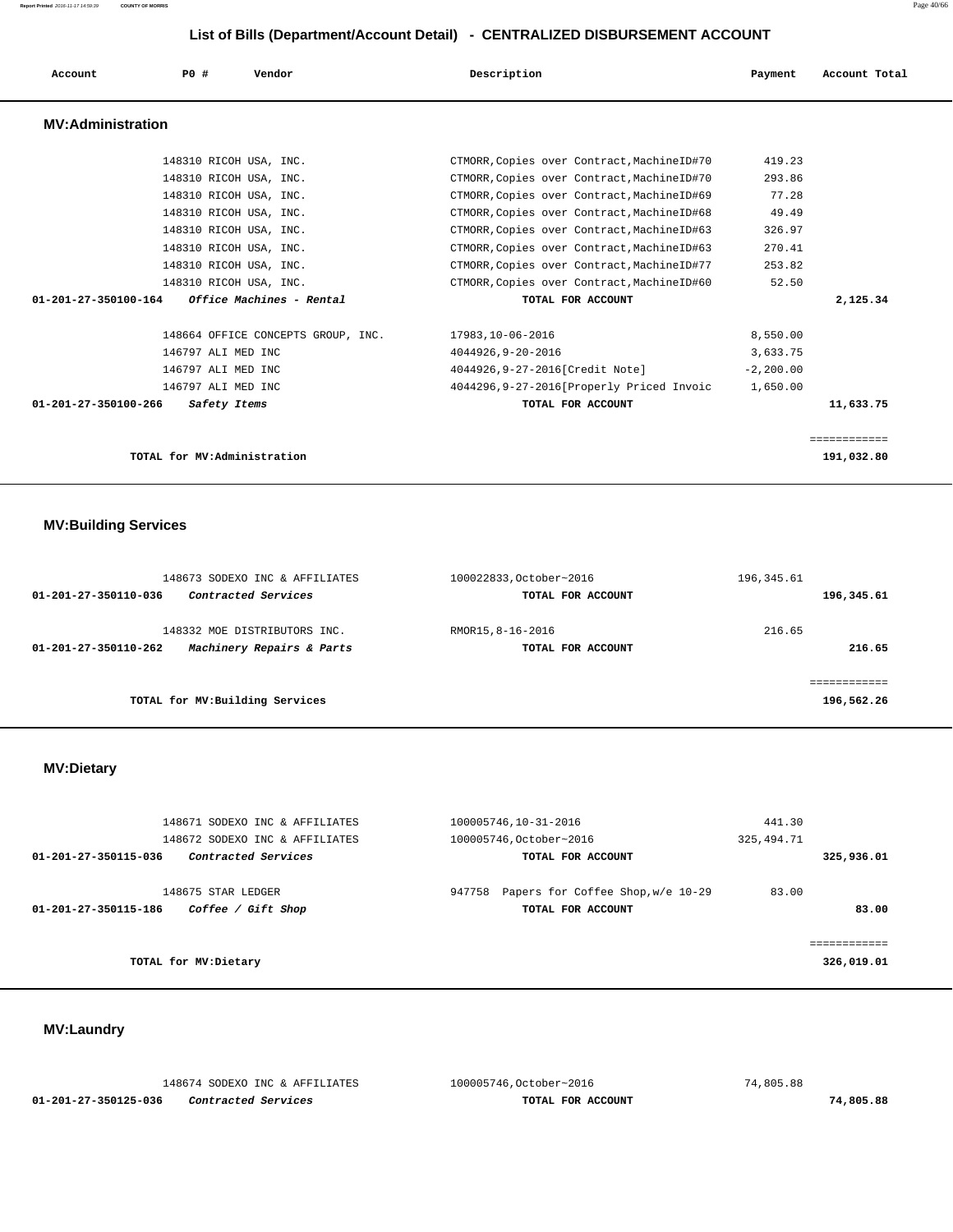| Account                  | PO#<br>Vendor                      | Description                                | Payment      | Account Total |
|--------------------------|------------------------------------|--------------------------------------------|--------------|---------------|
| <b>MV:Administration</b> |                                    |                                            |              |               |
|                          | 148310 RICOH USA, INC.             | CTMORR, Copies over Contract, MachineID#70 | 419.23       |               |
|                          | 148310 RICOH USA, INC.             | CTMORR, Copies over Contract, MachineID#70 | 293.86       |               |
|                          | 148310 RICOH USA, INC.             | CTMORR, Copies over Contract, MachineID#69 | 77.28        |               |
|                          | 148310 RICOH USA, INC.             | CTMORR, Copies over Contract, MachineID#68 | 49.49        |               |
|                          | 148310 RICOH USA, INC.             | CTMORR, Copies over Contract, MachineID#63 | 326.97       |               |
|                          | 148310 RICOH USA, INC.             | CTMORR, Copies over Contract, MachineID#63 | 270.41       |               |
|                          | 148310 RICOH USA, INC.             | CTMORR, Copies over Contract, MachineID#77 | 253.82       |               |
|                          | 148310 RICOH USA, INC.             | CTMORR, Copies over Contract, MachineID#60 | 52.50        |               |
| 01-201-27-350100-164     | Office Machines - Rental           | TOTAL FOR ACCOUNT                          |              | 2,125.34      |
|                          | 148664 OFFICE CONCEPTS GROUP, INC. | 17983,10-06-2016                           | 8,550.00     |               |
|                          | 146797 ALI MED INC                 | 4044926,9-20-2016                          | 3,633.75     |               |
|                          | 146797 ALI MED INC                 | 4044926, 9-27-2016 [Credit Note]           | $-2, 200.00$ |               |
|                          | 146797 ALI MED INC                 | 4044296,9-27-2016[Properly Priced Invoic   | 1,650.00     |               |
| 01-201-27-350100-266     | Safety Items                       | TOTAL FOR ACCOUNT                          |              | 11,633.75     |
|                          |                                    |                                            |              | ============  |
|                          | TOTAL for MV:Administration        |                                            |              | 191,032.80    |

# **MV:Building Services**

| 148673 SODEXO INC & AFFILIATES                    | 100022833, October~2016 | 196, 345.61 |
|---------------------------------------------------|-------------------------|-------------|
| Contracted Services<br>01-201-27-350110-036       | TOTAL FOR ACCOUNT       | 196,345.61  |
| 148332 MOE DISTRIBUTORS INC.                      | RMOR15, 8-16-2016       | 216.65      |
| Machinery Repairs & Parts<br>01-201-27-350110-262 | TOTAL FOR ACCOUNT       | 216.65      |
|                                                   |                         |             |
| TOTAL for MV: Building Services                   |                         | 196,562.26  |

# **MV:Dietary**

| 148671 SODEXO INC & AFFILIATES              | 100005746,10-31-2016                        | 441.30       |
|---------------------------------------------|---------------------------------------------|--------------|
| 148672 SODEXO INC & AFFILIATES              | 100005746, October~2016                     | 325, 494. 71 |
| Contracted Services<br>01-201-27-350115-036 | TOTAL FOR ACCOUNT                           | 325,936.01   |
| 148675 STAR LEDGER                          | Papers for Coffee Shop, w/e 10-29<br>947758 | 83.00        |
| Coffee / Gift Shop<br>01-201-27-350115-186  | TOTAL FOR ACCOUNT                           | 83.00        |
|                                             |                                             |              |
| TOTAL for MV:Dietary                        |                                             | 326,019.01   |

# **MV:Laundry**

|                      | 148674 SODEXO INC & AFFILIATES | 100005746, October~2016 | 74,805.88 |
|----------------------|--------------------------------|-------------------------|-----------|
| 01-201-27-350125-036 | <i>Contracted Services</i>     | TOTAL FOR ACCOUNT       | 74,805.88 |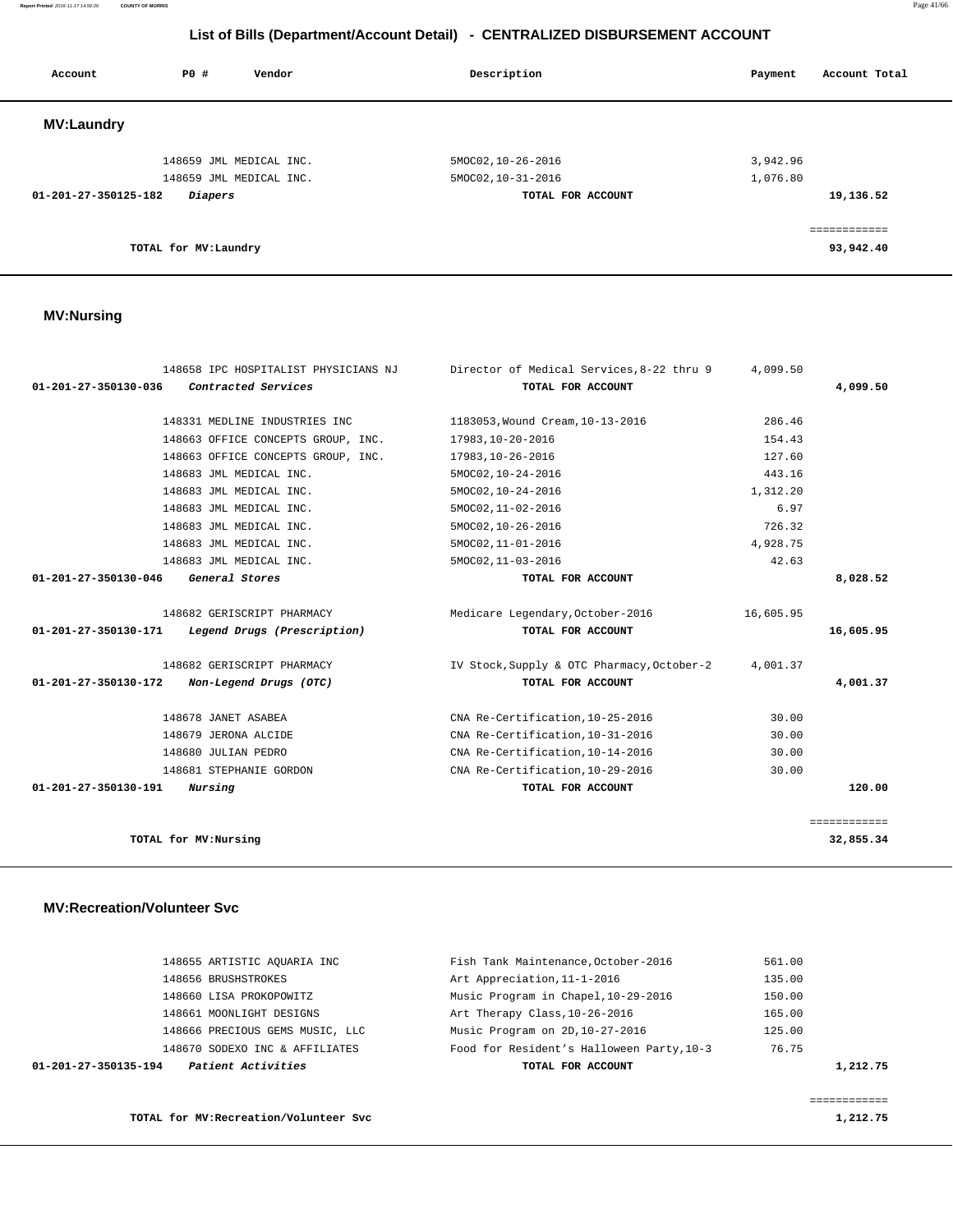| Account              | PO#                   | Vendor                  | Description       | Account Total<br>Payment |
|----------------------|-----------------------|-------------------------|-------------------|--------------------------|
| <b>MV:Laundry</b>    |                       |                         |                   |                          |
|                      |                       | 148659 JML MEDICAL INC. | 5MOC02,10-26-2016 | 3,942.96                 |
|                      |                       | 148659 JML MEDICAL INC. | 5MOC02,10-31-2016 | 1,076.80                 |
| 01-201-27-350125-182 | Diapers               |                         | TOTAL FOR ACCOUNT | 19,136.52                |
|                      |                       |                         |                   | ------------             |
|                      | TOTAL for MV: Laundry |                         |                   | 93,942.40                |

### **MV:Nursing**

| 148658 IPC HOSPITALIST PHYSICIANS NJ                | Director of Medical Services, 8-22 thru 9  | 4,099.50  |              |
|-----------------------------------------------------|--------------------------------------------|-----------|--------------|
| 01-201-27-350130-036<br>Contracted Services         | TOTAL FOR ACCOUNT                          |           | 4,099.50     |
| 148331 MEDLINE INDUSTRIES INC                       | 1183053, Wound Cream, 10-13-2016           | 286.46    |              |
| 148663 OFFICE CONCEPTS GROUP, INC.                  | 17983,10-20-2016                           | 154.43    |              |
| 148663 OFFICE CONCEPTS GROUP, INC.                  | 17983,10-26-2016                           | 127.60    |              |
| 148683 JML MEDICAL INC.                             | 5MOC02, 10-24-2016                         | 443.16    |              |
| 148683 JML MEDICAL INC.                             | 5MOC02, 10-24-2016                         | 1,312.20  |              |
| 148683 JML MEDICAL INC.                             | 5MOC02, 11-02-2016                         | 6.97      |              |
| 148683 JML MEDICAL INC.                             | 5MOC02, 10-26-2016                         | 726.32    |              |
| 148683 JML MEDICAL INC.                             | 5MOC02, 11-01-2016                         | 4,928.75  |              |
| 148683 JML MEDICAL INC.                             | 5MOC02, 11-03-2016                         | 42.63     |              |
| General Stores<br>01-201-27-350130-046              | TOTAL FOR ACCOUNT                          |           | 8,028.52     |
| 148682 GERISCRIPT PHARMACY                          | Medicare Legendary, October-2016           | 16,605.95 |              |
| Legend Drugs (Prescription)<br>01-201-27-350130-171 | TOTAL FOR ACCOUNT                          |           | 16,605.95    |
| 148682 GERISCRIPT PHARMACY                          | IV Stock, Supply & OTC Pharmacy, October-2 | 4,001.37  |              |
| Non-Legend Drugs (OTC)<br>01-201-27-350130-172      | TOTAL FOR ACCOUNT                          |           | 4,001.37     |
| 148678 JANET ASABEA                                 | CNA Re-Certification, 10-25-2016           | 30.00     |              |
| 148679 JERONA ALCIDE                                | CNA Re-Certification, 10-31-2016           | 30.00     |              |
| 148680 JULIAN PEDRO                                 | CNA Re-Certification, 10-14-2016           | 30.00     |              |
| 148681 STEPHANIE GORDON                             | CNA Re-Certification, 10-29-2016           | 30.00     |              |
| 01-201-27-350130-191<br>Nursing                     | TOTAL FOR ACCOUNT                          |           | 120.00       |
|                                                     |                                            |           | ============ |
| TOTAL for MV:Nursing                                |                                            |           | 32,855.34    |

### **MV:Recreation/Volunteer Svc**

| Patient Activities<br>01-201-27-350135-194 | TOTAL FOR ACCOUNT                         |        | 1,212.75 |
|--------------------------------------------|-------------------------------------------|--------|----------|
| 148670 SODEXO INC & AFFILIATES             | Food for Resident's Halloween Party, 10-3 | 76.75  |          |
| 148666 PRECIOUS GEMS MUSIC, LLC            | Music Program on 2D, 10-27-2016           | 125.00 |          |
| 148661 MOONLIGHT DESIGNS                   | Art Therapy Class, 10-26-2016             | 165.00 |          |
| 148660 LISA PROKOPOWITZ                    | Music Program in Chapel, 10-29-2016       | 150.00 |          |
| 148656 BRUSHSTROKES                        | Art Appreciation, 11-1-2016               | 135.00 |          |
| 148655 ARTISTIC AQUARIA INC                | Fish Tank Maintenance, October-2016       | 561.00 |          |
|                                            |                                           |        |          |

**TOTAL for MV:Recreation/Volunteer Svc 1,212.75**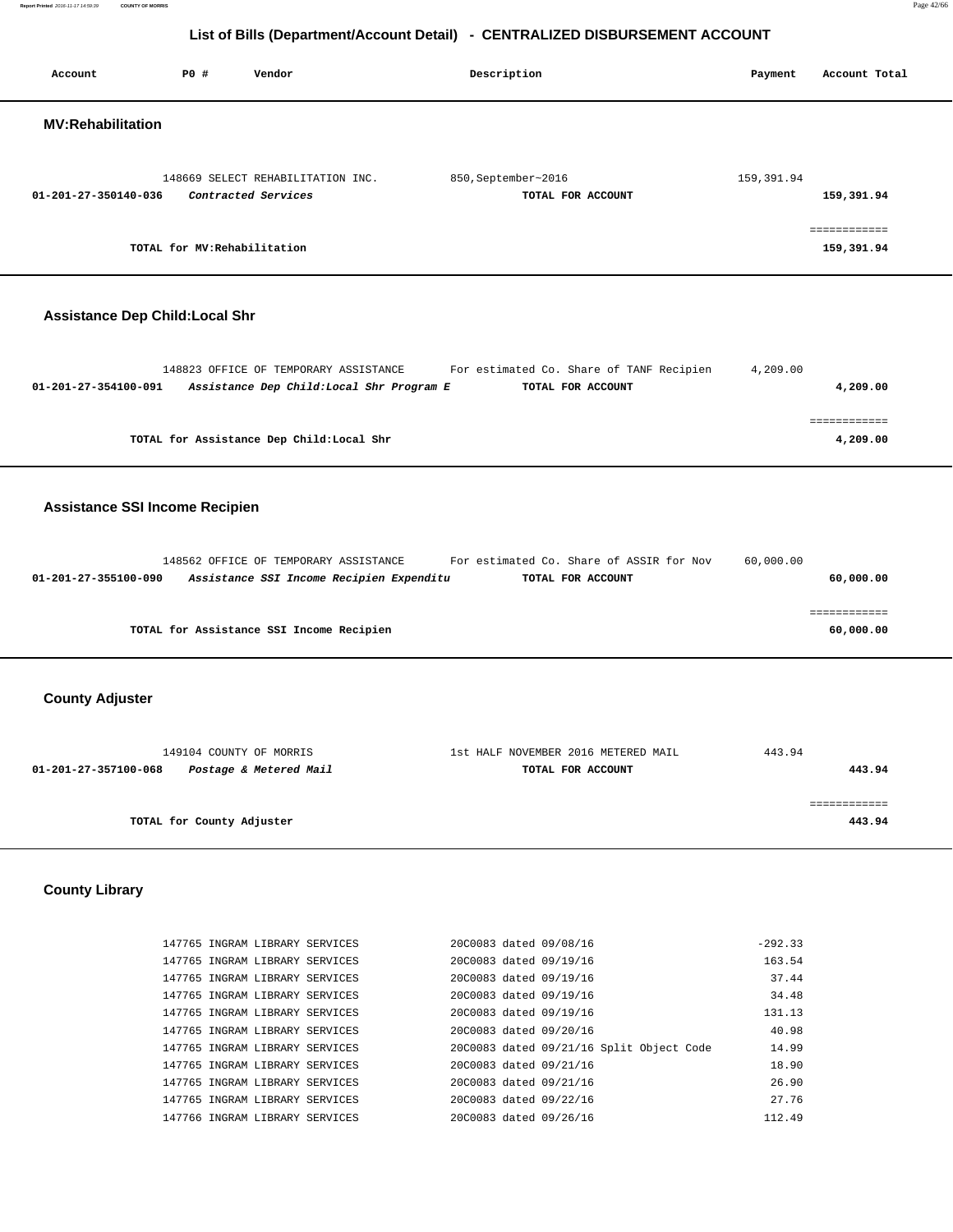**Report Printed** 2016-11-17 14:59:39 **COUNTY OF MORRIS** Page 42/66

# **List of Bills (Department/Account Detail) - CENTRALIZED DISBURSEMENT ACCOUNT**

| Account                               | P0 #                         | Vendor                                                                             | Description                                                   | Payment             | Account Total              |
|---------------------------------------|------------------------------|------------------------------------------------------------------------------------|---------------------------------------------------------------|---------------------|----------------------------|
| <b>MV:Rehabilitation</b>              |                              |                                                                                    |                                                               |                     |                            |
|                                       |                              |                                                                                    |                                                               |                     |                            |
| 01-201-27-350140-036                  |                              | 148669 SELECT REHABILITATION INC.<br>Contracted Services                           | 850, September~2016<br>TOTAL FOR ACCOUNT                      | 159, 391.94         | 159,391.94                 |
|                                       | TOTAL for MV: Rehabilitation |                                                                                    |                                                               |                     | ============<br>159,391.94 |
| <b>Assistance Dep Child:Local Shr</b> |                              |                                                                                    |                                                               |                     |                            |
| 01-201-27-354100-091                  |                              | 148823 OFFICE OF TEMPORARY ASSISTANCE<br>Assistance Dep Child: Local Shr Program E | For estimated Co. Share of TANF Recipien<br>TOTAL FOR ACCOUNT | 4,209.00            | 4,209.00                   |
|                                       |                              | TOTAL for Assistance Dep Child: Local Shr                                          |                                                               |                     | ============<br>4,209.00   |
| <b>Assistance SSI Income Recipien</b> |                              |                                                                                    |                                                               |                     |                            |
| 01-201-27-355100-090                  |                              | 148562 OFFICE OF TEMPORARY ASSISTANCE<br>Assistance SSI Income Recipien Expenditu  | For estimated Co. Share of ASSIR for Nov<br>TOTAL FOR ACCOUNT | 60,000.00           | 60,000.00                  |
|                                       |                              | TOTAL for Assistance SSI Income Recipien                                           |                                                               |                     | ============<br>60,000.00  |
| <b>County Adjuster</b>                |                              |                                                                                    |                                                               |                     |                            |
| 01-201-27-357100-068                  | 149104 COUNTY OF MORRIS      | Postage & Metered Mail                                                             | 1st HALF NOVEMBER 2016 METERED MAIL<br>TOTAL FOR ACCOUNT      | 443.94              | 443.94                     |
|                                       | TOTAL for County Adjuster    |                                                                                    |                                                               |                     | ============<br>443.94     |
| <b>County Library</b>                 |                              |                                                                                    |                                                               |                     |                            |
|                                       |                              | 147765 INGRAM LIBRARY SERVICES<br>147765 INGRAM LIBRARY SERVICES                   | 20C0083 dated 09/08/16<br>20C0083 dated 09/19/16              | $-292.33$<br>163 54 |                            |

| 14//65 INGRAM LIBRARY SERVICES | ZUCUU83 QATEQ UY/U8/I6 |                                          | -494.33 |
|--------------------------------|------------------------|------------------------------------------|---------|
| 147765 INGRAM LIBRARY SERVICES | 20C0083 dated 09/19/16 |                                          | 163.54  |
| 147765 INGRAM LIBRARY SERVICES | 20C0083 dated 09/19/16 |                                          | 37.44   |
| 147765 INGRAM LIBRARY SERVICES | 20C0083 dated 09/19/16 |                                          | 34.48   |
| 147765 INGRAM LIBRARY SERVICES | 20C0083 dated 09/19/16 |                                          | 131.13  |
| 147765 INGRAM LIBRARY SERVICES | 20C0083 dated 09/20/16 |                                          | 40.98   |
| 147765 INGRAM LIBRARY SERVICES |                        | 20C0083 dated 09/21/16 Split Object Code | 14.99   |
| 147765 INGRAM LIBRARY SERVICES | 20C0083 dated 09/21/16 |                                          | 18.90   |
| 147765 INGRAM LIBRARY SERVICES | 20C0083 dated 09/21/16 |                                          | 26.90   |
| 147765 INGRAM LIBRARY SERVICES | 20C0083 dated 09/22/16 |                                          | 27.76   |
| 147766 INGRAM LIBRARY SERVICES | 20C0083 dated 09/26/16 |                                          | 112.49  |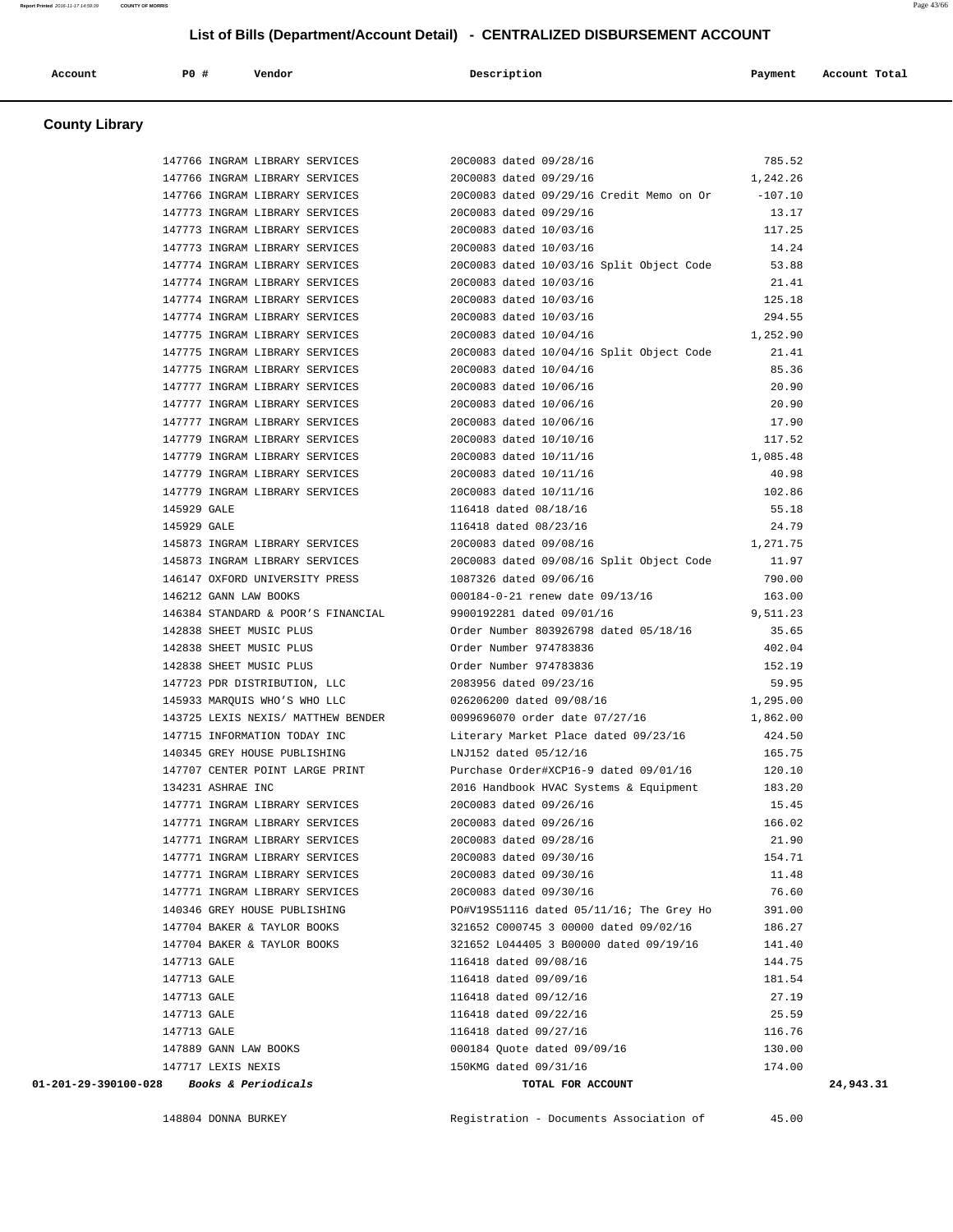| Account | PO# | Vendor | Description | Payment | Account Total |
|---------|-----|--------|-------------|---------|---------------|
|         |     |        |             |         |               |

 **County Library** 

| 01-201-29-390100-028 |                            | <i>Books &amp; Periodicals</i>                                   | TOTAL FOR ACCOUNT                                                               |          | 24,943.31 |
|----------------------|----------------------------|------------------------------------------------------------------|---------------------------------------------------------------------------------|----------|-----------|
|                      |                            | 147717 LEXIS NEXIS                                               | 150KMG dated 09/31/16                                                           | 174.00   |           |
|                      |                            | 147889 GANN LAW BOOKS                                            | 000184 Quote dated 09/09/16                                                     | 130.00   |           |
|                      | 147713 GALE                |                                                                  | 116418 dated 09/27/16                                                           | 116.76   |           |
|                      | 147713 GALE                |                                                                  | 116418 dated 09/22/16                                                           | 25.59    |           |
|                      | 147713 GALE                |                                                                  | 116418 dated 09/12/16                                                           | 27.19    |           |
|                      |                            |                                                                  |                                                                                 | 181.54   |           |
|                      | 147713 GALE<br>147713 GALE |                                                                  | 116418 dated 09/08/16<br>116418 dated 09/09/16                                  | 144.75   |           |
|                      |                            | 147704 BAKER & TAYLOR BOOKS                                      | 321652 L044405 3 B00000 dated 09/19/16                                          | 141.40   |           |
|                      |                            | 147704 BAKER & TAYLOR BOOKS                                      | 321652 C000745 3 00000 dated 09/02/16                                           | 186.27   |           |
|                      |                            | 140346 GREY HOUSE PUBLISHING                                     | PO#V19S51116 dated 05/11/16; The Grey Ho                                        | 391.00   |           |
|                      |                            | 147771 INGRAM LIBRARY SERVICES                                   | 20C0083 dated 09/30/16                                                          | 76.60    |           |
|                      |                            | 147771 INGRAM LIBRARY SERVICES                                   | 20C0083 dated 09/30/16                                                          | 11.48    |           |
|                      |                            | 147771 INGRAM LIBRARY SERVICES                                   | 20C0083 dated 09/30/16                                                          | 154.71   |           |
|                      |                            |                                                                  | 20C0083 dated 09/28/16                                                          | 21.90    |           |
|                      |                            | 147771 INGRAM LIBRARY SERVICES<br>147771 INGRAM LIBRARY SERVICES | 20C0083 dated 09/26/16                                                          | 166.02   |           |
|                      |                            | 147771 INGRAM LIBRARY SERVICES                                   |                                                                                 | 15.45    |           |
|                      |                            | 134231 ASHRAE INC                                                | 2016 Handbook HVAC Systems & Equipment<br>20C0083 dated 09/26/16                | 183.20   |           |
|                      |                            | 147707 CENTER POINT LARGE PRINT                                  | Purchase Order#XCP16-9 dated 09/01/16                                           | 120.10   |           |
|                      |                            | 140345 GREY HOUSE PUBLISHING                                     | LNJ152 dated 05/12/16                                                           | 165.75   |           |
|                      |                            | 147715 INFORMATION TODAY INC                                     | Literary Market Place dated 09/23/16                                            | 424.50   |           |
|                      |                            |                                                                  | 143725 LEXIS NEXIS/ MATTHEW BENDER 0099696070 order date 07/27/16               | 1,862.00 |           |
|                      |                            | 145933 MARQUIS WHO'S WHO LLC                                     | 026206200 dated 09/08/16                                                        | 1,295.00 |           |
|                      |                            | 147723 PDR DISTRIBUTION, LLC                                     | 2083956 dated 09/23/16                                                          | 59.95    |           |
|                      |                            | 142838 SHEET MUSIC PLUS                                          | Order Number 974783836                                                          | 152.19   |           |
|                      |                            | 142838 SHEET MUSIC PLUS                                          | Order Number 974783836                                                          | 402.04   |           |
|                      |                            | 142838 SHEET MUSIC PLUS                                          | Order Number 803926798 dated 05/18/16                                           | 35.65    |           |
|                      |                            | 146384 STANDARD & POOR'S FINANCIAL 9900192281 dated 09/01/16     |                                                                                 | 9,511.23 |           |
|                      |                            | 146212 GANN LAW BOOKS                                            | 000184-0-21 renew date 09/13/16                                                 | 163.00   |           |
|                      |                            | 146147 OXFORD UNIVERSITY PRESS 1087326 dated 09/06/16            |                                                                                 | 790.00   |           |
|                      |                            | 145873 INGRAM LIBRARY SERVICES                                   | 20C0083 dated 09/08/16 Split Object Code                                        | 11.97    |           |
|                      |                            | 145873 INGRAM LIBRARY SERVICES                                   | 20C0083 dated 09/08/16                                                          | 1,271.75 |           |
|                      | 145929 GALE                |                                                                  | 116418 dated 08/23/16                                                           | 24.79    |           |
|                      | 145929 GALE                |                                                                  | 116418 dated 08/18/16                                                           | 55.18    |           |
|                      |                            | 147779 INGRAM LIBRARY SERVICES 20C0083 dated 10/11/16            |                                                                                 | 102.86   |           |
|                      |                            | 147779 INGRAM LIBRARY SERVICES 20C0083 dated 10/11/16            |                                                                                 | 40.98    |           |
|                      |                            | 147779 INGRAM LIBRARY SERVICES 20C0083 dated 10/11/16            |                                                                                 | 1,085.48 |           |
|                      |                            | 147779 INGRAM LIBRARY SERVICES                                   | 20C0083 dated 10/10/16                                                          | 117.52   |           |
|                      |                            | 147777 INGRAM LIBRARY SERVICES                                   | 20C0083 dated 10/06/16                                                          | 17.90    |           |
|                      |                            | 147777 INGRAM LIBRARY SERVICES                                   | 20C0083 dated 10/06/16                                                          | 20.90    |           |
|                      |                            | 147777 INGRAM LIBRARY SERVICES                                   | 20C0083 dated 10/06/16                                                          | 20.90    |           |
|                      |                            | 147775 INGRAM LIBRARY SERVICES 20C0083 dated 10/04/16            |                                                                                 | 85.36    |           |
|                      |                            |                                                                  | 147775 INGRAM LIBRARY SERVICES 2000083 dated 10/04/16 Split Object Code         | 21.41    |           |
|                      |                            | 147775 INGRAM LIBRARY SERVICES 20C0083 dated 10/04/16            |                                                                                 | 1,252.90 |           |
|                      |                            | 147774 INGRAM LIBRARY SERVICES 20C0083 dated 10/03/16            |                                                                                 | 294.55   |           |
|                      |                            | 147774 INGRAM LIBRARY SERVICES                                   | 20C0083 dated 10/03/16                                                          | 125.18   |           |
|                      |                            | 147774 INGRAM LIBRARY SERVICES                                   |                                                                                 | 21.41    |           |
|                      |                            | 147774 INGRAM LIBRARY SERVICES                                   | 20C0083 dated 10/03/16 Split Object Code<br>20C0083 dated 10/03/16              | 53.88    |           |
|                      |                            | 147773 INGRAM LIBRARY SERVICES                                   | 20C0083 dated 10/03/16                                                          | 14.24    |           |
|                      |                            | 147773 INGRAM LIBRARY SERVICES 20C0083 dated 10/03/16            |                                                                                 | 117.25   |           |
|                      |                            | 147773 INGRAM LIBRARY SERVICES 20C0083 dated 09/29/16            |                                                                                 | 13.17    |           |
|                      |                            |                                                                  | 147766 INGRAM LIBRARY SERVICES 20C0083 dated 09/29/16 Credit Memo on Or -107.10 |          |           |
|                      |                            | 147766 INGRAM LIBRARY SERVICES 20C0083 dated 09/29/16            |                                                                                 | 1,242.26 |           |
|                      |                            | 147766 INGRAM LIBRARY SERVICES                                   | 20C0083 dated 09/28/16                                                          | 785.52   |           |

**Report Printed** 2016-11-17 14:59:39 **COUNTY OF MORRIS** Page 43/66

148804 DONNA BURKEY Registration - Documents Association of 45.00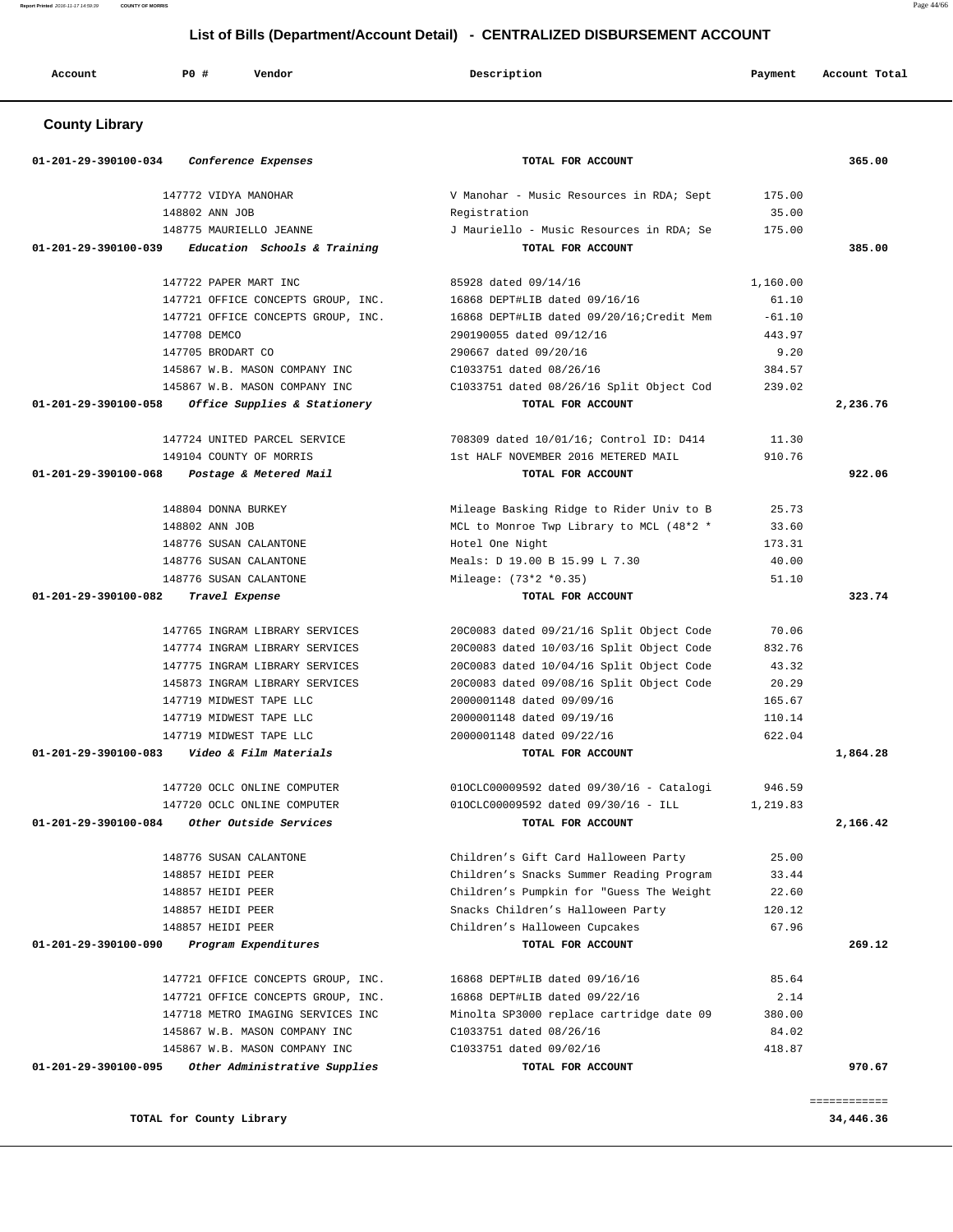**TOTAL for County Library 34,446.36**

| $01 - 201 - 29 - 390100 - 090$ | Program Expenditures               |
|--------------------------------|------------------------------------|
|                                |                                    |
|                                | 147721 OFFICE CONCEPTS GROUP, INC. |
|                                | 147721 OFFICE CONCEPTS GROUP, INC. |
|                                | 147718 METRO IMAGING SERVICES INC  |
|                                | 145867 W.B. MASON COMPANY INC      |
|                                | 145867 W.B. MASON COMPANY INC      |
| 01-201-29-390100-095           | Other Administrative Supplies      |
|                                |                                    |
|                                |                                    |

148776 SUSAN CALANTONE 148776 SUSAN CALANTONE

 **01-201-29-390100-068 Postage & Metered Mail TOTAL FOR ACCOUNT 922.06** 148804 DONNA BURKEY Mileage Basking Ridge to Rider Univ to B 25.73 148802 ANN JOB MCL to Monroe Twp Library to MCL (48\*2 \* 33.60

 **01-201-29-390100-058 Office Supplies & Stationery TOTAL FOR ACCOUNT 2,236.76** 147724 UNITED PARCEL SERVICE 708309 dated 10/01/16; Control ID: D414 11.30

 147722 PAPER MART INC 85928 dated 09/14/16 1,160.00 147721 OFFICE CONCEPTS GROUP, INC. 16868 DEPT#LIB dated 09/16/16 61.10 147721 OFFICE CONCEPTS GROUP, INC. 16868 DEPT#LIB dated 09/20/16;Credit Mem -61.10 147708 DEMCO 290190055 dated 09/12/16 443.97 147705 BRODART CO 290667 dated 09/20/16 9.20 145867 W.B. MASON COMPANY INC C1033751 dated 08/26/16 384.57 145867 W.B. MASON COMPANY INC C1033751 dated 08/26/16 Split Object Cod 239.02

 148802 ANN JOB Registration 35.00 148775 MAURIELLO JEANNE J Mauriello - Music Resources in RDA; Se 175.00  **01-201-29-390100-039 Education Schools & Training TOTAL FOR ACCOUNT 385.00**

 **County Library** 

 **01-201-29-390100-034 Conference Expenses TOTAL FOR ACCOUNT 365.00** 147772 VIDYA MANOHAR V Manohar - Music Resources in RDA; Sept 175.00

 **List of Bills (Department/Account Detail) - CENTRALIZED DISBURSEMENT ACCOUNT**

149104 COUNTY OF MORRIS 1st HALF NOVEMBER 2016 METERED MAIL 910.76

============

| 148776 SUSAN CALANTONE                                                                 | Hotel One Night                              | 173.31   |          |
|----------------------------------------------------------------------------------------|----------------------------------------------|----------|----------|
| 148776 SUSAN CALANTONE                                                                 | Meals: D 19.00 B 15.99 L 7.30                | 40.00    |          |
| 148776 SUSAN CALANTONE                                                                 | Mileage: (73*2 *0.35)                        | 51.10    |          |
| 01-201-29-390100-082<br>Travel Expense                                                 | TOTAL FOR ACCOUNT                            |          | 323.74   |
|                                                                                        |                                              |          |          |
| 147765 INGRAM LIBRARY SERVICES                                                         | 20C0083 dated 09/21/16 Split Object Code     | 70.06    |          |
| 147774 INGRAM LIBRARY SERVICES                                                         | 20C0083 dated 10/03/16 Split Object Code     | 832.76   |          |
| 147775 INGRAM LIBRARY SERVICES                                                         | 20C0083 dated 10/04/16 Split Object Code     | 43.32    |          |
| 145873 INGRAM LIBRARY SERVICES                                                         | 20C0083 dated 09/08/16 Split Object Code     | 20.29    |          |
| 147719 MIDWEST TAPE LLC                                                                | 2000001148 dated 09/09/16                    | 165.67   |          |
| 147719 MIDWEST TAPE LLC                                                                | 2000001148 dated 09/19/16                    | 110.14   |          |
| 147719 MIDWEST TAPE LLC                                                                | 2000001148 dated 09/22/16                    | 622.04   |          |
| <i>Video &amp; Film Materials</i><br>01-201-29-390100-083                              | TOTAL FOR ACCOUNT                            |          | 1,864.28 |
|                                                                                        |                                              |          |          |
| 147720 OCLC ONLINE COMPUTER                                                            | $010CLC00009592$ dated $09/30/16$ - Catalogi | 946.59   |          |
| 147720 OCLC ONLINE COMPUTER                                                            | 010CLC00009592 dated 09/30/16 - ILL          | 1,219.83 |          |
|                                                                                        |                                              |          |          |
| $01-201-29-390100-084$ Other Outside Services                                          | TOTAL FOR ACCOUNT                            |          | 2,166.42 |
|                                                                                        |                                              |          |          |
| 148776 SUSAN CALANTONE                                                                 | Children's Gift Card Halloween Party         | 25.00    |          |
| 148857 HEIDI PEER                                                                      | Children's Snacks Summer Reading Program     | 33.44    |          |
| 148857 HEIDI PEER                                                                      | Children's Pumpkin for "Guess The Weight     | 22.60    |          |
| 148857 HEIDI PEER                                                                      | Snacks Children's Halloween Party            | 120.12   |          |
| 148857 HEIDI PEER                                                                      | Children's Halloween Cupcakes                | 67.96    |          |
| $01-201-29-390100-090$ Program Expenditures                                            | TOTAL FOR ACCOUNT                            |          | 269.12   |
|                                                                                        |                                              |          |          |
| 147721 OFFICE CONCEPTS GROUP, INC.                                                     | 16868 DEPT#LIB dated 09/16/16                | 85.64    |          |
| 147721 OFFICE CONCEPTS GROUP, INC.                                                     | 16868 DEPT#LIB dated 09/22/16                | 2.14     |          |
| 147718 METRO IMAGING SERVICES INC                                                      | Minolta SP3000 replace cartridge date 09     | 380.00   |          |
| 145867 W.B. MASON COMPANY INC                                                          | C1033751 dated 08/26/16                      | 84.02    |          |
| 145867 W.B. MASON COMPANY INC<br>01-201-29-390100-095<br>Other Administrative Supplies | C1033751 dated 09/02/16<br>TOTAL FOR ACCOUNT | 418.87   | 970.67   |

**Report Printed** 2016-11-17 14:59:39 **COUNTY OF MORRIS** Page 44/66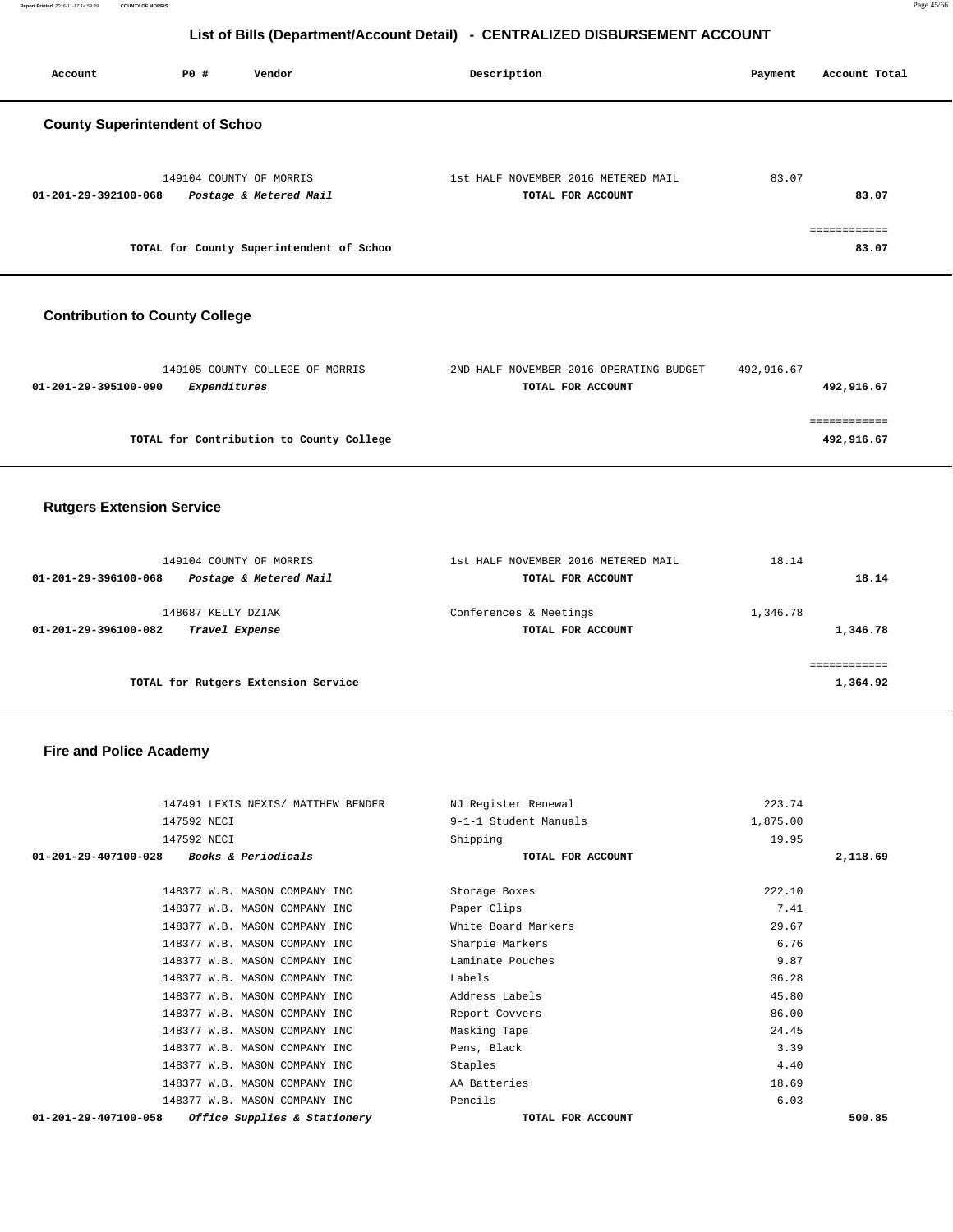**Report Printed** 2016-11-17 14:59:39 **COUNTY OF MORRIS** Page 45/66

# **List of Bills (Department/Account Detail) - CENTRALIZED DISBURSEMENT ACCOUNT**

| Account                               | PO# | Vendor                                            | Description                                              | Payment | Account Total         |
|---------------------------------------|-----|---------------------------------------------------|----------------------------------------------------------|---------|-----------------------|
| <b>County Superintendent of Schoo</b> |     |                                                   |                                                          |         |                       |
| 01-201-29-392100-068                  |     | 149104 COUNTY OF MORRIS<br>Postage & Metered Mail | 1st HALF NOVEMBER 2016 METERED MAIL<br>TOTAL FOR ACCOUNT | 83.07   | 83.07                 |
|                                       |     | TOTAL for County Superintendent of Schoo          |                                                          |         | ------------<br>83.07 |

# **Contribution to County College**

| 149105 COUNTY COLLEGE OF MORRIS          | 2ND HALF NOVEMBER 2016 OPERATING BUDGET | 492,916.67 |
|------------------------------------------|-----------------------------------------|------------|
| Expenditures<br>01-201-29-395100-090     | TOTAL FOR ACCOUNT                       | 492,916.67 |
|                                          |                                         |            |
|                                          |                                         |            |
| TOTAL for Contribution to County College |                                         | 492,916.67 |
|                                          |                                         |            |

# **Rutgers Extension Service**

| 149104 COUNTY OF MORRIS                        | 1st HALF NOVEMBER 2016 METERED MAIL | 18.14       |
|------------------------------------------------|-------------------------------------|-------------|
| Postage & Metered Mail<br>01-201-29-396100-068 | TOTAL FOR ACCOUNT                   | 18.14       |
| 148687 KELLY DZIAK                             | Conferences & Meetings              | 1,346.78    |
| 01-201-29-396100-082<br>Travel Expense         | TOTAL FOR ACCOUNT                   | 1,346.78    |
|                                                |                                     | =========== |
| TOTAL for Rutgers Extension Service            |                                     | 1,364.92    |

# **Fire and Police Academy**

| 147491 LEXIS NEXIS/ MATTHEW BENDER                             |                  | NJ Register Renewal   | 223.74   |
|----------------------------------------------------------------|------------------|-----------------------|----------|
| 147592 NECI                                                    |                  | 9-1-1 Student Manuals | 1,875.00 |
| 147592 NECI                                                    | Shipping         |                       | 19.95    |
| 01-201-29-407100-028 Books & Periodicals                       |                  | TOTAL FOR ACCOUNT     | 2,118.69 |
|                                                                |                  |                       |          |
| 148377 W.B. MASON COMPANY INC                                  | Storage Boxes    |                       | 222.10   |
| 148377 W.B. MASON COMPANY INC                                  | Paper Clips      |                       | 7.41     |
| 148377 W.B. MASON COMPANY INC                                  |                  | White Board Markers   | 29.67    |
| 148377 W.B. MASON COMPANY INC                                  | Sharpie Markers  |                       | 6.76     |
| 148377 W.B. MASON COMPANY INC                                  | Laminate Pouches |                       | 9.87     |
| 148377 W.B. MASON COMPANY INC                                  | Labels           |                       | 36.28    |
| 148377 W.B. MASON COMPANY INC                                  | Address Labels   |                       | 45.80    |
| 148377 W.B. MASON COMPANY INC                                  | Report Covvers   |                       | 86.00    |
| 148377 W.B. MASON COMPANY INC                                  | Masking Tape     |                       | 24.45    |
| 148377 W.B. MASON COMPANY INC                                  | Pens, Black      |                       | 3.39     |
| 148377 W.B. MASON COMPANY INC                                  | Staples          |                       | 4.40     |
| 148377 W.B. MASON COMPANY INC                                  | AA Batteries     |                       | 18.69    |
| 148377 W.B. MASON COMPANY INC                                  | Pencils          |                       | 6.03     |
| Office Supplies & Stationery<br>$01 - 201 - 29 - 407100 - 058$ |                  | TOTAL FOR ACCOUNT     | 500.85   |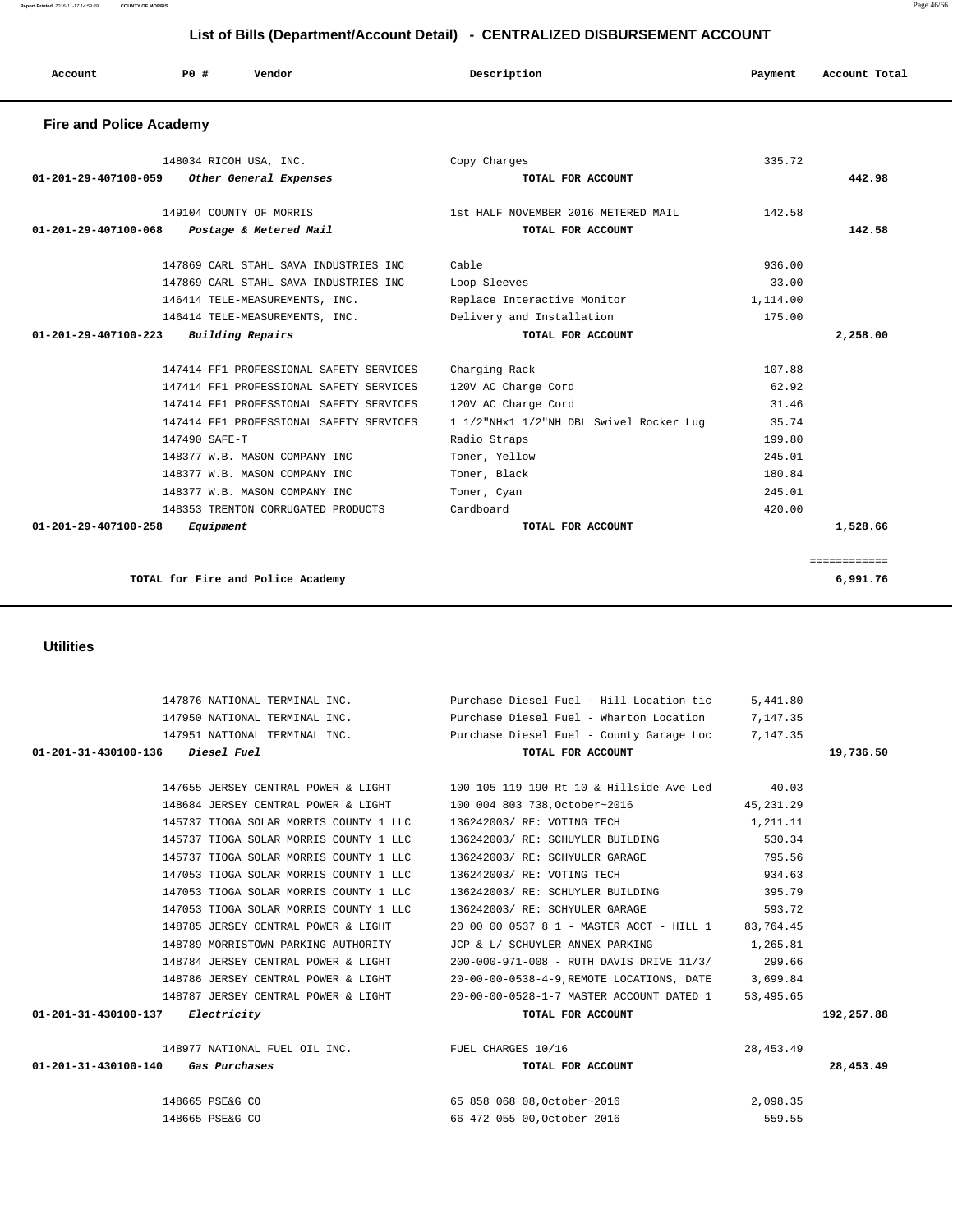|                                                  | 147655 JERSEY CENTRAL POWER & LIGHT 100 105 119 190 Rt 10 & Hillside Ave Led 40.03      |             |            |
|--------------------------------------------------|-----------------------------------------------------------------------------------------|-------------|------------|
|                                                  | $148684$ JERSEY CENTRAL POWER & LIGHT $100004803738$ , October~2016                     | 45, 231. 29 |            |
| 145737 TIOGA SOLAR MORRIS COUNTY 1 LLC           | 136242003/ RE: VOTING TECH                                                              | 1,211.11    |            |
| 145737 TIOGA SOLAR MORRIS COUNTY 1 LLC           | 136242003/ RE: SCHUYLER BUILDING                                                        | 530.34      |            |
| 145737 TIOGA SOLAR MORRIS COUNTY 1 LLC           | 136242003/ RE: SCHYULER GARAGE                                                          | 795.56      |            |
| 147053 TIOGA SOLAR MORRIS COUNTY 1 LLC           | 136242003/ RE: VOTING TECH                                                              | 934.63      |            |
| 147053 TIOGA SOLAR MORRIS COUNTY 1 LLC           | 136242003/ RE: SCHUYLER BUILDING                                                        | 395.79      |            |
| 147053 TIOGA SOLAR MORRIS COUNTY 1 LLC           | 136242003/ RE: SCHYULER GARAGE                                                          | 593.72      |            |
| 148785 JERSEY CENTRAL POWER & LIGHT              | 20 00 00 0537 8 1 - MASTER ACCT - HILL 1                                                | 83,764.45   |            |
| 148789 MORRISTOWN PARKING AUTHORITY              | JCP & L/ SCHUYLER ANNEX PARKING                                                         | 1,265.81    |            |
| 148784 JERSEY CENTRAL POWER & LIGHT              | 200-000-971-008 - RUTH DAVIS DRIVE 11/3/ 299.66                                         |             |            |
|                                                  | 148786 JERSEY CENTRAL POWER & LIGHT 400-00-00-0538-4-9, REMOTE LOCATIONS, DATE 3,699.84 |             |            |
|                                                  | 148787 JERSEY CENTRAL POWER & LIGHT 20-00-00-0528-1-7 MASTER ACCOUNT DATED 1            | 53,495.65   |            |
| $01 - 201 - 31 - 430100 - 137$ Electricity       | TOTAL FOR ACCOUNT                                                                       |             | 192,257.88 |
| 148977 NATIONAL FUEL OIL INC. TUEL CHARGES 10/16 |                                                                                         | 28, 453.49  |            |
| 01-201-31-430100-140<br>Gas Purchases            | TOTAL FOR ACCOUNT                                                                       |             | 28,453.49  |
| 148665 PSE&G CO                                  | 65 858 068 08, October~2016                                                             | 2,098.35    |            |
| 148665 PSE&G CO                                  | 66 472 055 00, October-2016                                                             | 559.55      |            |

 147876 NATIONAL TERMINAL INC. Purchase Diesel Fuel - Hill Location tic 5,441.80 147950 NATIONAL TERMINAL INC. Purchase Diesel Fuel - Wharton Location 7,147.35 147951 NATIONAL TERMINAL INC. Purchase Diesel Fuel - County Garage Loc 7,147.35  **01-201-31-430100-136 Diesel Fuel TOTAL FOR ACCOUNT 19,736.50**

#### **Utilities**

| 148034 RICOH USA, INC.                                   | Copy Charges                            | 335.72   |              |
|----------------------------------------------------------|-----------------------------------------|----------|--------------|
| 01-201-29-407100-059<br>Other General Expenses           | TOTAL FOR ACCOUNT                       |          | 442.98       |
| 149104 COUNTY OF MORRIS                                  | 1st HALF NOVEMBER 2016 METERED MAIL     | 142.58   |              |
| $01 - 201 - 29 - 407100 - 068$<br>Postage & Metered Mail | TOTAL FOR ACCOUNT                       |          | 142.58       |
| 147869 CARL STAHL SAVA INDUSTRIES INC                    | Cable                                   | 936.00   |              |
| 147869 CARL STAHL SAVA INDUSTRIES INC                    | Loop Sleeves                            | 33.00    |              |
| 146414 TELE-MEASUREMENTS, INC.                           | Replace Interactive Monitor             | 1,114.00 |              |
| 146414 TELE-MEASUREMENTS, INC.                           | Delivery and Installation               | 175.00   |              |
| 01-201-29-407100-223<br><b>Building Repairs</b>          | TOTAL FOR ACCOUNT                       |          | 2,258.00     |
| 147414 FF1 PROFESSIONAL SAFETY SERVICES                  | Charging Rack                           | 107.88   |              |
| 147414 FF1 PROFESSIONAL SAFETY SERVICES                  | 120V AC Charge Cord                     | 62.92    |              |
| 147414 FF1 PROFESSIONAL SAFETY SERVICES                  | 120V AC Charge Cord                     | 31.46    |              |
| 147414 FF1 PROFESSIONAL SAFETY SERVICES                  | 1 1/2"NHx1 1/2"NH DBL Swivel Rocker Lug | 35.74    |              |
| 147490 SAFE-T                                            | Radio Straps                            | 199.80   |              |
| 148377 W.B. MASON COMPANY INC                            | Toner, Yellow                           | 245.01   |              |
| 148377 W.B. MASON COMPANY INC                            | Toner, Black                            | 180.84   |              |
| 148377 W.B. MASON COMPANY INC                            | Toner, Cyan                             | 245.01   |              |
| 148353 TRENTON CORRUGATED PRODUCTS                       | Cardboard                               | 420.00   |              |
| $01 - 201 - 29 - 407100 - 258$<br>Equipment              | TOTAL FOR ACCOUNT                       |          | 1,528.66     |
|                                                          |                                         |          | ============ |
| TOTAL for Fire and Police Academy                        |                                         |          | 6,991.76     |

# **List of Bills (Department/Account Detail) - CENTRALIZED DISBURSEMENT ACCOUNT**

 **Account P0 # Vendor Description Payment Account Total**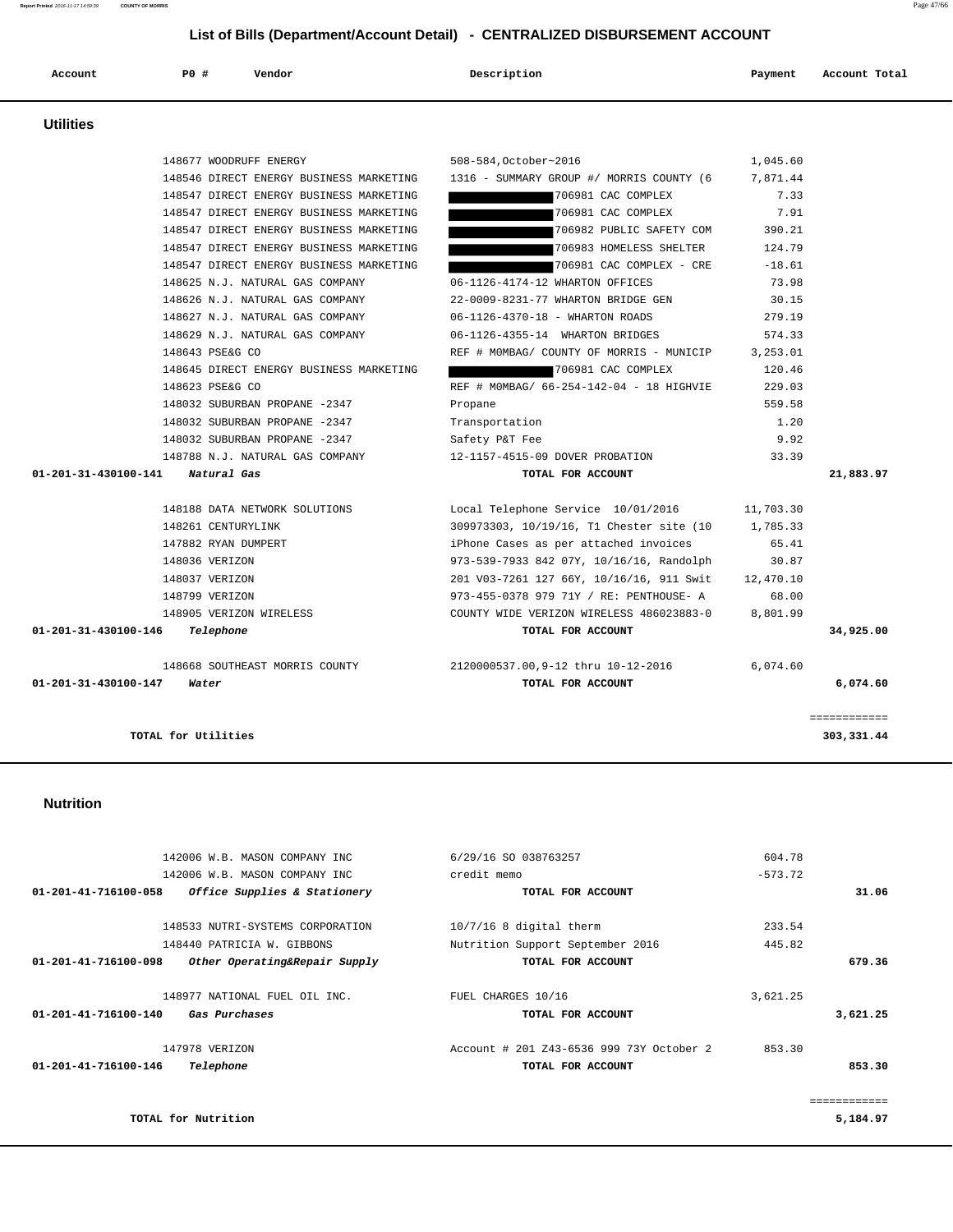**Report Printed** 2016-11-17 14:59:39 **COUNTY OF MORRIS** Page 47/66

### **List of Bills (Department/Account Detail) - CENTRALIZED DISBURSEMENT ACCOUNT**

| Account              | P0 #<br>Vendor                                                   | Description                                          | Payment       | Account Total              |
|----------------------|------------------------------------------------------------------|------------------------------------------------------|---------------|----------------------------|
| <b>Utilities</b>     |                                                                  |                                                      |               |                            |
|                      |                                                                  |                                                      |               |                            |
|                      | 148677 WOODRUFF ENERGY                                           | 508-584, October~2016                                | 1,045.60      |                            |
|                      | 148546 DIRECT ENERGY BUSINESS MARKETING                          | 1316 - SUMMARY GROUP #/ MORRIS COUNTY (6             | 7,871.44      |                            |
|                      | 148547 DIRECT ENERGY BUSINESS MARKETING                          | 706981 CAC COMPLEX                                   | 7.33          |                            |
|                      | 148547 DIRECT ENERGY BUSINESS MARKETING                          | 706981 CAC COMPLEX                                   | 7.91          |                            |
|                      | 148547 DIRECT ENERGY BUSINESS MARKETING                          | 706982 PUBLIC SAFETY COM                             | 390.21        |                            |
|                      | 148547 DIRECT ENERGY BUSINESS MARKETING                          | 706983 HOMELESS SHELTER                              | 124.79        |                            |
|                      | 148547 DIRECT ENERGY BUSINESS MARKETING                          | 706981 CAC COMPLEX - CRE                             | $-18.61$      |                            |
|                      | 148625 N.J. NATURAL GAS COMPANY                                  | 06-1126-4174-12 WHARTON OFFICES                      | 73.98         |                            |
|                      | 148626 N.J. NATURAL GAS COMPANY                                  | 22-0009-8231-77 WHARTON BRIDGE GEN                   | 30.15         |                            |
|                      | 148627 N.J. NATURAL GAS COMPANY                                  | 06-1126-4370-18 - WHARTON ROADS                      | 279.19        |                            |
|                      | 148629 N.J. NATURAL GAS COMPANY                                  | 06-1126-4355-14 WHARTON BRIDGES                      | 574.33        |                            |
|                      | 148643 PSE&G CO                                                  | REF # MOMBAG/ COUNTY OF MORRIS - MUNICIP             | 3,253.01      |                            |
|                      | 148645 DIRECT ENERGY BUSINESS MARKETING                          | 706981 CAC COMPLEX                                   | 120.46        |                            |
|                      | 148623 PSE&G CO                                                  | REF # MOMBAG/ 66-254-142-04 - 18 HIGHVIE             | 229.03        |                            |
|                      | 148032 SUBURBAN PROPANE -2347                                    | Propane                                              | 559.58        |                            |
|                      | 148032 SUBURBAN PROPANE -2347                                    | Transportation                                       | 1.20          |                            |
|                      | 148032 SUBURBAN PROPANE -2347<br>148788 N.J. NATURAL GAS COMPANY | Safety P&T Fee                                       | 9.92<br>33.39 |                            |
| 01-201-31-430100-141 | Natural Gas                                                      | 12-1157-4515-09 DOVER PROBATION<br>TOTAL FOR ACCOUNT |               | 21,883.97                  |
|                      |                                                                  |                                                      |               |                            |
|                      | 148188 DATA NETWORK SOLUTIONS                                    | Local Telephone Service 10/01/2016                   | 11,703.30     |                            |
|                      | 148261 CENTURYLINK                                               | 309973303, 10/19/16, T1 Chester site (10             | 1,785.33      |                            |
|                      | 147882 RYAN DUMPERT                                              | iPhone Cases as per attached invoices                | 65.41         |                            |
|                      | 148036 VERIZON                                                   | 973-539-7933 842 07Y, 10/16/16, Randolph             | 30.87         |                            |
|                      | 148037 VERIZON                                                   | 201 V03-7261 127 66Y, 10/16/16, 911 Swit             | 12,470.10     |                            |
|                      | 148799 VERIZON                                                   | 973-455-0378 979 71Y / RE: PENTHOUSE- A              | 68.00         |                            |
|                      | 148905 VERIZON WIRELESS                                          | COUNTY WIDE VERIZON WIRELESS 486023883-0             | 8,801.99      |                            |
| 01-201-31-430100-146 | Telephone                                                        | TOTAL FOR ACCOUNT                                    |               | 34,925.00                  |
|                      | 148668 SOUTHEAST MORRIS COUNTY                                   | 2120000537.00,9-12 thru 10-12-2016                   | 6,074.60      |                            |
| 01-201-31-430100-147 | Water                                                            | TOTAL FOR ACCOUNT                                    |               | 6,074.60                   |
|                      |                                                                  |                                                      |               |                            |
|                      | TOTAL for Utilities                                              |                                                      |               | ============<br>303,331.44 |
|                      |                                                                  |                                                      |               |                            |
|                      |                                                                  |                                                      |               |                            |
| <b>Nutrition</b>     |                                                                  |                                                      |               |                            |
|                      |                                                                  |                                                      |               |                            |
|                      |                                                                  |                                                      |               |                            |
|                      | 142006 W.B. MASON COMPANY INC.<br>142006 W.B. MASON COMPANY INC  | 6/29/16 SO 038763257                                 | 604.78        |                            |
| 01-201-41-716100-058 | Office Supplies & Stationery                                     | credit memo<br>TOTAL FOR ACCOUNT                     | $-573.72$     | 31.06                      |
|                      |                                                                  |                                                      |               |                            |
|                      | 148533 NUTRI-SYSTEMS CORPORATION                                 | 10/7/16 8 digital therm                              | 233.54        |                            |
|                      | 148440 PATRICIA W. GIBBONS                                       | Nutrition Support September 2016                     | 445.82        |                            |
| 01-201-41-716100-098 | Other Operating&Repair Supply                                    | TOTAL FOR ACCOUNT                                    |               | 679.36                     |
|                      |                                                                  |                                                      |               |                            |
|                      | 148977 NATIONAL FUEL OIL INC.                                    | FUEL CHARGES 10/16                                   | 3,621.25      |                            |
| 01-201-41-716100-140 | Gas Purchases                                                    | TOTAL FOR ACCOUNT                                    |               | 3,621.25                   |
|                      |                                                                  |                                                      |               |                            |
|                      | 147978 VERIZON                                                   | Account # 201 Z43-6536 999 73Y October 2             | 853.30        |                            |

 **01-201-41-716100-146 Telephone TOTAL FOR ACCOUNT 853.30**

============

**TOTAL for Nutrition** 5,184.97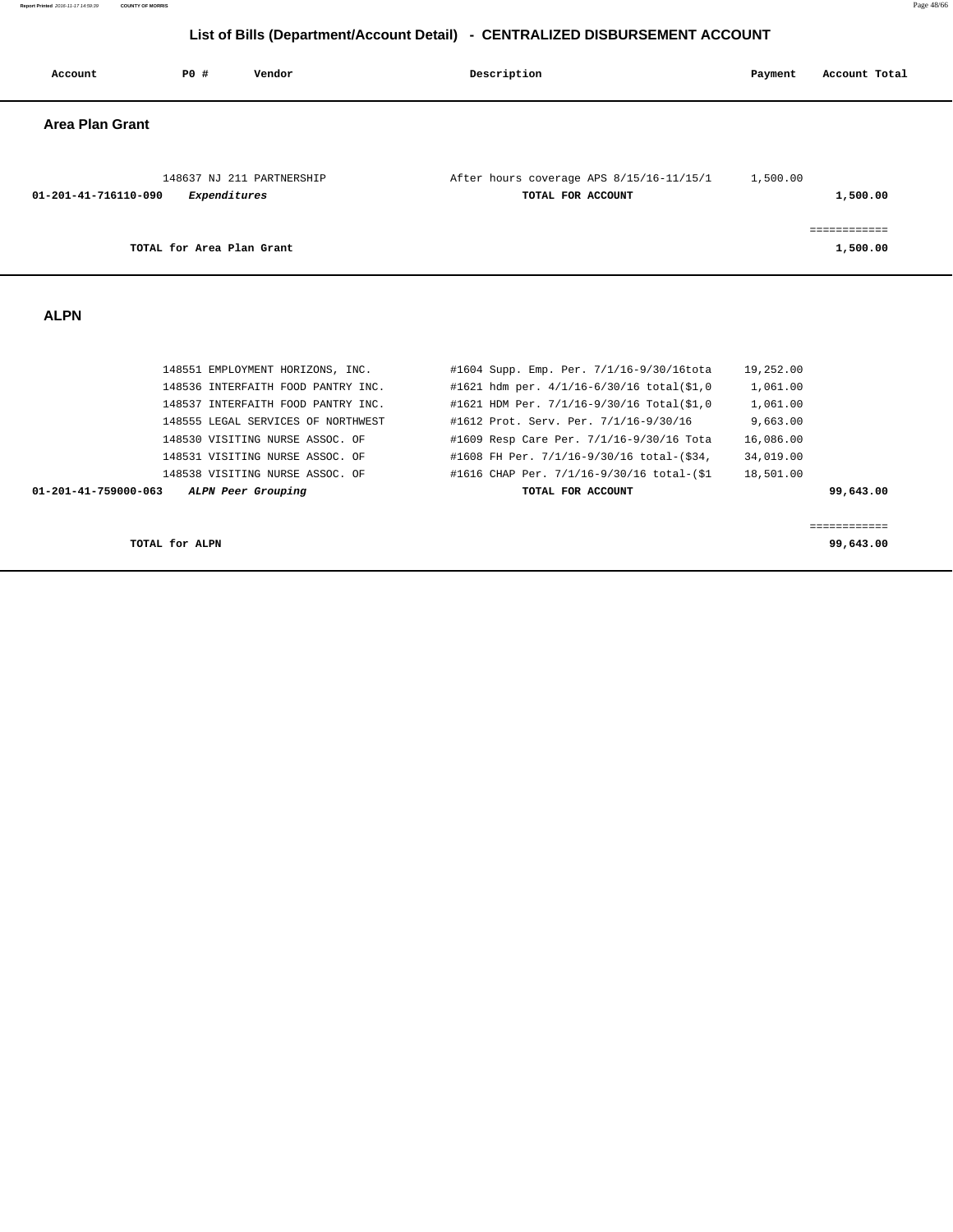**Report Printed** 2016-11-17 14:59:39 **COUNTY OF MORRIS** Page 48/66

# **List of Bills (Department/Account Detail) - CENTRALIZED DISBURSEMENT ACCOUNT**

| Account                | PO#                       | Vendor                                    | Description                                                                                                                                                                                                                       | Payment   | Account Total            |
|------------------------|---------------------------|-------------------------------------------|-----------------------------------------------------------------------------------------------------------------------------------------------------------------------------------------------------------------------------------|-----------|--------------------------|
| <b>Area Plan Grant</b> |                           |                                           |                                                                                                                                                                                                                                   |           |                          |
| 01-201-41-716110-090   |                           | 148637 NJ 211 PARTNERSHIP<br>Expenditures | After hours coverage APS 8/15/16-11/15/1 1,500.00<br>TOTAL FOR ACCOUNT                                                                                                                                                            |           | 1,500.00                 |
|                        | TOTAL for Area Plan Grant |                                           |                                                                                                                                                                                                                                   |           | ============<br>1,500.00 |
| <b>ALPN</b>            |                           |                                           |                                                                                                                                                                                                                                   |           |                          |
|                        |                           |                                           |                                                                                                                                                                                                                                   |           |                          |
|                        |                           | 148551 EMPLOYMENT HORIZONS, INC.          | #1604 Supp. Emp. Per. 7/1/16-9/30/16tota                                                                                                                                                                                          | 19,252.00 |                          |
|                        |                           | 148536 INTERFAITH FOOD PANTRY INC.        | #1621 hdm per. 4/1/16-6/30/16 total(\$1,0                                                                                                                                                                                         | 1,061.00  |                          |
|                        |                           | 148537 INTERFAITH FOOD PANTRY INC.        | #1621 HDM Per. 7/1/16-9/30/16 Total(\$1,0                                                                                                                                                                                         | 1,061.00  |                          |
|                        |                           | 148555 LEGAL SERVICES OF NORTHWEST        | #1612 Prot. Serv. Per. 7/1/16-9/30/16                                                                                                                                                                                             | 9,663.00  |                          |
|                        |                           | 148530 VISITING NURSE ASSOC. OF           | #1609 Resp Care Per. 7/1/16-9/30/16 Tota                                                                                                                                                                                          | 16,086.00 |                          |
|                        |                           |                                           | $\mathbf{u}$ . The contract of the contract of the contract of the contract of the contract of the contract of the contract of the contract of the contract of the contract of the contract of the contract of the contract of th | .         |                          |

| 148530 VISITING NURSE ASSOC. OF | #1609 Resp Care Per. 7/1/16-9/30/16 Tota  | 16,086.00 |
|---------------------------------|-------------------------------------------|-----------|
| 148531 VISITING NURSE ASSOC. OF | #1608 FH Per. 7/1/16-9/30/16 total-(\$34, | 34,019.00 |
| 148538 VISITING NURSE ASSOC. OF | #1616 CHAP Per. 7/1/16-9/30/16 total-(\$1 | 18,501.00 |

 **01-201-41-759000-063 ALPN Peer Grouping TOTAL FOR ACCOUNT 99,643.00**

============

**TOTAL for ALPN** 99,643.00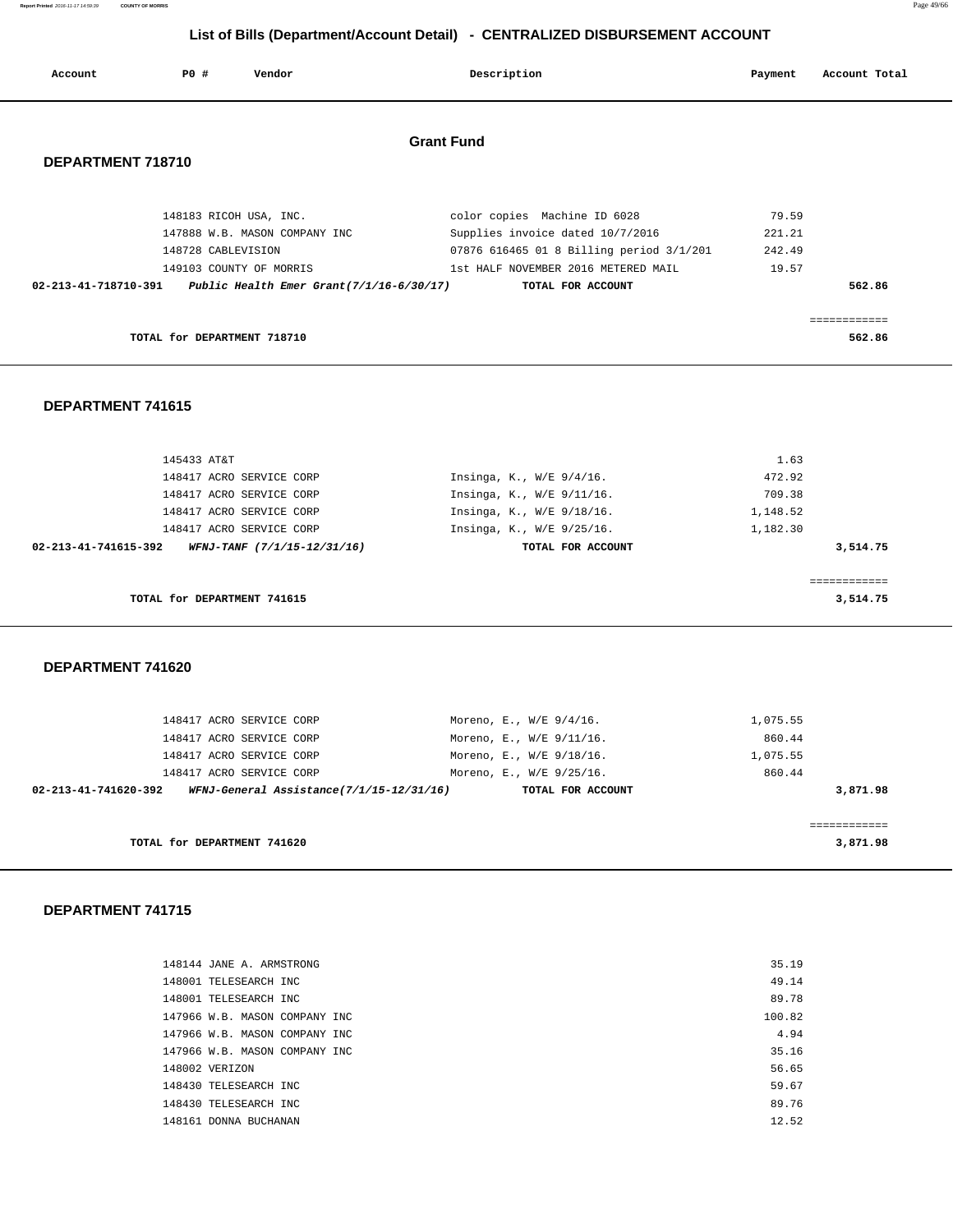**Report Printed** 2016-11-17 14:59:39 **COUNTY OF MORRIS** Page 49/66

# **List of Bills (Department/Account Detail) - CENTRALIZED DISBURSEMENT ACCOUNT**

| Account           | P0 #                                         | Vendor                                                   | Description                                                                                                                                                                                                                            | Payment                            | Account Total          |
|-------------------|----------------------------------------------|----------------------------------------------------------|----------------------------------------------------------------------------------------------------------------------------------------------------------------------------------------------------------------------------------------|------------------------------------|------------------------|
| DEPARTMENT 718710 |                                              |                                                          | <b>Grant Fund</b>                                                                                                                                                                                                                      |                                    |                        |
|                   | 148183 RICOH USA, INC.<br>148728 CABLEVISION | 147888 W.B. MASON COMPANY INC<br>149103 COUNTY OF MORRIS | color copies Machine ID 6028<br>Supplies invoice dated 10/7/2016<br>07876 616465 01 8 Billing period 3/1/201<br>1st HALF NOVEMBER 2016 METERED MAIL<br>02-213-41-718710-391 Public Health Emer Grant(7/1/16-6/30/17) TOTAL FOR ACCOUNT | 79.59<br>221.21<br>242.49<br>19.57 | 562.86                 |
|                   | TOTAL for DEPARTMENT 718710                  |                                                          |                                                                                                                                                                                                                                        |                                    | ------------<br>562.86 |

 **DEPARTMENT 741615** 

| 145433 AT&T                                         |                            | 1.63     |
|-----------------------------------------------------|----------------------------|----------|
| 148417 ACRO SERVICE CORP                            | Insinga, K., $W/E$ 9/4/16. | 472.92   |
| 148417 ACRO SERVICE CORP                            | Insinga, K., W/E 9/11/16.  | 709.38   |
| 148417 ACRO SERVICE CORP                            | Insinga, K., W/E 9/18/16.  | 1,148.52 |
| 148417 ACRO SERVICE CORP                            | Insinga, K., W/E 9/25/16.  | 1,182.30 |
| 02-213-41-741615-392<br>WFNJ-TANF (7/1/15-12/31/16) | TOTAL FOR ACCOUNT          | 3,514.75 |
|                                                     |                            |          |
|                                                     |                            |          |
| TOTAL for DEPARTMENT 741615                         |                            | 3,514.75 |
|                                                     |                            |          |

 **DEPARTMENT 741620** 

| TOTAL for DEPARTMENT 741620 |                                          |                            | 3,871.98 |
|-----------------------------|------------------------------------------|----------------------------|----------|
|                             |                                          |                            |          |
| 02-213-41-741620-392        | WFNJ-General Assistance(7/1/15-12/31/16) | TOTAL FOR ACCOUNT          | 3,871.98 |
| 148417 ACRO SERVICE CORP    |                                          | Moreno, E., W/E 9/25/16.   | 860.44   |
| 148417 ACRO SERVICE CORP    |                                          | Moreno, E., W/E 9/18/16.   | 1,075.55 |
| 148417 ACRO SERVICE CORP    |                                          | Moreno, E., W/E 9/11/16.   | 860.44   |
| 148417 ACRO SERVICE CORP    |                                          | Moreno, E., W/E $9/4/16$ . | 1,075.55 |
|                             |                                          |                            |          |

| 148144 JANE A. ARMSTRONG      | 35.19  |
|-------------------------------|--------|
| 148001 TELESEARCH INC         | 49.14  |
| 148001 TELESEARCH INC         | 89.78  |
| 147966 W.B. MASON COMPANY INC | 100.82 |
| 147966 W.B. MASON COMPANY INC | 4.94   |
| 147966 W.B. MASON COMPANY INC | 35.16  |
| 148002 VERIZON                | 56.65  |
| 148430 TELESEARCH INC         | 59.67  |
| 148430 TELESEARCH INC         | 89.76  |
| 148161 DONNA BUCHANAN         | 12.52  |
|                               |        |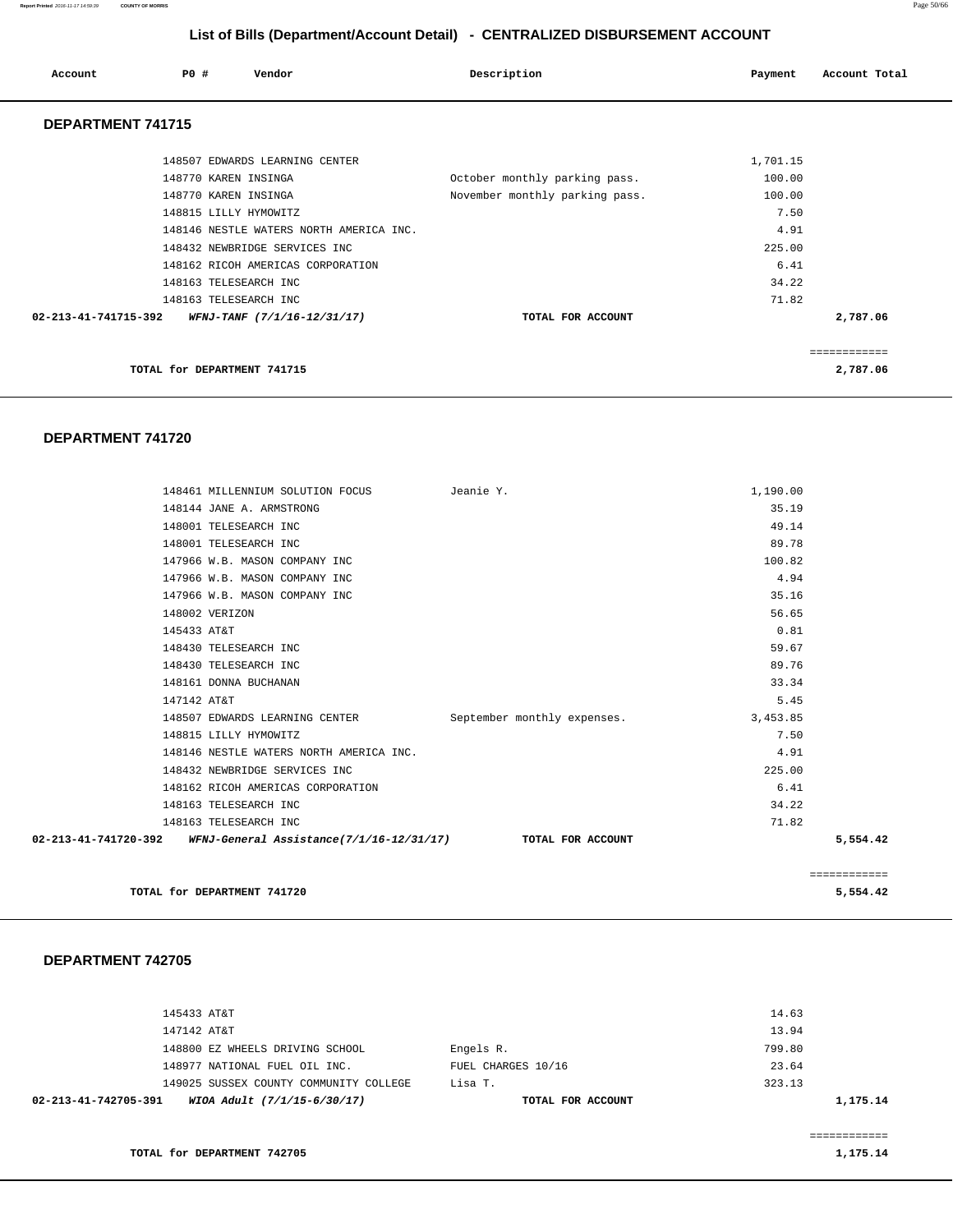**Report Printed** 2016-11-17 14:59:39 **COUNTY OF MORRIS** Page 50/66

# **List of Bills (Department/Account Detail) - CENTRALIZED DISBURSEMENT ACCOUNT**

| Account              | PO# | Vendor                                  | Description                    | Payment<br>Account Total |  |
|----------------------|-----|-----------------------------------------|--------------------------------|--------------------------|--|
| DEPARTMENT 741715    |     |                                         |                                |                          |  |
|                      |     | 148507 EDWARDS LEARNING CENTER          |                                | 1,701.15                 |  |
|                      |     | 148770 KAREN INSINGA                    | October monthly parking pass.  | 100.00                   |  |
|                      |     | 148770 KAREN INSINGA                    | November monthly parking pass. | 100.00                   |  |
|                      |     | 148815 LILLY HYMOWITZ                   |                                | 7.50                     |  |
|                      |     | 148146 NESTLE WATERS NORTH AMERICA INC. |                                | 4.91                     |  |
|                      |     | 148432 NEWBRIDGE SERVICES INC           |                                | 225.00                   |  |
|                      |     | 148162 RICOH AMERICAS CORPORATION       |                                | 6.41                     |  |
|                      |     | 148163 TELESEARCH INC                   |                                | 34.22                    |  |
|                      |     | 148163 TELESEARCH INC                   |                                | 71.82                    |  |
| 02-213-41-741715-392 |     | WFNJ-TANF (7/1/16-12/31/17)             | TOTAL FOR ACCOUNT              | 2,787.06                 |  |
|                      |     |                                         |                                | ===========              |  |
|                      |     | TOTAL for DEPARTMENT 741715             |                                | 2,787.06                 |  |

### **DEPARTMENT 741720**

|                                                                                 | 148461 MILLENNIUM SOLUTION FOCUS Jeanie Y.                 | 1,190.00 |              |
|---------------------------------------------------------------------------------|------------------------------------------------------------|----------|--------------|
| 148144 JANE A. ARMSTRONG                                                        |                                                            | 35.19    |              |
| 148001 TELESEARCH INC                                                           |                                                            | 49.14    |              |
| 148001 TELESEARCH INC                                                           |                                                            | 89.78    |              |
| 147966 W.B. MASON COMPANY INC                                                   |                                                            | 100.82   |              |
| 147966 W.B. MASON COMPANY INC                                                   |                                                            | 4.94     |              |
| 147966 W.B. MASON COMPANY INC                                                   |                                                            | 35.16    |              |
| 148002 VERIZON                                                                  |                                                            | 56.65    |              |
| 145433 AT&T                                                                     |                                                            | 0.81     |              |
| 148430 TELESEARCH INC                                                           |                                                            | 59.67    |              |
| 148430 TELESEARCH INC                                                           |                                                            | 89.76    |              |
| 148161 DONNA BUCHANAN                                                           |                                                            | 33.34    |              |
| 147142 AT&T                                                                     |                                                            | 5.45     |              |
|                                                                                 | 148507 EDWARDS LEARNING CENTER September monthly expenses. | 3,453.85 |              |
| 148815 LILLY HYMOWITZ                                                           |                                                            | 7.50     |              |
| 148146 NESTLE WATERS NORTH AMERICA INC.                                         |                                                            | 4.91     |              |
| 148432 NEWBRIDGE SERVICES INC                                                   |                                                            | 225.00   |              |
| 148162 RICOH AMERICAS CORPORATION                                               |                                                            | 6.41     |              |
| 148163 TELESEARCH INC                                                           |                                                            | 34.22    |              |
| 148163 TELESEARCH INC                                                           |                                                            | 71.82    |              |
| 02-213-41-741720-392 WFNJ-General Assistance(7/1/16-12/31/17) TOTAL FOR ACCOUNT |                                                            |          | 5,554.42     |
|                                                                                 |                                                            |          |              |
|                                                                                 |                                                            |          | ============ |
| TOTAL for DEPARTMENT 741720                                                     |                                                            |          | 5,554.42     |

### **DEPARTMENT 742705**

| WIOA Adult (7/1/15-6/30/17)<br>02-213-41-742705-391 | TOTAL FOR ACCOUNT  | 1,175.14 |
|-----------------------------------------------------|--------------------|----------|
| 149025 SUSSEX COUNTY COMMUNITY COLLEGE              | Lisa T.            | 323.13   |
| 148977 NATIONAL FUEL OIL INC.                       | FUEL CHARGES 10/16 | 23.64    |
| 148800 EZ WHEELS DRIVING SCHOOL                     | Engels R.          | 799.80   |
| 147142 AT&T                                         |                    | 13.94    |
| 145433 AT&T                                         |                    | 14.63    |
|                                                     |                    |          |

**TOTAL for DEPARTMENT 742705** 1,175.14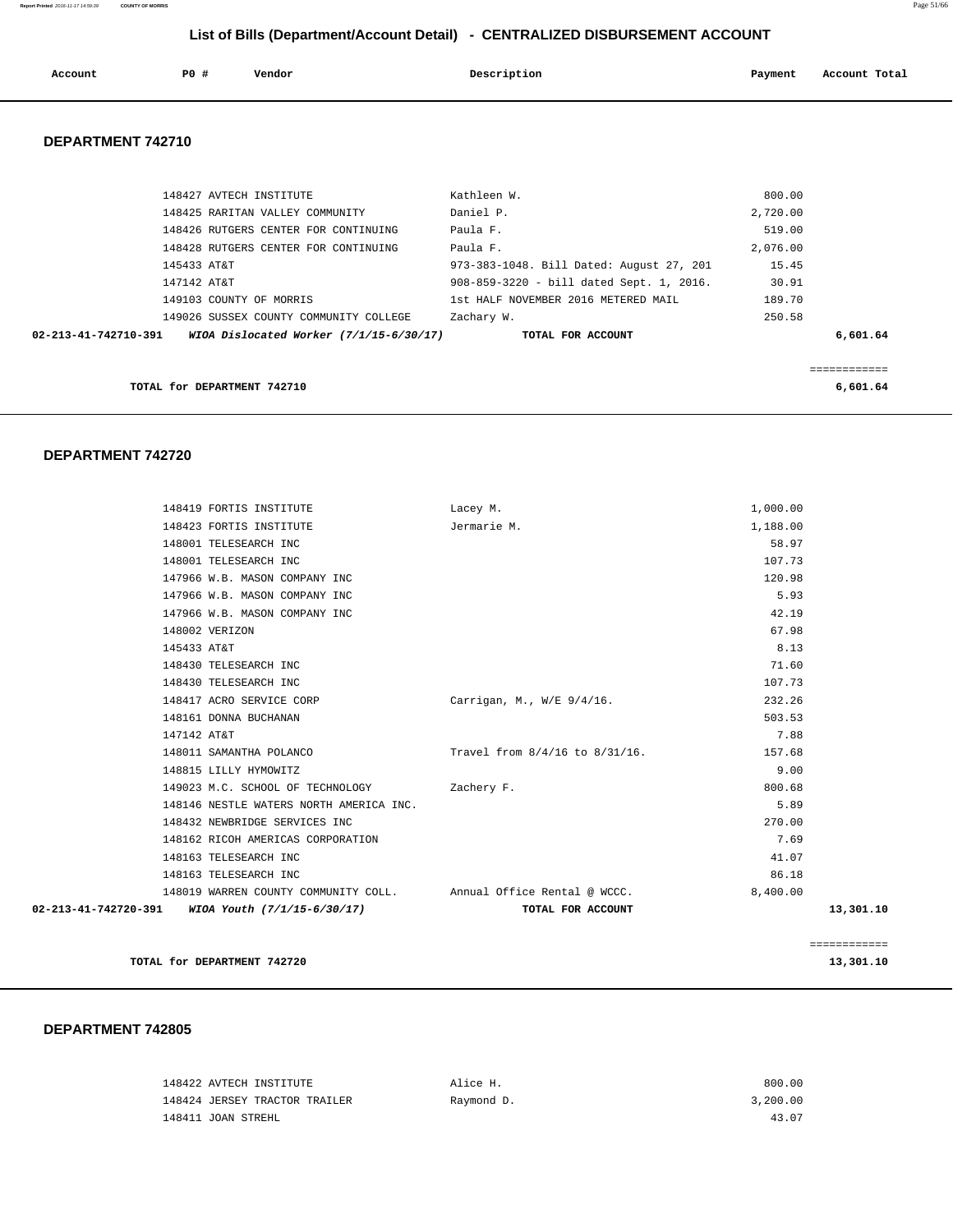**Report Printed** 2016-11-17 14:59:39 **COUNTY OF MORRIS** Page 51/66

# **List of Bills (Department/Account Detail) - CENTRALIZED DISBURSEMENT ACCOUNT**

| Account | <b>PO #</b> | Vendor | Description | Payment | Account Total |
|---------|-------------|--------|-------------|---------|---------------|
|         |             |        |             |         |               |

#### **DEPARTMENT 742710**

|                      | 148427 AVTECH INSTITUTE                   | Kathleen W.                              | 800.00   |          |
|----------------------|-------------------------------------------|------------------------------------------|----------|----------|
|                      | 148425 RARITAN VALLEY COMMUNITY           | Daniel P.                                | 2,720.00 |          |
|                      | 148426 RUTGERS CENTER FOR CONTINUING      | Paula F.                                 | 519.00   |          |
|                      | 148428 RUTGERS CENTER FOR CONTINUING      | Paula F.                                 | 2,076.00 |          |
| 145433 AT&T          |                                           | 973-383-1048. Bill Dated: August 27, 201 | 15.45    |          |
| 147142 AT&T          |                                           | 908-859-3220 - bill dated Sept. 1, 2016. | 30.91    |          |
|                      | 149103 COUNTY OF MORRIS                   | 1st HALF NOVEMBER 2016 METERED MAIL      | 189.70   |          |
|                      | 149026 SUSSEX COUNTY COMMUNITY COLLEGE    | Zachary W.                               | 250.58   |          |
| 02-213-41-742710-391 | WIOA Dislocated Worker $(7/1/15-6/30/17)$ | TOTAL FOR ACCOUNT                        |          | 6,601.64 |
|                      |                                           |                                          |          |          |
|                      |                                           |                                          |          |          |
|                      | TOTAL for DEPARTMENT 742710               |                                          |          | 6,601.64 |
|                      |                                           |                                          |          |          |

### **DEPARTMENT 742720**

|             | 148419 FORTIS INSTITUTE                                           | Lacey M.                       | 1,000.00 |           |
|-------------|-------------------------------------------------------------------|--------------------------------|----------|-----------|
|             | 148423 FORTIS INSTITUTE                                           | Jermarie M.                    | 1,188.00 |           |
|             | 148001 TELESEARCH INC                                             |                                | 58.97    |           |
|             | 148001 TELESEARCH INC                                             |                                | 107.73   |           |
|             | 147966 W.B. MASON COMPANY INC                                     |                                | 120.98   |           |
|             | 147966 W.B. MASON COMPANY INC                                     |                                | 5.93     |           |
|             | 147966 W.B. MASON COMPANY INC                                     |                                | 42.19    |           |
|             | 148002 VERIZON                                                    |                                | 67.98    |           |
| 145433 AT&T |                                                                   |                                | 8.13     |           |
|             | 148430 TELESEARCH INC                                             |                                | 71.60    |           |
|             | 148430 TELESEARCH INC                                             |                                | 107.73   |           |
|             | 148417 ACRO SERVICE CORP                                          | Carrigan, M., W/E 9/4/16.      | 232.26   |           |
|             | 148161 DONNA BUCHANAN                                             |                                | 503.53   |           |
| 147142 AT&T |                                                                   |                                | 7.88     |           |
|             | 148011 SAMANTHA POLANCO                                           | Travel from 8/4/16 to 8/31/16. | 157.68   |           |
|             | 148815 LILLY HYMOWITZ                                             |                                | 9.00     |           |
|             | 149023 M.C. SCHOOL OF TECHNOLOGY 5. Zachery F.                    |                                | 800.68   |           |
|             | 148146 NESTLE WATERS NORTH AMERICA INC.                           |                                | 5.89     |           |
|             | 148432 NEWBRIDGE SERVICES INC                                     |                                | 270.00   |           |
|             | 148162 RICOH AMERICAS CORPORATION                                 |                                | 7.69     |           |
|             | 148163 TELESEARCH INC                                             |                                | 41.07    |           |
|             | 148163 TELESEARCH INC                                             |                                | 86.18    |           |
|             | 148019 WARREN COUNTY COMMUNITY COLL. Annual Office Rental @ WCCC. |                                | 8,400.00 |           |
|             | $02-213-41-742720-391$ WIOA Youth $(7/1/15-6/30/17)$              | TOTAL FOR ACCOUNT              |          | 13,301.10 |
|             |                                                                   |                                |          |           |

**TOTAL for DEPARTMENT 742720** 13,301.10

### **DEPARTMENT 742805**

| 148422 AVTECH INSTITUTE |                               | Alice H.   | 800.00   |
|-------------------------|-------------------------------|------------|----------|
|                         | 148424 JERSEY TRACTOR TRAILER | Raymond D. | 3,200.00 |
| 148411 JOAN STREHL      |                               |            | 43.07    |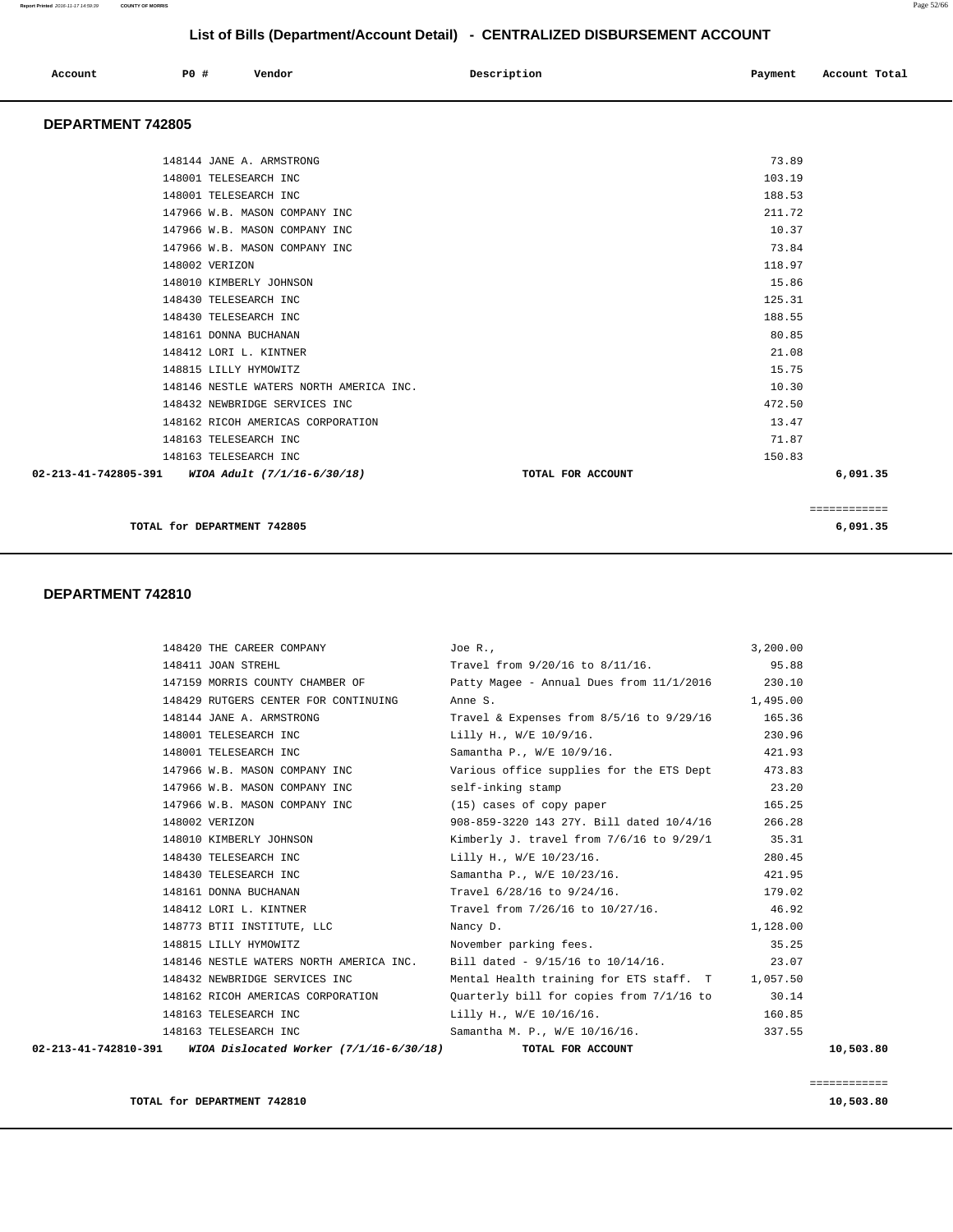| Account<br>. | P0 # | Vendor | Description | Payment | Account Total |
|--------------|------|--------|-------------|---------|---------------|
|              |      |        |             |         |               |

#### **DEPARTMENT 742805**

|                                                                | 148144 JANE A. ARMSTRONG                |                   | 73.89  |              |
|----------------------------------------------------------------|-----------------------------------------|-------------------|--------|--------------|
|                                                                | 148001 TELESEARCH INC                   |                   | 103.19 |              |
|                                                                | 148001 TELESEARCH INC                   |                   | 188.53 |              |
|                                                                | 147966 W.B. MASON COMPANY INC           |                   | 211.72 |              |
|                                                                | 147966 W.B. MASON COMPANY INC           |                   | 10.37  |              |
|                                                                | 147966 W.B. MASON COMPANY INC           |                   | 73.84  |              |
| 148002 VERIZON                                                 |                                         |                   | 118.97 |              |
|                                                                | 148010 KIMBERLY JOHNSON                 |                   | 15.86  |              |
|                                                                | 148430 TELESEARCH INC                   |                   | 125.31 |              |
|                                                                | 148430 TELESEARCH INC                   |                   | 188.55 |              |
|                                                                | 148161 DONNA BUCHANAN                   |                   | 80.85  |              |
|                                                                | 148412 LORI L. KINTNER                  |                   | 21.08  |              |
|                                                                | 148815 LILLY HYMOWITZ                   |                   | 15.75  |              |
|                                                                | 148146 NESTLE WATERS NORTH AMERICA INC. |                   | 10.30  |              |
|                                                                | 148432 NEWBRIDGE SERVICES INC           |                   | 472.50 |              |
|                                                                | 148162 RICOH AMERICAS CORPORATION       |                   | 13.47  |              |
|                                                                | 148163 TELESEARCH INC                   |                   | 71.87  |              |
|                                                                | 148163 TELESEARCH INC                   |                   | 150.83 |              |
| $02 - 213 - 41 - 742805 - 391$ WIOA Adult $(7/1/16 - 6/30/18)$ |                                         | TOTAL FOR ACCOUNT |        | 6,091.35     |
|                                                                |                                         |                   |        | ============ |
|                                                                | TOTAL for DEPARTMENT 742805             |                   |        | 6,091.35     |

#### **DEPARTMENT 742810**

|                                                                                | 148420 THE CAREER COMPANY            | Joe $R_{\star}$ ,                                                                | 3,200.00 |           |
|--------------------------------------------------------------------------------|--------------------------------------|----------------------------------------------------------------------------------|----------|-----------|
| 148411 JOAN STREHL                                                             |                                      | Travel from $9/20/16$ to $8/11/16$ . 95.88                                       |          |           |
|                                                                                |                                      | 147159 MORRIS COUNTY CHAMBER OF Patty Magee - Annual Dues from 11/1/2016 230.10  |          |           |
|                                                                                | 148429 RUTGERS CENTER FOR CONTINUING | Anne S.                                                                          | 1,495.00 |           |
|                                                                                |                                      | 148144 JANE A. ARMSTRONG Travel & Expenses from 8/5/16 to 9/29/16 165.36         |          |           |
| 148001 TELESEARCH INC                                                          |                                      | Lilly H., W/E 10/9/16.                                                           | 230.96   |           |
| 148001 TELESEARCH INC                                                          |                                      | Samantha P., W/E 10/9/16.                                                        | 421.93   |           |
|                                                                                | 147966 W.B. MASON COMPANY INC        | Various office supplies for the ETS Dept                                         | 473.83   |           |
|                                                                                | 147966 W.B. MASON COMPANY INC        | self-inking stamp                                                                | 23.20    |           |
|                                                                                |                                      | 147966 W.B. MASON COMPANY INC (15) cases of copy paper                           | 165.25   |           |
| 148002 VERIZON                                                                 |                                      | 908-859-3220 143 27Y. Bill dated 10/4/16                                         | 266.28   |           |
|                                                                                | 148010 KIMBERLY JOHNSON              | Kimberly J. travel from $7/6/16$ to $9/29/1$ 35.31                               |          |           |
| 148430 TELESEARCH INC                                                          |                                      | Lilly H., W/E 10/23/16.                                                          | 280.45   |           |
| 148430 TELESEARCH INC                                                          |                                      | Samantha P., W/E 10/23/16.                                                       | 421.95   |           |
| 148161 DONNA BUCHANAN                                                          |                                      | Travel 6/28/16 to 9/24/16. 179.02                                                |          |           |
| 148412 LORI L. KINTNER                                                         |                                      | Travel from 7/26/16 to 10/27/16. 46.92                                           |          |           |
|                                                                                | 148773 BTII INSTITUTE, LLC           | Nancy D.                                                                         | 1,128.00 |           |
|                                                                                |                                      | 148815 LILLY HYMOWITZ November parking fees.                                     | 35.25    |           |
|                                                                                |                                      | 148146 NESTLE WATERS NORTH AMERICA INC. Bill dated - 9/15/16 to 10/14/16. 23.07  |          |           |
|                                                                                |                                      | 148432 NEWBRIDGE SERVICES INC Mental Health training for ETS staff. T 1,057.50   |          |           |
|                                                                                |                                      | 148162 RICOH AMERICAS CORPORATION Quarterly bill for copies from 7/1/16 to 30.14 |          |           |
|                                                                                |                                      | 148163 TELESEARCH INC THE LILLY H., W/E 10/16/16.                                | 160.85   |           |
|                                                                                |                                      | 148163 TELESEARCH INC Samantha M. P., W/E 10/16/16.                              | 337.55   |           |
| 02-213-41-742810-391 WIOA Dislocated Worker (7/1/16-6/30/18) TOTAL FOR ACCOUNT |                                      |                                                                                  |          | 10,503.80 |

**TOTAL for DEPARTMENT 742810** 10,503.80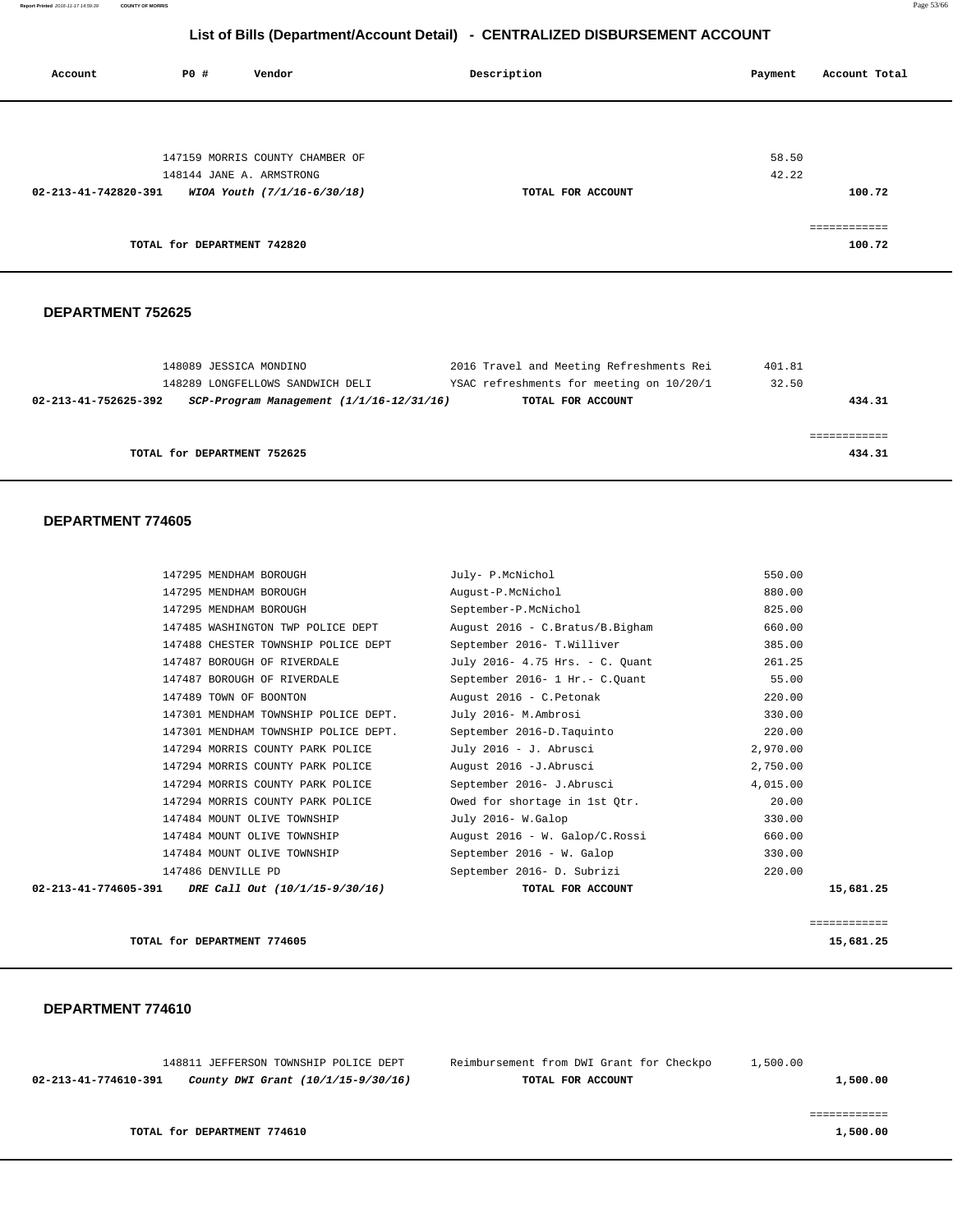| Account              | PO#                         | Vendor                          | Description       | Payment | Account Total          |
|----------------------|-----------------------------|---------------------------------|-------------------|---------|------------------------|
|                      |                             |                                 |                   |         |                        |
|                      |                             | 147159 MORRIS COUNTY CHAMBER OF |                   | 58.50   |                        |
|                      | 148144 JANE A. ARMSTRONG    |                                 |                   | 42.22   |                        |
| 02-213-41-742820-391 |                             | WIOA Youth (7/1/16-6/30/18)     | TOTAL FOR ACCOUNT |         | 100.72                 |
|                      | TOTAL for DEPARTMENT 742820 |                                 |                   |         | ============<br>100.72 |

#### **DEPARTMENT 752625**

| 148089 JESSICA MONDINO                                               | 2016 Travel and Meeting Refreshments Rei | 401.81 |
|----------------------------------------------------------------------|------------------------------------------|--------|
| 148289 LONGFELLOWS SANDWICH DELI                                     | YSAC refreshments for meeting on 10/20/1 | 32.50  |
| 02-213-41-752625-392<br>$SCP-Program$ Management $(1/1/16-12/31/16)$ | TOTAL FOR ACCOUNT                        | 434.31 |
|                                                                      |                                          |        |
|                                                                      |                                          |        |
| TOTAL for DEPARTMENT 752625                                          |                                          | 434.31 |
|                                                                      |                                          |        |

#### **DEPARTMENT 774605**

| $02-213-41-774605-391$ DRE Call Out (10/1/15-9/30/16) | TOTAL FOR ACCOUNT               | 15,681.25 |
|-------------------------------------------------------|---------------------------------|-----------|
| 147486 DENVILLE PD                                    | September 2016- D. Subrizi      | 220.00    |
| 147484 MOUNT OLIVE TOWNSHIP                           | September 2016 - W. Galop       | 330.00    |
| 147484 MOUNT OLIVE TOWNSHIP                           | August 2016 - W. Galop/C.Rossi  | 660.00    |
| 147484 MOUNT OLIVE TOWNSHIP                           | July 2016- W.Galop              | 330.00    |
| 147294 MORRIS COUNTY PARK POLICE                      | Owed for shortage in 1st Otr.   | 20.00     |
| 147294 MORRIS COUNTY PARK POLICE                      | September 2016- J.Abrusci       | 4,015.00  |
| 147294 MORRIS COUNTY PARK POLICE                      | August 2016 -J.Abrusci          | 2,750.00  |
| 147294 MORRIS COUNTY PARK POLICE                      | July 2016 - J. Abrusci          | 2,970.00  |
| 147301 MENDHAM TOWNSHIP POLICE DEPT.                  | September 2016-D. Taquinto      | 220.00    |
| 147301 MENDHAM TOWNSHIP POLICE DEPT.                  | July 2016- M.Ambrosi            | 330.00    |
| 147489 TOWN OF BOONTON                                | August 2016 - C.Petonak         | 220.00    |
| 147487 BOROUGH OF RIVERDALE                           | September 2016- 1 Hr.- C.Ouant  | 55.00     |
| 147487 BOROUGH OF RIVERDALE                           | July 2016- 4.75 Hrs. - C. Ouant | 261.25    |
| 147488 CHESTER TOWNSHIP POLICE DEPT                   | September 2016- T.Williver      | 385.00    |
| 147485 WASHINGTON TWP POLICE DEPT                     | August 2016 - C.Bratus/B.Bigham | 660.00    |
| 147295 MENDHAM BOROUGH                                | September-P.McNichol            | 825.00    |
| 147295 MENDHAM BOROUGH                                | August-P.McNichol               | 880.00    |
| 147295 MENDHAM BOROUGH                                | July- P.McNichol                | 550.00    |

**TOTAL for DEPARTMENT 774605** 15,681.25

### **DEPARTMENT 774610**

| 148811 JEFFERSON TOWNSHIP POLICE DEPT<br>02-213-41-774610-391<br>County DWI Grant (10/1/15-9/30/16) | Reimbursement from DWI Grant for Checkpo<br>TOTAL FOR ACCOUNT | 1,500.00<br>1,500.00 |
|-----------------------------------------------------------------------------------------------------|---------------------------------------------------------------|----------------------|
| TOTAL for DEPARTMENT 774610                                                                         |                                                               | 1,500.00             |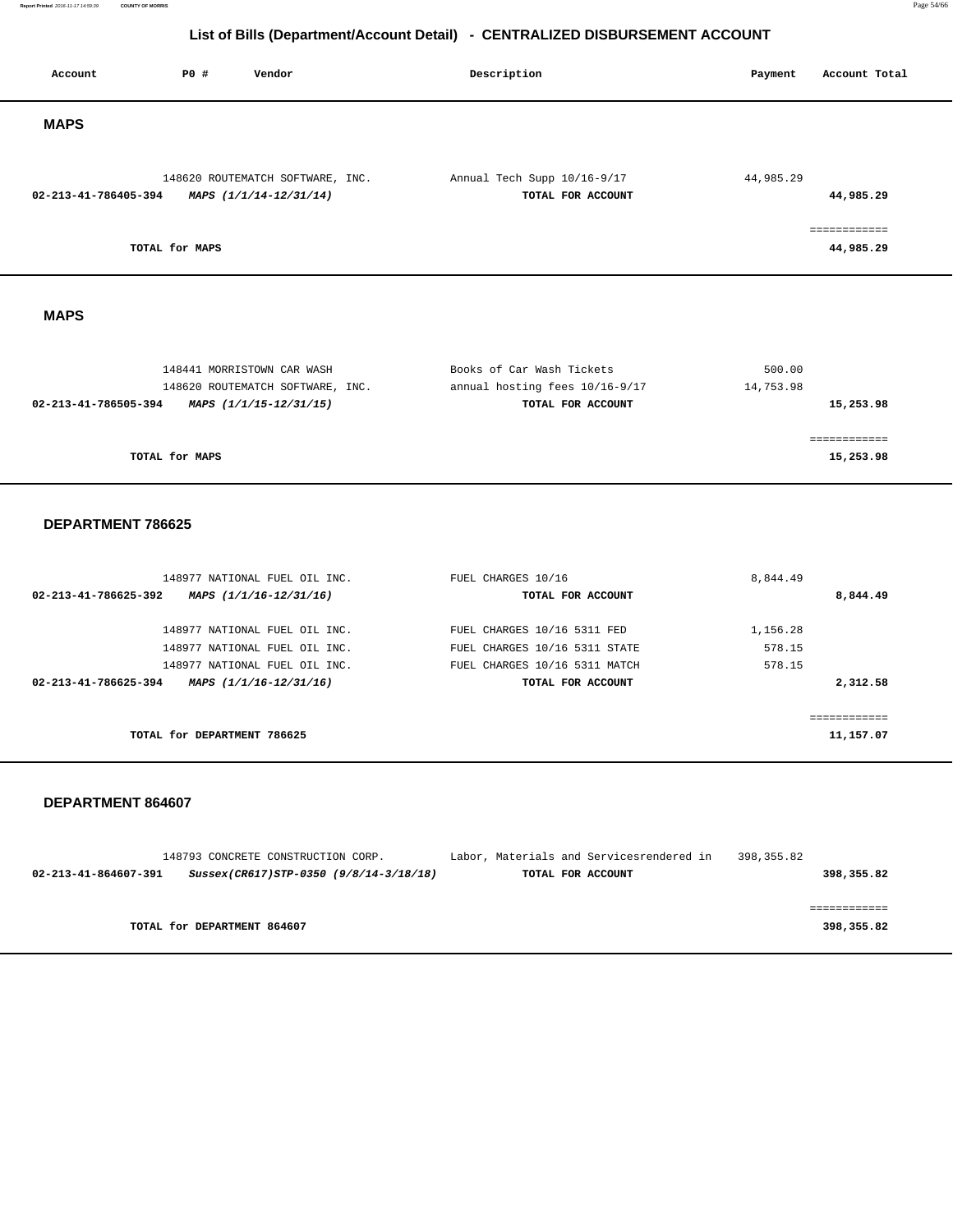**Report Printed** 2016-11-17 14:59:39 **COUNTY OF MORRIS** Page 54/66

# **List of Bills (Department/Account Detail) - CENTRALIZED DISBURSEMENT ACCOUNT**

| Account              | P0 #           | Vendor                                                     | Description                                         | Payment             | Account Total             |
|----------------------|----------------|------------------------------------------------------------|-----------------------------------------------------|---------------------|---------------------------|
| <b>MAPS</b>          |                |                                                            |                                                     |                     |                           |
| 02-213-41-786405-394 |                | 148620 ROUTEMATCH SOFTWARE, INC.<br>MAPS (1/1/14-12/31/14) | Annual Tech Supp 10/16-9/17<br>TOTAL FOR ACCOUNT    | 44,985.29           | 44,985.29                 |
|                      | TOTAL for MAPS |                                                            |                                                     |                     | ============<br>44,985.29 |
| <b>MAPS</b>          |                |                                                            |                                                     |                     |                           |
|                      |                | 148441 MORRISTOWN CAR WASH                                 | Books of Car Wash Tickets                           | 500.00<br>14,753.98 |                           |
| 02-213-41-786505-394 |                | 148620 ROUTEMATCH SOFTWARE, INC.<br>MAPS (1/1/15-12/31/15) | annual hosting fees 10/16-9/17<br>TOTAL FOR ACCOUNT |                     | 15,253.98                 |
|                      | TOTAL for MAPS |                                                            |                                                     |                     | ============<br>15,253.98 |

### **DEPARTMENT 786625**

| 148977 NATIONAL FUEL OIL INC.                  | FUEL CHARGES 10/16            | 8,844.49  |
|------------------------------------------------|-------------------------------|-----------|
| 02-213-41-786625-392<br>MAPS (1/1/16-12/31/16) | TOTAL FOR ACCOUNT             | 8,844.49  |
| 148977 NATIONAL FUEL OIL INC.                  | FUEL CHARGES 10/16 5311 FED   | 1,156.28  |
| 148977 NATIONAL FUEL OIL INC.                  | FUEL CHARGES 10/16 5311 STATE | 578.15    |
| 148977 NATIONAL FUEL OIL INC.                  | FUEL CHARGES 10/16 5311 MATCH | 578.15    |
| 02-213-41-786625-394<br>MAPS (1/1/16-12/31/16) | TOTAL FOR ACCOUNT             | 2,312.58  |
|                                                |                               |           |
| TOTAL for DEPARTMENT 786625                    |                               | 11,157.07 |

|                      | 148793 CONCRETE CONSTRUCTION CORP.     |                   | Labor, Materials and Servicesrendered in | 398,355.82 |
|----------------------|----------------------------------------|-------------------|------------------------------------------|------------|
| 02-213-41-864607-391 | Sussex(CR617)STP-0350 (9/8/14-3/18/18) | TOTAL FOR ACCOUNT |                                          | 398,355.82 |
|                      |                                        |                   |                                          |            |
|                      |                                        |                   |                                          |            |
|                      | TOTAL for DEPARTMENT 864607            |                   |                                          | 398,355.82 |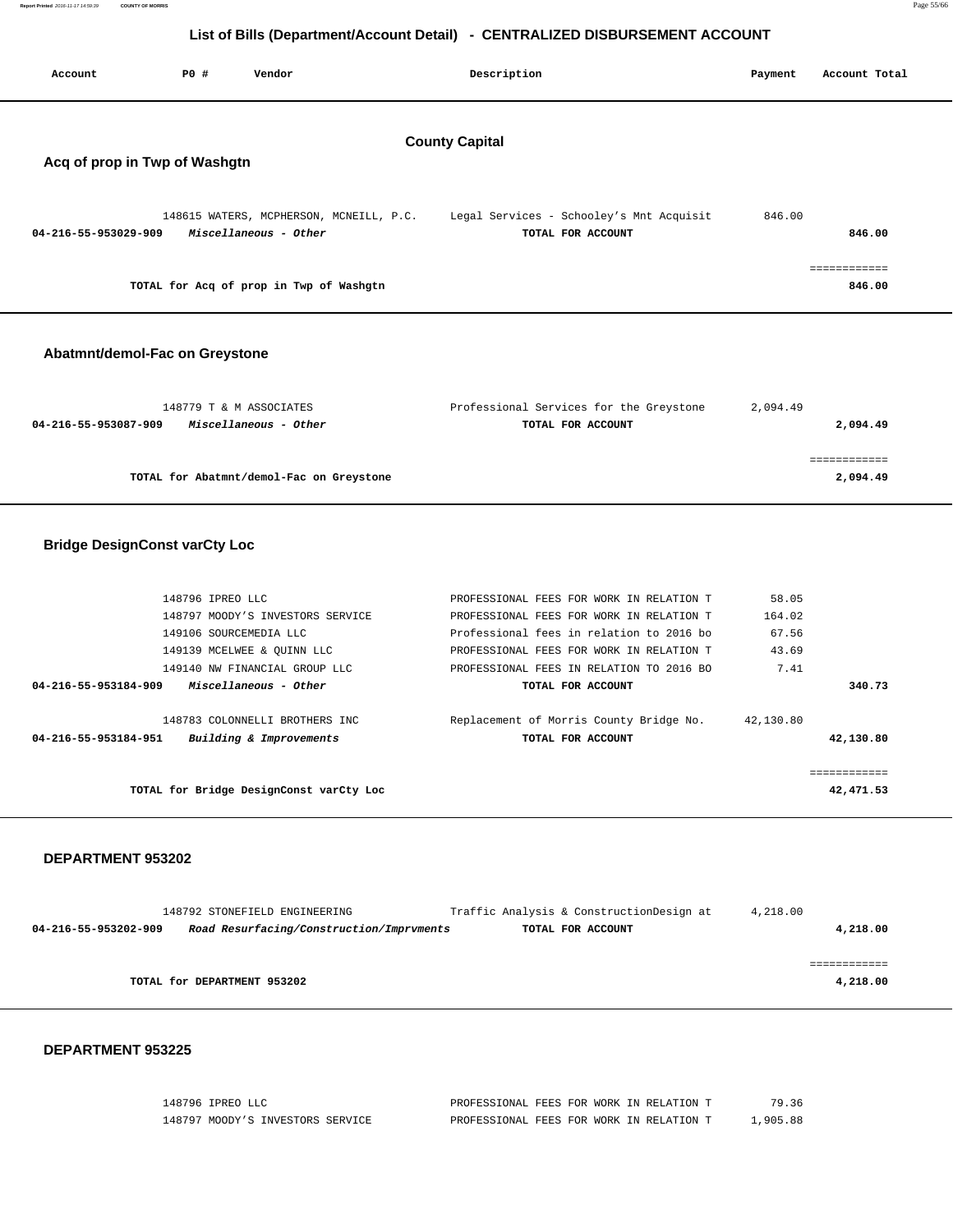|--|--|

| LIST OF BIIIS (DEPARTMENTACCOUNT DETAIL) - CENTRALIZED DISBURSEMENT ACCOUNT |                  |                                                                  |                                                                                      |                |                           |
|-----------------------------------------------------------------------------|------------------|------------------------------------------------------------------|--------------------------------------------------------------------------------------|----------------|---------------------------|
| Account                                                                     | <b>PO #</b>      | Vendor                                                           | Description                                                                          | Payment        | Account Total             |
|                                                                             |                  |                                                                  | <b>County Capital</b>                                                                |                |                           |
| Acq of prop in Twp of Washgtn                                               |                  |                                                                  |                                                                                      |                |                           |
| 04-216-55-953029-909                                                        |                  | 148615 WATERS, MCPHERSON, MCNEILL, P.C.<br>Miscellaneous - Other | Legal Services - Schooley's Mnt Acquisit<br>TOTAL FOR ACCOUNT                        | 846.00         | 846.00                    |
|                                                                             |                  | TOTAL for Acq of prop in Twp of Washgtn                          |                                                                                      |                | ============<br>846.00    |
| Abatmnt/demol-Fac on Greystone                                              |                  |                                                                  |                                                                                      |                |                           |
| 04-216-55-953087-909                                                        |                  | 148779 T & M ASSOCIATES<br>Miscellaneous - Other                 | Professional Services for the Greystone<br>TOTAL FOR ACCOUNT                         | 2,094.49       | 2,094.49                  |
|                                                                             |                  | TOTAL for Abatmnt/demol-Fac on Greystone                         |                                                                                      |                | ============<br>2,094.49  |
| <b>Bridge DesignConst varCty Loc</b>                                        |                  |                                                                  |                                                                                      |                |                           |
|                                                                             | 148796 IPREO LLC |                                                                  | PROFESSIONAL FEES FOR WORK IN RELATION T                                             | 58.05          |                           |
|                                                                             |                  | 148797 MOODY'S INVESTORS SERVICE                                 | PROFESSIONAL FEES FOR WORK IN RELATION T                                             | 164.02         |                           |
|                                                                             |                  | 149106 SOURCEMEDIA LLC<br>149139 MCELWEE & QUINN LLC             | Professional fees in relation to 2016 bo<br>PROFESSIONAL FEES FOR WORK IN RELATION T | 67.56<br>43.69 |                           |
|                                                                             |                  | 149140 NW FINANCIAL GROUP LLC                                    | PROFESSIONAL FEES IN RELATION TO 2016 BO                                             | 7.41           |                           |
| 04-216-55-953184-909                                                        |                  | Miscellaneous - Other                                            | TOTAL FOR ACCOUNT                                                                    |                | 340.73                    |
| 04-216-55-953184-951                                                        |                  | 148783 COLONNELLI BROTHERS INC<br>Building & Improvements        | Replacement of Morris County Bridge No.<br>TOTAL FOR ACCOUNT                         | 42,130.80      | 42,130.80                 |
|                                                                             |                  | TOTAL for Bridge DesignConst varCty Loc                          |                                                                                      |                | ============<br>42,471.53 |
| DEPARTMENT 953202                                                           |                  |                                                                  |                                                                                      |                |                           |
|                                                                             |                  |                                                                  |                                                                                      |                |                           |
|                                                                             |                  | 148792 STONEFIELD ENGINEERING                                    | Traffic Analysis & ConstructionDesign at                                             | 4,218.00       |                           |

| 4,218,00 | TOTAL FOR ACCOUNT | Road Resurfacing/Construction/Imprvments | 04-216-55-953202-909 |
|----------|-------------------|------------------------------------------|----------------------|
|          |                   |                                          |                      |
|          |                   |                                          |                      |
| 4,218.00 |                   | TOTAL for DEPARTMENT 953202              |                      |
|          |                   |                                          |                      |

### **DEPARTMENT 953225**

**Report Printed** 2016-11-17 14:59:39 **COUNTY OF MORRIS** 

| 148796 IPREO LLC                 | PROFESSIONAL FEES FOR WORK IN RELATION T | 79.36   |
|----------------------------------|------------------------------------------|---------|
| 148797 MOODY'S INVESTORS SERVICE | PROFESSIONAL FEES FOR WORK IN RELATION T | .905.88 |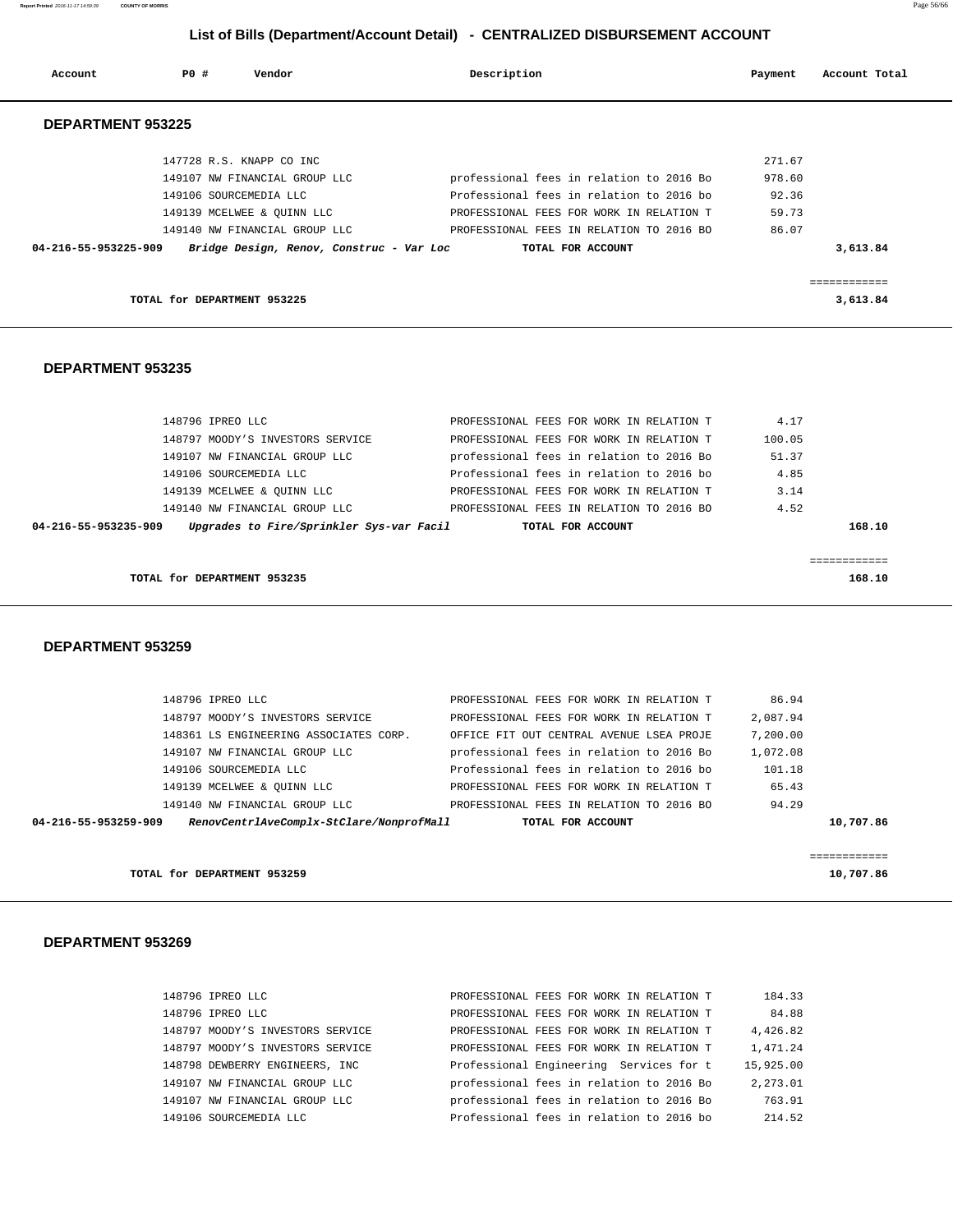| List of Bills (Department/Account Detail) - CENTRALIZED DISBURSEMENT ACCOUNT |  |
|------------------------------------------------------------------------------|--|
|                                                                              |  |

| Account                  | PO#                         | Vendor                                   | Description                              | Payment | Account Total |
|--------------------------|-----------------------------|------------------------------------------|------------------------------------------|---------|---------------|
| <b>DEPARTMENT 953225</b> |                             |                                          |                                          |         |               |
|                          |                             | 147728 R.S. KNAPP CO INC.                |                                          | 271.67  |               |
|                          |                             | 149107 NW FINANCIAL GROUP LLC            | professional fees in relation to 2016 Bo | 978.60  |               |
|                          |                             | 149106 SOURCEMEDIA LLC                   | Professional fees in relation to 2016 bo | 92.36   |               |
|                          |                             | 149139 MCELWEE & QUINN LLC               | PROFESSIONAL FEES FOR WORK IN RELATION T | 59.73   |               |
|                          |                             | 149140 NW FINANCIAL GROUP LLC            | PROFESSIONAL FEES IN RELATION TO 2016 BO | 86.07   |               |
| 04-216-55-953225-909     |                             | Bridge Design, Renov, Construc - Var Loc | TOTAL FOR ACCOUNT                        |         | 3,613.84      |
|                          |                             |                                          |                                          |         |               |
|                          |                             |                                          |                                          |         | ============  |
|                          | TOTAL for DEPARTMENT 953225 |                                          |                                          |         | 3,613.84      |
|                          |                             |                                          |                                          |         |               |
|                          |                             |                                          |                                          |         |               |
| <b>DEPARTMENT 953235</b> |                             |                                          |                                          |         |               |
|                          |                             |                                          |                                          |         |               |
|                          | 148796 IPREO LLC            |                                          | PROFESSIONAL FEES FOR WORK IN RELATION T | 4.17    |               |
|                          |                             | 148797 MOODY'S INVESTORS SERVICE         | PROFESSIONAL FEES FOR WORK IN RELATION T | 100.05  |               |
|                          |                             | 149107 NW FINANCIAL GROUP LLC            | professional fees in relation to 2016 Bo | 51.37   |               |
|                          |                             | 149106 SOURCEMEDIA LLC                   | Professional fees in relation to 2016 bo | 4.85    |               |
|                          |                             | 149139 MCELWEE & QUINN LLC               | PROFESSIONAL FEES FOR WORK IN RELATION T | 3.14    |               |
|                          |                             | 149140 NW FINANCIAL GROUP LLC            | PROFESSIONAL FEES IN RELATION TO 2016 BO | 4.52    |               |
| 04-216-55-953235-909     |                             | Upgrades to Fire/Sprinkler Sys-var Facil | TOTAL FOR ACCOUNT                        |         | 168.10        |

 **DEPARTMENT 953259** 

|                      | 148796 IPREO LLC                         | PROFESSIONAL FEES FOR WORK IN RELATION T | 86.94    |           |
|----------------------|------------------------------------------|------------------------------------------|----------|-----------|
|                      | 148797 MOODY'S INVESTORS SERVICE         | PROFESSIONAL FEES FOR WORK IN RELATION T | 2,087.94 |           |
|                      | 148361 LS ENGINEERING ASSOCIATES CORP.   | OFFICE FIT OUT CENTRAL AVENUE LSEA PROJE | 7,200.00 |           |
|                      | 149107 NW FINANCIAL GROUP LLC            | professional fees in relation to 2016 Bo | 1,072.08 |           |
|                      | 149106 SOURCEMEDIA LLC                   | Professional fees in relation to 2016 bo | 101.18   |           |
|                      | 149139 MCELWEE & OUINN LLC               | PROFESSIONAL FEES FOR WORK IN RELATION T | 65.43    |           |
|                      | 149140 NW FINANCIAL GROUP LLC            | PROFESSIONAL FEES IN RELATION TO 2016 BO | 94.29    |           |
| 04-216-55-953259-909 | RenovCentrlAveComplx-StClare/NonprofMall | TOTAL FOR ACCOUNT                        |          | 10,707.86 |
|                      |                                          |                                          |          |           |

============

============

**TOTAL for DEPARTMENT 953235** 168.10

**TOTAL for DEPARTMENT 953259** 10,707.86

| 184.33    | PROFESSIONAL FEES FOR WORK IN RELATION T | 148796 IPREO LLC                 |  |
|-----------|------------------------------------------|----------------------------------|--|
| 84.88     | PROFESSIONAL FEES FOR WORK IN RELATION T | 148796 IPREO LLC                 |  |
| 4,426.82  | PROFESSIONAL FEES FOR WORK IN RELATION T | 148797 MOODY'S INVESTORS SERVICE |  |
| 1,471.24  | PROFESSIONAL FEES FOR WORK IN RELATION T | 148797 MOODY'S INVESTORS SERVICE |  |
| 15,925.00 | Professional Engineering Services for t  | 148798 DEWBERRY ENGINEERS, INC   |  |
| 2,273.01  | professional fees in relation to 2016 Bo | 149107 NW FINANCIAL GROUP LLC    |  |
| 763.91    | professional fees in relation to 2016 Bo | 149107 NW FINANCIAL GROUP LLC    |  |
| 214.52    | Professional fees in relation to 2016 bo | 149106 SOURCEMEDIA LLC           |  |
|           |                                          |                                  |  |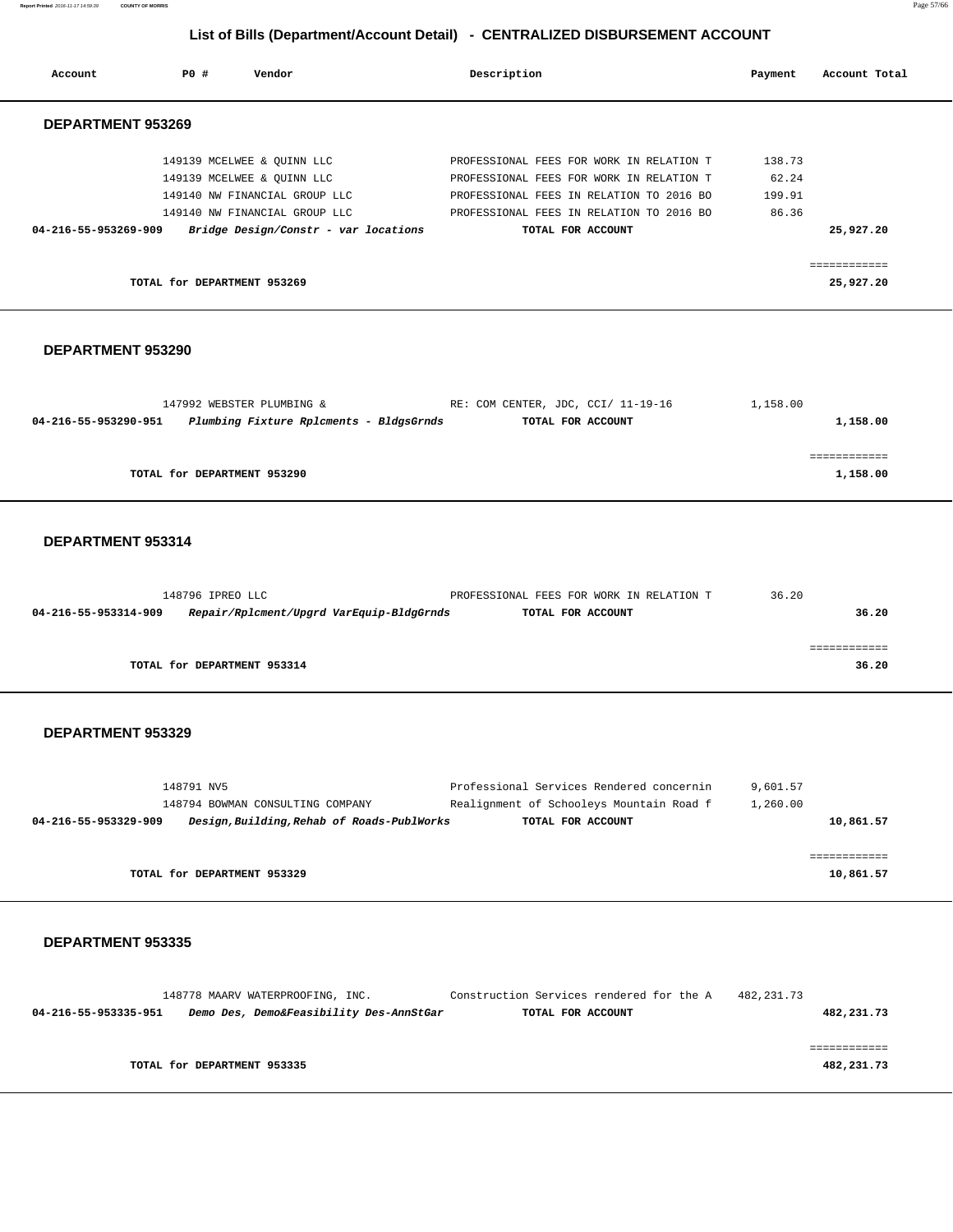**Report Printed** 2016-11-17 14:59:39 **COUNTY OF MORRIS** Page 57/66

# **List of Bills (Department/Account Detail) - CENTRALIZED DISBURSEMENT ACCOUNT**

| Account              | PO#                         | Vendor                               | Description |                                          | Payment | Account Total |
|----------------------|-----------------------------|--------------------------------------|-------------|------------------------------------------|---------|---------------|
| DEPARTMENT 953269    |                             |                                      |             |                                          |         |               |
|                      |                             | 149139 MCELWEE & QUINN LLC           |             | PROFESSIONAL FEES FOR WORK IN RELATION T | 138.73  |               |
|                      |                             | 149139 MCELWEE & OUINN LLC           |             | PROFESSIONAL FEES FOR WORK IN RELATION T | 62.24   |               |
|                      |                             | 149140 NW FINANCIAL GROUP LLC        |             | PROFESSIONAL FEES IN RELATION TO 2016 BO | 199.91  |               |
|                      |                             | 149140 NW FINANCIAL GROUP LLC        |             | PROFESSIONAL FEES IN RELATION TO 2016 BO | 86.36   |               |
| 04-216-55-953269-909 |                             | Bridge Design/Constr - var locations |             | TOTAL FOR ACCOUNT                        |         | 25,927.20     |
|                      |                             |                                      |             |                                          |         | ============  |
|                      | TOTAL for DEPARTMENT 953269 |                                      |             |                                          |         | 25,927.20     |

### **DEPARTMENT 953290**

|                      | 147992 WEBSTER PLUMBING &               | RE: COM CENTER, JDC, CCI/ 11-19-16 | 1,158.00 |
|----------------------|-----------------------------------------|------------------------------------|----------|
| 04-216-55-953290-951 | Plumbing Fixture Rplcments - BldgsGrnds | TOTAL FOR ACCOUNT                  | 1,158.00 |
|                      |                                         |                                    |          |
|                      |                                         |                                    |          |
|                      | TOTAL for DEPARTMENT 953290             |                                    | 1,158.00 |

#### **DEPARTMENT 953314**

|                      | 148796 IPREO LLC                         | PROFESSIONAL FEES FOR WORK IN RELATION T | 36.20 |
|----------------------|------------------------------------------|------------------------------------------|-------|
| 04-216-55-953314-909 | Repair/Rplcment/Upgrd VarEquip-BldgGrnds | TOTAL FOR ACCOUNT                        | 36.20 |
|                      |                                          |                                          |       |
|                      |                                          |                                          |       |
|                      | TOTAL for DEPARTMENT 953314              |                                          | 36.20 |

#### **DEPARTMENT 953329**

| 148791 NV5                                                         | Professional Services Rendered concernin | 9,601.57  |
|--------------------------------------------------------------------|------------------------------------------|-----------|
| 148794 BOWMAN CONSULTING COMPANY                                   | Realignment of Schooleys Mountain Road f | 1,260.00  |
| Design, Building, Rehab of Roads-PublWorks<br>04-216-55-953329-909 | TOTAL FOR ACCOUNT                        | 10,861.57 |
|                                                                    |                                          |           |
|                                                                    |                                          |           |
| TOTAL for DEPARTMENT 953329                                        |                                          | 10,861.57 |
|                                                                    |                                          |           |

|                      |                             | 148778 MAARV WATERPROOFING, INC. |                                         | Construction Services rendered for the A 482, 231.73 |            |
|----------------------|-----------------------------|----------------------------------|-----------------------------------------|------------------------------------------------------|------------|
| 04-216-55-953335-951 |                             |                                  | Demo Des, Demo&Feasibility Des-AnnStGar | TOTAL FOR ACCOUNT                                    | 482,231.73 |
|                      |                             |                                  |                                         |                                                      |            |
|                      |                             |                                  |                                         |                                                      |            |
|                      | TOTAL for DEPARTMENT 953335 |                                  |                                         |                                                      | 482,231.73 |
|                      |                             |                                  |                                         |                                                      |            |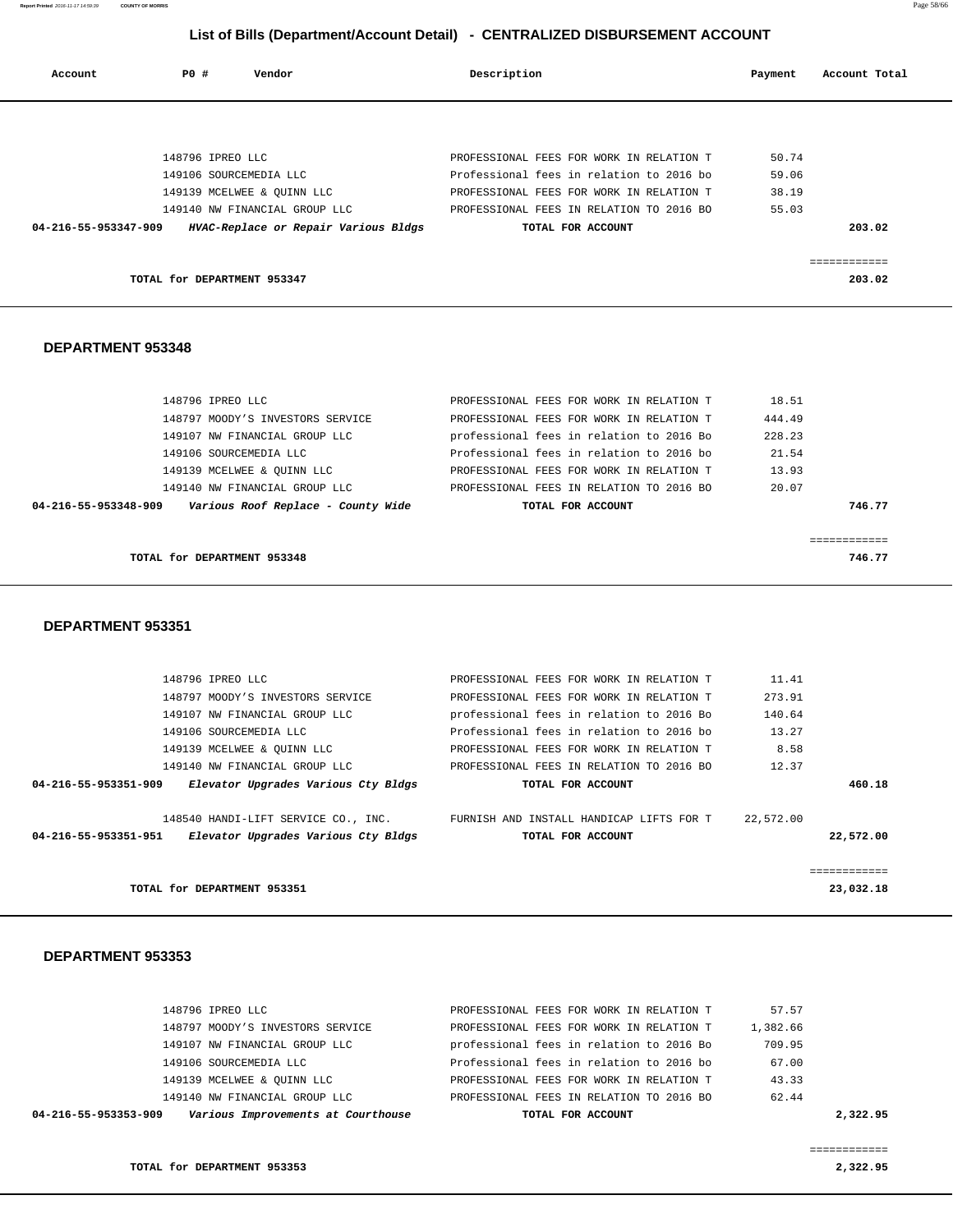| TOTAL for DEPARTMENT 953353 | 2,322.95 |
|-----------------------------|----------|
|                             |          |

| Various Improvements at Courthouse<br>04-216-55-953353-909 | TOTAL FOR ACCOUNT                        | 2,322.95 |
|------------------------------------------------------------|------------------------------------------|----------|
| 149140 NW FINANCIAL GROUP LLC                              | PROFESSIONAL FEES IN RELATION TO 2016 BO | 62.44    |
| 149139 MCELWEE & OUINN LLC                                 | PROFESSIONAL FEES FOR WORK IN RELATION T | 43.33    |
| 149106 SOURCEMEDIA LLC                                     | Professional fees in relation to 2016 bo | 67.00    |
| 149107 NW FINANCIAL GROUP LLC                              | professional fees in relation to 2016 Bo | 709.95   |
| 148797 MOODY'S INVESTORS SERVICE                           | PROFESSIONAL FEES FOR WORK IN RELATION T | 1,382.66 |
| 148796 IPREO LLC                                           | PROFESSIONAL FEES FOR WORK IN RELATION T | 57.57    |
|                                                            |                                          |          |

============

#### **DEPARTMENT 953353**

|           | 13.27     | Professional fees in relation to 2016 bo | 149106 SOURCEMEDIA LLC              |                      |
|-----------|-----------|------------------------------------------|-------------------------------------|----------------------|
|           | 8.58      | PROFESSIONAL FEES FOR WORK IN RELATION T | 149139 MCELWEE & OUINN LLC          |                      |
|           | 12.37     | PROFESSIONAL FEES IN RELATION TO 2016 BO | 149140 NW FINANCIAL GROUP LLC       |                      |
| 460.18    |           | TOTAL FOR ACCOUNT                        | Elevator Upgrades Various Cty Bldgs | 04-216-55-953351-909 |
|           | 22,572.00 | FURNISH AND INSTALL HANDICAP LIFTS FOR T | 148540 HANDI-LIFT SERVICE CO., INC. |                      |
| 22,572.00 |           | TOTAL FOR ACCOUNT                        | Elevator Upgrades Various Cty Bldgs | 04-216-55-953351-951 |
|           |           |                                          |                                     |                      |
| 23,032.18 |           |                                          | TOTAL for DEPARTMENT 953351         |                      |
|           |           |                                          |                                     |                      |

#### **DEPARTMENT 953351**

| 149107 NW FINANCIAL GROUP LLC                              | professional fees in relation to 2016 Bo | 228.23 |
|------------------------------------------------------------|------------------------------------------|--------|
| 149106 SOURCEMEDIA LLC                                     | Professional fees in relation to 2016 bo | 21.54  |
| 149139 MCELWEE & OUINN LLC                                 | PROFESSIONAL FEES FOR WORK IN RELATION T | 13.93  |
| 149140 NW FINANCIAL GROUP LLC                              | PROFESSIONAL FEES IN RELATION TO 2016 BO | 20.07  |
| Various Roof Replace - County Wide<br>04-216-55-953348-909 | TOTAL FOR ACCOUNT                        | 746.77 |
|                                                            |                                          |        |
|                                                            |                                          |        |
| TOTAL for DEPARTMENT 953348                                |                                          | 746.77 |
|                                                            |                                          |        |

 148796 IPREO LLC PROFESSIONAL FEES FOR WORK IN RELATION T 11.41 148797 MOODY'S INVESTORS SERVICE PROFESSIONAL FEES FOR WORK IN RELATION T 273.91 149107 NW FINANCIAL GROUP LLC professional fees in relation to 2016 Bo 140.64

 148796 IPREO LLC PROFESSIONAL FEES FOR WORK IN RELATION T 18.51 148797 MOODY'S INVESTORS SERVICE PROFESSIONAL FEES FOR WORK IN RELATION T 444.49

#### **DEPARTMENT 953348**

| 148796 IPREO LLC                                             | PROFESSIONAL FEES FOR WORK IN RELATION T | 50.74 |        |
|--------------------------------------------------------------|------------------------------------------|-------|--------|
| 149106 SOURCEMEDIA LLC                                       | Professional fees in relation to 2016 bo | 59.06 |        |
| 149139 MCELWEE & QUINN LLC                                   | PROFESSIONAL FEES FOR WORK IN RELATION T | 38.19 |        |
| 149140 NW FINANCIAL GROUP LLC                                | PROFESSIONAL FEES IN RELATION TO 2016 BO | 55.03 |        |
| HVAC-Replace or Repair Various Bldgs<br>04-216-55-953347-909 | TOTAL FOR ACCOUNT                        |       | 203.02 |
|                                                              |                                          |       |        |
|                                                              |                                          |       |        |
| TOTAL for DEPARTMENT 953347                                  |                                          |       | 203.02 |

 **Account P0 # Vendor Description Payment Account Total**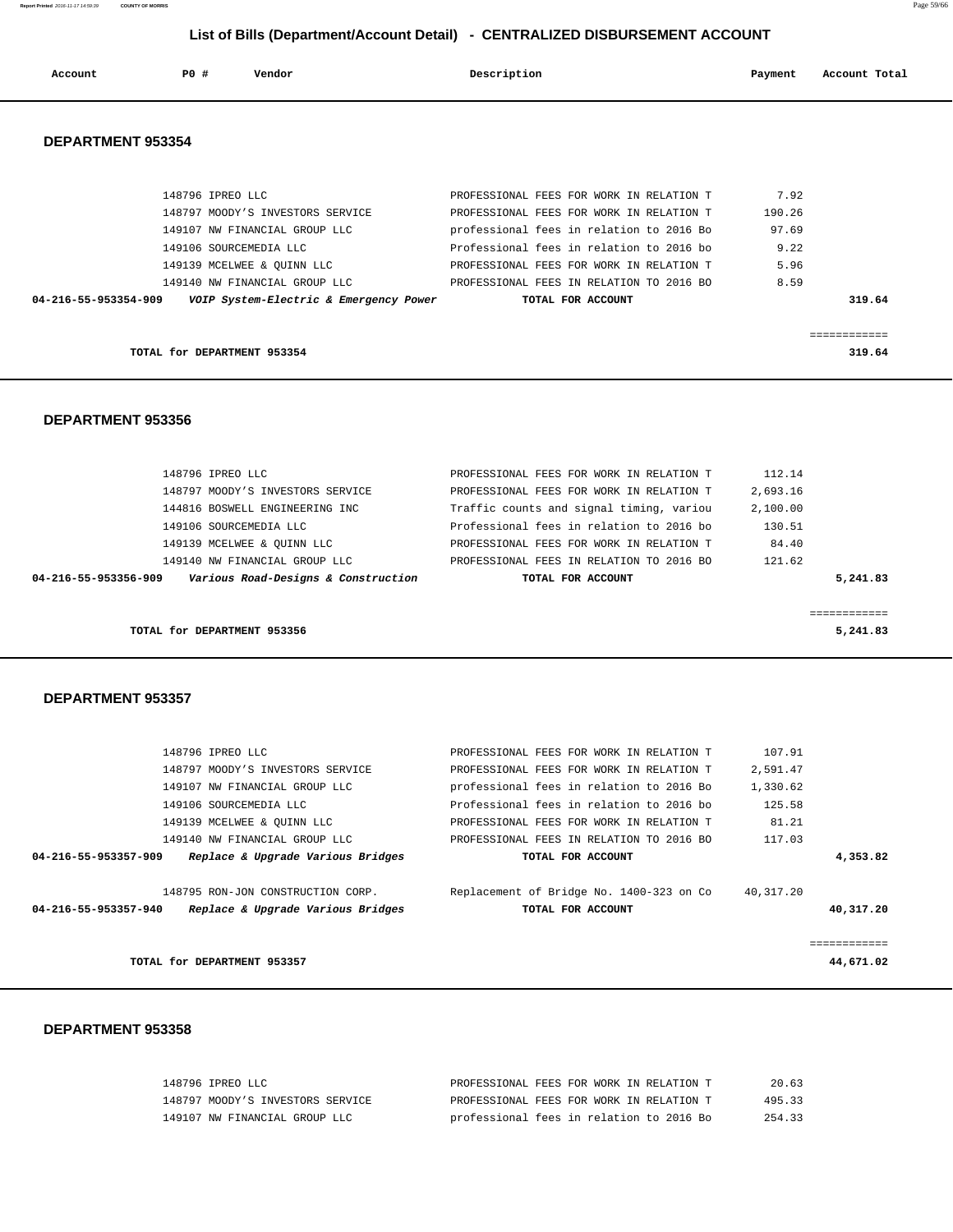| 148796 IPREO LLC                 | PROFESSIONAL FEES FOR WORK IN RELATION T | 20.63  |
|----------------------------------|------------------------------------------|--------|
| 148797 MOODY'S INVESTORS SERVICE | PROFESSIONAL FEES FOR WORK IN RELATION T | 495.33 |
| 149107 NW FINANCIAL GROUP LLC    | professional fees in relation to 2016 Bo | 254.33 |

|                      | 149106 SOURCEMEDIA LLC            | Professional fees in relation to 2016 bo | 125.58      |
|----------------------|-----------------------------------|------------------------------------------|-------------|
|                      | 149139 MCELWEE & OUINN LLC        | PROFESSIONAL FEES FOR WORK IN RELATION T | 81.21       |
|                      | 149140 NW FINANCIAL GROUP LLC     | PROFESSIONAL FEES IN RELATION TO 2016 BO | 117.03      |
| 04-216-55-953357-909 | Replace & Upgrade Various Bridges | TOTAL FOR ACCOUNT                        | 4,353.82    |
|                      |                                   |                                          |             |
|                      | 148795 RON-JON CONSTRUCTION CORP. | Replacement of Bridge No. 1400-323 on Co | 40, 317, 20 |
| 04-216-55-953357-940 | Replace & Upgrade Various Bridges | TOTAL FOR ACCOUNT                        | 40,317.20   |
|                      |                                   |                                          |             |
|                      |                                   |                                          |             |
|                      | TOTAL for DEPARTMENT 953357       |                                          | 44,671.02   |
|                      |                                   |                                          |             |

 148796 IPREO LLC PROFESSIONAL FEES FOR WORK IN RELATION T 107.91 148797 MOODY'S INVESTORS SERVICE PROFESSIONAL FEES FOR WORK IN RELATION T 2,591.47 149107 NW FINANCIAL GROUP LLC professional fees in relation to 2016 Bo 1,330.62

| TOTAL for DEPARTMENT 953356 | 5,241.83 |
|-----------------------------|----------|
| DEPARTMENT 953357           |          |

# **DEPARTMENT 953356**

| 148797 MOODY'S INVESTORS SERVICE                               | PROFESSIONAL FEES FOR WORK IN RELATION T | 190.26 |        |
|----------------------------------------------------------------|------------------------------------------|--------|--------|
| 149107 NW FINANCIAL GROUP LLC                                  | professional fees in relation to 2016 Bo | 97.69  |        |
| 149106 SOURCEMEDIA LLC                                         | Professional fees in relation to 2016 bo | 9.22   |        |
| 149139 MCELWEE & OUINN LLC                                     | PROFESSIONAL FEES FOR WORK IN RELATION T | 5.96   |        |
| 149140 NW FINANCIAL GROUP LLC                                  | PROFESSIONAL FEES IN RELATION TO 2016 BO | 8.59   |        |
| VOIP System-Electric & Emergency Power<br>04-216-55-953354-909 | TOTAL FOR ACCOUNT                        |        | 319.64 |
|                                                                |                                          |        |        |
|                                                                |                                          |        |        |
| TOTAL for DEPARTMENT 953354                                    |                                          |        | 319.64 |

 148796 IPREO LLC PROFESSIONAL FEES FOR WORK IN RELATION T 112.14 148797 MOODY'S INVESTORS SERVICE PROFESSIONAL FEES FOR WORK IN RELATION T 2,693.16 144816 BOSWELL ENGINEERING INC Traffic counts and signal timing, variou 2,100.00 149106 SOURCEMEDIA LLC Professional fees in relation to 2016 bo 130.51 149139 MCELWEE & QUINN LLC PROFESSIONAL FEES FOR WORK IN RELATION T 84.40 149140 NW FINANCIAL GROUP LLC PROFESSIONAL FEES IN RELATION TO 2016 BO 121.62  **04-216-55-953356-909 Various Road-Designs & Construction TOTAL FOR ACCOUNT 5,241.83**

148796 IPREO LLC PROFESSIONAL FEES FOR WORK IN RELATION T 7.92

|         |     |        | List of Bills (Department/Account Detail) - CENTRALIZED DISBURSEMENT ACCOUNT |         |               |
|---------|-----|--------|------------------------------------------------------------------------------|---------|---------------|
| Account | PO# | Vendor | Description                                                                  | Payment | Account Total |
|         |     |        |                                                                              |         |               |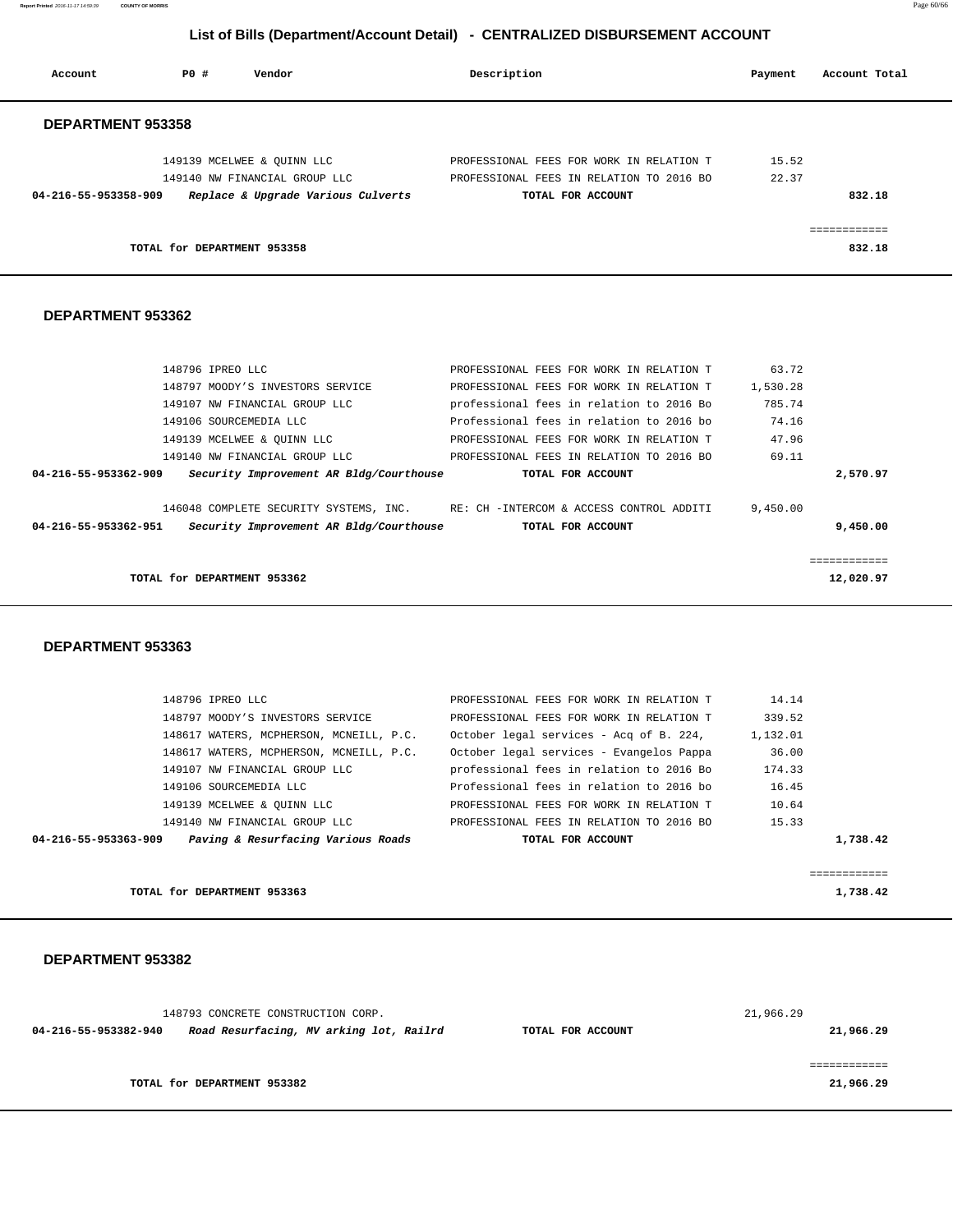**Report Printed** 2016-11-17 14:59:39 **COUNTY OF MORRIS** Page 60/66

# **List of Bills (Department/Account Detail) - CENTRALIZED DISBURSEMENT ACCOUNT**

| Account                  | PO#                         | Vendor                                                      | Description                                                                          | Payment        | Account Total          |
|--------------------------|-----------------------------|-------------------------------------------------------------|--------------------------------------------------------------------------------------|----------------|------------------------|
| <b>DEPARTMENT 953358</b> |                             |                                                             |                                                                                      |                |                        |
|                          |                             | 149139 MCELWEE & OUINN LLC<br>149140 NW FINANCIAL GROUP LLC | PROFESSIONAL FEES FOR WORK IN RELATION T<br>PROFESSIONAL FEES IN RELATION TO 2016 BO | 15.52<br>22.37 |                        |
| 04-216-55-953358-909     |                             | Replace & Upgrade Various Culverts                          | TOTAL FOR ACCOUNT                                                                    |                | 832.18<br>============ |
|                          | TOTAL for DEPARTMENT 953358 |                                                             |                                                                                      |                | 832.18                 |

#### **DEPARTMENT 953362**

| TOTAL for DEPARTMENT 953362                                                      |                                          |          | 12,020.97 |
|----------------------------------------------------------------------------------|------------------------------------------|----------|-----------|
| 04-216-55-953362-951<br>Security Improvement AR Bldg/Courthouse                  | TOTAL FOR ACCOUNT                        |          | 9,450.00  |
| 146048 COMPLETE SECURITY SYSTEMS, INC. THE: CH -INTERCOM & ACCESS CONTROL ADDITI |                                          | 9.450.00 |           |
| Security Improvement AR Bldg/Courthouse<br>04-216-55-953362-909                  | TOTAL FOR ACCOUNT                        |          | 2,570.97  |
| 149140 NW FINANCIAL GROUP LLC                                                    | PROFESSIONAL FEES IN RELATION TO 2016 BO | 69.11    |           |
| 149139 MCELWEE & OUINN LLC                                                       | PROFESSIONAL FEES FOR WORK IN RELATION T | 47.96    |           |
| 149106 SOURCEMEDIA LLC                                                           | Professional fees in relation to 2016 bo | 74.16    |           |
| 149107 NW FINANCIAL GROUP LLC                                                    | professional fees in relation to 2016 Bo | 785.74   |           |
| 148797 MOODY'S INVESTORS SERVICE                                                 | PROFESSIONAL FEES FOR WORK IN RELATION T | 1,530.28 |           |
| 148796 IPREO LLC                                                                 | PROFESSIONAL FEES FOR WORK IN RELATION T | 63.72    |           |

#### **DEPARTMENT 953363**

| 148796 IPREO LLC                                           | PROFESSIONAL FEES FOR WORK IN RELATION T | 14.14    |
|------------------------------------------------------------|------------------------------------------|----------|
| 148797 MOODY'S INVESTORS SERVICE                           | PROFESSIONAL FEES FOR WORK IN RELATION T | 339.52   |
| 148617 WATERS, MCPHERSON, MCNEILL, P.C.                    | October legal services - Acq of B. 224,  | 1,132.01 |
| 148617 WATERS, MCPHERSON, MCNEILL, P.C.                    | October legal services - Evangelos Pappa | 36.00    |
| 149107 NW FINANCIAL GROUP LLC                              | professional fees in relation to 2016 Bo | 174.33   |
| 149106 SOURCEMEDIA LLC                                     | Professional fees in relation to 2016 bo | 16.45    |
| 149139 MCELWEE & OUINN LLC                                 | PROFESSIONAL FEES FOR WORK IN RELATION T | 10.64    |
| 149140 NW FINANCIAL GROUP LLC                              | PROFESSIONAL FEES IN RELATION TO 2016 BO | 15.33    |
| Paving & Resurfacing Various Roads<br>04-216-55-953363-909 | TOTAL FOR ACCOUNT                        | 1,738.42 |
|                                                            |                                          |          |
|                                                            |                                          |          |

**TOTAL for DEPARTMENT 953363 1,738.42**

|                      | 148793 CONCRETE CONSTRUCTION CORP.      |                   | 21,966.29 |
|----------------------|-----------------------------------------|-------------------|-----------|
| 04-216-55-953382-940 | Road Resurfacing, MV arking lot, Railrd | TOTAL FOR ACCOUNT | 21,966.29 |
|                      |                                         |                   |           |
|                      |                                         |                   |           |
|                      | TOTAL for DEPARTMENT 953382             |                   | 21,966.29 |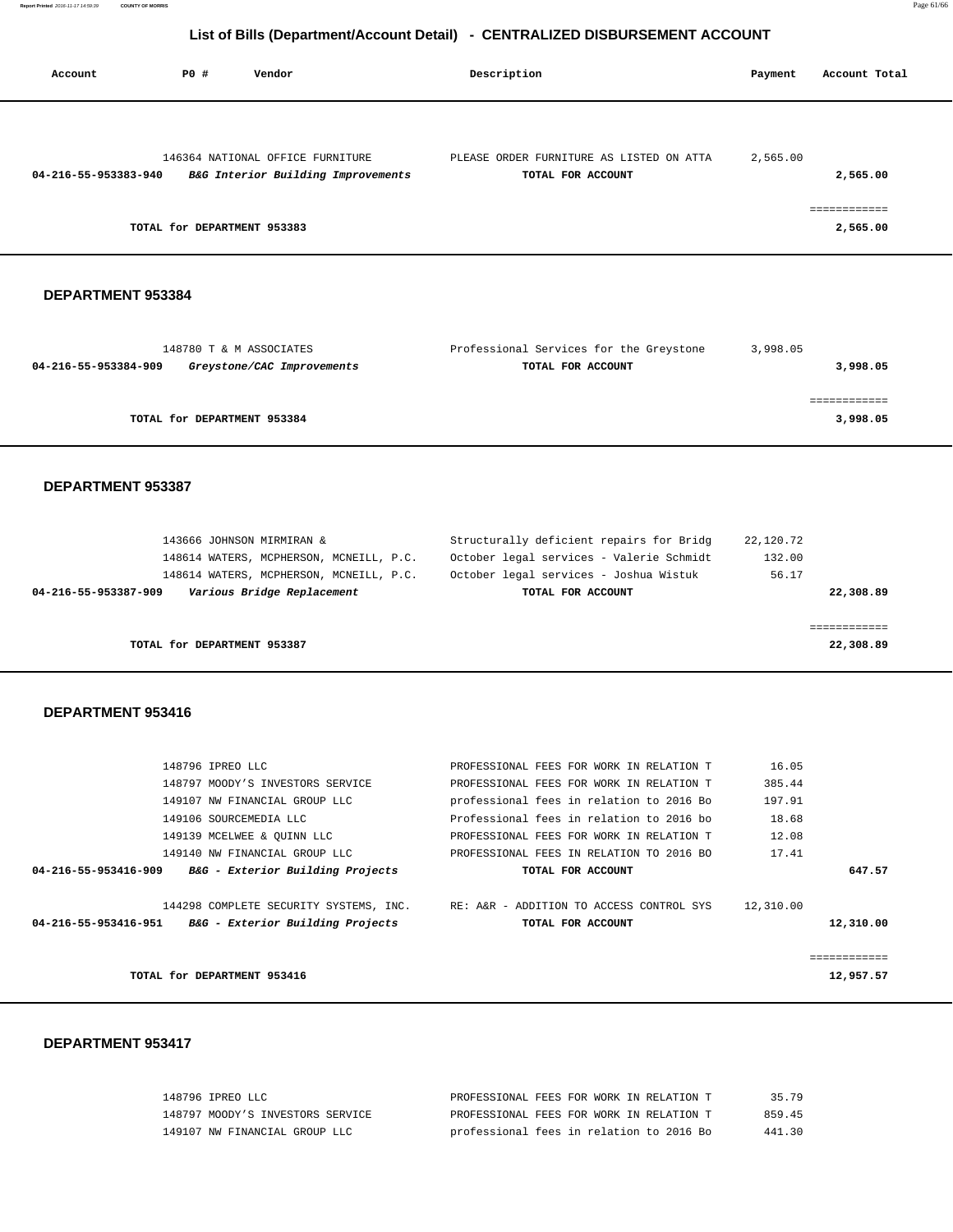| Account              | PO#                         | Vendor                             | Description                              | Payment  | Account Total             |
|----------------------|-----------------------------|------------------------------------|------------------------------------------|----------|---------------------------|
|                      |                             |                                    |                                          |          |                           |
|                      |                             | 146364 NATIONAL OFFICE FURNITURE   | PLEASE ORDER FURNITURE AS LISTED ON ATTA | 2,565.00 |                           |
| 04-216-55-953383-940 |                             | B&G Interior Building Improvements | TOTAL FOR ACCOUNT                        |          | 2,565.00                  |
|                      |                             |                                    |                                          |          |                           |
|                      |                             |                                    |                                          |          | . _ _ _ _ _ _ _ _ _ _ _ _ |
|                      | TOTAL for DEPARTMENT 953383 |                                    |                                          |          | 2,565.00                  |

#### **DEPARTMENT 953384**

| 148780 T & M ASSOCIATES                            | Professional Services for the Greystone | 3,998.05 |
|----------------------------------------------------|-----------------------------------------|----------|
| 04-216-55-953384-909<br>Greystone/CAC Improvements | TOTAL FOR ACCOUNT                       | 3,998.05 |
|                                                    |                                         |          |
|                                                    |                                         |          |
| TOTAL for DEPARTMENT 953384                        |                                         | 3,998.05 |
|                                                    |                                         |          |

#### **DEPARTMENT 953387**

| 143666 JOHNSON MIRMIRAN &                          | Structurally deficient repairs for Bridg | 22,120.72 |
|----------------------------------------------------|------------------------------------------|-----------|
| 148614 WATERS, MCPHERSON, MCNEILL, P.C.            | October legal services - Valerie Schmidt | 132.00    |
| 148614 WATERS, MCPHERSON, MCNEILL, P.C.            | October legal services - Joshua Wistuk   | 56.17     |
| Various Bridge Replacement<br>04-216-55-953387-909 | TOTAL FOR ACCOUNT                        | 22,308.89 |
|                                                    |                                          |           |
|                                                    |                                          |           |

**TOTAL for DEPARTMENT 953387 22,308.89**

### **DEPARTMENT 953416**

| 148796 IPREO LLC                                         | PROFESSIONAL FEES FOR WORK IN RELATION T | 16.05     |
|----------------------------------------------------------|------------------------------------------|-----------|
| 148797 MOODY'S INVESTORS SERVICE                         | PROFESSIONAL FEES FOR WORK IN RELATION T | 385.44    |
| 149107 NW FINANCIAL GROUP LLC                            | professional fees in relation to 2016 Bo | 197.91    |
| 149106 SOURCEMEDIA LLC                                   | Professional fees in relation to 2016 bo | 18.68     |
| 149139 MCELWEE & OUINN LLC                               | PROFESSIONAL FEES FOR WORK IN RELATION T | 12.08     |
| 149140 NW FINANCIAL GROUP LLC                            | PROFESSIONAL FEES IN RELATION TO 2016 BO | 17.41     |
| B&G - Exterior Building Projects<br>04-216-55-953416-909 | TOTAL FOR ACCOUNT                        | 647.57    |
| 144298 COMPLETE SECURITY SYSTEMS, INC.                   | RE: A&R - ADDITION TO ACCESS CONTROL SYS | 12,310.00 |
| B&G - Exterior Building Projects<br>04-216-55-953416-951 | TOTAL FOR ACCOUNT                        | 12,310.00 |
|                                                          |                                          |           |
| TOTAL for DEPARTMENT 953416                              |                                          | 12,957.57 |

| 148796 IPREO LLC                 | PROFESSIONAL FEES FOR WORK IN RELATION T | 35.79  |
|----------------------------------|------------------------------------------|--------|
| 148797 MOODY'S INVESTORS SERVICE | PROFESSIONAL FEES FOR WORK IN RELATION T | 859.45 |
| 149107 NW FINANCIAL GROUP LLC    | professional fees in relation to 2016 Bo | 441.30 |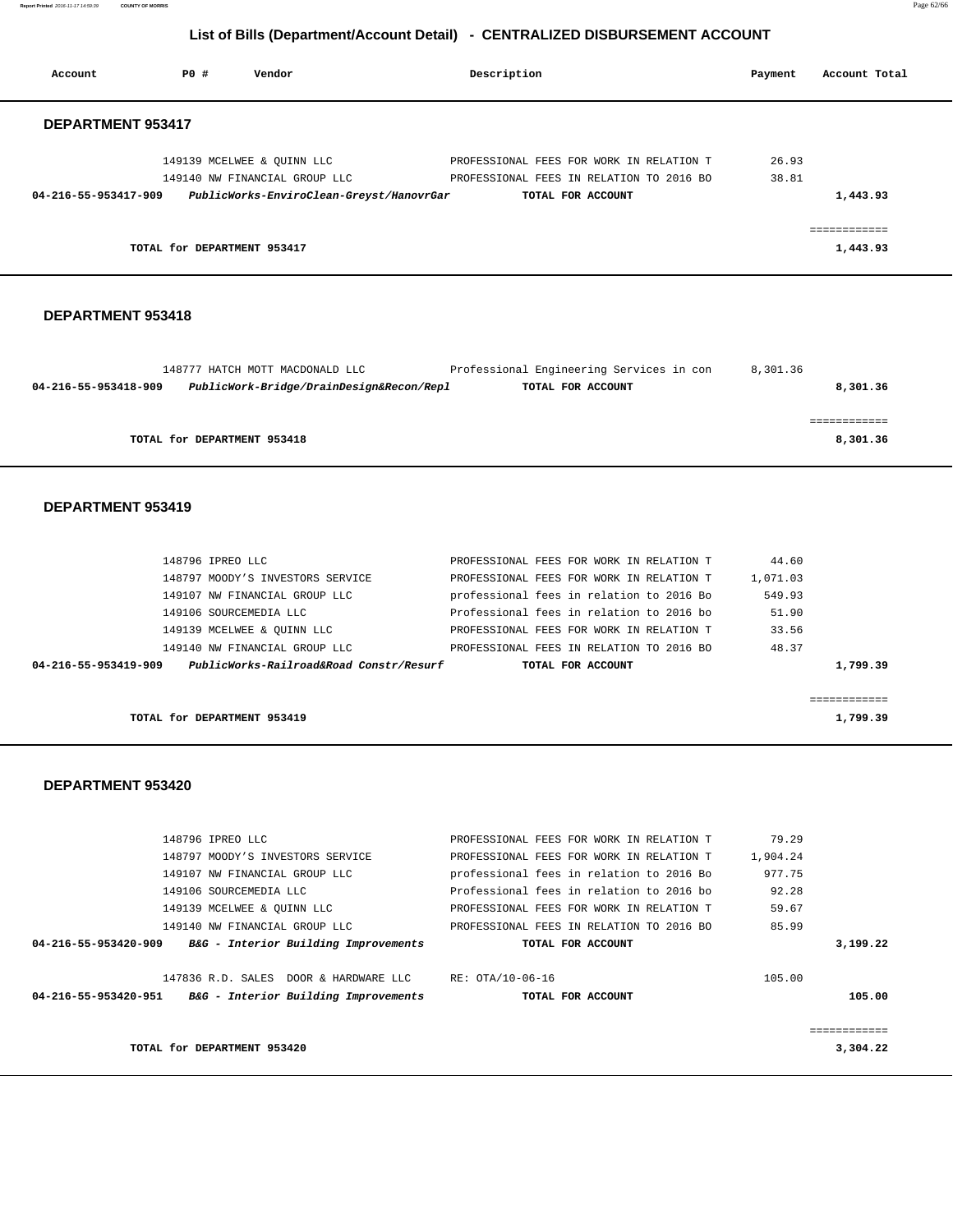149139 MCELWEE & QUINN LLC PROFESSIONAL FEES FOR WORK IN RELATION T 59.67 149140 NW FINANCIAL GROUP LLC PROFESSIONAL FEES IN RELATION TO 2016 BO 85.99  **04-216-55-953420-909 B&G - Interior Building Improvements TOTAL FOR ACCOUNT 3,199.22** 147836 R.D. SALES DOOR & HARDWARE LLC RE: OTA/10-06-16 105.00  **04-216-55-953420-951 B&G - Interior Building Improvements TOTAL FOR ACCOUNT 105.00** ============ **TOTAL for DEPARTMENT 953420 3,304.22**

 148796 IPREO LLC PROFESSIONAL FEES FOR WORK IN RELATION T 79.29 148797 MOODY'S INVESTORS SERVICE PROFESSIONAL FEES FOR WORK IN RELATION T 1,904.24 149107 NW FINANCIAL GROUP LLC professional fees in relation to 2016 Bo 977.75 149106 SOURCEMEDIA LLC Professional fees in relation to 2016 bo 92.28

### **DEPARTMENT 953420**

| 149107 NW FINANCIAL GROUP LLC                                   | professional fees in relation to 2016 Bo | 549.93   |
|-----------------------------------------------------------------|------------------------------------------|----------|
| 149106 SOURCEMEDIA LLC                                          | Professional fees in relation to 2016 bo | 51.90    |
| 149139 MCELWEE & OUINN LLC                                      | PROFESSIONAL FEES FOR WORK IN RELATION T | 33.56    |
| 149140 NW FINANCIAL GROUP LLC                                   | PROFESSIONAL FEES IN RELATION TO 2016 BO | 48.37    |
| PublicWorks-Railroad&Road Constr/Resurf<br>04-216-55-953419-909 | TOTAL FOR ACCOUNT                        | 1,799.39 |
|                                                                 |                                          |          |
|                                                                 |                                          |          |
| TOTAL for DEPARTMENT 953419                                     |                                          | 1,799.39 |
|                                                                 |                                          |          |

 148796 IPREO LLC PROFESSIONAL FEES FOR WORK IN RELATION T 44.60 148797 MOODY'S INVESTORS SERVICE PROFESSIONAL FEES FOR WORK IN RELATION T 1,071.03

#### **DEPARTMENT 953419**

|                      | 148777 HATCH MOTT MACDONALD LLC          | Professional Engineering Services in con | 8,301.36 |
|----------------------|------------------------------------------|------------------------------------------|----------|
| 04-216-55-953418-909 | PublicWork-Bridge/DrainDesign&Recon/Repl | TOTAL FOR ACCOUNT                        | 8,301.36 |
|                      |                                          |                                          |          |
|                      |                                          |                                          |          |
|                      | TOTAL for DEPARTMENT 953418              |                                          | 8,301.36 |
|                      |                                          |                                          |          |

| Account                  | PO# | Vendor                                   | Description                              | Payment | Account Total |  |
|--------------------------|-----|------------------------------------------|------------------------------------------|---------|---------------|--|
| <b>DEPARTMENT 953417</b> |     |                                          |                                          |         |               |  |
|                          |     | 149139 MCELWEE & OUINN LLC               | PROFESSIONAL FEES FOR WORK IN RELATION T | 26.93   |               |  |
|                          |     | 149140 NW FINANCIAL GROUP LLC            | PROFESSIONAL FEES IN RELATION TO 2016 BO | 38.81   |               |  |
| 04-216-55-953417-909     |     | PublicWorks-EnviroClean-Greyst/HanovrGar | TOTAL FOR ACCOUNT                        |         | 1,443.93      |  |
|                          |     |                                          |                                          |         |               |  |
|                          |     | TOTAL for DEPARTMENT 953417              |                                          |         | 1,443.93      |  |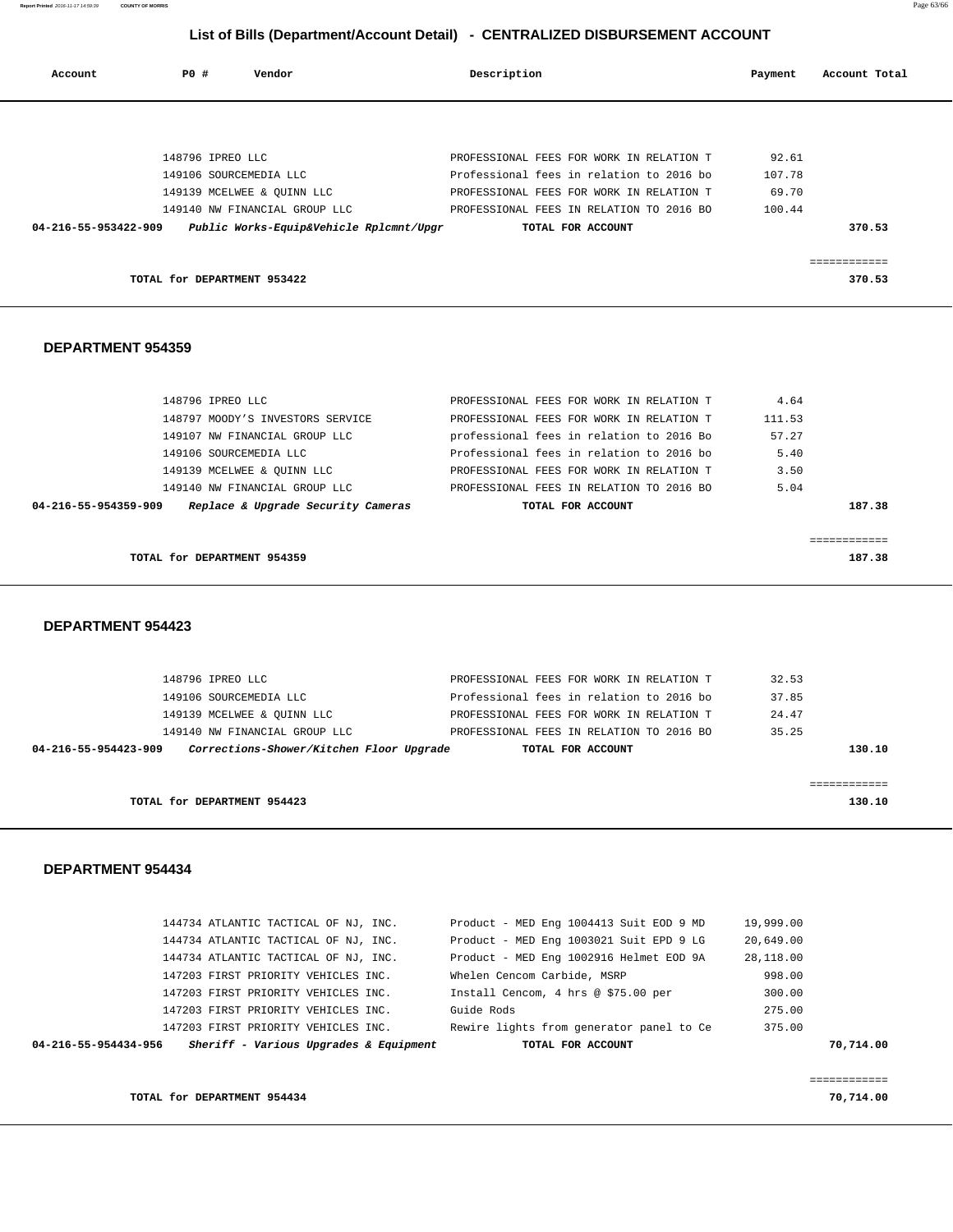| <b>DEPARTMENT 954359</b>                                                                          |                                                               |           |              |
|---------------------------------------------------------------------------------------------------|---------------------------------------------------------------|-----------|--------------|
| 148796 IPREO LLC                                                                                  | PROFESSIONAL FEES FOR WORK IN RELATION T                      | 4.64      |              |
| 148797 MOODY'S INVESTORS SERVICE                                                                  | PROFESSIONAL FEES FOR WORK IN RELATION T                      | 111.53    |              |
| 149107 NW FINANCIAL GROUP LLC                                                                     | professional fees in relation to 2016 Bo                      | 57.27     |              |
| 149106 SOURCEMEDIA LLC                                                                            | Professional fees in relation to 2016 bo                      | 5.40      |              |
| 149139 MCELWEE & OUINN LLC                                                                        | PROFESSIONAL FEES FOR WORK IN RELATION T                      | 3.50      |              |
| 149140 NW FINANCIAL GROUP LLC                                                                     | PROFESSIONAL FEES IN RELATION TO 2016 BO                      | 5.04      |              |
| 04-216-55-954359-909<br>Replace & Upgrade Security Cameras                                        | TOTAL FOR ACCOUNT                                             |           | 187.38       |
|                                                                                                   |                                                               |           | ============ |
| TOTAL for DEPARTMENT 954359                                                                       |                                                               |           | 187.38       |
| <b>DEPARTMENT 954423</b>                                                                          |                                                               |           |              |
|                                                                                                   |                                                               |           |              |
| 148796 IPREO LLC                                                                                  | PROFESSIONAL FEES FOR WORK IN RELATION T                      | 32.53     |              |
| 149106 SOURCEMEDIA LLC                                                                            | Professional fees in relation to 2016 bo                      | 37.85     |              |
| 149139 MCELWEE & QUINN LLC                                                                        | PROFESSIONAL FEES FOR WORK IN RELATION T                      | 24.47     |              |
| 149140 NW FINANCIAL GROUP LLC<br>04-216-55-954423-909<br>Corrections-Shower/Kitchen Floor Upgrade | PROFESSIONAL FEES IN RELATION TO 2016 BO<br>TOTAL FOR ACCOUNT | 35.25     | 130.10       |
|                                                                                                   |                                                               |           | ============ |
| TOTAL for DEPARTMENT 954423                                                                       |                                                               |           | 130.10       |
| <b>DEPARTMENT 954434</b>                                                                          |                                                               |           |              |
| 144734 ATLANTIC TACTICAL OF NJ, INC.                                                              | Product - MED Eng 1004413 Suit EOD 9 MD                       | 19,999.00 |              |
| 144734 ATLANTIC TACTICAL OF NJ, INC.                                                              | Product - MED Eng 1003021 Suit EPD 9 LG                       | 20,649.00 |              |
| 144734 ATLANTIC TACTICAL OF NJ, INC.                                                              | Product - MED Eng 1002916 Helmet EOD 9A                       | 28,118.00 |              |
| 147203 FIRST PRIORITY VEHICLES INC.                                                               | Whelen Cencom Carbide, MSRP                                   | 998.00    |              |
| 147203 FIRST PRIORITY VEHICLES INC.                                                               | Install Cencom, 4 hrs @ \$75.00 per                           | 300.00    |              |
| 147203 FIRST PRIORITY VEHICLES INC.                                                               | Guide Rods                                                    | 275.00    |              |
| 147203 FIRST PRIORITY VEHICLES INC.                                                               | Rewire lights from generator panel to Ce                      | 375.00    |              |

 **04-216-55-954434-956 Sheriff - Various Upgrades & Equipment TOTAL FOR ACCOUNT 70,714.00**

**TOTAL for DEPARTMENT 954434 70,714.00**

============

| 149139 MCELWEE & OUINN LLC | 69.70<br>PROFESSIONAL FEES FOR WORK IN RELATION T  |  |
|----------------------------|----------------------------------------------------|--|
|                            |                                                    |  |
| 149106 SOURCEMEDIA LLC     | Professional fees in relation to 2016 bo<br>107.78 |  |
| 148796 IPREO LLC           | 92.61<br>PROFESSIONAL FEES FOR WORK IN RELATION T  |  |

============

**TOTAL for DEPARTMENT 953422 370.53**

# **List of Bills (Department/Account Detail) - CENTRALIZED DISBURSEMENT ACCOUNT**

Account **PO #** Vendor **Payment Payment Payment** Payment Payment Payment Pacount Total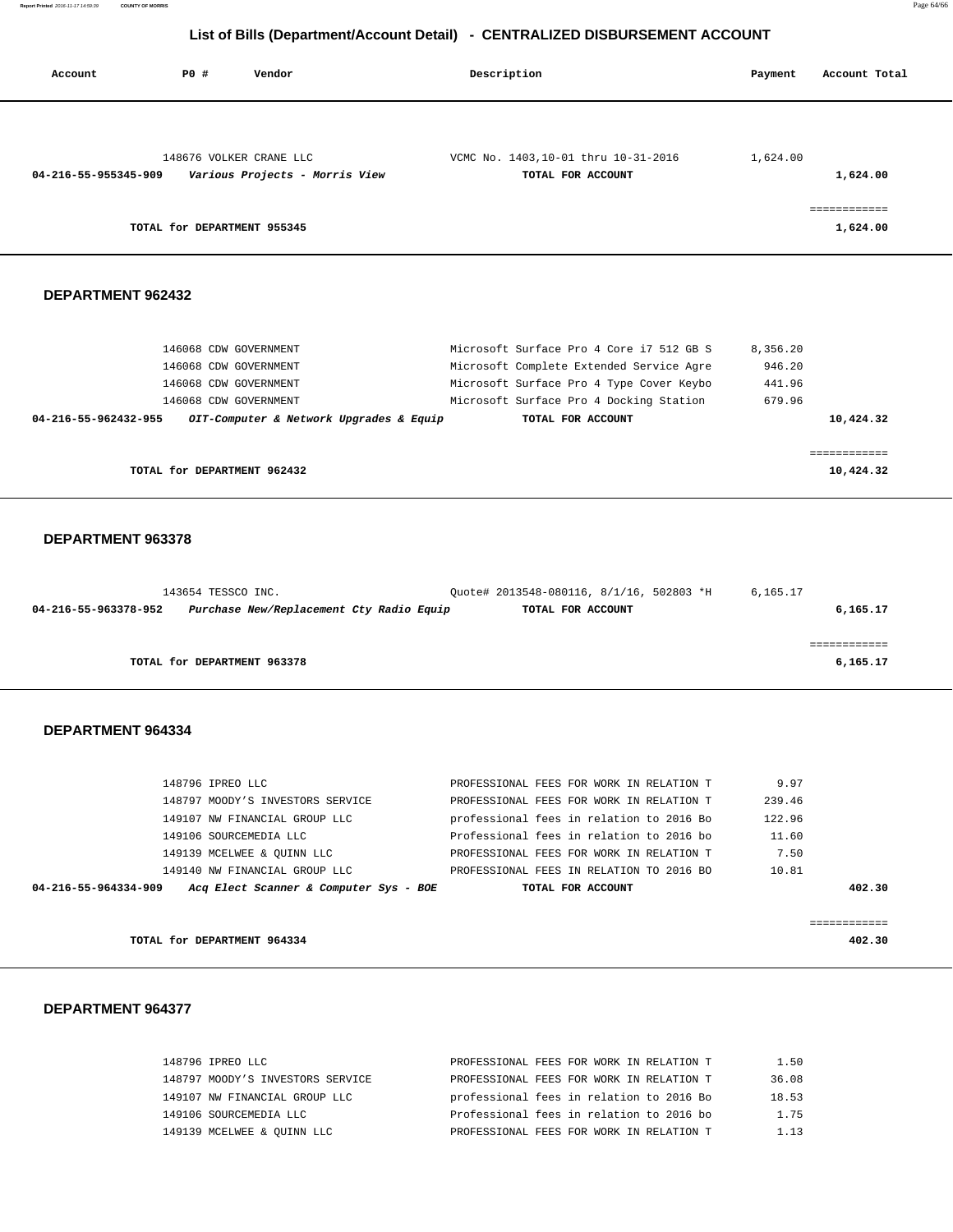**Report Printed** 2016-11-17 14:59:39 **COUNTY OF MORRIS** Page 64/66

# **List of Bills (Department/Account Detail) - CENTRALIZED DISBURSEMENT ACCOUNT**

| Account              | PO#<br>Vendor               |                                         | Description |                                          | Payment  | Account Total |
|----------------------|-----------------------------|-----------------------------------------|-------------|------------------------------------------|----------|---------------|
|                      |                             |                                         |             |                                          |          |               |
|                      | 148676 VOLKER CRANE LLC     |                                         |             | VCMC No. 1403, 10-01 thru 10-31-2016     | 1,624.00 |               |
| 04-216-55-955345-909 |                             | Various Projects - Morris View          |             | TOTAL FOR ACCOUNT                        |          | 1,624.00      |
|                      |                             |                                         |             |                                          |          |               |
|                      |                             |                                         |             |                                          |          | ============  |
|                      | TOTAL for DEPARTMENT 955345 |                                         |             |                                          |          | 1,624.00      |
| DEPARTMENT 962432    | 146068 CDW GOVERNMENT       |                                         |             | Microsoft Surface Pro 4 Core i7 512 GB S | 8,356.20 |               |
|                      | 146068 CDW GOVERNMENT       |                                         |             | Microsoft Complete Extended Service Agre | 946.20   |               |
|                      | 146068 CDW GOVERNMENT       |                                         |             | Microsoft Surface Pro 4 Type Cover Keybo | 441.96   |               |
|                      | 146068 CDW GOVERNMENT       |                                         |             | Microsoft Surface Pro 4 Docking Station  | 679.96   |               |
| 04-216-55-962432-955 |                             | OIT-Computer & Network Upgrades & Equip |             | TOTAL FOR ACCOUNT                        |          | 10,424.32     |
|                      |                             |                                         |             |                                          |          | ============  |
|                      | TOTAL for DEPARTMENT 962432 |                                         |             |                                          |          | 10,424.32     |
| DEPARTMENT 963378    |                             |                                         |             |                                          |          |               |

| 6,165.17 | Ouote# 2013548-080116, 8/1/16, 502803 *H | 143654 TESSCO INC.                       |                      |
|----------|------------------------------------------|------------------------------------------|----------------------|
| 6,165.17 | TOTAL FOR ACCOUNT                        | Purchase New/Replacement Cty Radio Equip | 04-216-55-963378-952 |
|          |                                          |                                          |                      |
|          |                                          |                                          |                      |
| 6,165.17 |                                          | TOTAL for DEPARTMENT 963378              |                      |
|          |                                          |                                          |                      |

#### **DEPARTMENT 964334**

|                      | 148796 IPREO LLC                       | PROFESSIONAL FEES FOR WORK IN RELATION T | 9.97   |        |
|----------------------|----------------------------------------|------------------------------------------|--------|--------|
|                      | 148797 MOODY'S INVESTORS SERVICE       | PROFESSIONAL FEES FOR WORK IN RELATION T | 239.46 |        |
|                      | 149107 NW FINANCIAL GROUP LLC          | professional fees in relation to 2016 Bo | 122.96 |        |
|                      | 149106 SOURCEMEDIA LLC                 | Professional fees in relation to 2016 bo | 11.60  |        |
|                      | 149139 MCELWEE & OUINN LLC             | PROFESSIONAL FEES FOR WORK IN RELATION T | 7.50   |        |
|                      | 149140 NW FINANCIAL GROUP LLC          | PROFESSIONAL FEES IN RELATION TO 2016 BO | 10.81  |        |
| 04-216-55-964334-909 | Acq Elect Scanner & Computer Sys - BOE | TOTAL FOR ACCOUNT                        |        | 402.30 |
|                      |                                        |                                          |        |        |
|                      |                                        |                                          |        |        |
|                      | TOTAL for DEPARTMENT 964334            |                                          |        | 402.30 |

| 148796 IPREO LLC                 | PROFESSIONAL FEES FOR WORK IN RELATION T |  |  | 1.50  |
|----------------------------------|------------------------------------------|--|--|-------|
| 148797 MOODY'S INVESTORS SERVICE | PROFESSIONAL FEES FOR WORK IN RELATION T |  |  | 36.08 |
| 149107 NW FINANCIAL GROUP LLC    | professional fees in relation to 2016 Bo |  |  | 18.53 |
| 149106 SOURCEMEDIA LLC           | Professional fees in relation to 2016 bo |  |  | 1.75  |
| 149139 MCELWEE & OUINN LLC       | PROFESSIONAL FEES FOR WORK IN RELATION T |  |  | 1.13  |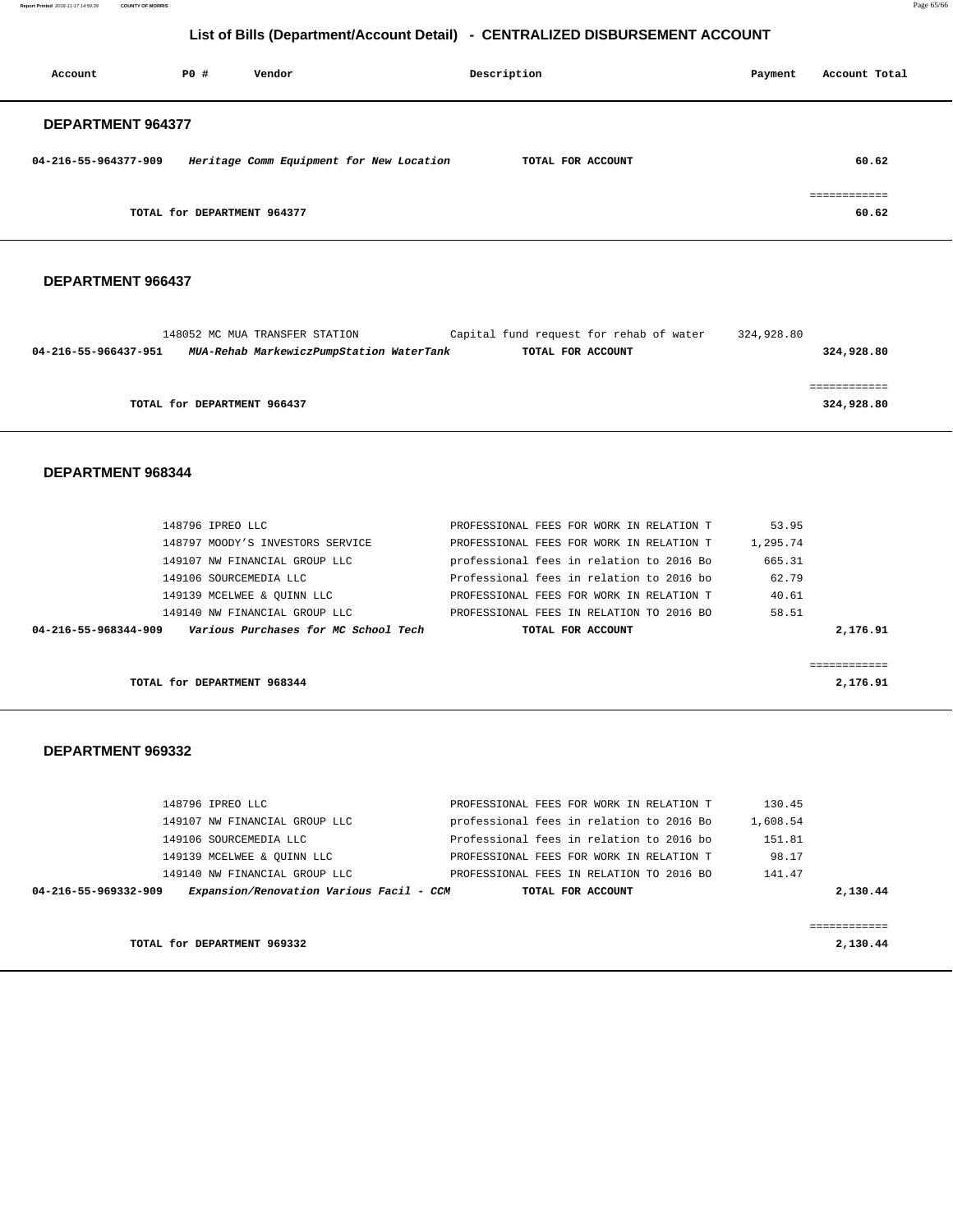**Report Printed** 2016-11-17 14:59:39 **COUNTY OF MORRIS** Page 65/66

# **List of Bills (Department/Account Detail) - CENTRALIZED DISBURSEMENT ACCOUNT**

| Account              | PO#                         | Vendor                                   | Description       | Payment | Account Total         |
|----------------------|-----------------------------|------------------------------------------|-------------------|---------|-----------------------|
| DEPARTMENT 964377    |                             |                                          |                   |         |                       |
| 04-216-55-964377-909 |                             | Heritage Comm Equipment for New Location | TOTAL FOR ACCOUNT |         | 60.62                 |
|                      | TOTAL for DEPARTMENT 964377 |                                          |                   |         | ------------<br>60.62 |

### **DEPARTMENT 966437**

|                      |                             | 148052 MC MUA TRANSFER STATION           | Capital fund request for rehab of water | 324,928.80 |             |
|----------------------|-----------------------------|------------------------------------------|-----------------------------------------|------------|-------------|
| 04-216-55-966437-951 |                             | MUA-Rehab MarkewiczPumpStation WaterTank | TOTAL FOR ACCOUNT                       |            | 324,928.80  |
|                      |                             |                                          |                                         |            |             |
|                      |                             |                                          |                                         |            | ----------- |
|                      | TOTAL for DEPARTMENT 966437 |                                          |                                         |            | 324,928.80  |
|                      |                             |                                          |                                         |            |             |

### **DEPARTMENT 968344**

| 148796 IPREO LLC                                             | PROFESSIONAL FEES FOR WORK IN RELATION T | 53.95    |
|--------------------------------------------------------------|------------------------------------------|----------|
| 148797 MOODY'S INVESTORS SERVICE                             | PROFESSIONAL FEES FOR WORK IN RELATION T | 1,295.74 |
| 149107 NW FINANCIAL GROUP LLC                                | professional fees in relation to 2016 Bo | 665.31   |
| 149106 SOURCEMEDIA LLC                                       | Professional fees in relation to 2016 bo | 62.79    |
| 149139 MCELWEE & OUINN LLC                                   | PROFESSIONAL FEES FOR WORK IN RELATION T | 40.61    |
| 149140 NW FINANCIAL GROUP LLC                                | PROFESSIONAL FEES IN RELATION TO 2016 BO | 58.51    |
| Various Purchases for MC School Tech<br>04-216-55-968344-909 | TOTAL FOR ACCOUNT                        | 2,176.91 |
|                                                              |                                          |          |
|                                                              |                                          |          |
| TOTAL for DEPARTMENT 968344                                  |                                          | 2,176.91 |

| 148796 IPREO LLC                                                 | PROFESSIONAL FEES FOR WORK IN RELATION T | 130.45   |
|------------------------------------------------------------------|------------------------------------------|----------|
| 149107 NW FINANCIAL GROUP LLC                                    | professional fees in relation to 2016 Bo | 1,608.54 |
| 149106 SOURCEMEDIA LLC                                           | Professional fees in relation to 2016 bo | 151.81   |
| 149139 MCELWEE & OUINN LLC                                       | PROFESSIONAL FEES FOR WORK IN RELATION T | 98.17    |
| 149140 NW FINANCIAL GROUP LLC                                    | PROFESSIONAL FEES IN RELATION TO 2016 BO | 141.47   |
| Expansion/Renovation Various Facil - CCM<br>04-216-55-969332-909 | TOTAL FOR ACCOUNT                        | 2,130.44 |
|                                                                  |                                          |          |
|                                                                  |                                          | .        |
| TOTAL for DEPARTMENT 969332                                      |                                          | 2,130.44 |